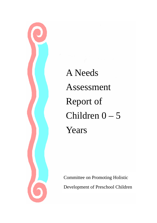

A Needs Assessment Report of Children 0 – 5 Years

Committee on Promoting Holistic Development of Preschool Children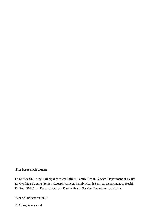# **The Research Team**

Dr Shirley SL Leung, Principal Medical Officer, Family Health Service, Department of Health Dr Cynthia M Leung, Senior Research Officer, Family Health Service, Department of Health Dr Ruth SM Chan, Research Officer, Family Health Service, Department of Health

Year of Publication 2005

© All rights reserved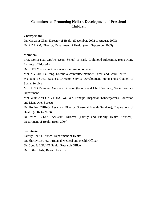# **Committee on Promoting Holistic Development of Preschool Children**

## **Chairperson:**

Dr. Margaret Chan, Director of Health (December, 2002 to August, 2003) Dr. P.Y. LAM, Director, Department of Health (from September 2003)

## **Members:**

Prof. Lorna K.S. CHAN, Dean, School of Early Childhood Education, Hong Kong Institute of Education

Dr. CHOI Yuen-wan, Chairman, Commission of Youth

Mrs. NG CHU Lai-fong, Executive committee member, Parent and Child Centre

Ms. Jane TSUEI, Business Director, Service Development, Hong Kong Council of Social Service

Mr. FUNG Pak-yan, Assistant Director (Family and Child Welfare), Social Welfare Department

Mrs. Winnie YEUNG FUNG Wai-yee, Principal Inspector (Kindergarten), Education and Manpower Bureau

Dr. Regina CHING, Assistant Director (Personal Health Services), Department of Health (2002 to 2003)

Dr. W.M. CHAN, Assistant Director (Family and Elderly Health Services), Department of Health (from 2004)

# **Secretariat:**

Family Health Service, Department of Health

Dr. Shirley LEUNG, Principal Medical and Health Officer

Dr. Cynthia LEUNG, Senior Research Officer

Dr. Ruth CHAN, Research Officer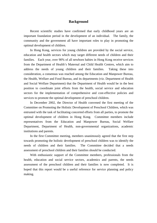## **Background**

 Recent scientific studies have confirmed that early childhood years are an important foundation period in the development of an individual. The family, the community and the government all have important roles to play in promoting the optimal development of children.

 In Hong Kong, services for young children are provided by the social service, education and health sectors which may target different needs of children and their families. Each year, over 90% of all newborn babies in Hong Kong receive services from the Department of Health's Maternal and Child Health Centres, which aim to address the needs of young children and their families. Taking these into consideration, a consensus was reached among the Education and Manpower Bureau, the Health, Welfare and Food Bureau, and its departments (viz. Department of Health and Social Welfare Department) that the Department of Health would be in the best position to coordinate joint efforts from the health, social service and education sectors for the implementation of comprehensive and cost-effective policies and services to promote the optimal development of preschool children.

 In December 2002, the Director of Health convened the first meeting of the Committee on Promoting the Holistic Development of Preschool Children, which was entrusted with the task of facilitating concerted efforts from all parties, to promote the optimal development of children in Hong Kong. Committee members include representatives from the Education and Manpower Bureau, Social Welfare Department, Department of Health, non-governmental organizations, academic institutions and parents.

 In the first Committee meeting, members unanimously agreed that the first step towards promoting the holistic development of preschool children was to identify the needs of children and their families. The Committee decided that a needs assessment of preschool children and their families should be conducted.

 With enthusiastic support of the Committee members, professionals from the health, education and social service sectors, academics and parents, the needs assessment of the preschool children and their families is now completed. It is hoped that this report would be a useful reference for service planning and policy making.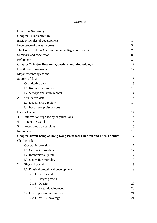# **Contents**

|                 | <b>Executive Summary</b>                                                        |    |  |
|-----------------|---------------------------------------------------------------------------------|----|--|
|                 | <b>Chapter 1: Introduction</b>                                                  | 1  |  |
|                 | Basic principles of development                                                 | 1  |  |
|                 | Importance of the early years                                                   | 3  |  |
|                 | The United Nations Convention on the Rights of the Child                        | 7  |  |
|                 | Summary and conclusion                                                          | 8  |  |
|                 | References                                                                      | 8  |  |
|                 | <b>Chapter 2: Major Research Questions and Methodology</b>                      | 12 |  |
|                 | Health needs assessment                                                         | 12 |  |
|                 | Major research questions                                                        | 13 |  |
|                 | Sources of data                                                                 | 13 |  |
| 1.              | Quantitative data                                                               | 13 |  |
|                 | 1.1 Routine data source                                                         | 13 |  |
|                 | 1.2 Surveys and study reports                                                   | 14 |  |
| 2.              | Qualitative data                                                                | 14 |  |
|                 | 2.1 Documentary review                                                          | 14 |  |
|                 | 2.2 Focus group discussions                                                     | 14 |  |
| Data collection |                                                                                 |    |  |
| 3.              | Information supplied by organizations                                           | 14 |  |
| $\mathbf{4}$ .  | Literature search                                                               | 15 |  |
| 5.              | Focus group discussions                                                         | 15 |  |
|                 | References                                                                      | 16 |  |
|                 | <b>Chapter 3: Well-being of Hong Kong Preschool Children and Their Families</b> | 17 |  |
|                 | Child profile                                                                   | 17 |  |
| 1.              | General information                                                             |    |  |
|                 | 1.1 Census information                                                          | 17 |  |
|                 | 1.2 Infant mortality rate                                                       | 17 |  |
|                 | 1.3 Under-five mortality                                                        | 18 |  |
| 2.              | Physical domain                                                                 | 19 |  |
|                 | 2.1 Physical growth and development                                             | 19 |  |
|                 | 2.1.1 Birth weight                                                              | 19 |  |
|                 | 2.1.2 Height growth                                                             | 19 |  |
|                 | 2.1.3 Obesity                                                                   | 20 |  |
|                 | 2.1.4 Motor development                                                         | 20 |  |
|                 | 2.2 Use of preventive services                                                  | 21 |  |
|                 | 2.2.1 MCHC coverage                                                             | 21 |  |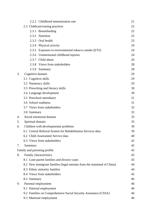|    | 2.2.2 Childhood immunization rate                                      | 21 |  |  |  |
|----|------------------------------------------------------------------------|----|--|--|--|
|    | 2.3 Childcare/rearing practices                                        | 22 |  |  |  |
|    | 2.3.1 Breastfeeding                                                    | 22 |  |  |  |
|    | 2.3.2 Nutrition                                                        | 22 |  |  |  |
|    | 2.3.3 Oral health                                                      | 23 |  |  |  |
|    | 2.3.4 Physical activity                                                | 24 |  |  |  |
|    | 2.3.5 Exposure to environmental tobacco smoke (ETS)                    | 24 |  |  |  |
|    | 2.3.6 Unintentional childhood injuries                                 | 24 |  |  |  |
|    | 2.3.7 Child abuse                                                      | 26 |  |  |  |
|    | 2.3.8 Views from stakeholders                                          | 28 |  |  |  |
|    | 2.3.9 Summary                                                          | 28 |  |  |  |
| 3. | Cognitive domain                                                       | 29 |  |  |  |
|    | 3.1 Cognitive skills                                                   | 29 |  |  |  |
|    | 3.2 Numeracy skills                                                    | 29 |  |  |  |
|    | 3.3 Prewriting and literacy skills                                     | 30 |  |  |  |
|    | 3.4 Language development                                               |    |  |  |  |
|    | 3.5 Preschool attendance                                               |    |  |  |  |
|    | 3.6 School readiness                                                   |    |  |  |  |
|    | 3.7 Views from stakeholders                                            |    |  |  |  |
|    | 3.8 Summary                                                            | 32 |  |  |  |
| 4. | Social emotional domain                                                | 33 |  |  |  |
| 5. | Spiritual domain                                                       |    |  |  |  |
| 6. | Children with developmental problems                                   |    |  |  |  |
|    | 6.1 Central Referral System for Rehabilitation Services data           |    |  |  |  |
|    | 6.2 Child Assessment Service data                                      | 40 |  |  |  |
|    | 6.3 Views from stakeholders                                            | 42 |  |  |  |
| 7. | Summary                                                                | 42 |  |  |  |
|    | Family and parenting profile                                           | 43 |  |  |  |
| 8. | Family characteristics                                                 |    |  |  |  |
|    | 8.1 Lone parent families and divorce cases                             | 43 |  |  |  |
|    | 8.2 New immigrant families (legal entrants from the mainland of China) | 44 |  |  |  |
|    | 8.3 Ethnic minority families                                           | 44 |  |  |  |
|    | 8.4 Views from stakeholders                                            | 45 |  |  |  |
|    | 8.5 Summary                                                            |    |  |  |  |
| 9. | Parental employment                                                    |    |  |  |  |
|    | 9.1 Paternal employment                                                | 46 |  |  |  |
|    | 9.2 Families on Comprehensive Social Security Assistance (CSSA)        |    |  |  |  |
|    | 9.3 Maternal employment                                                | 46 |  |  |  |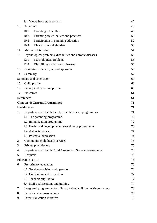|     | 9.4 Views from stakeholders                                        |    |  |  |  |
|-----|--------------------------------------------------------------------|----|--|--|--|
| 10. | Parenting                                                          |    |  |  |  |
|     | 10.1<br>Parenting difficulties                                     | 48 |  |  |  |
|     | 10.2<br>Parenting styles, beliefs and practices                    | 50 |  |  |  |
|     | 10.3<br>Participation in parenting education                       | 52 |  |  |  |
|     | Views from stakeholders<br>10.4                                    | 53 |  |  |  |
| 11. | Marital relationship                                               | 54 |  |  |  |
| 12. | Psychological problems, disabilities and chronic diseases          |    |  |  |  |
|     | Psychological problems<br>12.1                                     | 55 |  |  |  |
|     | Disabilities and chronic diseases<br>12.2                          | 56 |  |  |  |
| 13. | Domestic violence (battered spouses)                               |    |  |  |  |
| 14. | Summary                                                            |    |  |  |  |
|     | Summary and conclusion                                             | 60 |  |  |  |
| 15. | Child profile                                                      | 60 |  |  |  |
| 16. | Family and parenting profile                                       | 60 |  |  |  |
| 17. | Indicators                                                         | 61 |  |  |  |
|     | References                                                         | 61 |  |  |  |
|     | <b>Chapter 4: Current Programmes</b>                               | 71 |  |  |  |
|     | Health sector                                                      | 71 |  |  |  |
| 1.  | Department of Health Family Health Service programmes              | 71 |  |  |  |
|     | 1.1 The parenting programme                                        | 72 |  |  |  |
|     | 1.2 Immunization programme                                         | 72 |  |  |  |
|     | 1.3 Health and developmental surveillance programme                | 73 |  |  |  |
|     | 1.4 Antenatal service                                              | 74 |  |  |  |
|     | 1.5 Postnatal depression                                           | 74 |  |  |  |
| 2.  | Community child health services                                    | 75 |  |  |  |
| 3.  | Private practitioners                                              | 75 |  |  |  |
| 4.  | Department of Health Child Assessment Service programmes           | 75 |  |  |  |
| 5.  | Hospitals                                                          | 76 |  |  |  |
|     | <b>Education</b> sector                                            | 76 |  |  |  |
| 6.  | Pre-primary education                                              | 76 |  |  |  |
|     | 6.1 Service provision and operation                                | 76 |  |  |  |
|     | 6.2 Curriculum and inspection                                      | 77 |  |  |  |
|     | 6.3 Teacher: pupil ratio                                           | 77 |  |  |  |
|     | 6.4 Staff qualifications and training                              | 77 |  |  |  |
| 7.  | Integrated programme for mildly disabled children in kindergartens | 78 |  |  |  |
| 8.  | Parent-teacher associations                                        |    |  |  |  |
| 9.  | <b>Parent Education Initiative</b>                                 | 78 |  |  |  |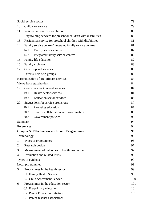|            | Social service sector                                          |                                                       |     |  |  |
|------------|----------------------------------------------------------------|-------------------------------------------------------|-----|--|--|
| 10.        | Child care service                                             |                                                       |     |  |  |
| 11.        | Residential services for children                              | 80                                                    |     |  |  |
| 12.        | Day training services for preschool children with disabilities | 80                                                    |     |  |  |
| 13.        | Residential service for preschool children with disabilities   |                                                       |     |  |  |
| 14.        | Family service centres/integrated family service centres       | 81                                                    |     |  |  |
|            | 14.1                                                           | Family service centres                                | 82  |  |  |
|            | 14.2                                                           | Integrated family service centres                     | 82  |  |  |
| 15.        |                                                                | Family life education                                 | 82  |  |  |
| 16.        | Family violence                                                |                                                       |     |  |  |
| 17.        | Other support services                                         |                                                       |     |  |  |
| 18.        |                                                                | Parents' self-help groups                             | 83  |  |  |
|            |                                                                | Harmonization of pre-primary services                 | 84  |  |  |
|            |                                                                | Views from stakeholders                               | 84  |  |  |
| 19.        |                                                                | Concerns about current services                       | 84  |  |  |
|            | 19.1                                                           | Health sector services                                | 84  |  |  |
|            | 19.2                                                           | <b>Education sector services</b>                      | 85  |  |  |
| 20.        |                                                                | Suggestions for service provisions                    | 87  |  |  |
|            | 20.1                                                           | Parenting education                                   | 87  |  |  |
|            | 20.2                                                           | Service collaboration and co-ordination               | 89  |  |  |
|            | 20.3                                                           | Government policies                                   | 93  |  |  |
| Summary    |                                                                |                                                       | 94  |  |  |
| References |                                                                |                                                       |     |  |  |
|            |                                                                | <b>Chapter 5: Effectiveness of Current Programmes</b> | 96  |  |  |
|            | Terminology                                                    |                                                       | 96  |  |  |
| 1.         |                                                                | Types of programmes                                   | 96  |  |  |
| 2.         |                                                                | Research design                                       | 97  |  |  |
| 3.         | Measurement of outcomes in health promotion                    |                                                       |     |  |  |
| 4.         | Evaluation and related terms<br>98                             |                                                       |     |  |  |
|            |                                                                | Types of evidence                                     | 99  |  |  |
|            |                                                                | Local programmes                                      | 99  |  |  |
| 5.         |                                                                | Programmes in the health sector                       | 99  |  |  |
|            |                                                                | 5.1 Family Health Service                             | 99  |  |  |
|            |                                                                | 5.2 Child Assessment Service                          | 100 |  |  |
| 6.         |                                                                | Programmes in the education sector                    | 101 |  |  |
|            |                                                                | 6.1 Pre-primary education                             | 101 |  |  |
|            |                                                                | 6.2 Parent Education Initiative                       | 101 |  |  |
|            |                                                                | 6.3 Parent-teacher associations                       | 101 |  |  |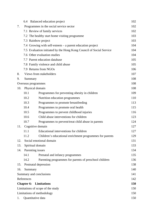|                                         | 6.4                                                                 | Balanced education project                               | 102 |  |  |
|-----------------------------------------|---------------------------------------------------------------------|----------------------------------------------------------|-----|--|--|
| 7.                                      |                                                                     | Programmes in the social service sector                  | 102 |  |  |
|                                         |                                                                     | 7.1 Review of family services                            | 102 |  |  |
|                                         |                                                                     | 7.2 The healthy start home visiting programme            | 103 |  |  |
|                                         |                                                                     | 7.3 Rainbow project                                      | 103 |  |  |
|                                         | 7.4 Growing with self-esteem – a parent education project           |                                                          |     |  |  |
|                                         | 7.5 Evaluation initiated by the Hong Kong Council of Social Service |                                                          |     |  |  |
|                                         | 7.6 Other evaluation studies                                        |                                                          |     |  |  |
|                                         |                                                                     | 7.7 Parent education database                            | 105 |  |  |
|                                         |                                                                     | 7.8 Family violence and child abuse                      | 105 |  |  |
|                                         |                                                                     | 7.9 Returns from NGOs                                    | 106 |  |  |
| 8.                                      |                                                                     | Views from stakeholders                                  | 107 |  |  |
| 9.                                      | Summary                                                             |                                                          | 108 |  |  |
|                                         | Overseas programmes                                                 |                                                          | 108 |  |  |
| 10.                                     | Physical domain                                                     |                                                          | 108 |  |  |
|                                         | 10.1                                                                | Programmes for preventing obesity in children            | 109 |  |  |
|                                         | 10.2                                                                | Nutrition education programmes                           | 110 |  |  |
|                                         | 10.3                                                                | Programmes to promote breastfeeding                      | 113 |  |  |
|                                         | 10.4                                                                | Programmes to promote oral health                        | 115 |  |  |
|                                         | 10.5                                                                | Programmes to prevent childhood injuries                 | 116 |  |  |
|                                         | 10.6                                                                | Child abuse interventions for children                   | 123 |  |  |
|                                         | 10.7                                                                | Programmes to prevent/treat child abuse in parents       | 124 |  |  |
| 11.                                     | Cognitive domain                                                    |                                                          |     |  |  |
|                                         | 11.1                                                                | Educational interventions for children                   | 127 |  |  |
|                                         | 11.2                                                                | Children's educational enrichment programmes for parents | 129 |  |  |
| 12.                                     |                                                                     | Social emotional domain                                  | 131 |  |  |
| 13.                                     | Spiritual domain                                                    |                                                          | 133 |  |  |
| 14.                                     | Parenting issues                                                    |                                                          | 134 |  |  |
|                                         | 14.1                                                                | Prenatal and infancy programmes                          | 135 |  |  |
|                                         | 14.2                                                                | Parenting programmes for parents of preschool children   | 136 |  |  |
| 15.                                     |                                                                     | Postnatal depression                                     | 138 |  |  |
| 16.                                     | Summary                                                             |                                                          | 140 |  |  |
|                                         |                                                                     | Summary and conclusions                                  | 141 |  |  |
| References                              |                                                                     |                                                          |     |  |  |
| <b>Chapter 6:</b><br>150<br>Limitations |                                                                     |                                                          |     |  |  |
|                                         |                                                                     | Limitations of scope of the study                        | 150 |  |  |
|                                         | Limitations of methodology                                          |                                                          |     |  |  |
| 1.                                      | Quantitative data                                                   |                                                          |     |  |  |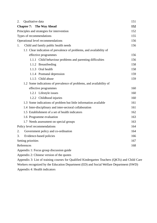| 2.                                | Qualitative data                     |                                                                     | 151 |  |
|-----------------------------------|--------------------------------------|---------------------------------------------------------------------|-----|--|
|                                   |                                      | <b>Chapter 7: The Way Ahead</b>                                     | 152 |  |
|                                   |                                      | Principles and strategies for intervention                          | 152 |  |
| Types of recommendations          |                                      |                                                                     | 155 |  |
| Operational level recommendations |                                      |                                                                     |     |  |
| 1.                                | Child and family public health needs |                                                                     |     |  |
|                                   |                                      | 1.1 Clear indication of prevalence of problems, and availability of |     |  |
|                                   |                                      | effective programmes                                                | 156 |  |
|                                   |                                      | 1.1.1 Child behaviour problems and parenting difficulties           | 156 |  |
|                                   |                                      | 1.1.2 Breastfeeding                                                 | 158 |  |
|                                   |                                      | 1.1.3 Oral health                                                   | 158 |  |
|                                   |                                      | 1.1.4 Postnatal depression                                          | 159 |  |
|                                   |                                      | 1.1.5 Child abuse                                                   | 159 |  |
|                                   |                                      | 1.2 Some indications of prevalence of problems, and availability of |     |  |
|                                   |                                      | effective programmes                                                | 160 |  |
|                                   |                                      | 1.2.1 Lifestyle issues                                              | 160 |  |
|                                   |                                      | 1.2.2 Childhood injuries                                            | 160 |  |
|                                   |                                      | 1.3 Some indications of problem but little information available    | 161 |  |
|                                   |                                      | 1.4 Inter-disciplinary and inter-sectoral collaboration             | 161 |  |
|                                   |                                      | 1.5 Establishment of a set of health indicators                     | 162 |  |
|                                   |                                      | 1.6 Programme evaluation                                            | 163 |  |
|                                   |                                      | 1.7 Needs assessment on special groups                              | 163 |  |
|                                   |                                      | Policy level recommendations                                        | 164 |  |
| 2.                                |                                      | Government policy and co-ordination                                 | 164 |  |
| 3.                                | Evidence-based policies<br>166       |                                                                     |     |  |
|                                   | Setting priorities                   |                                                                     |     |  |
|                                   | References                           |                                                                     | 168 |  |
|                                   |                                      |                                                                     |     |  |

Appendix 1: Focus group discussion guide

Appendix 2: Chinese version of the quotes

Appendix 3: List of training courses for Qualified Kindergarten Teachers (QKTs) and Child Care Workers recognized by the Education Department (ED) and Social Welfare Department (SWD) Appendix 4: Health indicators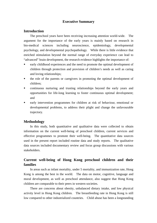# **Executive Summary**

## **Introduction**

 The preschool years have been receiving increasing attention world-wide. The argument for the importance of the early years is mainly based on research in bio-medical sciences including neuroscience, epidemiology, developmental psychology, and developmental psychopathology. While there is little evidence that enriched stimulation beyond the normal range of everyday experience can lead to "advanced" brain development, the research evidence highlights the importance of:

- early childhood experiences and the need to promote the optimal development of children through protection and provision of children's needs as well as caring and loving relationships;
- **the role of the parents or caregivers in promoting the optimal development of** children;
- continuous nurturing and trusting relationships beyond the early years and opportunities for life-long learning to foster continuous optimal development; and
- early intervention programmes for children at risk of behaviour, emotional or developmental problems, to address their plight and change the unfavourable trajectory.

## **Methodology**

 In this study, both quantitative and qualitative data were collected to obtain information on the current well-being of preschool children, current services and effective programmes to promote their well-being. The quantitative data sources used in the present report included routine data and study reports. The qualitative data sources included documentary review and focus group discussions with various stakeholders.

# **Current well-being of Hong Kong preschool children and their families**

 In areas such as infant mortality, under 5 mortality, and immunization rate, Hong Kong is among the best in the world. The data on motor, cognitive, language and moral development, as well as preschool attendance, also suggest that Hong Kong children are comparable to their peers in western societies.

 There are concerns about obesity, unbalanced dietary intake, and low physical activity level in Hong Kong children. The breastfeeding rate in Hong Kong is still low compared to other industrialized countries. Child abuse has been a longstanding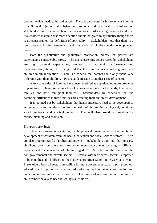problem which needs to be addressed. There is also room for improvement in terms of childhood injuries, child behaviour problems and oral health. Furthermore, stakeholders are concerned about the lack of social skills among preschool children. Stakeholders maintain that more attention should be given to spirituality though there is no consensus on the definition of spirituality.Stakeholders note that there is a long process in the assessment and diagnosis of children with developmental problems.

 Both the quantitative and qualitative information indicate that parents are experiencing considerable stress. The major parenting issues raised by stakeholders are high parental expectations, emphasis on academic performance and over-protection, though it is recognized that there are parents who are giving their children minimal attention. There is a concern that parents could only spend very little time with their children. Postnatal depression is another issue of concern.

 A few categories of families have been identified as experiencing more problems in parenting. These are parents from low socio-economic backgrounds, lone parent families, and new immigrant families. Stakeholders are concerned that the parenting difficulties in these families are affecting their children's development.

 It is pointed out by stakeholders that health indicators need to be developed to systematically and regularly monitor the health of children in the physical, cognitive, social emotional and spiritual domains. This will also provide information for service planning and provision.

### **Current services**

 There are programmes catering for the physical, cognitive and social emotional development of children from the health, education and social service sectors. There are also programmes for families and parents. Stakeholders point out that for early childhood provision, there are three government departments focusing on different aspects, and the education of children aged 3 to 6 is left in the hands of the non-governmental and private sectors. Referral within or across sectors is reported to be complicated; children and their parents are often caught in between as a result. Stakeholders from all sectors are calling for more government leadership in preschool education and support for parenting education as well as better co-ordination and collaboration within and across sectors. The issues of registration and training for child minder have also been raised by stakeholders.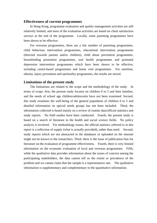#### **Effectiveness of current programmes**

 In Hong Kong, programme evaluation and quality management activities are still relatively limited, and most of the evaluation activities are based on client satisfaction surveys at the end of the programme. Locally, some parenting programmes have been shown to be effective.

 For overseas programmes, there are a fair number of parenting programmes, child behaviour intervention programmes, educational intervention programmes (directed towards parents and/or children), child abuse prevention programmes, breastfeeding promotion programmes, oral health programmes and postnatal depression intervention programmes which have been shown to be effective, including centre-based programmes and home visit programmes. For nutrition, obesity, injury prevention and spirituality programmes, the results are mixed.

### **Limitations of the present study**

 The limitations are related to the scope and the methodology of the study. In terms of scope, first, the present study focuses on children 0 to 5 and their families, and the needs of school age children/adolescents have not been examined. Second, this study examines the well-being of the general population of children 0 to 5 and detailed information on special needs groups has not been included. Third, the information collected is based mainly on a review of routine data/official statistics and study reports. No field studies have been conducted. Fourth, the present study is based on a search of literature in the health and social science fields. No policy analysis is involved. For methodology issues, the official statistics referred to in this report is a reflection of supply (what is actually provided), rather than need. Second, study reports which are not abstracted in the databases or uploaded on the internet might not be known to the researchers. Third, there is the issue of publication bias for literature on the evaluation of programme effectiveness. Fourth, there is very limited information on the economic evaluation of local and overseas programmes. Fifth, while the qualitative data provides information about the issues of concern among the participating stakeholders, the data cannot tell us the extent or prevalence of the problem and we cannot claim that the sample is a representative one. The qualitative information is supplementary and complementary to the quantitative information.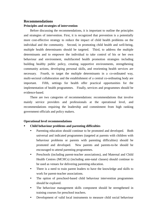## **Recommendations**

#### **Principles and strategies of intervention**

 Before discussing the recommendations, it is important to outline the principles and strategies of intervention. First, it is recognized that prevention is a potentially more cost-effective strategy to reduce the impact of child health problems on the individual and the community. Second, in promoting child health and well-being, multiple health determinants should be targeted. Third, to address the multiple determinants and to empower the individual to take control of his or her own behaviour and environment, multifaceted health promotion strategies including building healthy public policy, creating supportive environments, strengthening community actions, developing personal skills, and reorienting health services are necessary. Fourth, to target the multiple determinants in a co-ordinated way, multi-sectoral collaboration and the establishment of a central co-ordinating body are important. Fifth, settings for health offer practical opportunities for the implementation of health programmes. Finally, services and programmes should be evidence-based.

 There are two categories of recommendations: recommendations that involve mainly service providers and professionals at the operational level, and recommendations requiring the leadership and commitment from high ranking government officials and policy makers.

### **Operational level recommendations**

## **Child behaviour problems and parenting difficulties**

- Parenting education should continue to be promoted and developed. Both universal and indicated programmes (targeted at parents with children with behaviour problems or parents with parenting difficulties) should be promoted and developed. New parents and parents-to-be should be encouraged to attend parenting programmes.
- y Preschools (including parent-teacher associations), and Maternal and Child Health Centres (MCHCs) (including ante-natal classes) should continue to be used as venues for delivering parenting education.
- There is a need to train parent leaders to have the knowledge and skills to work for parent-teacher associations.
- The option of preschool-based child behaviour intervention programmes should be explored.
- The behaviour management skills component should be strengthened in training courses for preschool teachers.
- Development of valid local instruments to measure child social behaviour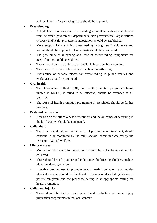and local norms for parenting issues should be explored.

# **Breastfeeding**

- A high level multi-sectoral breastfeeding committee with representatives from relevant government departments, non-governmental organizations (NGOs), and health professional associations should be established.
- More support for sustaining breastfeeding through staff, volunteers and hotline should be explored. Home visits should be considered.
- The possibility of re-cycling and lease of breastfeeding equipments for needy families could be explored.
- There should be more publicity on available breastfeeding resources.
- There should be more public education about breastfeeding.
- Availability of suitable places for breastfeeding in public venues and workplaces should be promoted.

# **Oral health**

- The Department of Health (DH) oral health promotion programme being piloted in MCHC, if found to be effective, should be extended to all MCHCs.
- The DH oral health promotion programme in preschools should be further promoted.

# **Postnatal depression**

Research on the effectiveness of treatment and the outcomes of screening in the local context should be conducted.

# **Child abuse**

The issue of child abuse, both in terms of prevention and treatment, should continue to be monitored by the multi-sectoral committee chaired by the Director of Social Welfare.

# **Lifestyle issues**

- More comprehensive information on diet and physical activities should be collected.
- There should be safe outdoor and indoor play facilities for children, such as playground and game room.
- Effective programmes to promote healthy eating behaviour and regular physical exercise should be developed. These should include guidance to parents/caregivers and the preschool setting is an appropriate setting for health promotion.

# **Childhood injuries**

There should be further development and evaluation of home injury prevention programmes in the local context.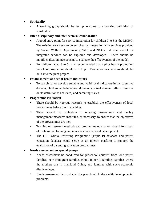# **Spirituality**

- A working group should be set up to come to a working definition of spirituality.
- **Inter-disciplinary and inter-sectoral collaboration** 
	- A good entry point for service integration for children 0 to 3 is the MCHC. The existing services can be enriched by integration with services provided by Social Welfare Department (SWD) and NGOs. A new model for integrated services can be explored and developed. There should be inbuilt evaluation mechanisms to evaluate the effectiveness of the model.
	- For children aged 3 to 5, it is recommended that a pilot health promoting preschool programme should be set up. Evaluation mechanisms should be built into the pilot project.

# **Establishment of a set of health indicators**

To search for or develop suitable and valid local indicators in the cognitive domain, child social/behavioural domain, spiritual domain (after consensus on its definition is achieved) and parenting issues.

# **Programme evaluation**

- There should be rigorous research to establish the effectiveness of local programmes before their launching.
- There should be evaluation of ongoing programmes and quality management measures instituted, as necessary, to ensure that the objectives of the programmes are met.
- Training on research methods and programme evaluation should form part of professional training and in-service professional development.
- The DH Positive Parenting Programme (Triple P) database and parent education database could serve as an interim platform to support the evaluation of parenting education programmes.

# **Needs assessment on special groups**

- y Needs assessment be conducted for preschool children from lone parent families, new immigrant families, ethnic minority families, families where the mothers are in mainland China, and families with socio-economic disadvantages.
- Needs assessment be conducted for preschool children with developmental problems.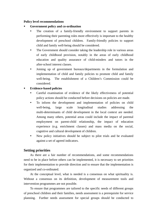#### **Policy level recommendations**

- **Government policy and co-ordination** 
	- The creation of a family-friendly environment to support parents in performing their parenting roles more effectively is important to the healthy development of preschool children. Family-friendly policies to support child and family well-being should be considered.
	- The Government should consider taking the leadership role in various areas of early childhood provision, notably in the areas of early childhood education and quality assurance of child-minders and tutors in the after-school interest classes.
	- Joining up of government bureaux/departments in the formulation and implementation of child and family policies to promote child and family well-being. The establishment of a Children's Commission could be considered.

### **Evidence-based policies**

- Careful examination of evidence of the likely effectiveness of potential policy actions should be conducted before decisions on policies are made.
- To inform the development and implementation of policies on child well-being, large scale longitudinal studies addressing the multi-determinants of child development in the local context are needed. Among many others, potential areas could include the impact of parental employment on parent-child relationship, the impact of education experience (e.g. enrichment classes) and mass media on the social, cognitive and cultural development of children.
- New policy initiatives should be subject to pilot trials and be evaluated against a set of agreed indicators.

# **Setting priorities**

As there are a fair number of recommendations, and some recommendations need to be in place before others can be implemented, it is necessary to set priorities for their implementation to provide direction and to ensure that the implementation is organized and co-ordinated.

At the conceptual level, what is needed is a consensus on what spirituality is. Without a consensus on its definition, development of measurement tools and intervention programmes are not possible.

To ensure that programmes are tailored to the specific needs of different groups of preschool children and their families, needs assessment is a prerequisite for service planning. Further needs assessment for special groups should be conducted to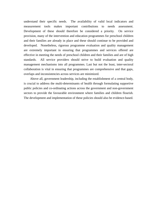understand their specific needs. The availability of valid local indicators and measurement tools makes important contributions to needs assessment. Development of these should therefore be considered a priority. On service provision, many of the intervention and education programmes for preschool children and their families are already in place and these should continue to be provided and developed. Nonetheless, rigorous programme evaluation and quality management are extremely important in ensuring that programmes and services offered are effective in meeting the needs of preschool children and their families and are of high standards. All service providers should strive to build evaluation and quality management mechanisms into all programmes. Last but not the least, inter-sectoral collaboration is vital in ensuring that programmes are comprehensive and that gaps, overlaps and inconsistencies across services are minimized.

Above all, government leadership, including the establishment of a central body, is crucial to address the multi-determinants of health through formulating supportive public policies and co-ordinating actions across the government and non-government sectors to provide the favourable environment where families and children flourish. The development and implementation of these policies should also be evidence-based.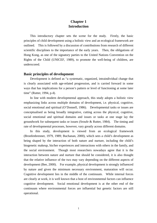# **Chapter 1 Introduction**

 This introductory chapter sets the scene for the study. Firstly, the basic principles of child development using a holistic view and an ecological framework are outlined. This is followed by a discussion of contributions from research of different scientific disciplines to the importance of the early years. Then, the obligations of Hong Kong, as one of the signatory parties to the United Nations Convention on the Rights of the Child (UNICEF, 1989), to promote the well-being of children, are underscored.

## **Basic principles of development**

 Development is defined as "a systematic, organized, intraindividual change that is clearly associated with age-related progression, and is carried forward in some ways that has implications for a person's pattern or level of functioning at some later time" (Rutter, 1994, p.4).

 In line with modern developmental approach, this study adopts a holistic view emphasizing links across multiple domains of development, i.e. physical, cognitive, social emotional and spiritual (O'Donnell, 1986). Developmental tasks or issues are conceptualised as being broadly integrative, cutting across the physical, cognitive, social emotional and spiritual domains and issues or tasks at one stage lay the groundwork for subsequent tasks or issues (Sroufe & Rutter, 1984). The timing and rate of developmental processes, however, vary greatly across different domains.

 In this study, development is viewed from an ecological framework (Bronfenbrenner, 1979, 1989; Buchanan, 2000), which sees a child's development as being shaped by the interaction of both nature and nurture, including the child's biogenetic makeup, his/her experiences and interactions with others in the family, and the social environment. Though most researchers nowadays agree that it is the interaction between nature and nurture that should be considered, it is also thought that the relative influence of the two may vary depending on the different aspects of development (Bee, 2000). For example, physical development is strongly influenced by nature and given the minimum necessary environment, maturation will occur. Cognitive development lies in the middle of the continuum. While internal forces are clearly at work, it is well known that a host of environmental factors can influence cognitive development. Social emotional development is at the other end of the continuum where environmental forces are influential but genetic factors are still operational.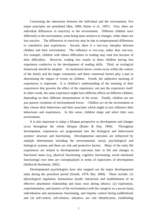Concerning the interaction between the individual and the environment, five major principles are postulated (Bee, 2000; Rutter et al., 1997). First, there are individual differences in reactivity to the environment. Different children react differently to the environment, some being more sensitive to changes, while others are less reactive. The differences in reactivity may be due to temperamental differences or cumulative past experiences. Second, there is a two-way interplay between children and their environment. The influence is two-way, rather than one-way. For example, children with inborn difficulties in reading may read less because of their difficulties. However, reading less results in these children having less experience conducive to the development of reading skills. Third, an ecological framework should be adopted. As mentioned above, events occur within the context of the family and the larger community and these contextual factors play a part in determining the impact of events on children. Fourth, the subjective meaning of experiences is important. It is children's understanding of the meaning of their experiences that governs the effect of the experience, not just the experience itself. In other words, the same experience might have different effects on different children, depending on their different interpretations of the event. Finally, children are not just passive recipients of environmental forces. Children act on the environment as they choose their behaviours and their associates which might in turn influence their behaviours and experiences. In this sense, children shape and select their own environment.

 It is also important to adopt a lifespan perspective as development and changes occur throughout the whole lifespan (Rutter & Hay, 1994). Throughout development, experiences are programmed into the biological and behavioural systems' structure and functioning. Developmental outcomes are influenced by multiple determinants including the environmental, social, psychological and biological systems and there are risk and protective factors. Many of the early life experiences are related to developmental outcomes later in life and changes in functional status (e.g. physical functioning, cognitive functioning, social emotional functioning) over time are conceptualized in terms of trajectories of development (Halfon & Hochstein, 2002).

Developmental psychologists have also mapped out the major developmental tasks during the preschool period (Sroufe, 1979; Bee, 2000). These include: (1) physiological regulation, harmonious dyadic interaction and establishment of an effective attachment relationship and basic trust during infancy; (2) exploration, experimentation, and mastery of the environment (with the caregiver as a secure base), individuation and autonomous functioning, and impulse control during toddlerhood; and (3) self-control, self-reliance, initiative, sex role identification, establishing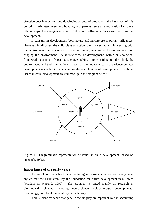effective peer interactions and developing a sense of empathy in the latter part of this period. Early attachment and bonding with parents serve as a foundation for future relationships, the emergence of self-control and self-regulation as well as cognitive development.

 To sum up, in development, both nature and nurture are important influences. However, in all cases, the child plays an active role in selecting and interacting with the environment, making sense of the environment, reacting to the environment, and shaping the environment. A holistic view of development, within an ecological framework, using a lifespan perspective, taking into consideration the child, the environment, and their interactions, as well as the impact of early experience on later development is needed in understanding the complexities of development. The above issues in child development are summed up in the diagram below:



Figure 1. Diagrammatic representation of issues in child development (based on Hancock, 1985).

### **Importance of the early years**

The preschool years have been receiving increasing attention and many have argued that the early years lay the foundation for future development in all areas (McCain & Mustard, 1999). The argument is based mainly on research in bio-medical sciences including neuroscience, epidemiology, developmental psychology, and developmental psychopathology.

There is clear evidence that genetic factors play an important role in accounting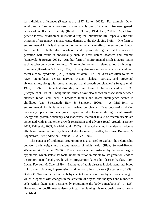for individual differences (Rutter et al., 1997; Rutter, 2002). For example, Down syndrome, a form of chromosomal anomaly, is one of the most frequent genetic causes of intellectual disability (Rende & Plomin, 1994; Bee, 2000). Apart from genetic factors, environmental insults during the intrauterine life, especially the first trimester of pregnancy, can also cause damage to the developing brain. One form of environmental insult is diseases in the mother which can affect the embryo or foetus. An example is rubella infection where foetal exposure during the first few weeks of gestation will result in abnormality such as heart defect, deafness and cataract (Banatvala & Brown, 2004).Another form of environmental insult is neuro-toxins such as tobacco, alcohol, lead etc. Smoking in mothers is related to low birth weight in infants (Bernstein & Divon, 1997). Heavy drinking in mothers is associated with foetal alcohol syndrome (FAS) in their children. FAS children are often found to have "craniofacial, central nervous system, skeletal, cardiac, and urogenital abnormalities, along with prenatal and postnatal growth deficiencies" (Swayze et al., 1997, p. 232). Intellectual disability is often found to be associated with FAS (Swayze et al., 1997). Longitudinal studies have also shown an association between elevated blood lead level in newborn infants and lower intelligence scores in childhood (e.g., Streissguth, Barr, & Sampson, 1990). A third form of environmental insult is related to nutrient deficiency. Diet deprivation during pregnancy appears to have great impact on development during foetal growth. Energy and protein deficiency and inadequate maternal intake of micronutrients are associated with intrauterine growth retardation and adverse foetal growth (Kramer, 2002; Fall et al., 2003; Merialdi et al., 2003). Prenatal malnutrition also has adverse effects on cognitive and psychosocial development (Smedler, Faxelius, Bremme, & Lagerstrom, 1992; Almeida, Tonkiss, & Galler, 1996).

 The concept of biological programming is also used to explain the relationship between birth weight and various aspects of adult health (Blair, Steward-Brown, Waterston, & Crowther, 2003). This concept can be illustrated by the foetal origins hypothesis, which states that foetal under-nutrition in middle to late gestation leads to disproportionate foetal growth, which programmes later adult disease (Barker, 1995; Lucas, Fewtrell, & Cole, 1999). Examples of adult diseases include abnormal blood lipid values, diabetes, hypertension, and coronary heart disease (Lucas et al., 1999). Barker (1994) postulates that the baby adapts to under-nutrition by hormonal changes, which, "together with changes in the structure of organs, and the types and number of cells within them, may permanently programme the body's metabolism" (p. 135). However, the specific mechanisms or factors explaining this relationship are still to be identified.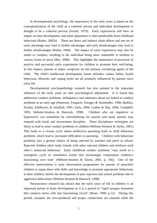In developmental psychology, the importance of the early years is based on the conceptualization of the child as a coherent person and individual development is thought to be a coherent process (Sroufe, 1979). Early experiences will have an impact on later development, and adult adjustment is often predictable from childhood behaviour (Rutter, 2002b). There are direct and indirect chain effects and one set of early advantage may lead to further advantages and early disadvantages may lead to further disadvantages (Rutter, 1994). The impact of early experiences may also be subtle or complex, resulting in the individual being more vulnerable or resilient to various forms of stress (Bee, 2000). This highlights the importance of provision of positive and successful early experiences for children to promote their well-being. In this respect, parents or major caregivers are the primary socializing agents of the child. The child's intellectual development, future attitudes, values, habits, health behaviour, lifestyles and coping styles are all primarily influenced by parents since early life.

 Developmental psychopathology research has also pointed to the important influence of the early years on later psychological adjustment. It is found that adolescent conduct problems, delinquency and substance abuse are linked to conduct problems at an early age (Patterson, Forgatch, Yoerger, & Stoolmiller, 1998; Barkley, Fischer, Edelbrock, & Smallish, 1991; Earls, 1994; Loeber & Hay, 1994; Campbell, 1995; Webster-Stratton & Hancock, 1998). Children who are impulsive or hyperactive can sometimes be overwhelming for parents and many parents may respond with harsh and inconsistent discipline. These disciplinary techniques are likely to lead to more conduct problems in children (Webster-Stratton & Taylor, 2001). This leads to a vicious cycle where ineffective parenting leads to child behaviour problems which lead to increased difficulties in parenting. Children with behaviour problems face a greater chance of being rejected by teachers and peers in school. Rejected children often make friends with other rejected children and reinforce each other's antisocial behaviour. Early childhood conduct problems "may result in a synergistic cycle of cumulative events that increasingly compromise children's functioning over time" (Webster-Stratton & Taylor, 2001, p. 166). One of the effective interventions is early intervention programmes for parents of preschool children to equip them with skills and knowledge to promote appropriate behaviours in their children, before the development of peer rejection and school problems due to aggressive behaviours (Webster-Stratton & Hancock, 1998).

 Neuroscience research has shown that the early years of life in children is an important period in brain development as it is a period of "rapid synapse formation that connects nerve cells into functioning circuit" (Bruer, 1999, p.12). During this period, synapses are over-produced and proper connections are retained while the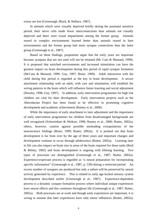extras are lost (Greenough, Black, & Wallace, 1987).

 In animals which were visually deprived briefly during the postnatal sensitive period, their nerve cells made fewer interconnections than animals not visually deprived and there were visual impairments among the former group. Animals reared in complex environments learned better than animals reared in bare environments and the former group had more synapse connections than the latter group (Greenough et al., 1987).

 Based on these findings, proponents argue that the early years are important because synapses that are not used will not be retained (Mc Cain & Mustard, 1999). It is proposed that enriched environments and increased stimulation can have the greatest impact on brain development during this period of rapid synapse formation (McCain & Mustard, 1999; Guy, 1997; Bruer, 1999). Adult interaction with the child during this period is regarded as the key to brain development. A secure attachment relationship with an adult, with care and stimulation, will establish the wiring patterns in the brain which will influence future learning and social adjustment (Hawley, 1998; Guy, 1997). In addition, early intervention programmes for high risk children are vital for their development. Early intervention projects such as the Abecedarian Project has been found to be effective in promoting cognitive development and academic achievement (Ramey et al., 2000).

 While the importance of early attachment to later adjustment and the importance of early intervention programmes for children from disadvantaged backgrounds are well recognized (Schweinhart & Weikart, 1990; Ramey et al., 2000; Rutter, 2002a), others, however, caution against possible misleading extrapolations of the neuroscience findings (Bruer, 1999; Rutter, 2002a). It is pointed out that brain development is far from over by the age of three years and important changes and development continue to occur through adolescence (Rutter, 2002a). Learning later in life can also impact on brain size in areas of the brain required for those tasks (Reid & Belsky, 2002) and brain development is ongoing with lifelong learning. Two types of processes are distinguished (Greenough et al., 1987; Rutter, 2002a). Experience-expectant process is regarded as "a neural preparation for incorporating specific information" (Greenough et al., 1987, p. 539) during a restricted period. An excess number of synapses are produced but only a subset will be preserved by neural activity generated by experience. This is related to early age-locked sensory system development described earlier (Greenough et al., 1987). Experience-dependent process is a dynamic synapse formation process where individual unique experiences have neural effects and this continues throughout life (Greenough et al., 1987; Rutter, 2002a). Both processes are at work and though early experiences are important, it is wrong to assume that later experiences have only minor influences (Rutter, 2002a).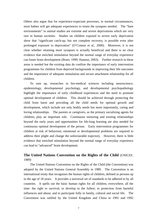Others also argue that for experience-expectant processes, in normal circumstances, most babies will get adequate experiences to retain the synapses needed. The "bare environments" in animal studies are extreme and severe deprivations which are very rare in human societies. Studies on children exposed to severe early deprivation show that "significant catch-up, but not complete recovery, is possible even after prolonged exposure to deprivation" (O'Connor et al., 2000). Moreover, it is not clear whether retaining more synapses is actually beneficial and there is no clear evidence that enriched stimulation beyond the normal range of everyday experience can foster brain development (Bruer, 1999; Hannon, 2003). Further research in these areas is needed but the existing data do confirm the importance of early intervention programmes for children from deprived backgrounds in improving their life outcomes and the importance of adequate stimulation and secure attachment relationship for all children.

 To sum up, researches in bio-medical sciences including neuroscience, epidemiology, developmental psychology, and developmental psychopathology highlight the importance of early childhood experiences and the need to promote optimal development of children. This should be achieved through protecting the child from harm and providing all the child needs for optimal growth and development, which include not only bodily needs but more importantly, caring and loving relationships. The parents or caregivers, as the primary socializing agents for children, play an important role. Continuous nurturing and trusting relationships beyond the early years and opportunities for life-long learning are also needed for continuous optimal development of the person. Early intervention programmes for children at risk of behaviour, emotional or developmental problems are required to address their plight and change the unfavourable trajectory. However, there is little evidence that enriched stimulation beyond the normal range of everyday experience can lead to "advanced" brain development.

# **The United Nations Convention on the Rights of the Child** (UNICEF, 1989)

 The United Nations Convention on the Rights of the Child (the Convention) was adopted by the United Nations General Assembly in 1989. The Convention is an international treaty that recognizes the human rights of children, defined as persons up to the age of 18 years. It provides a universal set of standards to be adhered to by all countries. It spells out the basic human rights for all children, everywhere, all the time: the right to survival; to develop to the fullest; to protection from harmful influences and abuse; and to participate fully in family, cultural and social life. The Convention was ratified by the United Kingdom and China in 1991 and 1992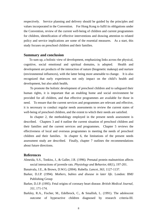respectively. Service planning and delivery should be guided by the principles and values incorporated in the Convention. For Hong Kong to fulfil its obligations under the Convention, review of the current well-being of children and current programmes for children, identification of effective interventions and drawing attention to related policy and service implications are some of the essential measures. As a start, this study focuses on preschool children and their families.

#### **Summary and conclusion**

 To sum up, a holistic view of development, emphasizing links across the physical, cognitive, social emotional and spiritual domains, is adopted. Health and development are products of the interaction of nature (biogenetic makeup) and nurture (environmental influences), with the latter being more amenable to change. It is also recognized that early experiences not only impact on the child's health and development, but also adult health**.**

 To promote the holistic development of preschool children and to safeguard their human rights, it is important that an enabling home and social environment be provided for all children, and that effective programmes are available for those in need. To ensure that the current services and programmes are relevant and effective, it is necessary to conduct regular needs assessments to review the current states of well-being of preschool children, and the extent to which their needs are satisfied.

In chapter 2, the methodology employed in the present needs assessment is described. Chapters 3 and 4 outline the current situation of preschool children and their families and the current services and programmes. Chapter 5 reviews the effectiveness of local and overseas programmes in meeting the needs of preschool children and their families. In chapter 6, the limitations of the present needs assessment study are described. Finally, chapter 7 outlines the recommendations about future directions.

### **References**

- Almeida, S.S., Tonkiss, J., & Galler, J.R. (1996). Prenatal protein malnutrition affects social interactions of juvenile rats. *Physiology and Behavior, 60*(1), 197-201.
- Banatvala, J.E., & Brown, D.W.G. (2004). Rubella. *Lancet, 363*, 1127-1137.
- Barker, D.J.P. (1994). *Mothers, babies and disease in later life*. London: BMJ Publishing Group
- Barker, D.J.P. (1995). Fetal origins of coronary heart disease. *British Medical Journal, 311*, 171-174.
- Barkley, R.A., Fischer, M., Edelbrock, C., & Smallish, L. (1991). The adolescent outcome of hyperactive children diagnosed by research criteria-III.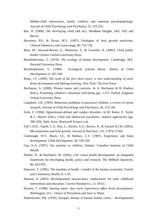Mother-child interactions, family conflicts and maternal psychopathology. *Journal of Child Psychology and Psychiatry, 32*, 233-255.

- Bee, H. (2000). *The developing child* (4th ed.). Needham Heights, MA: Ally and Bacon.
- Bernstein, P.S., & Divon, M.Y. (1997). Etiologies of fetal growth restriction. *Clinical Obstetrics and Gynecology, 40*, 723-729.
- Blair, M., Steward-Brown, S., Waterston, T., & Crowther, R. (2003). *Child public health*. Oxford: Oxford University Press.
- Bronfenbrenner, U. (1979). *The ecology of human development*. Cambridge, MA: Harvard University Press.
- Bronfenbrenner, U. (1989). Ecological systems theory. *Annals of Child Development, 6*, 187-249.
- Bruer, J.T. (1999). *The myth of the first three years: a new understanding of early brain development and lifelong learning*. New York: The Free Press.
- Buchanan, A. (2000). Present issues and concerns. In A. Buchanan & B. Hudson (Eds.), *Promoting children's emotional well-being* (pp. 1-27). Oxford, England: Oxford University Press.
- Campbell, S.B. (1995). Behaviour problems in preschool children: a review of recent research. *Journal of Child Psychology and Psychiatry, 36*, 113-149.
- Earls, F. (1994). Oppositional-defiant and conduct disorders. In M. Rutter, E. Taylor & L. Hersov (Eds.), *Child and adolescent psychiatry: modern approaches* (pp. 308-329). Bath, Avon: Blackwell Science Ltd.
- Fall C.H.D., Yajnik, C.S., Rao, S., Davies, A.A., Brown, N., & Farrant H.J.W. (2003). Micronutrients and fetal growth. *Journal of Nutrition, 133*, 1747S-1756S.
- Greenough, W.T., Black, J.E., & Wallace, C.S. (1987). Experience and brain development. *Child Development, 58,* 539-559.
- Guy, K.A. (1997). *Our promise to children*. Ontario: Canadian Institute of Child Health.
- Halfon, N., & Hochstein, M. (2002). Life course health development: an integrated framework for developing health, policy and research. *The Milbank Quarterly, 80*, 433-479.
- Hancock, T. (1985). The mandala of health: a model of the human ecosystem. *Family and Community Health, 8*, 1-10.
- Hannon, P. (2003). Developmental neuroscience: implications for early childhood intervention and education. *Current Paediatrics, 13*, 58-63.
- Hawley, T. (1998). *Starting smart: how early experiences affect brain development*. Washington, D.C.: Ounce of Prevention and Zero to Three.
- Huttenlocher, P.R. (1979). Synaptic density in human frontal cortex developmental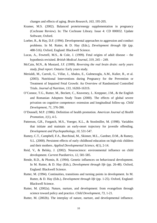changes and effects of aging. *Brain Research, 163*, 195-205.

- Kramer, M.S. (2002). Balanced protein/energy supplementation in pregnancy (Cochrane Review). In: The Cochrane Library. Issue 4: CD 000032. Update Software, Oxford.
- Loeber, R., & Hay, D.F. (1994). Developmental approaches to aggression and conduct problems. In M. Rutter, & D. Hay (Eds.), *Development through life* (pp. 488-516). Oxford, England: Blackwell Science.
- Lucas, A., Fewtrell, M.S., & Cole, J. (1999). Fetal origins of adult disease the hypothesis revisited. *British Medical Journal, 319*, 245 – 249.
- McCain, M.N., & Mustard, J.F. (1999). *Reversing the real brain drain: early years study, final report*. Ontario: Early years study.
- Merialdi, M., Carroli, G., Villar, J., Abalos, E., Gulmezoglu, A.M., Kulier, R., et al. (2003). Nutritional Interventions during Pregnancy for the Prevention or Treatment of Impaired Fetal Growth: An Overview of Randomized Controlled Trials. *Journal of Nutrition, 133*, 1626S-1631S.
- O'Connor, T.G., Rutter, M., Beckett, C., Keaveney, L. Kreppner, J.M., & the English and Romanian Adoptees Study Team (2000). The effects of global severe privation on cognitive competence: extension and longitudinal follow-up. *Child Development, 71*, 376-390.
- O'Donnell, M.P. (1986). Definition of health promotion. *American Journal of Health Promotion, 1*(1), 4-5.
- Patterson, G.R., Forgatch, M.S., Yoerger, K.L., & Stoolmiller, M. (1998). Variables that initiate and maintain an early-onset trajectory for juvenile offending. *Development and Psychopathology, 10*, 531-547.
- Ramey, C.T., Campbell, F.A., Burchinal, M., Skinner, M.L., Gardner, D.M., & Ramey, S.L. (2000). Persistent effects of early childhood education on high-risk children and their mothers. *Applied Developmental Science, 4*(1), 2-14.
- Reid, V., & Belsky, J. (2002). Neuroscience: environmental influence on child development. *Current Paediatrics, 12*, 581-585.
- Rende, R.D., & Plomin, R. (1994). Genetic influences on behavioural development. In M. Rutter, & D. Hay (Eds.), *Development through life* (pp. 26-48). Oxford, England: Blackwell Science.
- Rutter, M. (1994). Continuities, transitions and turning points in development. In M. Rutter, & D. Hay (Eds.), *Development through life* (pp. 1-25). Oxford, England: Blackwell Science.
- Rutter, M. (2002a). Nature, nurture, and development: from evangelism through science toward policy and practice. *Child Development, 73*, 1-21.
- Rutter, M. (2002b). The interplay of nature, nurture, and developmental influence.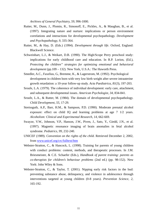*Archives of General Psychiatry, 59*, 996-1000.

- Rutter, M., Dunn, J., Plomin, R., Simonoff, E., Pickles, A., & Maughan, B., et al. (1997). Integrating nature and nurture: implications or person environment correlations and interactions for developmental psychopathology. *Development and Psychopathology, 9*, 335-364.
- Rutter, M., & Hay, D. (Eds.) (1994). *Development through life*. Oxford, England: Blackwell Science.
- Schweinhart, L.J., & Weikart, D.B. (1990). The High/Scope Perry preschool study: implications for early childhood care and education. In R.P. Lorion, (Ed.), *Protecting the children" strategies for optimizing emotional and behavioral development* (pp.109 – 132). New York, U.S.A.: The Haworth Press.
- Smedler, A.C., Faxelius, G., Bremme, K., & Lagerstrom, M. (1992). Psychological development in children born with very low birth weight after severe intrauterine growth retardation: a 10-year follow-up study. *Acta Paediatrica, 81*(3), 197-203.
- Sroufe, L.A. (1979). The coherence of individual development: early care, attachment, and subsequent developmental issues. *American Psychologist, 34*, 834-841.
- Sroufe, L.A., & Rutter, M. (1984). The domain of developmental psychopathology. *Child Development, 55*, 17-29.
- Streissguth, A.P., Barr, H.M., & Sampson, P.D. (1990). Moderate prenatal alcohol exposure: effect on child IQ and learning problems at age 7 1/2 years. *Alcoholism: Clinical and Experimental Research, 14*, 662-669.
- Swayze, V.W., Johnson, V.P., Hanson, J.W., Piven, J., Sato, Y., Giedd, J.N., et al. (1997). Magnetic resonance imaging of brain anomalies in fetal alcohol syndrome. *Pediatrics, 99*, 232-240.
- UNICEF (1989). *Convention on the rights of the child*. Retrieved December 2, 2002, from www.unicef.org/crc/fulltext/htm
- Webster-Stratton, C., & Hancock, L. (1998). Training for parents of young children with conduct problems: content, methods, and therapeutic processes. In J.M. Briesmeister, & C.E. Schaefer (Eds.), *Handbook of parent training: parents as co-therapists for children's behaviour problems* (2nd ed.) (pp. 98-152). New York: John Wiley & Sons.
- Webster-Stratton, C., & Taylor, T. (2001). Nipping early risk factors in the bud: preventing substance abuse, delinquency, and violence in adolescence through interventions targeted at young children (0-8 years). *Prevention Science, 2*, 165-192.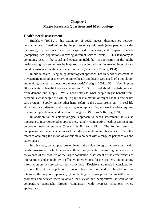# **Chapter 2 Major Research Questions and Methodology**

### **Health needs assessment**

 Bradshaw (1972), in his taxonomy of social needs, distinguishes between normative needs (need defined by the professional), felt needs (what people consider they want), expressed needs (felt need expressed by an action) and comparative needs (comparing two populations receiving different service levels). This taxonomy is commonly used in the social and education fields but its application in the public health setting may sometimes be inappropriate as in the latter, increasing input of care could be associated with either benefit or harm (Stevens & Raftery, 1994).

 In public health, using an epidemiological approach, health needs assessment "is a systematic method of identifying unmet health and health care needs of a population and making changes to meet these unmet needs" (Wright, 2001, p.38). Need implies "the capacity to benefit from an intervention" (p.39). Need should be distinguished from demand and supply. While need refers to what people might benefit from, demand is what people are willing to pay for in a market or might use in a free health care system. Supply, on the other hand, refers to the actual provision. In real life situations, need, demand and supply may overlap or differ, and work is often required to make supply, demand and need more congruent (Stevens & Raftery, 1994).

 In addition to the epidemiological approach to needs assessment, it is also important to incorporate other approaches, namely, comparative needs assessment and corporate needs assessment (Stevens & Raftery, 1994). The former refers to comparison with available services to similar populations in other areas. The latter refers to obtaining the views of various stakeholders with a range of perspectives and experiences.

 In this study, we adopted predominantly the epidemiological approach to health needs assessment which involves three components: measuring incidence or prevalence of the problem of the target population, assessment of the effectiveness of interventions and availability of effective interventions for the problem, and obtaining information on the services currently provided. Decisions are made in consideration of the ability of the population to benefit from the intervention. In addition, we integrated the corporate approach, by conducting focus group discussions with service providers and service users to obtain their views and perspectives, as well as the comparative approach, through comparison with overseas situations where appropriate.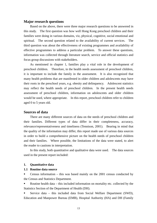### **Major research questions**

 Based on the above, there were three major research questions to be answered in this study. The first question was how well Hong Kong preschool children and their families were doing in various domains, viz, physical, cognitive, social emotional and spiritual.The second question related to the availability of current services. The third question was about the effectiveness of existing programmes and availability of effective programmes to address a particular problem. To answer these questions, information was collected through literature search, service and official statistics and focus group discussions with stakeholders.

 As mentioned in chapter 1, families play a vital role in the development of preschool children. Therefore, in the health needs assessment of preschool children, it is important to include the family in the assessment. It is also recognized that many health problems that are manifested in older children and adolescents may have their roots in the preschool years, e.g. obesity and delinquency. Adolescent statistics may reflect the health needs of preschool children. In the present health needs assessment of preschool children, information on adolescents and older children would be used, where appropriate. In this report, preschool children refer to children aged 0 to 5 years old.

#### **Sources of data**

 There are many different sources of data on the needs of preschool children and their families. Different types of data differ in their completeness, accuracy, relevance/representativeness and timeliness (Tennison, 2001). Bearing in mind that the quality of the information may differ, this report made use of various data sources in order to build a comprehensive picture on the health needs of preschool children and their families. Where possible, the limitations of the data were stated, to alert the reader to cautions in interpretation.

 In this study, both quantitative and qualitative data were used. The data sources used in the present report included:

#### **1. Quantitative data**

#### **1.1 Routine data source**

 Census information – this was based mainly on the 2001 census conducted by the Census and Statistics Department.

 Routine health data – this included information on mortality etc. collected by the Statistics Section of the Department of Health (DH).

 Service data – this included data from Social Welfare Department (SWD), Education and Manpower Bureau (EMB), Hospital Authority (HA) and DH (Family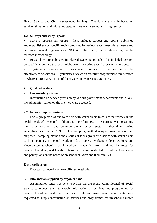Health Service and Child Assessment Service). The data was mainly based on service utilization and might not capture those who were not utilizing services.

#### **1.2 Surveys and study reports**

 Surveys reports/study reports – these included surveys and reports (published and unpublished) on specific topics produced by various government departments and non-governmental organizations (NGOs). The quality varied depending on the research methodology.

 Research reports published in refereed academic journals – this included research on specific issues and the focus might be on answering specific research questions.

 Systematic reviews – this was mainly relevant to the section on the effectiveness of services. Systematic reviews on effective programmes were referred to where appropriate. Most of them were on overseas programmes.

#### **2. Qualitative data**

#### **2.1 Documentary review**

 Information on service provision by various government departments and NGOs, including information on the internet, were accessed.

#### **2.2 Focus group discussions**

 Focus group discussions were held with stakeholders to collect their views on the health needs of preschool children and their families. The purpose was to capture the major variations and common themes across sectors, rather than making generalizations (Patton, 1990). The sampling method adopted was the stratified purposeful sampling method and a series of focus group discussions with stakeholders such as parents, preschool workers (day nursery workers, crèche workers and kindergarten teachers), social workers, academics from training institutes for preschool workers, and health professionals, were conducted to find out their views and perceptions on the needs of preschool children and their families.

## **Data collection**

Data was collected via three different methods:

### **3. Information supplied by organizations**

 An invitation letter was sent to NGOs via the Hong Kong Council of Social Service to request them to supply information on services and programmes for preschool children and their families. Relevant government departments were requested to supply information on services and programmes for preschool children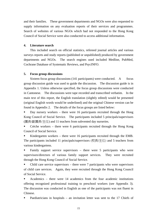and their families. These government departments and NGOs were also requested to supply information on any evaluation reports of their services and programmes. Search of websites of various NGOs which had not responded to the Hong Kong Council of Social Service were also conducted to access additional information.

## **4. Literature search**

 This included search on official statistics, refereed journal articles and various surveys reports and study reports (published or unpublished) produced by government departments and NGOs. The search engines used included Medline, PubMed, Cochrane Database of Systematic Reviews, and PsycINFO.

### **5. Focus group discussions**

 Sixteen focus group discussions (141 participants) were conducted. A focus group discussion guide was used to guide the discussion. The discussion guide is in Appendix 1. Unless otherwise specified, the focus group discussions were conducted in Cantonese. The discussions were tape recorded and transcribed verbatim. In the main text of this report, the English translation (slightly edited) would be presented (original English words would be underlined) and the original Chinese version can be found in Appendix 2. The details of the focus groups are listed below:

 Day nursery workers – there were 16 participants recruited through the Hong Kong Council of Social Service. The participants included 5 principals/supervisors (園長/副園長/主任) and 11 teachers from subvented day nurseries.

 Crèche workers – there were 6 participants recruited through the Hong Kong Council of Social Service.

 Kindergarten workers – there were 16 participants recruited through the EMB. The participants included 11 principals/supervisors (校長/主任) and 5 teachers from various kindergartens.

 Family support service supervisors – there were 5 participants who were supervisors/directors of various family support services. They were recruited through the Hong Kong Council of Social Service.

 Child care service supervisors – there were 7 participants who were supervisors of child care services. Again, they were recruited through the Hong Kong Council of Social Service.

 Academics – there were 14 academics from the four academic institutions offering recognized professional training to preschool workers (see Appendix 3). The discussion was conducted in English as one of the participants was not fluent in Chinese.

Paediatricians in hospitals – an invitation letter was sent to the 17 Chiefs of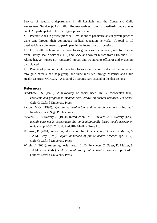Service of paediatric departments in all hospitals and the Consultant, Child Assessment Service (CAS), DH. Representatives from 13 paediatric departments and CAS participated in the focus group discussion.

 Paediatricians in private practice – invitations to paediatricians in private practice were sent through their continuous medical education network. A total of 10 paediatricians volunteered to participate in the focus group discussion.

 DH health professionals – three focus groups were conducted, one for doctors from Family Health Service (FHS) and CAS, and two for nurses from FHS and CAS. Altogether, 24 nurses (14 registered nurses and 10 nursing officers) and 9 doctors participated.

 Parents of preschool children – five focus groups were conducted, two recruited through a parents' self-help group, and three recruited through Maternal and Child Health Centres (MCHCs). A total of 21 parents participated in the discussions.

## **References**

- Bradshaw, J.S. (1972). A taxonomy of social need. In: G. McLachlan (Ed.). *Problems and progress in medical care: essays on current research. 7th series*. Oxford: Oxford University Press.
- Patton, M.Q. (1990). *Qualitative evaluation and research methods*. (2nd ed.) Newbury Park: Sage Publications.
- Stevens, A., & Raftery, J. (1994). Introduction. In: A. Stevens, & J. Raftery (Eds.). *Health care needs assessment: the epidemiologically based needs assessment reviews* (pp.1-30). Oxford: Radcliffe Medical Press Ltd.
- Tennison, B. (2001). Assessing information. In: D. Pencheon, C. Guest, D. Melzer, & J.A.M. Gray (Eds.). *Oxford handbook of public health practice* (pp. 4-12). Oxford: Oxford University Press.
- Wright, J. (2001). Assessing health needs. In: D. Pencheon, C. Guest, D. Melzer, & J.A.M. Gray (Eds.). *Oxford handbook of public health practice* (pp. 38-46). Oxford: Oxford University Press.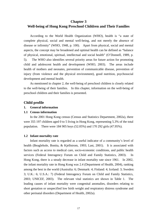# **Chapter 3 Well-being of Hong Kong Preschool Children and Their Families**

 According to the World Health Organization (WHO), health is "a state of complete physical, social and mental well-being, and not merely the absence of disease or infirmity" (WHO, 1948, p. 100). Apart from physical, social and mental aspects, the concept may be broadened and optimal health can be defined as "balance of physical, emotional, spiritual, intellectual and social health" (O'Donnell, 1989, p. 5). The WHO also identifies several priority areas for future action for promoting child and adolescent health and development (WHO, 2003). The areas include health of mothers and neonates, prevention of communicable disease, prevention of injury (from violence and the physical environment), good nutrition, psychosocial development and mental health.

 As mentioned in chapter 2, the well-being of preschool children is closely related to the well-being of their families. In this chapter, information on the well-being of preschool children and their families is presented.

# **Child profile**

## **1. General information**

### **1.1 Census information**

 In the 2001 Hong Kong census (Census and Statistics Department, 2002a), there were 355 197 children aged 0 to 5 living in Hong Kong, representing 5.3% of the total population. There were 184 905 boys (52.05%) and 170 292 girls (47.95%).

### **1.2 Infant mortality rate**

 Infant mortality rate is regarded as a useful indicator of a community's level of health (Beaglehole, Bonita, & Kjellstrom, 1993; Last, 2001). It is associated with factors such as access to medical care, socio-economic conditions, and public health services (Federal Interagency Forum on Child and Family Statistics, 2003). In Hong Kong, there is a steady decrease in infant mortality rate since 1961. In 2002, the infant mortality rate in Hong Kong was 2.4 (Department of Health, 2004), ranking among the best in the world (Australia: 6; Denmark: 4; Finland: 4; Iceland: 3; Sweden: 3; U.K.: 6; U.S.A.: 7) (Federal Interagency Forum on Child and Family Statistics, 2003; UNICEF, 2003). The relevant vital statistics are shown in Table 1. The leading causes of infant mortality were congenital anomalies, disorders relating to short gestation or unspecified low birth weight and respiratory distress syndrome and other perinatal disorders (Department of Health, 2002a).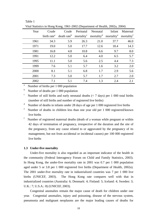| Year | Crude                   | Crude | Perinatal | Neonatal                                                                                     | Infant | Maternal               |
|------|-------------------------|-------|-----------|----------------------------------------------------------------------------------------------|--------|------------------------|
|      |                         |       |           |                                                                                              |        |                        |
|      | birth rate <sup>a</sup> |       |           | death rate <sup>b</sup> mortality <sup>c</sup> mortality <sup>d</sup> mortality <sup>e</sup> |        | mortality <sup>t</sup> |
| 1961 | 34.3                    | 5.9   | 26.3      | 21.0                                                                                         | 37.7   | 46.0                   |
| 1971 | 19.0                    | 5.0   | 17.7      | 12.6                                                                                         | 18.4   | 14.3                   |
| 1981 | 16.8                    | 4.8   | 10.8      | 6.6                                                                                          | 9.7    | 8.0                    |
| 1991 | 12.2                    | 5.0   | 6.4       | 4.0                                                                                          | 6.5    | 5.7                    |
| 1995 | 11.1                    | 5.0   | 5.6       | 2.5                                                                                          | 4.4    | 7.3                    |
| 1999 | 7.6                     | 5.1   | 5.7       | 1.6                                                                                          | 3.2    | 2.0                    |
| 2000 | 8.1                     | 5.1   | 6.8       | 1.7                                                                                          | 2.9    | 5.6                    |
| 2001 | 7.3                     | 5.0   | 5.7       | 1.7                                                                                          | 2.7    | 2.0                    |
| 2002 | 7.1                     | 5.1   | 7.4       | 1.3                                                                                          | 2.4    | 2.1                    |

Table 1 Vital Statistics in Hong Kong, 1961-2002 (Department of Health, 2002a, 2004)

<sup>a</sup> Number of births per 1 000 population

<sup>b</sup> Number of deaths per 1 000 population

<sup>c</sup> Number of still births and early neonatal deaths  $(< 7 \text{ days})$  per 1 000 total births (number of still births and number of registered live births)

d Number of deaths in infants under 28 days of age per 1 000 registered live births

e Number of deaths in children less than one year old per 1 000 registered/known live births

<sup>f</sup> Number of registered maternal deaths (death of a woman while pregnant or within 42 days of termination of pregnancy, irrespective of the duration and the site of the pregnancy, from any cause related to or aggravated by the pregnancy of its management, but not from accidental or incidental causes) per 100 000 registered live births

#### **1.3 Under-five mortality**

 Under-five mortality is also regarded as an important indicator of the health in the community (Federal Interagency Forum on Child and Family Statistics, 2003). In Hong Kong, the under-five mortality rate in 2001 was 0.7 per 1 000 population aged under 5 or 3.8 per 1 000 registered live births (Department of Health, 2002a). The 2001 under-five mortality rate in industrialized countries was 7 per 1 000 live births (UNICEF, 2003). The Hong Kong rate compares well with that in industrialized countries (Australia: 6; Denmark: 4; Finland: 5; Iceland: 4; Sweden: 3; U.K.: 7; U.S.A.: 8) (UNICEF, 2003).

Congenital anomalies remain the major cause of death for children under one year. Congenital anomalies, injury and poisoning, disease of the nervous system, pneumonia and malignant neoplasms are the major leading causes of deaths for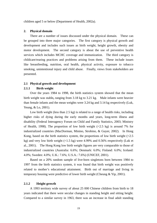children aged 5 or below (Department of Health, 2002a).

### **2. Physical domain**

 There are a number of issues discussed under the physical domain. These can be grouped into three major categories. The first category is physical growth and development and includes such issues as birth weight, height growth, obesity and motor development. The second category is about the use of preventive health services which includes MCHC coverage and immunization. The third category is childcare/rearing practices and problems arising from them. These include issues like breastfeeding, nutrition, oral health, physical activity, exposure to tobacco smoking, unintentional injury and child abuse. Finally, views from stakeholders are presented.

### **2.1 Physical growth and development**

#### **2.1.1 Birth weight**

Over the years 1984 to 1998, the birth statistics system showed that the mean birth weight was stable**,** ranging from 3.18 kg to 3.21 kg. Male infants were heavier than female infants and the mean weights were 3.24 kg and 3.14 kg respectively (Luk, Yeung, & Lo, 2001).

Low birth weight (less than 2.5 kg) is related to a range of health risks, including higher risks of dying during the early months and years, long-term illness and disability (Federal Interagency Forum on Child and Family Statistics, 2003; Ministry of Health, 1998). The proportion of low birth weight  $(\le 2.5 \text{ kg})$  is around 7% for industrialized countries (MacDorman, Minino, Strobino, & Guyer, 2002). In Hong Kong, based on the birth statistics system, the proportions of low birth weight  $\langle$ <2.5 kg) and very low birth weight  $(1.5 \text{ kg})$  were 4.99% and 0.56% respectively (Luk et al., 2001). The Hong Kong low birth weight figures are very comparable to those of industrialized countries (Australia: 6.6%; Denmark: 6.0%; Finland: 6.0%; Iceland: 4.0%; Sweden: 4.0%; U.K.: 7.6%; U.S.A.: 7.6%) (UNICEF, 2001).

Based on a 20% random sample of live-born singletons born between 1984 to 1997 from the birth statistics system, it was found that birth weight was positively related to mother's educational attainment. Birth out of marriage and living in temporary housing were predictive of lower birth weight (Cheung & Yip, 2001).

#### **2.1.2 Height growth**

 A 1993 territory wide survey of about 25 000 Chinese children from birth to 18 years indicated that there were secular changes in standing height and sitting height. Compared to a similar survey in 1963, there was an increase in final adult standing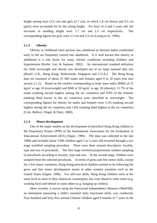height among boys (3.6 cm) and girls (2.7 cm), in which 1.8 cm (boys) and 0.5 cm (girls) were accounted for by the sitting height. For boys of 4 and 5 years old, the increases in standing height were 1.7 cm and 2.3 cm respectively. The corresponding figures for girls were 2.3 cm and 3.3 cm (Leung et al., 1996).

## **2.1.3 Obesity**

 Obesity in childhood often persists into adulthood as lifestyle habits established early in life are frequently carried into adulthood. It is well known that obesity in adulthood is a risk factor for many chronic conditions including diabetes and hypertension (Kiefer, Lee, & Summer, 2002). An international standard definition for child overweight and obesity was developed out of six large national data sets (Brazil, U.K., Hong Kong, Netherlands, Singapore and U.S.A.). The Hong Kong data set consisted of about 25 000 males and females aged 0 to 18 years (see also section 2.1.2). Based on the centiles corresponding to body mass index (BMI) of 25 kg/m<sup>2</sup> at age 18 (overweight) and BMI of 30 kg/m<sup>2</sup> at age 18 (obesity), 11.7% of the males (ranking second highest among the six countries) and 9.8% of the females (ranking third lowest in the six countries) were classified as overweight. The corresponding figures for obesity for males and females were 3.1% (ranking second highest among the six countries) and 1.8% (ranking third highest in the six countries) (Cole, Bellizzi, Flegal, & Dietz, 2000).

## **2.1.4 Motor development**

 One of the major studies on the development of preschool Hong Kong children is the Preprimary Project (PPP) of the International Association for the Evaluation of Educational Achievement (IEA) (Opper, 1996). The data was collected in the late 1980s and included about 3 000 children aged 3 to 5 years old recruited through a two stage stratified sampling procedure. There were three stratum descriptors: locality, type and size of preschools.The first stage involved proportionate random sampling of preschools according to locality, type and size. In the second stage, children were sampled from the selected preschools. In terms of gross and fine motor skills, except for a few minor variations, Hong Kong preschool children seemed to be following the gross and fine motor development norms in other western countries such as the United States (Opper, 1996). For self-care skills, Hong Kong children were at the same level as most of their American counterparts, but were ahead in some items (e.g. washing face) and behind in some others (e.g. hanging up clothes).

 More recently, a survey using the Functional Independence Measure (WeeFIM), an instrument measuring a child's essential daily functional skills, was conducted. Four hundred and forty-five normal Chinese children aged 6 months to 7 years in the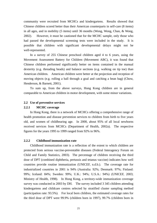community were recruited from MCHCs and kindergartens. Results showed that Chinese children scored better than their American counterparts in self-care (8 items) in all ages, and in mobility (5 items) until 36 months (Wong, Wong, Chan, & Wong, 2002). However, it must be cautioned that for the MCHC sample, only those who had passed the developmental screening tests were included in the study. It is possible that children with significant developmental delays might not be well-represented.

In a survey of 255 Chinese preschool children aged 4 to 6 years, using the Movement Assessment Battery for Children (Movement ABC), it was found that Chinese children performed significantly better on items contained in the manual dexterity (e.g. threading beads) and balance sections (e.g. walking on tip toe) than American children. American children were better at the projection and reception of moving objects (e.g. rolling a ball through a goal and catching a bean bag) (Chow, Henderson, & Barnett, 2001).

 To sum up, from the above surveys, Hong Kong children are in general comparable to American children in motor development, with some minor variations.

### **2.2 Use of preventive services**

## **2.2.1 MCHC coverage**

 In Hong Kong, there is a network of MCHCs offering a comprehensive range of health promotion and disease prevention services to children from birth to five years old, and women of childbearing age. In 2000, about 95% of all local newborns received services from MCHCs (Department of Health, 2002a).The respective figures for the years 1995 to 1999 ranged from 92% to 96%.

## **2.2.2 Childhood immunization rate**

 Childhood immunization rate is a reflection of the extent to which children are protected from serious vaccine-preventable diseases (Federal Interagency Forum on Child and Family Statistics, 2003). The percentage of children receiving the third dose of DPT (combined diphtheria, pertussis and tetanus vaccine) indicates how well countries provide routine immunization (UNICEF, n.d.b.). The coverage rate for industrialized countries in 2001 is 94% (Australia: 92%; Denmark: 97%; Finland: 99%; Iceland: 84%; Sweden: 99%; U.K.: 94%; U.S.A.: 94%) (UNICEF, 2003; Ministry of Health, 1998). In Hong Kong, a territory-wide immunization coverage survey was conducted in 2003 by DH. The survey included 3 345 children attending kindergartens and childcare centres selected by stratified cluster sampling method (participation rate: 93.5%). For local born children, the estimated coverage rates for the third dose of DPT were 99.9% (children born in 1997), 99.7% (children born in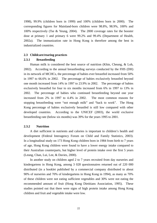1998), 99.9% (children born in 1999) and 100% (children born in 2000).The corresponding figures for Mainland-born children were 98.8%, 98.9%, 100% and 100% respectively (Tse & Yeung, 2004). The 2000 coverage rates for the booster dose at primary 1 and primary 6 were 99.2% and 99.4% (Department of Health, 2002a). The immunization rate in Hong Kong is therefore among the best in industrialized countries.

## **2.3 Childcare/rearing practices**

# **2.3.1 Breastfeeding**

 Human milk is considered the best source of nutrition (Khin, Cheung, & Loh, 2002). According to the annual breastfeeding surveys conducted by the FHS (DH) in its network of MCHCs, the percentage of babies ever breastfed increased from 50% in 1997 to 66.6% in 2002. The percentage of babies exclusively breastfed beyond one month increased from 14% in 1997 to 23.9% in 2002. The percentage of babies exclusively breastfed for four to six months increased from 6% in 1997 to 13% in 2002. The percentage of babies who continued breastfeeding beyond one year increased from 2% in 1997 to 4.4% in 2002. The most common reasons for stopping breastfeeding were "not enough milk" and "back to work". The Hong Kong percentage of babies exclusively breastfed is still low compared with other developed countries. According to the UNICEF (2003), the world exclusive breastfeeding rate (below six months) was 39% for the years 1995 to 2001.

## **2.3.2 Nutrition**

 A diet sufficient in nutrients and calories is important to children's health and development (Federal Interagency Forum on Child and Family Statistics, 2003). In a longitudinal study on 173 Hong Kong children born in 1984 from birth to 7 years of age, Hong Kong children were found to have a lower energy intake compared to their Australian counterparts, but higher level of protein intake over the first 5 years (Leung, Chan, Lui, Lee, & Davies, 2000).

 In another study on children aged 2 to 7 years recruited from day nurseries and kindergartens in Hong Kong, among 3 028 questionnaires returned out of 220 000 distributed (in a booklet published by a commercial company distributed to about 90% of nurseries and 70% of kindergartens in Hong Kong in 1994), as many as 70% of these children were not eating sufficient vegetables and 30% were not eating the recommended amount of fruit (Hong Kong Dietitians Association, 1995). These studies pointed out that there were signs of high protein intake among Hong Kong children and fruit and vegetable intake were low.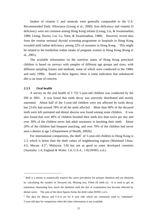Intakes of vitamin C and minerals were generally comparable to the U.S. Recommended Daily Allowance (Leung et al., 2000). Iron deficiency and vitamin D deficiency were not common among Hong Kong infants (Leung, Lui, & Swaminathan, 1989; Leung, Davies, Lui, Lo, Yuen, & Swaminathan, 1988). However, recent data from the routine neonatal thyroid screening programme in hospitals in Hong Kong revealed mild iodine deficiency among 22% of neonates in Hong Kong. This might be related to the borderline iodine intake of pregnant women in Hong Kong (Kung et al., 2001).

 The available information on the nutrition status of Hong Kong preschool children is based on surveys with samples of different age groups and sizes, with different sampling frames and methods, some of which were conducted in the 1980s and early 1990s. Based on these figures, there is some indication that unbalanced diet is an issue of concern.

## **2.3.3 Oral health**

 $\overline{a}$ 

 A survey on the oral health of 3 733 5-year-old children was conducted by the DH in 2001. It was found that tooth decay was unevenly distributed and mostly untreated. About half of the 5-year-old children were not affected by tooth decay but 23.6% had around 78% of all the teeth affected. More than 90% of the decayed teeth were left untreated and dental abscess was found among some children. It was also found that over 40% of children brushed their teeth less than twice per day and over 30% of the children never had adult assistance in brushing their teeth. About 20% of the children had frequent snacking, and over 70% of the children had never seen a dentist at age 5 (Department of Health, 2002b).

For international comparisons, the dmft<sup>i</sup> of 5-year-old children in Hong Kong is 2.3, which is better than the dmft values of neighbouring regions (Mainland China: 4.5; Macau:  $4.5^{\text{ii}}$ ; Malaysia: 5.8) but not as good as some developed countries (Australia: 1.4; England & Wales: 1.6; U.S.A.: 1.8) (WHO, n.d.).

<sup>&</sup>lt;sup>i</sup> dmft is a means to numerically express the caries prevalence for primary dentition and are obtained by calculating the number of Decayed (d), Missing (m), Filled (f) teeth (t). It is used to get an estimation illustrating how much the dentition until the day of examination has become affected by dental caries. The sum of the three figures forms the dmft-value (WHO, n.d.).

<sup>&</sup>lt;sup>ii</sup> The data for Macau and U.S.A are for 6 year olds which are commonly used to "substitute" 5-year-old data for comparison when the latter information is not available.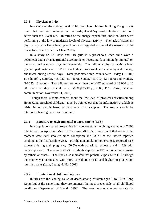### **2.3.4 Physical activity**

 In a study on the activity level of 148 preschool children in Hong Kong, it was found that boys were more active than girls; 4 and 5-year-old children were more active than the 3-year-old. In terms of the energy expenditure, most children were performing at the low to moderate levels of physical activity. The lack of sufficient physical space in Hong Kong preschools was regarded as one of the reasons for the low activity level (Louie & Chan, 2003).

In a study on 171 boys and 119 girls in 5 preschools, each child wore a pedometer and a TriTrac (triaxial accelerometer, recording data minute by minute) on the waist during school days and weekends. The children's physical activity level (by both pedometers and TriTrac) was higher during weekends (Saturday and Sunday) but lower during school days. Total pedometer step counts were Friday (10 501; 11.5 hoursiii), Saturday (15 982; 13 hours), Sunday (13 010; 12 hours) and Monday (10 085; 13 hours). These figures are lower than the WHO standard of 13 000 to 16 000 steps per day for children (「港童步行量」, 2003; B.C. Chow, personal communication, November 11, 2003).

 Though there is some concern about the low level of physical activities among Hong Kong preschool children, it must be pointed out that the information available is fairly limited and is based on relatively small samples. The results should be interpreted bearing these points in mind.

## **2.3.5 Exposure to environmental tobacco smoke (ETS)**

 In a population-based prospective birth cohort study involving a sample of 7 890 infants born in April and May 1997 visiting MCHCs, it was found that 4.6% of the mothers were ever smokers since conception and 33.6% of the fathers reported smoking at the first baseline visit. For the non-smoking mothers, 65% reported ETS exposure during their pregnancy (50.5% with occasional exposure and 14.2% with daily exposure). There were 41.2% of infants exposed to ETS at home via smoking by fathers or others. The study also indicated that prenatal exposure to ETS through the mother was associated with more consultation visits and higher hospitalization rates in infants (Lam, Leung, & Ho, 2001).

## **2.3.6 Unintentional childhood injuries**

Injuries are the leading cause of death among children aged 1 to 14 in Hong Kong, but at the same time, they are amongst the most preventable of all childhood conditions (Department of Health, 1998). The average annual mortality rate for

 $\overline{a}$ 

iii Hours per day that the child wore the pedometers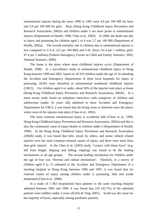unintentional injuries during the years 1990 to 1995 were 4.8 per 100 000 for boys and 3.0 per 100 000 for girls. Boys (Hong Kong Childhood Injury Prevention and Research Association, 2002a) and children under 5 are more prone to unintentional injuries (Department of Health, 1998; Chan et al., 2003). In 2000, the death rate due to injury and poisoning for children aged 1 to 4 was 3.7 per 100 000 (Department of Health, 2002a). The overall mortality rate in children due to unintentional injuries is low compared to U.S.A. (12 per 100 000) and U.K. (boys: 61.4 per 1 million; girls: 47.4 per 1 million) (Federal Interagency Forum on Child and Family Statistics, 2003; National Statistics, 2000).

The home is the place where most childhood injuries occur (Department of Health, 1998). In a surveillance study of unintentional childhood injury in Hong Kong between 1999 and 2001, based on 18 919 children under the age of 16 attending the Accident and Emergency Departments of three local hospitals for injury or poisoning, 26.8% were identified as unintentional residential childhood injuries (URCI). For children aged 4 or under, about 50% of the injuries took place at home (Hong Kong Childhood Injury Prevention and Research Association, 2002b). In a more recent study based on telephone interviews with caregivers of children and adolescents (under 16 years old) admitted to three Accident and Emergency Departments for URCI, it was found that the living room or bedroom were the places where most of the injuries took place (Chan et al., 2003).

The most common unintentional injury is accidental falls (Chow et al., 1999; Hong Kong Childhood Injury Prevention and Research Association, 2002a) and this is also the commonest cause of injury deaths in children under 5 (Department of Health, 1998). In the Hong Kong Childhood Injury Prevention and Research Association (2002b) study, it was found that falls, struck by others, and motor vehicle related injuries were the most common external causes of injury, and there were more boys than girls injured. In the Chan et al. (2003) study, "contact with blunt force" (e.g. fall from height, slipping and falling, tripping) was found to be the leading mechanisms in all age groups. The second leading mechanism for children under the age of four was "thermal and radiant mechanism". Similarly, in a survey of children aged 0 to 15 admitted to the Accident and Emergency Department of a teaching hospital in Hong Kong between 1996 and 1997, it was found that for external causes of injury among children under 2, poisoning, falls and scalds dominated (Chan et al., 2000).

In a study of 1 063 hospitalized burn patients in the same teaching hospital admitted between 1993 and 1999, it was found that 235 (42.7%) of the admitted patients were toddlers under 2 years old (Ho & Ying, 2001). Scald was the cause for the majority of burns, especially among paediatric patients.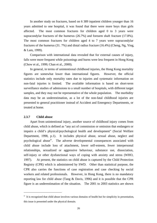In another study on fractures, based on 6 389 inpatient children younger than 16 years admitted to one hospital, it was found that there were more boys than girls affected. The most common fractures for children aged 0 to 3 years were supracondylar fractures of the humerus (26.7%) and forearm shaft fracture (17.8%). The most common fractures for children aged 4 to 7 years were supracondylar fractures of the humerus (31. 7%) and distal radius fracture (16.4%) (Cheng, Ng, Ying, & Lam, 1999).

Comparison with international data revealed that for external causes of injury, falls were more frequent while poisonings and burns were less frequent in Hong Kong (Chow et al., 1999; Chan et al., 2000).

 In general, in terms of unintentional childhood injuries, the Hong Kong mortality figures are somewhat lower than international figures. However, the official statistics include only mortality rates due to injuries and systematic information on non-fatal injuries is limited. The available information is based on short-term surveillance studies of admissions to a small number of hospitals, with different target samples, and they may not be representative of the whole population. The morbidity data may be an underestimation, as a lot of the non-fatal childhood injuries are presented to general practitioner instead of Accident and Emergency Departments, or treated at home.

### **2.3.7 Child abuse**

 $\overline{a}$ 

 Apart from unintentional injury, another source of childhood injury comes from child abuse, which is defined as "any act of commission or omission that endangers or impairs a child's physical/psychological health and development" (Social Welfare Department, 1998, p.1). It includes physical abuse, sexual abuse, neglect and psychological abuse<sup>iv</sup>. The adverse developmental consequences associated with child abuse include loss of attachment, lower self-esteem, fewer interpersonal relationships, sexualized or aggressive behaviour, substance use, dissociation, self-injury or other dysfunctional ways of coping with anxiety and stress (WHO, 1997). At present, the statistics on child abuse is captured by the Child Protection Registry (CPR) which is administered by SWD. Other than statistical purpose, the CPR also carries the functions of case registration and case checking by social workers and related professionals.However, in Hong Kong, there is no mandatory reporting law for child abuse (Tang & Davis, 1996) and it is possible that the CPR figure is an underestimation of the situation. The 2001 to 2003 statistics are shown

<sup>&</sup>lt;sup>iv</sup> It is recognized that child abuse involves various domains of health but for simplicity in presentation, this issue is presented under the physical domain.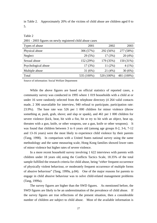in Table 2. Approximately 20% of the victims of child abuse are children aged 0 to 5.

#### Table 2

2001 - 2003 figures on newly registered child abuse cases

| Types of abuse      | 2001       | 2002       | 2003       |
|---------------------|------------|------------|------------|
| Physical abuse      | 306 (57%)  | 292 (56%)  | 277 (58%)  |
| Neglect             | 29 (5%)    | 17(3%)     | 20(4%)     |
| Sexual abuse        | 152 (29%)  | 179 (35%)  | 150 (31%)  |
| Psychological abuse | 17(3%)     | $11(2\%)$  | $4(1\%)$   |
| Multiple abuse      | 31(6%)     | 21(4%)     | 30(6%)     |
| Total               | 535 (100%) | 520 (100%) | 481 (100%) |

Source of information: Social Welfare Department

 While the above figures are based on official statistics of reported cases, a community survey was conducted in 1995 where 1 019 households with a child at or under 16 were randomly selected from the telephone directory (4 264 valid contacts made, 2 306 unavailable for interview, 940 refusal to participate, participation rate: 23.9%). The base rate was 526 per 1 000 children for minor violence (throw something at, push, grab, shove; and slap or spank), and 461 per 1 000 children for severe violence (kick, beat, hit with a fist, hit or try to hit with an object, beat up, threaten with a gun, knife, or other weapons, use a gun, knife or other weapons). It was found that children between 3 to 6 years old (among age groups 0-2, 3-6, 7-12) and 13-16 years) were the most likely to experience child violence by their parents (Tang, 1998). In comparison with a United States national survey using the same methodology and the same measuring scale, Hong Kong families showed lower rates of minor violence but higher rates of severe violence.

In a more recent household survey involving 1 622 interviews with parents with children under 18 years old, using the Conflicts Tactics Scale, 18.35% of the total sample fulfilled the research criteria for child abuse, being "*either* frequent occurrence of physically violent behaviour, *or* moderately frequent occurrence of multiple forms of abusive behaviour" (Tang, 1999a, p.84). One of the major reasons for parents to engage in child abusive behaviour was to solve child-related management problems (Tang, 1999a).

 The survey figures are higher than the SWD figures. As mentioned before, the SWD figures are likely to be an underestimation of the prevalence of child abuse. If the survey figures are true reflections of the present situation, then a considerable number of children are subject to child abuse. Most of the available information is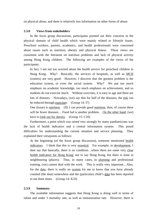on physical abuse, and there is relatively less information on other forms of abuse.

## **2.3.8 Views from stakeholders**

 In the focus group discussions, participants pointed out their concerns in the physical domain of child health which were mainly related to lifestyle issues. Preschool workers, parents, academics, and health professionals were concerned about issues such as nutrition, obesity and physical fitness. These views are consistent with the literature on nutrition problems and lack of physical activity among Hong Kong children. The following are examples of the views of the participants:

In fact, I am not too worried about the health service for preschool children in Hong Kong. Why? Basically, the services of hospitals, as well as MCH (centres) are very good. However, I discover that the greatest problem is the education system, or even the social system. Why? We put too much emphasis on academic knowledge, too much emphasis on achievement, and so students do not exercise much. Without exercises, it is easy to age and there are lots of diseases. Nowadays, (we) say that for half of the diseases, the risk can be reduced through exercises. (Group 14: I7)

One (issue) is nutrition. (If) I can provide good nutrition, then, of course there will be fewer diseases... Food fad is another problem. On the other hand, (we) have to look out for obesity. (Group 15: C20)

 Furthermore, a point which was raised very strongly by many paediatricians was the lack of health indicators and a central information system. This posed difficulties for understanding the current situation and service planning. They explained their viewpoints as follows:

At the beginning (of the focus group discussion), someone mentioned health indicators. I think that this is very essential. For example, in development, I dare say that basically, there is no condition…where there are some very clear health indicators for Hong Kong, not to say Hong Kong, but there is none in neighbouring (places). Thus, in many cases, in planning and professional training, (we) cannot deal with the work. This is really very important…Also, for the data, there is really no system for me to know that you have already counted (the data) somewhere and the (particular) child's data has been reported to me three times. (Group 14: K33)

### **2.3.9 Summary**

 The available information suggests that Hong Kong is doing well in terms of infant and under 5 mortality rate, as well as immunization rate. However, there is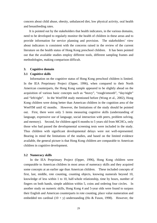concern about child abuse, obesity, unbalanced diet, low physical activity, oral health and breastfeeding rates.

 It is pointed out by the stakeholders that health indicators, in the various domains, need to be developed to regularly monitor the health of children in these areas and to provide information for service planning and provision. The stakeholders' view about indicators is consistent with the concerns raised in the review of the current literature on the health status of Hong Kong preschool children. It has been pointed out that the available studies employ different tools, different sampling frames and methodologies, making comparison difficult.

## **3. Cognitive domain**

## **3.1 Cognitive skills**

 Information on the cognitive status of Hong Kong preschool children is limited. In the IEA Preprimary Project (Opper, 1996), when compared to their North American counterparts, the Hong Kong sample appeared to be slightly ahead on the acquisition of various basic concepts such as "heavy", "rough/smooth", "day/night" and "left/right". In the WeeFIM study mentioned before (Wong et al., 2002), Hong Kong children were doing better than American children in the cognition area of the WeeFIM until 42 months. However, the limitations of the study should be pointed out. First, there were only 5 items measuring cognitive skills (understanding of language, expressive use of language, social interaction with peers, problem solving, and memory). Second, for children aged 6 months to 5 years old from MCHCs, only those who had passed the developmental screening tests were included in the study. Thus children with significant developmental delays were not well-represented. Bearing in mind the limitations of the studies, and based on the limited evidence available, the general picture is that Hong Kong children are comparable to American children in cognitive development.

## **3.2 Numeracy skills**

 In the IEA Preprimary Project (Opper, 1996), Hong Kong children were comparable to American children in most areas of numeracy skills and they acquired some concepts at an earlier age than American children. These included concepts of first, last, middle, rote counting, counting objects, knowing numerals beyond 10, knowledge of less within 1 to 10, half-whole relationship, time by hours, number of fingers on both hands, simple addition within 5, coins and ordering four circles. In another study on numeric skills, Hong Kong 4 and 5-year olds were found to surpass their English and American counterparts in rote counting, place value numeration and embedded ten cardinal  $(10 + y)$  understanding (Ho & Fuson, 1998). However, the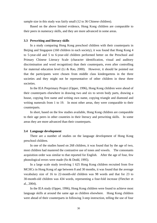sample size in this study was fairly small (12 to 36 Chinese children).

Based on the above limited evidence, Hong Kong children are comparable to their peers in numeracy skills, and they are more advanced in some areas.

### **3.3 Prewriting and literacy skills**

 In a study comparing Hong Kong preschool children with their counterparts in Beijing and Singapore (160 children in each society), it was found that Hong Kong 4 to 5-year-old and 5 to 6-year-old children performed better on the Preschool and Primary Chinese Literacy Scale (character identification, visual and auditory discrimination and word recognition) than their counterparts, even after controlling for maternal education level (Li & Rao, 2000). However, it should be pointed out that the participants were chosen from middle class kindergartens in the three societies and they might not be representative of other children in these three societies.

 In the IEA Preprimary Project (Opper, 1996), Hong Kong children were ahead of their counterparts elsewhere in drawing two and six to seven body parts, drawing a house, copying first name and writing own name, copying triangle and diamond and writing numerals from 1 to 19. In most other areas, they were comparable to their counterparts.

 In short, based on the few studies available, Hong Kong children are comparable to their age peers in other countries in their literacy and prewriting skills. In some areas they are more advanced than their counterparts.

#### **3.4 Language development**

 There are a number of studies on the language development of Hong Kong preschool children.

 In one of the studies based on 268 children, it was found that by the age of two, most children had mastered the contrastive use of tones and vowels. The consonants acquisition order was similar to that reported for English. After the age of four, few phonological errors were made (So & Dodd, 1995).

 In a large scale study involving 1 625 Hong Kong children recruited from five MCHCs in Hong Kong of age between 8 and 30 months, it was found that the average vocabulary size of 16 to 22-month-old children was 98 words and that for 23 to 30-month-old children was 434 words, representing a four-fold increase (Fletcher et al., 2004).

 In the IEA study (Opper, 1996), Hong Kong children were found to achieve most language skills at around the same age as children elsewhere. Hong Kong children were ahead of their counterparts in following 3-step instruction, telling the use of four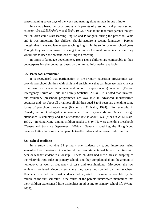senses, naming seven days of the week and naming eight animals in one minute.

 In a study based on focus groups with parents of preschool and primary school students (家庭與學校合作事宜委員會, 1995), it was found that most parents thought that children could start learning English and Putonghua during the preschool years and it was important that children should acquire a second language. Parents thought that it was too late to start teaching English in the senior primary school years. Though they were in favour of using Chinese as the medium of instruction, they would like to keep the present load of English teaching.

 In terms of language development, Hong Kong children are comparable to their counterparts in other countries, based on the limited information available.

## **3.5 Preschool attendance**

 It is recognized that participation in pre-primary education programmes can provide preschool children with skills and enrichment that can increase their chances of success (e.g. academic achievement, school completion rate) in school (Federal Interagency Forum on Child and Family Statistics, 2003). It is noted that universal but voluntary preschool programmes are available in advanced industrialized countries and just about all or almost all children aged 3 to 5 years are attending some forms of preschool programmes (Kamerman & Kahn, 1994). For example, in Canada, senior kindergarten is available to all 5-year-olds in Ontario though attendance is voluntary and the attendance rate is about 95% (McCain & Mustard, 1999). In Hong Kong, among children aged 3 to 5, 94.7% were attending preschools (Census and Statistics Department, 2002a). Generally speaking, the Hong Kong preschool attendance rate is comparable to other advanced industrialized countries.

## **3.6 School readiness**

 In a study involving 32 primary one students by group interviews using semi-structured questions, it was found that most students had little difficulties with peer or teacher-student relationship. These children had difficulties in adapting to the relatively rigid rules in primary schools and they complained about the amount of homework, as well as frequency of tests and examinations. Moreover, the low achievers preferred kindergarten where they were not scolded by their teachers. Teachers reckoned that most students had adjusted to primary school life by the middle of the first semester. One fourth of the parents interviewed maintained that their children experienced little difficulties in adjusting to primary school life (Wong, 2003).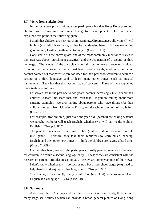### **3.7 Views from stakeholders**

 In the focus group discussions, most participants felt that Hong Kong preschool children were doing well in terms of cognitive development. One participant explained this point in the following quote:

I think that children are very quick in learning…Circumstances allowing, (I) will let him (my child) learn more, so that he can develop better. If I see something good in him, I will strengthen the training. (Group 9: D1)

 Consistent with the above quote, one of the most commonly mentioned issues in this area was about "enrichment activities" and the acquisition of a second or third language. The views of the participants on this issue, were, however, divided. Preschool workers, social workers, most health professionals, academics and some parents pointed out that parents were too keen for their preschool children to acquire a second or a third language, and to learn many other things, such as musical instruments. They felt that this was an issue of concern. Three of them explained this situation as follows:

I discover that in the past one to two years, parents increasingly like to send their children to learn this, learn that, and learn that. If you are talking about more extreme examples, (we are) talking about parents who have things (for their children) to learn from Monday to Friday, and the whole summer holiday is full. (Group 2: E13)

For example, (for children) just over one year old, (parents) are asking whether we (crèche workers) will teach English, whether (we) will talk to the child in English. (Group 3: B25)

The parents think about everything. They (children) should develop multiple intelligence. Therefore, they take them (children) to learn music, dancing, English, and then other new things. I think the children are having a hard time. (Group 7: A29)

 On the other hand, some of the participants, mostly parents, mentioned the need for children to acquire a second language early. These views are consistent with the research on parents' attitudes in section 3.4. Below are some examples of this view:

I don't know whether this is correct or not, but at preschool stage, (we) need to help them (children) learn other languages. (Group 6: G16)

Yes, that is, education, (I) really would like (my child) to learn more, learn English at a young age. (Group 10: A100)

### **3.8 Summary**

 Apart from the IEA survey and the Fletcher et al. (in press) study, there are not many large scale studies which can provide a broad general picture of Hong Kong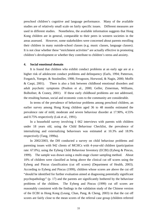preschool children's cognitive and language performance. Many of the available studies are of relatively small scale on fairly specific issues. Different measures are used in different studies.Nonetheless, the available information suggests that Hong Kong children are in general, comparable to their peers in western societies in the areas assessed. However, some stakeholders were concerned about parents enrolling their children in many outside-school classes (e.g. music classes, language classes). It is not clear whether these "enrichment activities" are actually effective in promoting children's development or whether they contribute to children's stress and anxiety.

### **4. Social emotional domain**

 It is found that children who exhibit conduct problems at an early age are at a higher risk of adolescent conduct problems and delinquency (Earls, 1994; Patterson, Forgatch, Yoerger, & Stoolmiller, 1998; Ferugsson, Horwood, & Nagin, 2000; Moffit & Caspi, 2001). There is also a link between childhood emotional disorders and adult psychotic symptoms (Poulton et al., 2000; Geller, Zimerman, Williams, Bolhofner, & Craney, 2001). If these early childhood problems are not addressed, the resulting human, social and economic costs to the community are considerable.

 In terms of the prevalence of behaviour problems among preschool children, an earlier survey among Hong Kong children aged 36 to 48 months estimated the prevalence rate of mild, moderate and severe behaviour disorder at 17.90%, 4.55% and 0.75% respectively (Luk et al., 1991).

 In a household survey involving 1 662 interviews with parents with children under 18 years old, using the Child Behaviour Checklist, the prevalence of internalizing and externalizing behaviours was estimated at 10.3% and 18.9% respectively (Tang, 1999a).

 In 2002/2003, the DH conducted a survey on child behaviour problems and parenting issues with 942 clients of MCHCs with 4-year-old children (participation rate: 67.0%), using the Eyberg Child Behaviour Inventory (ECBI) (Eyberg & Pincus, 1999). The sample was drawn using a multi-stage cluster sampling method. About 10% of children were classified as being above the clinical cut off scores using the Eyberg and Pincus classification (cut off scores) (Department of Health, 2003). According to Eyberg and Pincus (1999), children whose scores are above the cut off "should be identified for further evaluation aimed at diagnosing potentially significant psychopathology" (p. 17) and the parents are significantly bothered by the behaviour problems of the children. The Eyberg and Pincus (1999) cut off scores are reasonably consistent with the findings in the validation study of the Chinese version of the ECBI in Hong Kong (Leung, Chan, Pang, & Cheng, 2003) in that the cut off scores are fairly close to the mean scores of the referral case group (children referred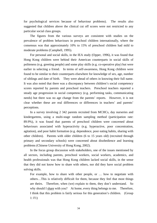for psychological services because of behaviour problems). The results also suggested that children above the clinical cut off scores were not restricted to any particular social class groups.

 The figures from the various surveys are consistent with studies on the prevalence of problem behaviours in preschool children internationally, where the consensus was that approximately 10% to 15% of preschool children had mild to moderate problems (Campbell, 1995).

 For personal and social skills, in the IEA study (Opper, 1996), it was found that Hong Kong children were behind their American counterparts in social skills of politeness (e.g. greeting people) and some play skills (e.g. co-operative play) but were earlier in selecting a friend. In terms of self-awareness, Hong Kong children were found to be similar to their counterparts elsewhere for knowledge of sex, age, number of siblings and date of birth. They were ahead of others in knowing their full name. It was also noted that there was a discrepancy between children's social competency scores reported by parents and preschool teachers. Preschool teachers reported a steady age progression in social competency (e.g. performing tasks, communicating needs) but there was no age change from the parents' reports. However, it is not clear whether these are real differences or differences in teachers' and parents' perceptions.

 In a survey involving 2 342 parents recruited from MCHCs, day nurseries and kindergartens, using a multi-stage random sampling method (participation rate: 89.9%), it was found that parents of preschool children were concerned about behaviours associated with hyperactivity (e.g. hyperactive, poor concentration, agitation), and poor habit formation (e.g. dependence, poor eating habits, sharing with other children). Parents with older children (6 to 15 years old) (recruited through primary and secondary schools) were concerned about disobedience and learning problems (Chinese University of Hong Kong, 2002).

 In the focus group discussion with stakeholders, one of the issues mentioned by all sectors, including parents, preschool workers, social workers, academics, and health professionals was that Hong Kong children lacked social skills, in the sense that they did not know how to share with others, nor did they have social problem solving skills.

For example, how to share with other people, or … how to negotiate with others…This is relatively difficult for them, because they feel that most things are theirs. Therefore, when (we) explain to them, they don't understand. So why should I share with you? At home, every thing belongs to me. Therefore, I think that this problem is fairly serious for this generation's children. (Group 1: F1)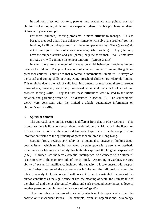In addition, preschool workers, parents, and academics also pointed out that children lacked coping skills and they expected others to solve problems for them. Below is a typical example:

For them (children), solving problems is more difficult to manage. This is because they feel that if I am unhappy, someone will solve (the problem) for me. In short, I will be unhappy and I will have temper tantrums…They (parents) do not require you to think of a way to manage (the problem). They (children) have the temper tantrum and you (parent) help me solve that. You let me have my way or I will continue the temper tantrum. (Group 2: K15)

 In sum, there are a number of surveys on child behaviour problems among preschool children. The prevalence rate of conduct problems among Hong Kong preschool children is similar to that reported in international literature. Surveys on the social and coping skills of Hong Kong preschool children are relatively limited. This might be due to the lack of valid local instruments for measuring these constructs. Stakeholders, however, were very concerned about children's lack of social and problem solving skills. They felt that these difficulties were related to the home situation and parenting which will be discussed in section 10. The stakeholders' views were consistent with the limited available quantitative information on children's social skills.

### **5. Spiritual domain**

 The approach taken in this section is different from that in other sections. This is because there is little consensus about the definition of spirituality in the literature. It is necessary to consider the various definitions of spirituality first, before presenting information related to the spirituality of preschool children in Hong Kong.

 Gardner (1999) regards spirituality as "a potential to engage in thinking about cosmic issues, which might be motivated by pain, powerful personal or aesthetic experiences, or life in a community that highlights spiritual thinking and experience" (p.59). Gardner uses the term existential intelligence, or a concern with "ultimate" issues to refer to the cognitive side of the spiritual. According to Gardner, the core ability of existential intelligence includes "the capacity to locate oneself with respect to the furthest reaches of the cosmos – the infinite and the infinitesimal – and the related capacity to locate oneself with respect to such existential features of the human conditions as the significance of life, the meaning of death, the ultimate fate of the physical and the psychological worlds, and such profound experiences as love of another person or total immersion in a work of art" (p. 60).

 There are other definitions of spirituality which include aspects other than the cosmic or transcendent issues. For example, from an organizational psychology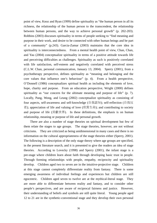point of view, Knoz and Ryan (1999) define spirituality as "the human person in all its richness, the relationship of the human person to the transcendent, the relationship between human persons, and the way to achieve personal growth" (p. 202-203). Robbins (2003) discusses spirituality in terms of people seeking to "find meaning and purpose in their work, and desire to be connected with other human beings and be part of a community" (p.243). Garcia-Zamar (2003) maintains that the core idea in spirituality is interconnectedness. From a mental health point of view, Chan, Chan, and Yau (2004) conceptualize spirituality in terms of a positive attitude towards life and perceiving difficulties as challenges. Spirituality as such is positively correlated with life satisfaction, self-esteem and negatively correlated with perceived stress (C.L.W. Chan, personal communication, January 13, 2004). Sperry (2001), from a psychotherapy perspective, defines spirituality as "meaning and belonging and the core values that influence one's behaviour" (p. 4). From a health perspective, O'Donnell (1986) conceptualizes spiritual health as including the elements of love, hope, charity and purpose. From an education perspective, Wright (2000) defines spirituality as "our concern for the ultimate meaning and purpose of life" (p. 7). Locally, Pang, Wong, and Leung (2002) conceptualize spirituality as consisting of four aspects, self-awareness and self-knowledge (自我認知); self-reflection (自我反 省); appreciation of life and valuing of love (欣賞生命); and contributing to society and purpose of life (貢獻世界). In these definitions, the emphasis is on human relationship, meaning or purpose of life and personal growth.

 There are also a number of stage theories on spiritual development but few of them relate the stages to age groups. The stage theories, however, are not without criticisms. They are criticized as being unidimensional in many cases and there is no information on the cultural appropriateness of the stage theories either (Sperry, 2001). The following is a description of the only stage theory where age groups are specified, in the present literature search, and it is presented to give the readers an idea of stage theories. According to Lovecky (1998) and Sperry (2001), the infant stage is a pre-stage where children learn about faith through developing basic trust in people. Through forming relationships with people, empathy, reciprocity and spirituality develop. Children aged two to seven are in the intuitive-projective stage. Children at this stage cannot completely differentiate reality from fantasy. There is some emerging awareness of individual feelings and experiences but children are still egocentric. Children aged seven to twelve are at the mythical-literal stage. They are more able to differentiate between reality and fantasy, and to consider other people's perspectives, and are aware of reciprocal fairness and justice. However, their understanding of beliefs and symbols are still quite literal. Young people aged 12 to 21 are in the synthetic-conventional stage and they develop their own personal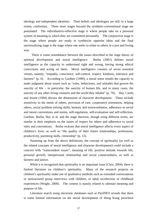ideology and independent identities. Their beliefs and ideologies are still, to a large extent, conformist. Three more stages beyond the synthetic-conventional stage are postulated. The individuative-reflective stage is where people take on a personal system of meaning to which they are committed personally. The conjunctive stage is the stage where people are ready to synthesize opposite ideas and the final universalizing stage is the stage where one seeks to relate to others in a just and loving way.

There is some resemblance between the issues described in the stage theory of spiritual development and moral intelligence. Borba (2001) defines moral intelligence as the capacity to understand right and wrong, having strong ethical convictions and acting on them. Moral intelligence consists of seven essential virtues, namely, "empathy, conscience, self-control, respect, kindness, tolerance and fairness" (p. 6). According to Gardner (1999), a moral sense entails the capacity to make judgment about issues such as "rules, behaviours, and attitudes that govern the sanctity of life – in particular, the sanctity of human life, and in many cases, the sanctity of any other living creatures and the world they inhabit" (p. 70). Hay, Castle, and Jewett (1994) discuss the dimensions of character development. These include sensitivity to the needs of others, provision of care, cooperative orientation, helping others, social problem solving skills, honesty and trustworthiness, adherence to social and moral conventions and norms, self-regulation, self-evaluation and self-reflection. Gardner, Borba, Hay et al. and the stage theorists, though using different terms, are similar in their emphasis on the issues of respect for others and adherence to social rules and conventions. Borba reckons that moral intelligence affects every aspect of children's lives, as well as "the quality of their future relationships, professions, productivity, parenting skills, citizenship" (p. 12).

 Summing up from the above definitions, the concept of spirituality (as well as the related concepts of moral intelligence and character development) could include a concern with "transcendent issues", meaning of life, positive attitude towards life, personal growth, interpersonal relationship and social connectedness, as well as fairness and justice.

 While it is recognized that spirituality is an important issue (Choi, 2004), there is limited literature on children's spirituality. Many of the research projects on children's spirituality make use of qualitative methods such as extended conversations or unstructured group interviews with children, or adult recollection of childhood experiences (Wright, 2000). The content is mainly related to ultimate meaning and purpose of life.

Literature search using electronic databases such as PsyINFO reveals that there is some limited information on the moral development of Hong Kong preschool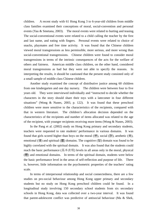children. A recent study with 61 Hong Kong 3 to 6-year-old children from middle class families examined their conceptions of moral, social-convention and personal events (Yau & Smetana, 2003). The moral events were related to hurting and teasing. The social-conventional events were related to a child calling the teacher by the first and last name, and eating with fingers. Personal events were related to choice of snacks, playmates and free time activity. It was found that the Chinese children viewed moral transgressions as less permissible, more serious, and more wrong than social-conventional transgressions. Chinese children were found to consider moral transgressions in terms of the intrinsic consequences of the acts for the welfare of others and fairness. American middle class children, on the other hand, considered moral transgressions as bad but they were not able to specify the reasons. In interpreting the results, it should be cautioned that the present study consisted only of a small sample of middle class Chinese children.

 Another study examined the concept of distributive justice among 60 children from one kindergarten and one day nursery. The children were between four to five years old. They were interviewed individually and "instructed to decide whether the characters in the story should share their toys with a latecomer in four different situations" (Wong & Nunes, 2003, p. 122). It was found that these preschool children were more sensitive to the characteristics of the recipients, compared with that in western literature. The children's allocation decision depended on the characteristics of the recipients and number of items allocated was related to the age of the recipient, with younger recipients receiving more items (Wong & Nunes, 2003).

In the Pang et al. (2002) study on Hong Kong primary and secondary students, teachers were requested to rate students' performance in various domains. It was found that girls scored higher than boys on the moral (德), social (群), aesthetic (美), emotional (情) and spiritual (靈) domains. The cognitive (智) domain was found to be highly correlated with the spiritual domain. It was also found that the students could reach the basic performance (基本表現) levels in all areas only in the moral, physical (體) and emotional domains. In terms of the spiritual domain, students were below the basic performance level in the areas of self-reflection and purpose of life. There is, however, little information on the psychometric properties of the teachers' rating scale.

In terms of interpersonal relationship and social connectedness, there are a few studies on pro-social behaviour among Hong Kong upper primary and secondary students but no study on Hong Kong preschool children could be found. In a longitudinal study involving 150 secondary school students from six secondary schools in Hong Kong, data was collected over a two-year interval. It was found that parent-adolescent conflict was predictive of antisocial behaviour (Ma & Shek,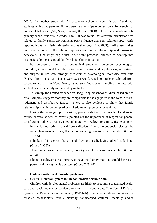2001). In another study with 71 secondary school students, it was found that students with good parent-child and peer relationships reported lower frequencies of antisocial behaviour (Ma, Shek, Cheung, & Lam, 2000). In a study involving 232 primary school students in grades 4 to 6, it was found that altruistic orientation was related to family social environment, peer influence and peer relationships. Girls reported higher altruistic orientation scores than boys (Ma, 2003). All these studies consistently point to the relationship between family relationship and pro-social behaviour. One might argue that if we want preschool children to develop into pro-social adolescents, good family relationship is important.

 For purpose of life, in a longitudinal study on adolescent psychological morbidity, it was found that relative to life satisfaction and hopelessness, self-esteem and purpose in life were stronger predictors of psychological morbidity over time (Shek, 1998). The participants were 378 secondary school students selected from secondary schools in Hong Kong, using stratified-cluster sampling method, with student academic ability as the stratifying factor.

 To sum up, the limited evidence on Hong Kong preschool children, based on two small samples, suggests that they are comparable to the age peers in the west in moral judgment and distributive justice. There is also evidence to show that family relationship is an important predictor of adolescent pro-social behaviour.

During the focus group discussions, participants from the preschool and social service sectors, as well as parents, pointed out the importance of respect for people, social connectedness, proper values and morality. Below are some typical examples:

In our day nurseries, from different districts, from different social classes, the same phenomenon occurs, that is, not knowing how to respect people. (Group 1: D45)

I think, in this society, the spirit of "loving oneself, loving others" is lacking. (Group 2: O83)

Therefore, a proper value system, morality, should be learnt in schools. (Group 4: E41)

I hope to cultivate a real person, to have the dignity that one should have as a person and the right value system. (Group 7: B169)

## **6. Children with developmental problems**

## **6.1 Central Referral System for Rehabilitation Services data**

 Children with developmental problems are likely to need more specialized health care and special education service provisions. In Hong Kong, "the Central Referral System for Rehabilitation Services (CRSRehab) covers rehabilitation services for disabled preschoolers, mildly mentally handicapped children, mentally and/or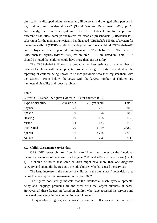physically handicapped adults, ex-mentally ill persons, and the aged blind persons in day training and residential care" (Social Welfare Department, 2000, p. 1). Accordingly, there are 5 subsystems in the CRSRehab catering for people with different disabilities, namely: subsystem for disabled preschoolers (CRSRehab-PS), subsystem for the mentally/physically handicapped (CRSRehab-MPH), subsystem for the ex-mentally ill (CRSRehab-ExMI), subsystem for the aged blind (CRSRehab-AB), and subsystem for supported employment (CRSRehab-SE). The current CRSRehab-PS figures (March 2004) for children  $0 - 6$  are listed in Table 3. It should be noted that children could have more than one disability.

 The CRSRehab-PS figures are probably the best estimate of the number of preschool children with developmental problems though it is still dependent on the reporting of children being known to service providers who then register them with the system. From below, the areas with the largest number of children are intellectual disability and speech problems.

| Current Crysine rate of regules (praised 2004) for children $0 - 0$ |               |               |         |  |
|---------------------------------------------------------------------|---------------|---------------|---------|--|
| Type of disability                                                  | 0-2 years old | 2-6 years old | Total   |  |
| Physical                                                            | 21            | 281           | 302     |  |
| Spastic                                                             | 9             | 96            | 105     |  |
| Hearing                                                             | 19            | 158           | 177     |  |
| Vision                                                              | 24            | 123           | 147     |  |
| Intellectual                                                        | 70            | 2919          | 2989    |  |
| Speech                                                              | 56            | 3718          | 3 7 7 4 |  |
| Autism                                                              |               | 706           | 711     |  |

Table 3

Current CRSRehab-PS figures (March 2004) for children 0 – 6

#### **6.2 Child Assessment Service data**

 CAS (DH) serves children from birth to 12 and the figures on the functional diagnosis categories of new cases for the years 2001 and 2002 are listed below (Table 4). It should be noted that some children might have more than one diagnosis category and again, the figures only include children who have used the services.

 The large increase in the number of children in the clumsiness/motor delay area is due to a new system of assessment in the year 2002.

 The figures consistently indicate that the intellectual disability/developmental delay and language problems are the areas with the largest numbers of cases. However, all these figures are based on children who have accessed the services and the actual prevalence in the community is not known.

The quantitative figures, as mentioned before, are reflections of the number of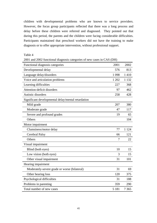children with developmental problems who are known to service providers. However, the focus group participants reflected that there was a long process and delay before these children were referred and diagnosed. They pointed out that during this period, the parents and the children were facing considerable difficulties. Participants maintained that preschool workers did not have the training to make diagnosis or to offer appropriate intervention, without professional support.

Table 4

2001 and 2002 functional diagnosis categories of new cases in CAS (DH)

| Functional diagnosis categories                    | 2001    | 2002    |
|----------------------------------------------------|---------|---------|
| Developmental delay                                | 576     | 813     |
| Language delay/disorders                           | 1 0 9 8 | 1410    |
| Voice and articulation problems                    | 1 202   | 1 1 3 2 |
| Learning difficulties                              | 227     | 368     |
| Attention-deficit disorders                        | 97      | 462     |
| Autistic disorders                                 | 258     | 428     |
| Significant developmental delay/mental retardation |         |         |
| Mild grade                                         | 207     | 380     |
| Moderate grade                                     | 47      | 117     |
| Severe and profound grades                         | 19      | 65      |
| Others                                             |         | 104     |
| Motor impairment                                   |         |         |
| Clumsiness/motor delay                             | 77      | 1 1 2 4 |
| Cerebral Palsy                                     | 66      | 121     |
| Others                                             | 7       | 22      |
| Visual impairment                                  |         |         |
| Blind (both eyes)                                  | 10      | 15      |
| Low vision (both eyes)                             | 3       | 15      |
| Other visual impairment                            | 31      | 101     |
| Hearing impairment                                 |         |         |
| Moderately-severe grade or worse (bilateral)       | 31      | 69      |
| Other hearing loss                                 | 120     | 375     |
| Psychological difficulties                         | 31      | 188     |
| Problems in parenting                              | 359     | 290     |
| Total number of new cases                          | 5 1 8 1 | 7 3 6 5 |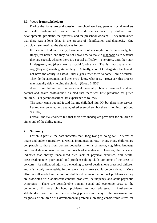### **6.3 Views from stakeholders**

 During the focus group discussion, preschool workers, parents, social workers and health professionals pointed out the difficulties faced by children with developmental problems, their parents, and the preschool workers. They maintained that there was a long delay in the process of identification and diagnosis. One participant summarized the situation as follows:

For special children, usually, those smart mothers might notice quite early, but (they) just notice, and they do not know how to make a diagnosis as to whether they are special, whether there is a special difficulty. Therefore, until they start kindergarten, and (they) take it as social (problems). That is…most parents will say, (they are) naughty, stupid, lazy. Actually, a lot of kindergarten teachers do not have the ability to assess, unless (you) refer them to some…child workers. They do the assessment and then (you) know what it is. However, this process may actually delay helping the child. (Group 6: E38)

 Apart from children with various developmental problems, preschool workers, parents and health professionals claimed that there was little provision for gifted children. On parent described her experience as follows:

The report came out and it said that my child had high IQ, but there's no service. I asked everywhere, rang again, asked everywhere, but there's nothing. (Group 9: C107)

 Overall, the stakeholders felt that there was inadequate provision for children at either end of the ability range.

### **7. Summary**

 For child profile, the data indicates that Hong Kong is doing well in terms of infant and under 5 mortality, as well as immunization rate. Hong Kong children are comparable to those from western countries in terms of motor, cognitive, language and moral development, as well as preschool attendance. However, the data also indicates that obesity, unbalanced diet, lack of physical exercises, oral health, breastfeeding rate, poor social and problem solving skills are some of the areas of concern. As childhood injury is the leading cause of death among preschool children and it is largely preventable, further work in this area should be considered. More effort is still needed in the area of childhood behaviour/emotional problems as they are associated with adolescent conduct problems, delinquency and adult psychotic symptoms. There are considerable human, social and economic costs to the community if these childhood problems are not addressed. Furthermore, stakeholders point out that there is a long process and delay in the assessment and diagnosis of children with developmental problems, creating considerable stress for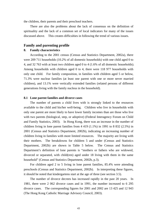the children, their parents and their preschool teachers.

 There are also the problems about the lack of consensus on the definition of spirituality and the lack of a common set of local indicators for many of the issues discussed above. This creates difficulties in following the trend of various issues.

# **Family and parenting profile**

## **8. Family characteristics**

 According to the 2001 census (Census and Statistics Department, 2002a), there were 209 711 households (10.2% of all domestic households) with one child aged 0 to 4, and 32 763 with at least two children aged 0 to 4 (1.6% of all domestic households). Among households with children aged 0 to 4, there were 118 977 households with only one child. For family composition, in families with children aged 5 or below, 71.3% were nuclear families (at least one parent with one or more never married children), and 13.1% were vertically extended families (related persons of different generations living with the family nucleus in the household).

### **8.1 Lone parent families and divorce cases**

 The number of parents a child lives with is strongly linked to the resources available to the child and his/her well-being. Children who live in households with only one parent are more likely to have lower family incomes than are those who live with two parents (biological, step, or adoptive) (Federal Interagency Forum on Child and Family Statistics, 2003). In Hong Kong, there was an increase in the number of children living in lone parent families from 4 419 (1.1%) in 1991 to 8 832 (2.5%) in 2001 (Census and Statistics Department, 2002b), indicating an increasing number of children living in families with more limited resources. The majority are living with their mothers. The breakdowns for children 5 and under (Census and Statistics Department, 2002b) are shown in Table 5 below. The Census and Statistics Department's definition of lone parents is "mothers or fathers who are widowed, divorced or separated, with child(ren) aged under 18 living with them in the same household" (Census and Statistics Department, 2002b, p.3).

 For children aged 2 to 5 living in lone parent families, 85.4% were attending preschools (Census and Statistics Department, 2002b). In interpreting these figures, it should be noted that kindergartens start at the age of three (see section 3.5).

 The number of divorce decrees has increased rapidly in the past 20 years. In 1981, there were 2 062 divorce cases and in 1991, the number increased to 6 295 divorce cases. The corresponding figures for 2001 and 2002 are 13 425 and 12 943 (The Hong Kong Catholic Marriage Advisory Council, 2003).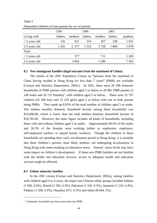|                       | 1991    |         | 1996    |         | 2001    |         |
|-----------------------|---------|---------|---------|---------|---------|---------|
| Living with           | fathers | mothers | fathers | mothers | fathers | mothers |
| $\langle$ 2 years old | 156     | 421     | 254     | 457     | 238     | 1 0 3 1 |
| 2-5 years old         | 1 265   | 2 577   | 1 5 5 2 | 3728    | 1884    | 5 6 7 9 |
| Total                 |         |         |         |         |         |         |
| $\langle$ 2 years old |         | 577     |         | 711     |         | 1 269   |
| 2-5 years old         |         | 3842    |         | 5 2 8 0 |         | 7 563   |

Table 5 Dependent children of lone parents by sex of parents

#### **8.2 New immigrant families (legal entrants from the mainland of China)**

The results of the 2001 Population Census on **"**persons from the mainland of China having resided in Hong Kong for less than 7 years**"** (PMR) are available (Census and Statistics Department, 2002c). In 2001, there were 26 396 domestic households of PMR parents with children aged 5 or below or 28 881 PMR parents (2 149 males and 26 732 females)<sup>v</sup> with children aged 5 or below. There were 31 797 children (16 568 boys and 15 229 girls) aged 5 or below with one or both parents being PMRs. They made up 8.95% of the total number of children aged 5 or under. The median monthly domestic household income among these households was \$13,600.00, which is lower than the total median domestic household income of \$18,705.00. However, the latter figure includes all kinds of households, including those with and without children aged 5 or under. Approximately 84.6% of the males and 26.3% of the females were working (either as employees, employers, self-employed workers or unpaid family workers). Though the children in these households are spending their early socialization period in Hong Kong, it is possible that these children's parents, most likely mothers, are undergoing acculturation in Hong Kong with some resulting acculturation stress. Parents' stress levels may have some impact on children's development. If these new PMR families are not familiar with the health and education services, access to adequate health and education services might be affected.

## **8.3 Ethnic minority families**

 $\overline{a}$ 

 In the 2001 census (Census and Statistics Department, 2002a), among families with children aged 0 to 4 years, the major non-Chinese ethnic groups included Indians (1 826, 0.6%), British (1 584, 0.5%), Pakistani (1 545, 0.5%), Japanese (1 242, 0.4%), Filipino (1 200, 0.4%), Nepalese (971, 0.3%) and others (8 644, 3%).

 $V$  A domestic household may have more than one PMR.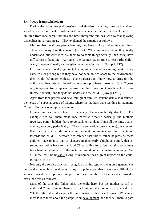#### **8.4 Views from stakeholders**

 During the focus group discussions, stakeholders including preschool workers, social workers, and health professionals were concerned about the development of children from lone parent families and new immigrant families, who were displaying difficulties in various areas. They explained the situation as follows:

Children from real lone parent families, they have no focus when they do things. There are many like this in our (centre)…When we teach them, they really understand, but when (we) ask them to do some things actually, then (they) have difficulties in handling…At home, (the parent) has no time to teach (the child). Also, (the parent) really cannot give them the affection. (Group 1: E17)

Or those who are really ignorant, that is, some new ones (immigrants). They came to Hong Kong but if they have not been able to adapt to the environment, they would feel more helpless. I (the parent) don't know how to bring up (the child), and then, this is followed by behaviour problems. Around  $1\frac{1}{2}$  to 2 years old, temper tantrums appear because the child does not know how to express (himself/herself), and they do not understand the child. (Group 12: I6)

 Apart from lone parents and new immigrant families, stakeholders also discussed the needs of a special group of parents where the mothers were residing in mainland China. Below is one typical example:

I think this is closely related to the many changes in family structure. For example, we call them "fake lone parents" because basically, the mothers (two-way permit holders) have to go back to mainland China all the time, that is, coming here only periodically. There are some older ones (fathers)…we reckon that there are great differences in parental communication, in expectation towards the child. Therefore, we can see that this is rather helpless as these children have to face lots of changes in their early childhood period, that is, sometimes going back to mainland China to live for a few months, sometimes back here, sometimes with the maternal grandmother, sometimes moving…We all know that this unstable living environment has a great impact on the child. (Group 5: B13)

 Not only did service providers recognize that this type of living arrangement was not conducive to child development, they also pointed out that it was very difficult for service providers to provide support to these families. One service provider explained this as follows:

Most of the time the father takes the child here, but the mother is still in mainland China…We tell them to go back and tell the mother to do this and that. Whether the father does pass the information to her is unknown. We can at most talk to them about the pamphlet on development, and then tell them to pass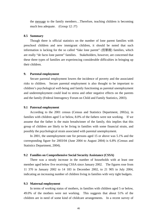the message to the family members…Therefore, teaching children is becoming much less adequate. (Group 12: J7)

#### **8.5 Summary**

 Though there is official statistics on the number of lone parent families with preschool children and new immigrant children, it should be noted that such information is lacking for the so called "fake lone parent" (假單親) families, which are really "de facto lone parent" families. Stakeholders, however, are concerned that these three types of families are experiencing considerable difficulties in bringing up their children.

## **9. Parental employment**

Secure parental employment lowers the incidence of poverty and the associated risks to children. Secure parental employment is also thought to be important to children's psychological well-being and family functioning as parental unemployment and underemployment could lead to stress and other negative effects on the parents and the family (Federal Interagency Forum on Child and Family Statistics, 2003).

### **9.1 Paternal employment**

 According to the 2001 census (Census and Statistics Department, 2002a), in families with children aged 5 or below, 8.0% of the fathers were not working. If we assume that the father is the main breadwinner of the family, this implies that this group of children are likely to be living in families with some financial strain, and possibly the psychological strain associated with parental unemployment.

 In 2001, the unemployment rate for persons aged 15 or above was 5.1% and the corresponding figure for 2003/04 (June 2004 to August 2004) is 6.8% (Census and Statistics Department, 2004).

### **9.2 Families on Comprehensive Social Security Assistance (CSSA)**

 There was a steady increase in the number of households with at least one member aged below five receiving CSSA since January 2002. The figures rose from 11 370 in January 2002 to 14 183 in December 2002, to 21 905 in July 2004, indicating an increasing number of children living in families with very tight budgets.

### **9.3 Maternal employment**

 In terms of working status of mothers, in families with children aged 5 or below, 49.0% of the mothers were not working. This suggests that about 51% of the children are in need of some kind of childcare arrangements. In a recent survey of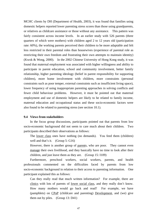MCHC clients by DH (Department of Health, 2003), it was found that families using domestic helpers reported lower parenting stress scores than those using grandparents, or relatives as childcare assistance or those without any assistance. This pattern was fairly consistent across income levels. In an earlier study with 526 parents (three quarters of which were mothers) with children aged 2 to 12 years old (participation rate: 60%), the working parents perceived their children to be more adaptable and felt less restricted in their parental roles than housewives (experience of parental role as restricting their own freedom and frustrating their own attempts to maintain identity) (Kwok & Wong, 2000). In the 2002 Chinese University of Hong Kong study, it was found that maternal employment was associated with higher willingness and ability to participate in parent education, school and community involvement, better family relationship, higher parenting ideology (belief in parent responsibility for supporting children), more home involvement with children, more constraints (personal constraints such as poor temper, external constraints such as insufficient living space), lower frequency of using inappropriate parenting approaches in solving conflicts and fewer child behaviour problems. However, it must be pointed out that maternal employment and use of domestic helpers are likely to be related to family income, maternal education and occupational status and these socio-economic factors were also found to be related to parenting stress (see section 10.1).

### **9.4 Views from stakeholders**

 In the focus group discussions, participants pointed out that parents from low socio-economic background did not seem to care much about their children. Two participants described their observations as follows:

The lower class ones have nothing (no demands). You feed them (children) well and that's it. (Group 5: G16)

However, there is another group of parents, who are poor. They cannot even manage their own livelihood, and they basically have no time to look after their children, and just leave them as they are. (Group 15: I109)

 Furthermore, preschool workers, social workers, parents, and health professionals commented on the difficulties faced by parents from low socio-economic background in relation to their access to parenting information. One participant explained this as follows:

Can they really read that much written information? For example, there are clinics with lots of parents of lower social class, and they really don't know. How many mothers would go back and read? For example, we have (pamphlets) on CPaP (childcare and parenting) Development, and (we) give them out by piles. (Group 13: D41)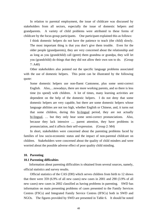In relation to parental employment, the issue of childcare was discussed by stakeholders from all sectors, especially the issue of domestic helpers and grandparents. A variety of child problems were attributed to these forms of childcare by the focus group participants. One participant explained this as follows:

I think domestic helpers do not have the patience to teach (the child) slowly. The most important thing is that you don't give them trouble. Even for the older people (grandparents), they are very concerned about the relationship and as long as you (grandchild) call (greet) them grandma or grandpa, they will let you (grandchild) do things that they did not allow their own son to do. (Group 7: A40)

 Other stakeholders also pointed out the specific language problems associated with the use of domestic helpers. This point can be illustrated by the following quote:

Some domestic helpers use non-fluent Cantonese, plus some semi-correct English. Also,…nowadays, there are more working parents, and so there is less time (to spend) with children. A lot of times, many learning activities are dependent on the help of the domestic helpers. I do not deny that some domestic helpers are very capable, but there are some domestic helpers whose language abilities are not too high, whether English or Chinese, and, it turns out that some children, during this bi-lingual period, they are not actually bi-lingual, … but they only hear some semi-correct pronunciations. Also, because they lack intensive … parent attention, they have problems in pronunciation, and it affects their self-expression. (Group 2: M4)

 In short, stakeholders were concerned about the parenting problems faced by families of low socio-economic status and the impact of non-parental childcare on children. Stakeholders were concerned about the quality of child minders and were worried about the possible adverse effect of poor quality child minding.

### **10. Parenting**

#### **10.1 Parenting difficulties**

 Information about parenting difficulties is obtained from several sources, namely, official statistics and survey results.

 Official statistics of the CAS (DH) which serves children from birth to 12 shows that there were 359 (6.9% of all new cases) new cases in 2001 and 290 (3.9% of all new cases) new cases in 2002 classified as having problems in parenting. SWD has information on main presenting problems of cases presented to the Family Services Centres (FSCs) and Integrated Family Service Centres (IFSCs) both in SWD and NGOs. The figures provided by SWD are presented in Table 6. It should be noted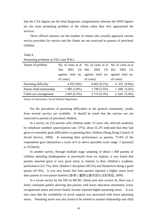that the CAS figures are the final diagnostic categorization whereas the SWD figures are the main presenting problem of the clients when they first approached the services.

 These official statistics are the number of clients who actually approach various service providers for service and the clients are not restricted to parents of preschool children.

| Presenting problems in FSCs and IFSCs |                   |                                                          |                   |  |
|---------------------------------------|-------------------|----------------------------------------------------------|-------------------|--|
| Nature of problem                     |                   | No. of cases as at No. of cases as at No. of cases as at |                   |  |
|                                       | (%<br>2001<br>Dec | 2002<br>(%<br>Dec                                        | Dec<br>2003<br>(% |  |
|                                       |                   | against total no. against total no. against total no.    |                   |  |
|                                       | of cases)         | of cases)                                                | of cases)         |  |
| Parenting difficulty                  | 4655(9%)          | $4665(9.1\%)$                                            | 4 333 (8.8%)      |  |
| Parent-child relationship             | 1985 (3.8%)       | 1799 (3.5%)                                              | $1,696, (3.4\%)$  |  |
| Child care arrangement                | 2 843 (5.5%)      | 2 713 (5.3%)                                             | $2,643, (5.4\%)$  |  |

Table 6

Source of information: Social Welfare Department

 For the prevalence of parenting difficulties in the general community, results from several surveys are available. It should be noted that the surveys are not restricted to parents of preschool children.

 In a survey on 224 parents with children under 15 years old, selected randomly by telephone numbers (participation rate: 37%), about 55.2% indicated that they had great or extremely great difficulties in parenting their children (Hong Kong Council of Social Service, 1999). In assessing their performance as parents, 75.9% of the respondents gave themselves a score of 6 or above (possible score range: 1 [poorest] to 10 [best]).

 In another survey, through multiple stage sampling of about 1 000 parents of children attending kindergartens or preschools from six regions, it was found that parents reported great or very great stress in relation to their children's academic performance (51.7%), their children's discipline (49.5%) and themselves being a good parent (47.4%). It was also found that lone parents reported a higher stress level than parents in two-parent families (香港小童群益會家庭生活教育組, 2000).

 In a recent survey by the DH on MCHC clients (see also section 4), there was a fairly consistent pattern showing that parents with lower education attainment**,** lower occupational status and lower family income reported higher parenting stress. It was also clear that the availability of social support was associated with lower parenting stress. Parenting stress was also found to be related to marital relationship and child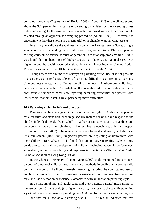behaviour problems (Department of Health, 2003). About 31% of the clients scored above the  $90<sup>th</sup>$  percentile (indicative of parenting difficulties) on the Parenting Stress Index, according to the original norms which was based on an American sample selected through an opportunistic sampling procedure (Abidin, 1990). However, it is uncertain whether these norms are meaningful or applicable to Hong Kong parents.

 In a study to validate the Chinese version of the Parental Stress Scale, using a sample of parents attending parent education programmes  $(n = 137)$  and parents seeking counselling service because of parent-child relationship problems (*n* = 120), it was found that mothers reported higher scores than fathers, and parental stress was higher among those with lower educational levels and lower income (Cheung, 2000). This is consistent with the DH findings (Department of Health, 2003).

 Though there are a number of surveys on parenting difficulties, it is not possible to accurately estimate the prevalence of parenting difficulties as different surveys use different instruments, and different sampling methods. Furthermore, valid local norms are not available. Nevertheless, the available information indicates that a considerable number of parents are reporting parenting difficulties and parents with lower socio-economic status are experiencing more difficulties.

### **10.2 Parenting styles, beliefs and practices**

 Parenting can be investigated in terms of parenting styles. Authoritative parents set clear rules and standards, encourage socially mature behaviour and respond to the child's individual needs (Bee, 2000). Authoritarian parents are demanding and unresponsive towards their children. They emphasize obedience, order and respect for authority (Bee, 2000). Indulgent parents are tolerant and warm, and they use little punishment (Bee, 2000). Neglectful parents are neglecting or uninvolved with their children (Bee, 2000). It is found that authoritative parenting style is more conducive to the healthy development of children, including academic performance, self-esteem, social responsibility and psychosocial functioning (The Boys' & Girls' Clubs Association of Hong Kong, 1994).

 In the Chinese University of Hong Kong (2002) study mentioned in section 4, parents of preschool children used three major methods in dealing with parent-child conflict (in order of likelihood), namely, reasoning, ignoring the conflict, and use of emotion or violence. Use of reasoning is associated with authoritative parenting style and use of emotion or violence is associated with authoritarian parenting style.

 In a study involving 180 adolescents and their parents, parents' mean rating of themselves on a 5-point scale (the higher the score, the closer to the specific parenting style) indicative of permissive parenting was 3.60, that for authoritarian parenting was 3.40 and that for authoritative parenting was 4.31. The results indicated that this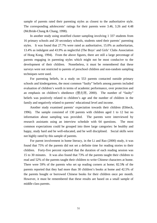sample of parents rated their parenting styles as closest to the authoritative style. The corresponding adolescents' ratings for their parents were 3.46, 3.26 and 4.48 (McBride-Chang & Chang, 1998).

 In another study using stratified cluster sampling involving 1 337 students from 16 primary schools and 20 secondary schools, students rated their parents' parenting styles. It was found that 27.7% were rated as authoritative, 15.0% as authoritarian, 13.4% as indulgent and 43.9% as neglectful (The Boys' and Girls' Clubs Association of Hong Kong, 1994). From the above figures, there are still a large percentage of parents engaging in parenting styles which might not be most conducive to the development of their children. Nonetheless, it must be remembered that these surveys were not restricted to parents of preschool children and non-random sampling techniques were used.

 For parenting beliefs, in a study on 553 parents contacted outside primary schools and kindergartens, the most common "faulty" beliefs among parents included evaluation of children's worth in terms of academic performance, over protection and an emphasis on children's obedience (張兆球, 2000). The number of "faulty" beliefs was positively related to children's age and the number of children in the family and negatively related to parents' educational level and income.

Another study examined parents' expectation towards their children (Ebbeck, 1996). The sample consisted of 130 parents with children aged 1 to 12 but no information about sampling was provided. The parents were interviewed by research assistants using an interview schedule with 64 questions. The most common expectations could be grouped into three large categories: be healthy and happy, study hard and be well-educated, and be well disciplined. Social skills were not highly rated by this sample of parents.

 For parent involvement in home literacy, in the Li and Rao (2000) study, it was found that 75% of the parents did not set a definite time for reading stories to their children. Forty-five percent reported that the duration of each reading session was 15 to 30 minutes. It was also found that 73% of the parents taught their children to read and 52% of the parents taught their children to write Chinese characters at home. There were 59% of the parents who set up reading corners at home; 82.5*%* of the parents reported that they had more than 30 children's books at home and 42.5% of the parents bought or borrowed Chinese books for their children once per month. However, it must be remembered that these results are based on a small sample of middle class parents.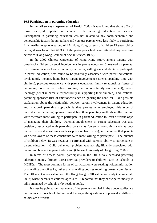#### **10.3 Participation in parenting education**

 In the DH survey (Department of Health, 2003), it was found that about 30% of those surveyed reported no contact with parenting education or service. Participation in parenting education was not related to any socio-economic and demographic factors though fathers and younger parents were less likely to participate. In an earlier telephone survey of 224 Hong Kong parents of children 15 years old or below, it was found that 61.3% of the participants had never attended any parenting activities (Hong Kong Council of Social Service, 1999).

 In the 2002 Chinese University of Hong Kong study, among parents with preschool children, parental involvement in parent education (measured as parental involvement in school and community activities, willingness and ability to participate in parent education) was found to be positively associated with parent educational level, family income, home-based parent involvement (parents spending time with children), previous experience with parent education, family relationships (sense of belonging, constructive problem solving, harmonious family environment), parent ideology (belief in parents' responsibility in supporting their children), and irrational parenting approach (use of emotion/violence or ignoring the conflict). One possible explanation about the relationship between parent involvement in parent education and irrational parenting approach is that parents who employed this type of unproductive parenting approach might find their parenting methods ineffective and were therefore more willing to participate in parent education to learn different ways of managing their children. Parental involvement in parent education was also positively associated with parenting constraints (personal constraints such as poor temper, external constraints such as pressure from work), in the sense that parents who were aware of these constraints were more willing to participate. The number of children below 18 was negatively correlated with parents' ability to participate in parent education. Child behaviour problem was not significantly associated with parent involvement in parent education (Chinese University of Hong Kong, 2002).

 In terms of access points, participants in the DH survey accessed parenting education mainly through direct services providers to children, such as schools or MCHCs. The most common forms of participation were reading written information or attending one-off talks, rather than attending courses requiring greater commitment. The DH result is consistent with the Hong Kong ECBI validation study (Leung et al., 2003) where parents of children aged 4 to 16 reported that they participated mostly in talks organized by schools or by reading books.

 It must be pointed out that some of the parents sampled in the above studies are not parents of preschool children and the ways the questions are phrased in different studies are different.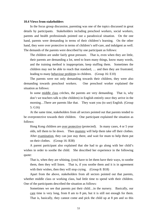#### **10.4 Views from stakeholders**

 In the focus group discussion, parenting was one of the topics discussed in great details by participants. Stakeholders including preschool workers, social workers, parents and health professionals pointed out a paradoxical situation. On the one hand, parents were demanding in terms of their children's learning. On the other hand, they were over protective in terms of children's self-care, and indulgent as well. The demands of the parents were described by one participant as follows:

The children are under fairly great pressure. That is, even when they are little, their parents are demanding a lot, need to learn many things, know many words, and the training method is inappropriate, keep stuffing them. Sometimes the children may not be able to reach that standard, … and then they are frustrated, leading to many behaviour problems in children. (Group 16: E10)

 The parents were not only demanding towards their children, they were also demanding towards preschool workers. One preschool worker explained the situation as follows:

In some middle class crèches, the parents are very demanding. That is, why don't we teachers talk to (the children) in English entirely once they arrive in the morning…There are parents like that. They want you (to use) English. (Group 5: G16)

 At the same time, stakeholders from all sectors pointed out that parents tended to be overprotective towards their children. One participant explained the situation as follows:

Hong Kong children are over protective (protected). In many cases, 4 or 5 year olds, tell them to lie down. Then mummy will help them take off their clothes. After examination, they can just stay there, and wait for mum to help them put on their clothes. (Group 16: B38)

 A parent participant also explained that she had to go along with her child's wishes in order to soothe the child. She described her experience in the following quote:

That is, when they are whining, (you) have to let them have their ways, to soothe them, then they will listen. That is, if you soothe them and it is in agreement with their wishes, then they will stop crying. (Group 8: B18)

 Apart from the above, stakeholders from all sectors pointed out that parents, whether middle class or working class, had little time to spend with their children. One of the participants described the situation as follows:

Sometimes we see that parents put their child…in the nursery. Basically, our care time is very long, from 8 am to 8 pm, but it is still not enough for them. That is, basically, they cannot come and pick the child up at 8 pm and so this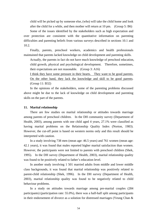child will be picked up by someone else, (who) will take the child home and look after the child for a while, and then mother will return at 10 pm. (Group 5: B6)

 Some of the issues identified by the stakeholders such as high expectation and over protection are consistent with the quantitative information on parenting difficulties and parenting beliefs from various surveys described in sections 10.1 and 10.2.

 Finally, parents, preschool workers, academics and health professionals maintained that parents lacked knowledge on child development and parenting skills.

Actually, the parents in fact do not have much knowledge of preschool education, child growth, physical and psychological development. Therefore, sometimes, their expectations are not reasonable. (Group 3: A16)

I think they have some pressure in their hearts. They want to be good parents. On the other hand, they lack the knowledge and skill to be good parents. (Group 11: B32)

 In the opinions of the stakeholders, some of the parenting problems discussed above might be due to the lack of knowledge on child development and parenting skills on the part of the parents.

## **11. Marital relationship**

 There are few studies on marital relationship or attitudes towards marriage among parents of preschool children. In the DH community survey (Department of Health, 2003), among parents with one child aged 4 years, 27.1% were classified as having marital problems on the Relationship Quality Index (Norton, 1983). However, the cut-off point is based on western norms only and this result should be interpreted with caution.

 In a study involving 738 men (mean age: 46.5 years) and 761 women (mean age: 42.1 years), it was found that males reported higher marital satisfaction than women. However, the participants were not limited to parents with preschool children (Shek, 1995). In the DH survey (Department of Health, 2003), marital relationship quality was found to be positively related to father's education level.

 In another study involving 1 501 married adults from middle and lower middle class backgrounds, it was found that marital relationship was positively related to parent-child relationship (Shek, 1996). In the DH survey (Department of Health, 2003), marital relationship quality was found to be negatively related to child behaviour problems.

 In a study on attitudes towards marriage among pre-marital couples (284 participants) (participation rate: 55.0%), there was a half-half split among participants in their endorsement of divorce as a solution for distressed marriages (Yeung Chan &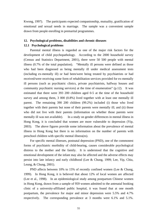Kwong, 1997). The participants expected companionship, mutuality, gratification of emotional and sexual needs in marriage. The sample was a convenient sample drawn from people enrolling in premarital programmes.

## **12. Psychological problems, disabilities and chronic diseases**

## **12.1 Psychological problems**

 Parental mental illness is regarded as one of the major risk factors for the development of child psychopathology. According to the 2000 household survey (Census and Statistics Department, 2001), there were 50 500 people with mental illness (0.7% of the total population). "Mentally ill persons were defined as those who had been diagnosed as being mentally ill under medical assessment tests (including ex-mentally ill) or had been/were being treated by psychiatrists or had received/were receiving some form of rehabilitation services provided for ex-mentally ill persons (such as psychiatric clinics, private psychiatrists, halfway houses and community psychiatric nursing services) at the time of enumeration" (p.12). It was estimated that there were 393 200 children aged 0-5 at the time of the household survey and among them, 3 000 (0.8%) lived together with at least one mentally ill parent. The remaining 390 200 children (99.2%) included (i) those who lived together with their parents but none of their parents were mentally ill; and (ii) those who did not live with their parents (information on whether those parents were mentally ill was not available). In a study on gender differences in mental illness in Hong Kong, it is concluded that women are more vulnerable to depression (Yip, 2003). The above figures provide some information about the prevalence of mental illness in Hong Kong but there is no information on the number of parents with preschool children with specific mental illness(es).

 For specific mental illnesses, postnatal depression (PND), one of the commonest forms of psychiatric morbidity of child-bearing, causes considerable psychological distress to the mother and the family. It is understood that the cognitive and emotional development of the infant may also be affected and the adverse effects may persist into late infancy and early childhood (Lee & Chung, 1999; Lee, Yip, Chiu, Leung, & Chung, 2001).

 PND affects between 10% to 15% of recently confined women (Lee & Chung, 1999). In Hong Kong, it is believed that about 12% of local women are affected (Lee et al., 1998). In an epidemiological study among postpartum Chinese women in Hong Kong, drawn from a sample of 959 women admitted to the antenatal booking clinic of a university-affiliated public hospital, it was found that at one month postpartum, the prevalence for major and minor depression were 5.5% and 4.7% respectively. The corresponding prevalence at 3 months were 6.1% and 5.1%.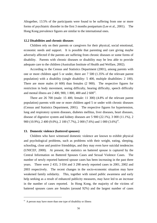Altogether, 13.5% of the participants were found to be suffering from one or more forms of psychiatric disorder in the first 3 months postpartum (Lee et al., 2001). The Hong Kong prevalence figures are similar to the international ones.

## **12.2 Disabilities and chronic diseases**

 Children rely on their parents or caregivers for their physical, social emotional, economic needs and support. It is possible that parenting and care giving maybe adversely affected if the parents are suffering from chronic diseases or some forms of disability. Parents with chronic diseases or disability may be less able to provide adequate care to the children (Australian Institute of Health and Welfare, 2002).

 According to the Census and Statistics Department (2001), among parents with one or more children aged 5 or under, there are 7 500 (1.35% of the relevant parent population) with a disability (single disability: 5 400, multiple disabilities: 2 100). There are more males (4 600) than females (2 900). The respective figures for restriction in body movement, seeing difficulty, hearing difficulty, speech difficulty and mental illness are  $2\,400$ ,  $900$ ,  $1\,800$ ,  $400$  and  $2\,600$ <sup>vi</sup>.

 There are 26 700 (male: 15 400, female: 11 300) (4.8% of the relevant parent population) parents with one or more children aged 5 or under with chronic diseases (Census and Statistics Department, 2001). The respective figures for hypertension, lung and respiratory system diseases, diabetes mellitus, liver diseases, heart diseases, disease of digestive system and kidney diseases are 5 900 (22.1%), 3 000 (11.1%), 2 900 (10.9%), 2 400 (9.0%), 2 100 (7.7%), 2 000 (7.6%) and 1 000 (3.6%)<sup>vi</sup>.

## **13. Domestic violence (battered spouses)**

 Children who have witnessed domestic violence are known to exhibit physical and psychological problems, such as problems with their weight, eating, sleeping, schooling, close and positive friendships, and they may even have suicidal tendencies (UNICEF, 2000). At present, the statistics on battered spouse is captured by the Central Information on Battered Spouses Cases and Sexual Violence Cases. The number of newly reported battered spouse cases has been increasing in the past three years. There were 2 433, 3 034 and 3 298 newly reported cases in 2001, 2002 and 2003 respectively. The recent changes in the socio-economic situation may have weakened family solidarity. This, together with raised public awareness and early help seeking as a result of enhanced publicity measures, may have led to an increase in the number of cases reported. In Hong Kong, the majority of the victims of battered spouses cases are females (around 92%) and the largest number of cases

 $\overline{a}$ 

<sup>&</sup>lt;sup>vi</sup> A person may have more than one type of disability or illness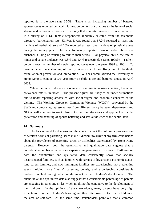reported is in the age range 35-39. There is an increasing number of battered spouses cases reported but again, it must be pointed out that due to the issue of social stigma and economic concerns, it is likely that domestic violence is under reported. In a survey of 1 132 female respondents randomly selected from the telephone directory (participation rate: 53.4%), it was found that 67.2% reported at least one incident of verbal abuse and 10% reported at least one incident of physical abuse during the survey year. The most frequently reported form of verbal abuse was husbands sulking or refusing to talk to their wives. For physical abuse, the rate of minor and severe violence was 9.8% and 1.4% respectively (Tang, 1999b). Table 7 below shows the number of newly reported cases over the years 1998 to 2001. To have a better understanding of family violence in Hong Kong and to facilitate formulation of prevention and intervention, SWD has commissioned the University of Hong Kong to conduct a two-year study on child abuse and battered spouse in April 2003.

 While the issue of domestic violence is receiving increasing attention, the actual prevalence rate is unknown. The present figures are likely to be under estimations due to under reporting associated with social stigma and economic concerns of the victims. The Working Group on Combating Violence (WGCV), convened by the SWD and comprising representatives from different policy bureaux, departments and NGOs, will continue to work closely to map out strategies and approaches for the prevention and handling of spouse battering and sexual violence at the central level.

## **14. Summary**

 The lack of valid local norms and the concern about the cultural appropriateness of western norms of parenting issues make it difficult to arrive at any firm conclusions about the prevalence of parenting stress or difficulties experienced by Hong Kong parents. However, both the quantitative and qualitative data suggest that a considerable number of parents are experiencing parenting difficulties. Furthermore, both the quantitative and qualitative data consistently show that socially disadvantaged families, such as families with parents of lower socio-economic status, lone parent families, and new immigrant families are experiencing more parenting stress, holding more "faulty" parenting beliefs, and experiencing considerable problems in child rearing; which might impact on their children's development. The quantitative and qualitative data also suggest that a considerable percentage of parents are engaging in parenting styles which might not be conducive to the development of their children. In the opinions of the stakeholders, many parents have very high expectations on their children's learning and they often over protect their children in the area of self-care. At the same time, stakeholders point out that a common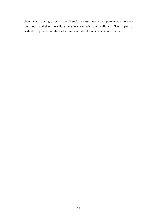phenomenon among parents from all social backgrounds is that parents have to work long hours and they have little time to spend with their children. The impact of postnatal depression on the mother and child development is also of concern.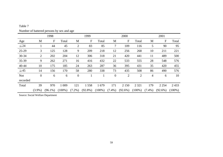|            | 1998           |            |           |                  | 1999       |           |                  | 2000           |           |           | 2001       |           |  |
|------------|----------------|------------|-----------|------------------|------------|-----------|------------------|----------------|-----------|-----------|------------|-----------|--|
| Age        | M              | ${\bf F}$  | Total     | M                | F          | Total     | M                | F              | Total     | M         | F          | Total     |  |
| $\leq 24$  |                | 44         | 45        | $\overline{2}$   | 83         | 85        | 7                | 109            | 116       | 5         | 90         | 95        |  |
| $25-29$    | 3              | 125        | 128       | 9                | 209        | 218       | 12               | 256            | 268       | 10        | 211        | 221       |  |
| 30-34      | 2              | 202        | 204       | 12               | 306        | 318       | 21               | 420            | 441       | 11        | 489        | 500       |  |
| 35-39      | 9              | 262        | 271       | 16               | 416        | 432       | 22               | 533            | 555       | 28        | 548        | 576       |  |
| 40-44      | 10             | 175        | 185       | 24               | 263        | 287       | 36               | 395            | 431       | 35        | 420        | 455       |  |
| $\geq 45$  | 14             | 156        | 170       | 58               | 280        | 338       | 73               | 435            | 508       | 86        | 490        | 576       |  |
| <b>Not</b> | $\overline{0}$ | 6          | 6         | $\boldsymbol{0}$ |            |           | $\boldsymbol{0}$ | $\overline{2}$ | 2         | 4         | 6          | 10        |  |
| recorded   |                |            |           |                  |            |           |                  |                |           |           |            |           |  |
| Total      | 39             | 970        | 1 0 0 9   | 121              | 1558       | 1679      | 171              | 2 1 5 0        | 2 3 2 1   | 179       | 2 2 5 4    | 2433      |  |
|            | $(3.9\%)$      | $(96.1\%)$ | $(100\%)$ | $(7.2\%)$        | $(92.8\%)$ | $(100\%)$ | $(7.4\%)$        | $(92.6\%)$     | $(100\%)$ | $(7.4\%)$ | $(92.6\%)$ | $(100\%)$ |  |

Number of battered persons by sex and age

Table 7

Source: Social Welfare Department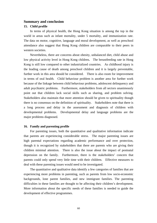# **Summary and conclusion**

### **15. Child profile**

 In terms of physical health, the Hong Kong situation is among the top in the world in areas such as infant mortality, under 5 mortality, and immunization rate. The data on motor, cognitive, language and moral development, as well as preschool attendance also suggest that Hong Kong children are comparable to their peers in western societies.

 Nevertheless, there are concerns about obesity, unbalanced diet, child abuse and low physical activity level in Hong Kong children**.** The breastfeeding rate in Hong Kong is still low compared to other industrialized countries. As childhood injury is the leading cause of death among preschool children and it is largely preventable, further work in this area should be considered. There is also room for improvement in terms of oral health. Child behaviour problem is another area for further work because of the linkage between child behaviour problems, adolescent delinquency and adult psychiatric problems. Furthermore, stakeholders from all sectors unanimously point out that children lack social skills such as sharing, and problem solving. Stakeholders also maintain that more attention should be given to spirituality though there is no consensus on the definition of spirituality. Stakeholders note that there is a long process and delay in the assessment and diagnosis of children with developmental problems. Developmental delay and language problems are the major problems diagnosed.

## **16. Family and parenting profile**

 For parenting issues, both the quantitative and qualitative information indicate that parents are experiencing considerable stress. The major parenting issues are high parental expectations regarding academic performance and over protection, though it is recognized by stakeholders that there are parents who are giving their children minimal attention. There is also the issue about the impact of postnatal depression on the family. Furthermore, there is the stakeholders' concern that parents could only spend very little time with their children. Effective measures to deal with these parenting issues would need to be investigated.

 The quantitative and qualitative data identify a few categories of families that are experiencing more problems in parenting, such as parents from low socio-economic backgrounds, lone parent families, and new immigrant families. The parenting difficulties in these families are thought to be affecting their children's development. More information about the specific needs of these families is needed to guide the development of effective programmes.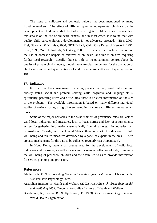The issue of childcare and domestic helpers has been mentioned by many frontline workers. The effect of different types of non-parental childcare on the development of children needs to be further investigated. Most overseas research in this area is on the use of childcare centres, and in most cases, it is found that with quality child care, children's development is not adversely affected. (Bee, 2000; Erel, Oberman, & Yirmiya, 2000; NICHD Early Child Care Research Network, 1997; Scarr, 1998; Zortich, Roberts, & Oakley, 2003). However, there is little research on the use of domestic helpers or relatives as childcare, and this is an area requiring further local research. Locally, there is little or no government control about the quality of private child minders, though there are clear guidelines for the operation of child care centres and qualifications of child care centre staff (see chapter 4, section 10).

# **17. Indicators**

 For many of the above issues, including physical activity level, nutrition, and obesity status, social and problem solving skills, cognitive and language skills, spirituality, parenting stress and difficulties, there is no clear information on the size of the problem. The available information is based on many different individual studies of various scales, using different sampling frames and different measurement tools.

 Some of the major obstacles to the establishment of prevalence rates are lack of valid local indicators and measures, lack of local norms and lack of a surveillance system for gathering information systematically from all sources. In countries such as Australia, Canada, and the United States, there is a set of indicators of child well-being and related measures developed by a panel of experts in the area. There are also mechanisms for the data to be collected regularly (see Appendix 4).

 In Hong Kong, there is an urgent need for the development of valid local indicators and measures, as well as a system for regular collection of data, to monitor the well-being of preschool children and their families so as to provide information for service planning and provision.

# **References**

Abidin, R.R. (1990). *Parenting Stress Index – short form test manual*. Charlotteville, VA: Pediatric Psychology Press.

- Australian Institute of Health and Welfare (2002). *Australia's children: their health and wellbeing 2002*. Canberra: Australian Institute of Health and Welfare.
- Beaglehole, R., Bonita, R., & Kjellstrom, T. (1993). *Basic epidemiology*. Geneva: World Health Organization.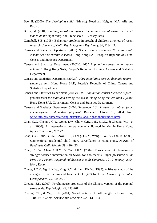- Bee, H. (2000). *The developing child*. (9th ed.). Needham Heights, MA: Ally and Bacon.
- Borba, M. (2001). *Building moral intelligence: the seven essential virtues that teach kids to do the right thing*. San Francisco, CA: Jossey-Bass.
- Campbell, S.B. (1995). Behaviour problems in preschool children: a review of recent research. *Journal of Child Psychology and Psychiatry, 36,* 113-149.
- Census and Statistics Department (2001). *Special topics report no.28: persons with disabilities and chronic diseases.* Hong Kong SAR, People's Republic of China: Census and Statistics Department.
- Census and Statistics Department (2002a). *2001 Population census main reportvolume 1*. Hong Kong SAR, People's Republic of China: Census and Statistics Department.
- Census and Statistics Department (2002b). *2001 population census: thematic report single parents*. Hong Kong SAR, People's Republic of China: Census and Statistics Department.
- Census and Statistics Department (2002c). *2001 population census thematic report persons from the mainland having resided in Hong Kong for less than 7 years*. Hong Kong SAR Government: Census and Statistics Department.
- Census and Statistics Department (2004, September 16). *Statistics on labour force, unemployment and underemployment*. Retrieved October 15, 2004, from www.info.gov.hk/censtatd/eng/hkstat/fas/labour/ghs/labour1index.html.
- Chan, C.C., Cheng, J.C.Y., Wong, T.W., Chow, C.B., Luis, B.P.K., & Cheung, W.L., et al. (2000). An international comparison of childhood injuries in Hong Kong. *Injury Prevention, 6,* 20-23.
- Chan, C.C., Luis, B.P.K., Chow, C.B., Cheng, J.C.Y., Wong, T.W., & Chan, K. (2003). Unintentional residential child injury surveillance in Hong Kong. *Journal of Paediatric Child Health, 39,* 420-426.
- Chan, C.L.W., Chan, C.H.Y., & Yau, J.K.Y. (2004). Turn curses into blessings: a strength-focused intervention on SARS for adolescents. *Paper presented at the First Asia-Pacific Regional Adolescent Health Congress, 10-12 January 2004, Hong Kong*.
- Cheng, J.C.Y., Ng, B.K.W., Ying, S.Y., & Lam, P.K.W. (1999). A 10-year study of the changes in the pattern and treatment of 6,493 fractures. *Journal of Pediatric Orthopaedics, 19,* 344-350.
- Cheung, S.K. (2000). Psychometric properties of the Chinese version of the parental stress scale. *Psychologia, 43,* 253-261.
- Cheung. Y.B., & Yip, P.S.F. (2001). Social patterns of birth weight in Hong Kong, 1984-1997. *Social Science and Medicine, 52,* 1135-1141.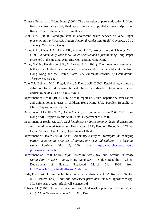- Chinese University of Hong Kong (2002). The promotion of parent education in Hong Kong: a consultancy study final report (revised). Unpublished manuscript, Hong Kong: Chinese University of Hong Kong.
- Choi, Y.W. (2004). Paradigm shift in adolescent health service delivery. *Paper presented at the First Asia-Pacific Regional Adolescent Health Congress, 10-12 January 2004, Hong Kong*.
- Chow, C.B., Chan, C.C., Luis, P.K., Cheng, J.C.Y., Wong, T.W., & Cheung, W.L. (1999). *A community-wide surveillance of childhood injury in Hong Kong*. Paper presented at the Hospital Authority Convention, Hong Kong.
- Chow, S.M.K., Henderson, S.E., & Barnett, A.L. (2001). The movement assessment battery for children: a comparison of 4-year-old to 6-year-old children from Hong Kong and the United States. *The American Journal of Occupational Therapy, 55,* 55-61.
- Cole, T.J., Bellizzi, M.C., Flegal, K.M., & Dietz, W.H. (2000). Establishing a standard definition for child overweight and obesity worldwide: international survey. *British Medical Journal, 320, 6 May,* 1 – 6.
- Department of Health (1998). Public health report no.3: viral hepatitis & liver cancer and unintentional injuries in children. Hong Kong SAR, People's Republic of China: Department of Health.
- Department of Health (2002a). *Department of Health annual report 2000/2001*. Hong Kong SAR, People's Republic of China: Department of Health.
- Department of Health (2002b). *Oral health survey 2001: common dental diseases and oral health related behaviour*. Hong Kong SAR, People's Republic of China: Dental Service Head Office, Department of Health.
- Department of Health (2003). *Serial Community survey to investigate the changing pattern of parenting practices of parents of 4-year old children — a baseline study*. Retrieved May 2, 2004, from http://www.cheu.gov.hk/eng/ professional/index.htm
- Department of Health (2004). *Infant mortality rate (IMR) and maternal mortality ration (MMR), 1981 – 2002*. Hong Kong SAR, People's Republic of China: Department of Health. Retrieved March 24, 2004, from http://www.info.gov.hk/dh/diseases/index.htm
- Earls, F. (1994). Oppositional-defiant and conduct disorders. In M. Rutter, E. Taylor, & L. Hersov (Eds.), *Child and adolescent psychiatry: modern approaches* (pp. 308-329). Bath, Avon: Blackwell Science Ltd.
- Ebbeck, M. (1996). Parents expectations and child rearing practices in Hong Kong. *Early Child Development and Care, 119,* 15-25.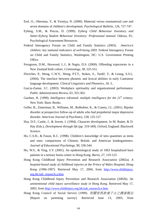- Erel, O., Oberman, Y., & Yirmiya, N. (2000). Maternal versus nonmaternal care and seven domains of children's development. *Psychological Bulletin, 126,* 727-747.
- Eyberg, S.M., & Pincus, D. (1999). *Eyberg Child Behaviour Inventory and Sutter-Eyberg Student Behaviour Inventory: Professional manual*. Odessa, FL: Psychological Assessment Resources.
- Federal Interagency Forum on Child and Family Statistics (2003). *America's children: key national indicators of well-being 2003*. Federal Interagency Forum on Child and Family Statistics, Washington, DC: U.S. Government Printing Office.
- Ferugsson, D.M., Horwood, L.J., & Nagin, D.S. (2000). Offending trajectories in a New Zealand birth cohort. *Criminology, 38,* 525-551.
- Flectcher, P., Wong, C.W.Y., Wong, P.T.T., Stokes, S., Tardif, T., & Leung, S.S.L. (2004). The interface between phonetic and lexical abilities in early Cantonese language development. *Clinical Linguistics and Phonetics, 18*, 3..
- Garcia-Zamar, J.C. (2003). Workplace spirituality and organizational performance. *Public Administration Review, 63,* 355-363.
- Gardner, H. (1999). *Intelligence reframed: multiple intelligence for the 21<sup>st</sup> century*. New York: Basic Books.
- Geller, B., Zimerman, B., Williams, M., Bolhofner, K., & Craney, J.L. (2001). Bipolar disorder at prospective follow-up of adults who had prepubertal major depressive disorder. *American Journal of Psychiatry, 158*, 125-127.
- Hay, D.F., Castle, J., & Jewett, J. (1994). Character development. In M. Rutter, & D. Hay (Eds.), *Development through life* (pp. 319-349). Oxford, England: Blackwell Science.
- Ho, C.S.H., & Fuson, K.C. (1998). Children's knowledge of teen quantities as teens and ones: comparisons of Chinese, British, and American kindergarteners. *Journal of Educational Psychology, 90*, 536-544.
- Ho, W.S., & Ying, S.Y. (2001). An epidemiological study of 1063 hospitalized burn patients in a tertiary burns centre in Hong Kong. *Burns, 27*, 119-123.
- Hong Kong Childhood Injury Prevention and Research Association (2002a). *A hospital-based study of childhood injuries at the Prince of Wales Hospital, Hong Kong (1996-1997)*. Retrieved May 17, 2004, from http://www.childinjury. org.hk/sub\_research.a.htm.
- Hong Kong Childhood Injury Prevention and Research Association (2002b). *An unintentional child injury surveillance study in Hong Kong*. Retrieved May 17, 2003, from http://www.childinjury.org.hk/sub\_research.e.htm.
- Hong Kong Council of Social Service (1999). 有關家長教養子女之調查報告 [Report on parenting survey]. Retrieved June 13, 2003, from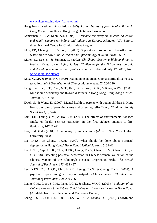www.hkcss.org.hk/views/survey/html.

- Hong Kong Dietitians Association (1995). *Eating Habits of pre-school children in Hong Kong*. Hong Kong: Hong Kong Dietitians Association.
- Kamerman, S.B., & Kahn, A.J. (1994). *A welcome for every child: care, education and family support for infants and toddlers in Europe.* Arlington, VA: Zero to three: National Centre for Clinical Infant Programs.
- Khin, P.P., Cheung, S.L., & Loh, T. (2002). Support and promotion of breastfeeding: where are we now? *Public Health and Epidemiology Bulletin, 11*(3), 25-32.
- Kiefer, K., Lee, S., & Summer, L. (2002). *Childhood obesity: a lifelong threat to health. Center on an Aging Society: Challenges for the 21<sup>st</sup> century: chronic and disabling conditions data profiles series 2*. Retrieved July 17, 2003, from www.aging-society.org.
- Knoz, G.N.P., & Ryan, F.X. (1999). Maintaining an organizational spirituality: no easy task. *Journal of Organizational Change Management, 12,* 200-210,
- Kung, J.W., Lao, T.T., Chau, M.T., Tam, S.C.F, Low, L.C.K., & Kung, A.W.C. (2001). Mild iodine deficiency and thyroid disorders in Hong Kong. *Hong Kong Medical Journal, 7,* 414-20.
- Kwok, S., & Wong, D. (2000). Mental health of parents with young children in Hong Kong: the roles of parenting stress and parenting self-efficacy. *Child and Family Social Work, 5,* 57-65.
- Lam, T.H., Leung, G.M., & Ho, L.M. (2001). The effects of environmental tobacco smoke on health services utilization in the first eighteen months of life. *Pediatrics, 107, 6*, e91.
- Last, J.M. (Ed.) (2001). *A dictionary of epidemiology* (4<sup>th</sup> ed.). New York: Oxford University Press.
- Lee, D.T.S., & Chung, T.K.H. (1999). What should be done about postnatal depression in Hong Kong? *Hong Kong Medical Journal, 5,* 39-42.
- Lee, D.T.S., Yip, A.S.K., Chiu, H.F.K., Leung, T.Y.S., Chan, K.P.M., Chau, I.O.L., et al. (1998). Detecting postnatal depression in Chinese women: validation of the Chinese version of the Edinburgh Postnatal Depression Scale. *The British Journal of Psychiatry, 172,* 433-437.
- Lee, D.T.S., Yip, A.S.K., Chiu, H.F.K., Leung, T.Y.S., & Chung, T.K.H. (2001). A psychiatric epidemiological study of postpartum Chinese women. *The American Journal of Psychiatry, 158,* 220-226.
- Leung, C.M., Chan, S.C.M., Pang, R.C.Y., & Cheng, W.K.C. (2003). *Validation of the Chinese version of the Eyberg Child Behaviour Inventory for use in Hong Kong*. (Available from the Education and Manpower Bureau).
- Leung, S.S.F., Chan, S.M., Lui, S., Lee, W.T.K., & Davies, D.P. (2000). Growth and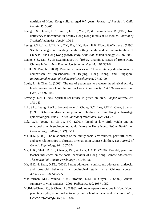nutrition of Hong Kong children aged 0-7 years. *Journal of Paediatric Child Health, 36,* 56-65.

- Leung, S.S., Davies, D.P., Lui, S., Lo, L., Yuen, P., & Swaminathan, R. (1988). Iron deficiency is uncommon in healthy Hong Kong infants at 18 months. *Journal of Tropical Pediatrics, Jun 34*, 100-3.
- Leung, S.S.F., Lau, J.T.F., Xu, Y.Y., Tse, L.Y., Huen, K.F., Wong, G.W.K., et al. (1996). Secular changes in standing height, sitting height and sexual maturation of Chinese – the Hong Kong growth study. *Annals of Human Biology, 23,* 297-306.
- Leung, S.S., Lui, S., & Swaminathan, R. (1989). Vitamin D status of Hong Kong Chinese infants. *Acta Paediatrica Scandinavica, Mar 78,* 303-6.
- Li, H., & Rao, N. (2000). Parental influences on Chinese literacy development: a comparison of preschoolers in Beijing, Hong Kong, and Singapore. *International Journal of Behavioral Development, 24,* 82-90.
- Louie, L., & Chan, L. (2003). The use of pedometry to evaluate the physical activity levels among preschool children in Hong Kong. *Early Child Development and Care, 173,* 97-107.
- Lovecky, D.V. (1998). Spiritual sensitivity in gifted children. *Roeper Review, 20,* 178-183.
- Luk, S.L., Leung, P.W.L., Bacon-Shone, J., Chung, S.Y., Lee, P.W.H., Chen, S., et al. (1991). Behaviour disorder in preschool children in Hong Kong: a two-stage epidemiological study. *British Journal of Psychiatry, 158,* 213-221.
- Luk, W.Y., Yeung, S., & Lo, Y.C. (2001). Trend of low birth weight and its relationship with socio-demographic factors in Hong Kong. *Public Health and Epidemiology Bulletin, 10*(2), 9-14.
- Ma, H.K. (2003). The relationship of the family social environment, peer influences, and peer relationships to altruistic orientation in Chinese children. *The Journal of Genetic Psychology, 164*, 267-274.
- Ma, H.K., Shek, D.T.L., Cheung, P.C., & Lam, C.O.B. (2000). Parental, peer, and teacher influences on the social behaviour of Hong Kong Chinese adolescents. *The Journal of Genetic Psychology, 161*, 65-78.
- Ma, H.K., & Shek, D.T.L. (2001). Parent-adolescent conflict and adolescent antisocial and prosocial behaviour: a longitudinal study in a Chinese context. *Adolescence, 36,* 545-555.
- MacDorman, M.F., Minino, A.M., Strobino, D.M., & Guyer, B. (2002). Annual summary of vital statistics - 2001. *Pediatrics, 110,* 1037-1052.
- McBride-Chang, C., & Chang, L. (1998). Adolescent-parent relations in Hong Kong: parenting styles, emotional autonomy, and school achievement. *The Journal of Genetic Psychology, 159,* 421-436.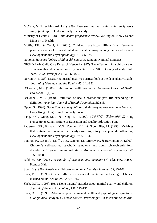- McCain, M.N., & Mustard, J.F. (1999). *Reversing the real brain drain: early years study, final report*. Ontario: Early years study.
- Ministry of Health (1998). *Child health programme review*. Wellington, New Zealand: Ministry of Health.
- Moffit, T.E., & Caspi, A. (2001). Childhood predictors differentiate life-course persistent and adolescence-limited antisocial pathways among males and females. *Development and Psychopathology, 13*, 355-375.
- National Statistics (2000). *Child health statistics*. London: National Statistics.
- NICHD Early Child Care Research Network (1997). The effect of infant child care on infant-mother attachment security: results of the NICHD study of early child care. *Child Development, 68,* 860-879.
- Norton, R. (1983). Measuring marital quality: a critical look at the dependent variable. *Journal of Marriage and the Family, 45,* 141-151.
- O'Donnell, M.P. (1986). Definition of health promotion. *American Journal of Health Promotion, 1*(1), 4-5.
- O'Donnell, M.P. (1989). Definition of health promotion: part III: expanding the definition. *American Journal of Health Promotion, 3*(3), 5.
- Opper, S. (1996). *Hong Kong's young children: their early development and learning*. Hong Kong: Hong Kong University Press.
- Pang, K.C., Wong, M.L., & Leung, F.T. (2002). 活出彩虹*:* 邁向均衡教育. Hong Kong: Hong Kong Institute of Education and Quality Education Fund.
- Patterson, G.R., Forgatch, M.S., Yoerger, K.L., & Stoolmiller, M. (1998). Variables that initiate and maintain an early-onset trajectory for juvenile offending. *Development and Psychopathology, 10,* 531-547.
- Poulton, R., Caspi, A., Moffit, T.E., Cannon, M., Murray, R., & Harrington, H. (2000). Children's self-reported psychotic symptoms and adult schizophrenia form disorder: a 15-year longitudinal study. *Archives of General Psychiatry, 57,* 1053-1058.
- Robbins, S.P. (2003). *Essentials of organizational behavior* (7<sup>th</sup> ed.). New Jersey: Prentice Hall.
- Scarr, S. (1998). American child care today. *American Psychologist, 53,* 95-108.
- Shek, D.T.L. (1995). Gender differences in marital quality and well-being in Chinese married adults. *Sex Roles, 32,* 699-715.
- Shek, D.T.L. (1996). Hong Kong parents' attitudes about marital quality and children. *Journal of Genetic Psychology, 157,* 125-136.
- Shek, D.T.L. (1998). Adolescent positive mental health and psychological symptoms: a longitudinal study in a Chinese context. *Psychologia: An International Journal*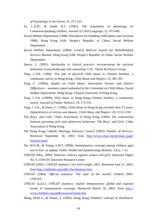*of Psychology in the Orient, 41,* 217-225.

- So, L.K.H., & Dodd, B.J. (1995). The acquisition of phonology by Cantonese-speaking children. *Journal of Child Language, 22,* 473-495.
- Social Welfare Department (1998). Procedures for handling child abuse cases (revised 1998). Hong Kong SAR, People's Republic of China: Social Welfare Department.
- Social Welfare Department (2000). *Central Referral System for Rehabilitation Services Manual*. Hong Kong SAR, People's Republic of China: Social Welfare Department.
- Sperry, L. (2001). *Spirituality in clinical practice: incorporating the spiritual dimension in psychotherapy and counseling*. U.K.: Taylor & Francis Group.
- Tang, C.S.K. (1998). The rate of physical child abuse in Chinese families: a community survey in Hong Kong. *Child Abuse and Neglect, 22,* 381-391.
- Tang, C. (1999a). *Studies on Child Abuse: Associative Factors and District Differences – summary report submitted to the Committee on Child Abuse, Social Welfare Department*. Hong Kong: Chinese University of Hong Kong.
- Tang, C.S.K. (1999b). Wife abuse in Hong Kong Chinese families: a community survey. *Journal of Family Violence, 14,* 173-191.
- Tang, C.S.K., & Davis, C. (1996). Child abuse in Hong Kong revisited after 15 years: characteristics of victims and abusers. *Child Abuse and Neglect, 20,* 1213-1218.
- The Boys' and Girls' Clubs Association of Hong Kong (1994). *The relationship between parenting style and adolescent behaviour*. The Boys' and Girls' Clubs Association of Hong Kong.
- The Hong Kong Catholic Marriage Advisory Council (2003). *Number of divorces*. Retrieved September 30, 2003, from http://www.cmac.org.hk/main\_page/ frameset.html
- Tse, W.K.M., & Yeung, S.W.T. (2004). Immunization coverage among children aged two to five: an update. *Public Health and Epidemiology Bulletin, 13*(1), 7-15.
- UNICEF (May, 2000). *Domestic violence against women and girls*. Innocenti Digest No. 6, UNICEF Innocenti Research Centre.
- UNICEF (2001). *UNICEF statistics: low birth weight. 2001*. Retrieved June 21, 2003, from http://childinfo.org/eddb/ lbw/database.htm.
- UNICEF (2003). *Official summary: The state of the world's children 2003*. UNICEF.
- UNICEF (n.d.b.). *UNICEF statistics: routine immunization: global and regional trends in immunization coverage*. Retrieved March 18, 2003, from http:// www.childinfo.org/eddb/immuni/trends.htm.
- Wong, M.M.A., & Nunes, T. (2003). Hong Kong children's concept of distributive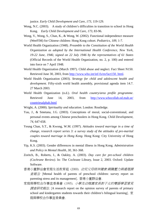justice. *Early Child Development and Care, 173,* 119-129.

- Wong, N.C. (2003). A study of children's difficulties in transition to school in Hong Kong. *Early Child Development and Care, 173,* 83-96.
- Wong, V., Wong, S., Chan, K., & Wong, W. (2002). Functional independence measure (WeeFIM) for Chinese children: Hong Kong cohort. *Pediatrics, 109,* 1-7.
- World Health Organization (1948). *Preamble to the Constitution of the World Health Organization as adopted by the International Health Conference, New York, 19-22 June, 1946; signed on 22 July 1946 by the representatives of 61 States* (Official Records of the World Health Organization, no. 2, p. 100) and entered into force on 7 April 1948.
- World Health Organization (March 1997). Child abuse and neglect. Fact Sheet N150. Retrieved June 30, 2003, from http://www.who.int/inf-fs/en/fact150. html.
- World Health Organization (2003). *Strategy for child and adolescent health and development.* Fifty-sixth world health assembly, provisional agenda item 14.7. 27 March 2003.
- World Health Organization (n.d.). *Oral health country/area profile programme*. Retrieved June 14, 2003, from http://www.whocollab.od.mah.se/ countriesalphab.html
- Wright, A. (2000). *Spirituality and education*. London: Routledge.
- Yau, J., & Smetana, J.G. (2003). Conceptions of moral, social-conventional, and personal events among Chinese preschoolers in Hong Kong. *Child Development, 74,* 647-658.
- Yeung Chan, S.T., & Kwong, W.M. (1997). *Attitudes toward marriage in a time of change, research report series 3: a survey study of the attitudes of pre-marital couples toward marriage in Hong Kong*. Hong Kong: City University of Hong Kong.
- Yip, K.S. (2003). Gender differences in mental illness in Hong Kong. *Administration and Policy in Mental Health, 30,* 361-368.
- Zoritch, B., Roberts, I., & Oakley, A. (2003). *Day care for pre-school children (Cochrane Review)*. In: The Cochrane Library, Issue 2, 2003. Oxford: Update Software.
- 香港小童群益會家庭生活教育組 (2000). 幼兒父母精神健康:親職壓力與處理調 查報告 [Mental health of parents of preschool children: survey report on parenting stress and its management]. 香港小童群益會.
- 家庭與學校合作事宜委員會 (1995). 小學及幼稚園家長對子女的雙語學習意見 調查研究報告. [A research report on the opinion survey of parents of primary school and kindergarten students towards their children's bilingual learning]. 家 庭與學校合作事宜委員會.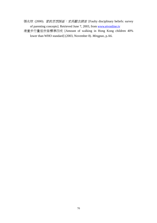張兆球 (2000). 管教思想誤區: 家長觀念調査 [Faulty disciplinary beliefs: survey of parenting concepts]. Retrieved June 7, 2003, from www.etvonline.tv

港童步行量低世衞標準四成 [Amount of walking in Hong Kong children 40% lower than WHO standard] (2003, November 8). *Mingpao*, p.A6.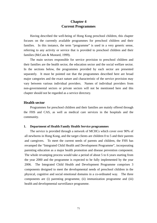# **Chapter 4 Current Programmes**

 Having described the well-being of Hong Kong preschool children, this chapter focuses on the currently available programmes for preschool children and their families. In this instance, the term "programme" is used in a very generic sense, referring to any activity or service that is provided to preschool children and their families (McCain & Mustard, 1999).

 The main sectors responsible for service provision to preschool children and their families are the health sector, the education sector and the social welfare sector. In the sections below, the programmes provided by each sector are presented separately. It must be pointed out that the programmes described here are broad major categories and the exact nature and characteristic of the service provision may vary between various individual providers. Names of individual providers from non-governmental sectors or private sectors will not be mentioned here and this chapter should not be regarded as a service directory.

# **Health sector**

 Programmes for preschool children and their families are mainly offered through the FHS and CAS, as well as medical care services in the hospitals and the community.

## **1. Department of Health Family Health Service programmes**

 The service is provided through a network of MCHCs which cover over 90% of all newborns in Hong Kong, and the target clients are children 0 to 5 and their parents and caregivers. To meet the current needs of parents and children, the FHS has revamped the "Integrated Child Health and Development Programme", incorporating parenting education as a major health promotion and disease prevention component. The whole revamping process would take a period of about 5 to 6 years starting from the year 2000 and the programme is expected to be fully implemented by the year 2006.The Integrated Child Health and Development Programme comprises 3 components designed to meet the developmental needs of preschool children in the physical, cognitive and social emotional domains in a co-ordinated way. The three components are (i) parenting programme, (ii) immunization programme and (iii) health and developmental surveillance programme.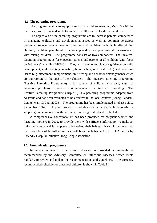## **1.1 The parenting programme**

 The programme aims to equip parents of all children attending MCHCs with the necessary knowledge and skills to bring up healthy and well-adjusted children.

 The objectives of the parenting programme are to increase parents' competence in managing childcare and developmental issues as well as common behaviour problems; reduce parents' use of coercive and punitive methods in disciplining children; facilitate parent-child relationship and reduce parenting stress associated with raising children. The programme consists of two components. The universal parenting programme is for expectant parents and parents of all children (with focus on 0-3 years) attending MCHCs. They will receive anticipatory guidance on child development, childcare (e.g. nutrition, home safety, oral health etc.) and parenting issues (e.g. attachment, temperament, limit setting and behaviour management) which are appropriate to the ages of their children. The intensive parenting programme (Positive Parenting Programme) is for parents of children with early signs of behaviour problems or parents who encounter difficulties with parenting. The Positive Parenting Programme (Triple P) is a parenting programme adapted from Australia and has been evaluated to be effective in the local context (Leung, Sanders, Leung, Mak, & Lau, 2003). The programme has been implemented in phases since September 2002. A pilot project, in collaboration with SWD, incorporating a support group component with the Triple P is being trialled and evaluated.

 A comprehensive educational kit has been produced for pregnant women and lactating mothers in 2002, to provide them with sufficient information to make an informed choice and full support to breastfeed their babies. It should be noted that the promotion of breastfeeding is a collaboration between the DH, HA and Baby Friendly Hospital Initiative Hong Kong Association.

## **1.2 Immunization programme**

 Immunization against 9 infectious diseases is provided at intervals as recommended by the Advisory Committee on Infectious Diseases, which meets regularly to review and update the recommendations and guidelines. The currently recommended schedule for preschool children is shown in Table 8: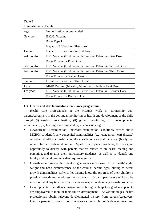| Immunization schedule |                                                              |  |  |  |  |
|-----------------------|--------------------------------------------------------------|--|--|--|--|
| Age                   | Immunization recommended                                     |  |  |  |  |
| New born              | B.C.G. Vaccine                                               |  |  |  |  |
|                       | Polio Type I                                                 |  |  |  |  |
|                       | Hepatitis B Vaccine - First dose                             |  |  |  |  |
| 1 month               | Hepatitis B Vaccine - Second dose                            |  |  |  |  |
| 2-4 months            | DPT Vaccine (Diphtheria, Pertussis & Tetanus) - First Dose   |  |  |  |  |
|                       | <b>Polio Trivalent - First Dose</b>                          |  |  |  |  |
| 3-5 months            | DPT Vaccine (Diphtheria, Pertussis & Tetanus) - Second Dose  |  |  |  |  |
| 4-6 months            | DPT Vaccine (Diphtheria, Pertussis & Tetanus) - Third Dose   |  |  |  |  |
|                       | Polio Trivalent - Second Dose                                |  |  |  |  |
| 6 months              | Hepatitis B Vaccine - Third Dose                             |  |  |  |  |
| 1 year                | MMR Vaccine (Measles, Mumps & Rubella) - First Dose          |  |  |  |  |
| $1\frac{1}{2}$ year   | DPT Vaccine (Diphtheria, Pertussis & Tetanus) - Booster Dose |  |  |  |  |
|                       | Polio Trivalent - Booster Dose                               |  |  |  |  |

Immunization schedule

Table 8

## **1.3 Health and developmental surveillance programme**

 Health care professionals at the MCHCs work in partnership with parents/caregivers in the continual monitoring of health and development of the child through (i) newborn examination; (ii) growth monitoring; (iii) developmental surveillance; (iv) hearing screening; and (v) vision screening.

- Newborn (NB) examination newborn examination is routinely carried out in MCHCs to identify any congenital abnormalities (e.g. congenital heart disease) or other significant health conditions such as neonatal jaundice (NNJ) that require further medical attention. Apart from physical problems, this is a good opportunity to discuss with parents matters related to childcare, feeding and parenting, and to give them anticipatory guidance, as well as to identify any family and social problems that require attention.
- Growth monitoring the monitoring involves measuring of the length/height, weight and head circumference of the child at certain ages, aiming to detect growth abnormalities early; to let parents know the progress of their children's physical growth and to address their concern. Growth parameters will also be measured if at any time there is concern or suspicion about any growth problems.
- Developmental surveillance programme through anticipatory guidance, parents are empowered to monitor their child's development. At various stages, health professionals obtain relevant developmental history from parents/caregivers, identify parental concerns, perform observation of children's development, and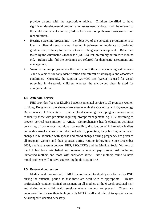provide parents with the appropriate advice. Children identified to have significant developmental problem after assessment by doctors will be referred to the child assessment centres (CACs) for more comprehensive assessment and rehabilitation.

- Hearing screening programme the objective of the screening programme is to identify bilateral sensori-neural hearing impairment of moderate to profound grade in early infancy for better outcome in language development. Babies are tested by the Automated Otoacoustic (AOAE) test, preferably before two months old. Babies who fail the screening are referred for diagnostic assessment and management.
- Vision screening programme the main aim of the vision screening test between 3 and 5 years is for early identification and referral of amblyopia and associated conditions. Currently, the LogMar Crowded test (Keeler) is used for visual screening in 4-year-old children, whereas the uncrowded chart is used for younger children.

# **1.4 Antenatal service**

FHS provides free (for Eligible Persons) antenatal service to all pregnant women in Hong Kong under the shared-care system with the Obstetrics and Gynaecology Departments in HA hospitals. Routine blood screening for all pregnant women aims to identify those with problems requiring prompt management, e.g. HIV screening to prevent vertical transmission of AIDS. Comprehensive health education activities consisting of workshops, individual counselling, distribution of information leaflets and audio-visual materials on nutritional advice, parenting, baby feeding, anticipated changes in relationship with spouse and mood changes during pregnancy are given to all pregnant women and their spouses during routine follow-ups. Since December 2002, a referral system between FHS, FSCs/IFSCs and the Medical Social Workers of the HA has been established for pregnant women at psychosocial risk including unmarried mothers and those with substance abuse. New mothers found to have mood problems will receive counselling by doctors in FHS.

# **1.5 Postnatal depression**

 Medical and nursing staff of MCHCs are trained to identify risk factors for PND during the antenatal period so that these are dealt with as appropriate. Health professionals conduct clinical assessment on all mothers at the 6-week postnatal visit and during other child health sessions where mothers are present. Clients are encouraged to discuss their feelings with MCHC staff and referral to specialists can be arranged if deemed necessary.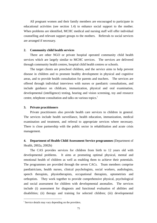All pregnant women and their family members are encouraged to participate in educational activities (see section 1.4) to enhance social support to the mother. When problems are identified, MCHC medical and nursing staff will offer individual counselling and relevant support groups to the mothers. Referrals to social services are arranged if necessary.

### **2. Community child health services**

There are other NGO or private hospital operated community child health services which are largely similar to MCHC services. The services are delivered through community health centres, hospital child health centres or schools.

The target clients are preschool children, and the service aims to help prevent disease in children and to promote healthy development in physical and cognitive areas, and to provide health consultation for parents and teachers. The services are offered through individual interviews with nurses or paediatric consultations, and include guidance on childcare, immunization, physical and oral examination, developmental (intelligence) testing, hearing and vision screening, toy and resource centre, telephone consultation and talks on various topics.<sup>1</sup>

# **3. Private practitioners**

 Private practitioners also provide health care services to children in general. The services include health surveillance, health education, immunization, medical examination and treatment, and referral to appropriate services where necessary. There is close partnership with the public sector in rehabilitation and acute crisis management.

# **4. Department of Health Child Assessment Service programmes** (Department of Health, 2002a, 2002b)

 The CAS provides services for children from birth to 12 years old with developmental problems. It aims at promoting optimal physical, mental and emotional health of children as well as enabling them to achieve their potentials. The programmes are provided through the seven CACs. Team members comprise paediatricians, health nurses, clinical psychologists, social workers, audiologists, speech therapists, physiotherapists, occupational therapists, optometrists and orthoptists. They work together to provide comprehensive physical, psychological and social assessment for children with developmental anomalies. The services include (i) assessment for diagnosis and functional evaluation of abilities and disabilities; (ii) therapy and training for selected children; (iii) developmental

 $\overline{a}$ 

<sup>&</sup>lt;sup>i</sup> Service details may vary depending on the providers.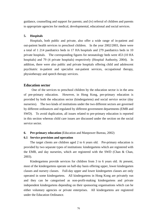guidance, counselling and support for parents; and (iv) referral of children and parents to appropriate agencies for medical, developmental, educational and social services.

# **5. Hospitals**

 Hospitals, both public and private, also offer a wide range of in-patient and out-patient health services to preschool children. In the year 2002/2003, there were a total of 1 214 paediatrics beds in 17 HA hospitals and 279 paediatrics beds in 10 private hospitals. The corresponding figures for neonatology beds were 453 (10 HA hospitals) and 79 (4 private hospitals) respectively (Hospital Authority, 2004). In addition, there were also public and private hospitals offering child and adolescent psychiatric in-patient and specialist out-patient services, occupational therapy, physiotherapy and speech therapy services.

# **Education sector**

 One of the services to preschool children by the education sector is in the area of pre-primary education. However, in Hong Kong, pre-primary education is provided by both the education sector (kindergartens) and social service sector (day nurseries). The two kinds of institutions under the two different sectors are governed by different ordinances and regulated by different government departments (EMB and SWD). To avoid duplication, all issues related to pre-primary education is reported in this section whereas child care issues are discussed under the section on the social service sector.

# **6. Pre-primary education** (Education and Manpower Bureau, 2002)

# **6.1 Service provision and operation**

The target clients are children aged 2 to 6 years old. Pre-primary education is provided by two separate types of institutions: kindergartens which are registered with the EMB, and day nurseries, which are registered with the SWD (Chan & Chan, 2003).

 Kindergartens provide services for children from 3 to 6 years old. At present, most of the kindergartens operate on half-day basis offering upper, lower kindergarten classes and nursery classes. Full-day upper and lower kindergarten classes are only operated in some kindergartens. All kindergartens in Hong Kong are privately run and they can be categorised as non-profit-making kindergartens and private independent kindergartens depending on their sponsoring organisations which can be either voluntary agencies or private enterprises. All kindergartens are registered under the Education Ordinance.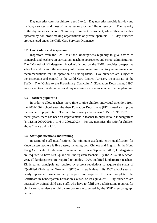Day nurseries cater for children aged 2 to 6. Day nurseries provide full-day and half-day services, and most of the nurseries provide full-day services. The majority of the day nurseries receive 5% subsidy from the Government, while others are either operated by non-profit-making organizations or private operators. All day nurseries are registered under the Child Care Services Ordinance.

#### **6.2 Curriculum and inspection**

 Inspectors from the EMB visit the kindergartens regularly to give advice to principals and teachers on curriculum, teaching approaches and school administration. The "Manual of Kindergarten Practice", issued by the EMB, provides prospective school operators with the necessary information regarding statutory requirements and recommendations for the operation of kindergartens. Day nurseries are subject to the inspection and control of the Child Care Centres Advisory Inspectorate of the SWD. The "Guide to the Pre-primary Curriculum" (Education Department, 1996) was issued to all kindergartens and day nurseries for reference in curriculum planning.

## **6.3 Teacher: pupil ratio**

 In order to allow teachers more time to give children individual attention, from the 2001/2002 school year, the then Education Department (ED) started to improve the teacher to pupil ratio. The ratio for nursery classes was 1:15 in 1996/1997. In recent years, there has been an improvement in teacher to pupil ratio in kindergartens (1: 11.8 in 2000/2001; 1:11.6 in 2001/2002). For day nurseries, the ratio for children above 2 years old is 1:14.

#### **6.4 Staff qualifications and training**

 In terms of staff qualifications, the minimum academic entry qualification for kindergarten teachers is five passes, including both Chinese and English, in the Hong Kong Certificate of Education Examination. Since September 2000, kindergartens are required to have 60% qualified kindergarten teachers. By the 2004/2005 school year, all kindergartens are required to employ 100% qualified kindergarten teachers. Kindergarten principals are required by present regulations to acquire the status of 'Qualified Kindergarten Teacher' (QKT) or its equivalent. By 2002 school year, all newly appointed kindergarten principals are required to have completed the Certificate in Kindergarten Education Course, or its equivalent. Day nurseries are operated by trained child care staff, who have to fulfil the qualifications required for child care supervisors or child care workers recognized by the SWD (see paragraph below).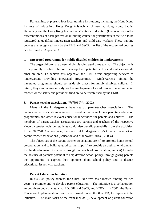For training, at present, four local training institutions, including the Hong Kong Institute of Education, Hong Kong Polytechnic University, Hong Kong Baptist University and the Hong Kong Institute of Vocational Education (Lee Wai Lee), offer different modes of basic professional training course for practitioners in the field to be registered as qualified kindergarten teachers and child care workers. These training courses are recognised both by the EMB and SWD. A list of the recognized courses can be found in Appendix 3.

# **7. Integrated programme for mildly disabled children in kindergartens**

 The target children are those mildly disabled aged three to six. The objective is to help mildly disabled children develop their potential and social skills alongside other children. To achieve this objective, the EMB offers supporting services to kindergartens providing integrated programmes. Kindergartens joining the integrated programme should set aside six places for mildly disabled children. In return, they can receive subsidy for the employment of an additional trained remedial teacher whose salary and provident fund are to be reimbursed by the EMB.

## **8. Parent-teacher associations** (教育統籌局, 2002)

 Many of the kindergartens have set up parent-teacher associations. The parent-teacher associations organize different activities including parenting education programmes and other relevant educational activities for parents and children. The members of parent-teacher associations are parents and teachers of the respective kindergartens/schools but students could also benefit potentially from the activities. In the 2002/2003 school year, there are 194 kindergartens (25%) which have set up parent-teacher associations (Education and Manpower Bureau, 2003a).

 The objectives of the parent-teacher associations are: (i) to promote home-school co-operation, and to build up good partnership; (ii) to provide an optimal environment for the development of students through home-school co-operation; and (iii) to make the best use of parents' potential to help develop school policy, through giving parents the opportunity to express their opinions about school policy and to discuss educational issues with teachers.

### **9. Parent Education Initiative**

 In his 2000 policy address, the Chief Executive has allocated funding for two years to promote and to develop parent education. The initiative is a collaboration among three departments, viz., ED, DH and SWD, and NGOs.In 2001, the Parent Education Implementation Team was formed, under the then ED, to implement the initiative. The main tasks of the team include (i) development of parent education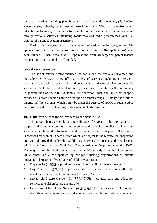resource materials including pamphlets and parent education manuals; (ii) funding kindergartens, schools, parent-teacher associations and NGOs to organize parent education activities; (iii) publicity to promote public awareness of parent education through various activities, including roadshows and radio programmes; and (iv) training of parent education organizers

 During the two-year period of the parent education funding programme, 432 applications from pre-primary institutions (out of a total of 464 applications) have been funded. There were also 16 applications from kindergarten parent-teacher associations (out of a total of 19) funded.

# **Social service sector**

 The social service sector includes the SWD and the various subvented and non-subvented NGOs. They offer a variety of services, including (i) services specific or available to preschool children such as child care service, services for special needs children, residential service; (ii) services for families or the community in general such as FSCs/IFSCs, family life education units; and (iii) other support services of a more specific nature or for specific target groups. Finally, the work of parents' self-help groups, which might be under the auspice of NGOs or registered as non-profit-making organizations, is also included in this section.

## **10. Child care service** (Social Welfare Department, 2003a)

 The target clients are children under the age of 6 years. The service aims to support and strengthen the family and to enhance the physical, intellectual, language, social and emotional development of children under the age of 6 years. The service is provided through child care centres which are subject to the registration, inspection and control provided under the Child Care Services Ordinance and Regulations, which is enforced by the Child Care Centres Advisory Inspectorate of the SWD. The majority of the child care centres receive 5% subsidy from the Government, while others are either operated by non-profit-making organizations or private operators. There are different types of child care services:

- Day Crèche (育嬰園) provides care services to children below the age of 2
- Day Nursery (幼兒園) provides edu-care services and looks after the developmental needs of children aged between 2 and 6
- Mixed Child Care Centre (混合育嬰幼兒園) provides care and education services to children below the age of 6
- Occasional Child Care Service (暫託幼兒服務) provides full day/half day/2-hour session in some child care centres for children whose carers are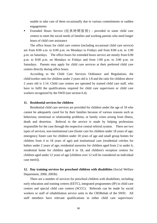unable to take care of them occasionally due to various commitments or sudden engagements

■ Extended Hours Service (延長時間服務) - provided in some child care centres to meet the social needs of families and working parents who need longer hours of child care assistance

 The office hours for child care centres (including occasional child care service) are from 8:00 a.m. to 6:00 p.m. on Mondays to Fridays and from 8:00 a.m. to 1:00 p.m. on Saturdays. The office hours for extended hours service are mostly from 6:00 p.m. to 8:00 p.m. on Mondays to Fridays and from 1:00 p.m. to 3:00 p.m. on Saturdays. Parents may apply for child care services at their preferred child care centres directly during office hours.

 According to the Child Care Services Ordinance and Regulations, the child/worker ratio for children under 2 years old is 1:8 and the ratio for children above 2 years old is 1:14. Child care centres are operated by trained child care staff, who have to fulfil the qualifications required for child care supervisors or child care workers recognized by the SWD (see section 6.4).

### **11. Residential services for children**

 Residential child care services are provided for children under the age of 18 who cannot be adequately cared for by their families because of various reasons such as behaviour, emotional or relationship problems, or family crises arising from illness, death and desertion. Referral to the service is made by helping professions responsible for the case through the respective central referral system. There are two types of services, non-institutional care (foster care for children under 18 years of age; emergency foster care for children under 18 years of age and small group homes for children from 4 to 18 years of age) and institutional care (residential crèches for babies under 2 years of age; residential nurseries for children aged from 2 to under 6, residential home for children aged 6 to 18, and children's reception centres for children aged under 12 years of age [children over 12 will be considered on individual case merit]).

# **12. Day training services for preschool children with disabilities** (Social Welfare Department, 2000, 2003b)

 There are a number of services for preschool children with disabilities, including early education and training centres (EETC), integrated programmes (IP) in child care centres and special child care centres (SCCC). Referrals can be made by social workers or staff of rehabilitation service units to the CRSRehab of the SWD. All staff members have relevant qualifications in either child care supervisors/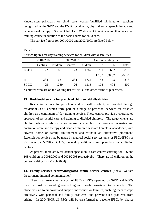kindergarten principals or child care workers/qualified kindergarten teachers recognized by the SWD and the EMB, social work, physiotherapy, speech therapy and occupational therapy. Special Child Care Workers (SCCWs) have to attend a special training course in addition to the basic course for child care.

The service figures for 2001/2002 and 2002/2003 are listed below:

Table 9

| Service figures for day training services for children with disabilities |                |          |           |          |                      |          |          |  |  |  |
|--------------------------------------------------------------------------|----------------|----------|-----------|----------|----------------------|----------|----------|--|--|--|
|                                                                          | 2001/2002      |          | 2002/2003 |          | Current waiting list |          |          |  |  |  |
|                                                                          | <b>Centres</b> | Children | Centres   | Children | $0 - 2$              | $2 - 6$  | Total    |  |  |  |
| <b>EETC</b>                                                              | 22             | 1681     | 23        | 1767     | 211                  | 602      | 813      |  |  |  |
|                                                                          |                |          |           |          | $(78)*$              | $(683)*$ | $(761)*$ |  |  |  |
| IP                                                                       | 284            | 1631     | 284       | 1724     | 43                   | 775      | 818      |  |  |  |
| SCCC                                                                     | 25             | 1259     | 26        | 1315     | 105                  | 404      | 509      |  |  |  |

\* children who are on the waiting list for EETC and other forms of placement.

# **13. Residential service for preschool children with disabilities**

 Residential service for preschool children with disability is provided through residential SCCCs which form part of a range of preschool services for disabled children as a continuum of day training service. These centres provide a coordinated approach of residential care and training to disabled children. The target clients are children whose disability is so severe or complex that warrants intensive and continuous care and therapy and disabled children who are homeless, abandoned, with adverse home or family environment and without an alternative placement. Referrals for service may be made by medical social services units or FSCs/IFSCs or via them by MCHCs, CACs, general practitioners and preschool rehabilitation centres.

 At present, there are 5 residential special child care centres catering for 106 and 108 children in 2001/2002 and 2002/2003 respectively. There are 19 children on the current waiting list (March 2004).

# **14. Family services centres/integrated family service centres** (Social Welfare Department, internal communication)

 There is an extensive network of FSCs / IFSCs operated by SWD and NGOs over the territory providing counselling and tangible assistance to the needy. The objectives are to empower and support individuals or families, enabling them to cope effectively with personal and family problems, and prevent such problems from arising. In 2004/2005, all FSCs will be transformed to become IFSCs by phases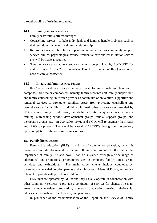through pooling of existing resources.

# **14.1 Family services centres**

Family casework is offered through:

- Counselling service to help individuals and families handle problems such as their emotions, behaviour and family relationship.
- Referral service referrals for supportive services such as community support service, clinical psychological service, residential care and rehabilitation service etc. will be made as required.
- Statutory service statutory supervision will be provided by SWD FSC for children under 18 (or 21 for Wards of Director of Social Welfare) who are in need of care or protection.

# **14.2 Integrated family service centres**

 IFSC is a brand new service delivery model for individuals and families. It comprises three major components, namely, family resource unit, family support unit and family counselling unit which provides a continuum of preventive, supportive and remedial services to strengthen families. Apart from providing counselling and referral service for families or individuals in need, other core services provided by IFSCs include family life education, parent-child activities, enquiry service, volunteer training, outreaching service, developmental groups, mutual support groups, and therapeutic groups etc. In 2004/2005, SWD and NGOs will re-engineer their FSCs and IFSCs by phases. There will be a total of 61 IFSCs through out the territory upon completion of the re-engineering exercise.

## **15. Family life education**

 Family life education (FLE) is a form of community education, which is preventive and developmental in nature. It aims to promote to the public the importance of family life and how it can be sustained through a wide range of educational and promotional programmes such as seminars, family camps, group activities and exhibitions. The main target clients include couples-to-be, parents-to-be, married couples, parents and adolescents. Many FLE programmes are relevant to parents with preschool children.

 FLE units are operated by NGOs and they usually operate in collaboration with other community services to provide a continuum of services for clients. The main areas include marriage preparation, antenatal preparation, marital relationship, adolescence growth and development, and parenting.

In pursuance of the recommendation of the Report on the Review of Family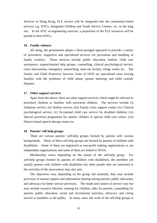Services in Hong Kong, FLE service will be integrated into the community-based services e.g. IFSCs, Integrated Children and Youth Service Centres, etc. in the long run. In the IFSC re-engineering exercise, a proportion of the FLE resources will be pooled to form IFSCs.

## **16. Family violence**

 All along, the government adopts a three-pronged approach to provide a variety of preventive, supportive and specialized services for prevention and handling of family violence. These services include public education, hotline, child care assistances, support/mutual help groups, counselling, clinical psychological service, crisis intervention, emergency outreaching, time-out facility, refuge centre etc. The Family and Child Protective Services Units of SWD are specialized units serving families with the problems of child abuse, spouse battering and child custody disputes.

## **17. Other support services**

 Apart from the above, there are other support services which might be relevant to preschool children or families with preschool children. The services include (i) Adoption service; (ii) Hotline service; (iii) Family crisis support centre; (iv) Clinical psychological service; (v) Occasional child care service for disabled children; (vi) Special provision programme for autistic children in special child care centre; (vii) District-based speech therapy teams etc.

#### **18. Parents' self-help groups**

 There are various parents' self-help groups formed by parents with various backgrounds. Many of these self-help groups are formed by parents of children with disabilities. Some of these are registered as non-profit making organizations or are independent organizations and some of them are linked to NGOs.

 Membership varies depending on the nature of the self-help group. For self-help groups formed by parents of children with disabilities, the members are usually parents with children with disabilities but other people who are interested in the activities of the associations may also join.

 The objectives vary, depending on the group, but normally, they may include provision of mutual support and information sharing among parents; public education; and advocacy for better service provision. The mode and content of service vary but may include resource libraries, training for children, talks for parents, counselling for parents, public education, social and recreational activities, advocacy and caring service to members or the public. In many cases, the work of the self-help groups is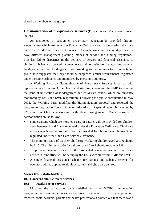shared by members of the group.

# **Harmonization of pre-primary services** (Education and Manpower Bureau, 2003b)

 As mentioned in section 6, pre-primary education is provided through kindergartens which are under the Education Ordinance and day nurseries which are under the Child Care Services Ordinance. As such, kindergartens and day nurseries have different management planning, modes of service and funding regulations. This has led to disparities in the delivery of service and financial assistance to children. It has also created inconvenience and confusion to operators and parents. As day nurseries and kindergartens are providing similar services to a similar target group, it is suggested that they should be subject to similar requirements, registered under the same ordinance and monitored by one single authority.

 A Working Party on Harmonization of Pre-primary Services is set up with representatives from SWD, the Health and Welfare Bureau and the EMB to examine the issue of unification of kindergartens and child care centres which are currently monitored by EMB and SWD respectively. Following the public consultation in May 2002, the Working Party modified the Harmonization proposal and reported the progress to Legislative Council Panel on Education. A special team jointly set up by EMB and SWD has been working on the detail arrangement. Major measures of harmonization are as follows:

- Kindergartens which are more edu-care in nature, will be provided for children aged between 3 and 6 and regulated under the Education Ordinance. Child care centres which are care-oriented will be provided for children aged below 3 and regulated under the Child Care Services Ordinance.
- The minimum ratio of teacher/ child care worker to children aged 2 to 6 should be 1:15. The minimum ratio for children aged 0 to 2 should remain at 1:8.
- To provide one-stop service to the co-located kindergartens and child care centres, a joint office will be set up by the EMB with staff from EMB and SWD.
- A single financial assistance scheme for parents and subsidy scheme for operators will be applied to all kindergartens and child care centres.

# **Views from stakeholders**

# **19. Concerns about current services**

## **19.1 Health sector services**

 Most of the participants were satisfied with the MCHC immunization programme and hospital services, as mentioned in chapter 3. However, preschool teachers, social workers, parents and health professionals pointed out that there was a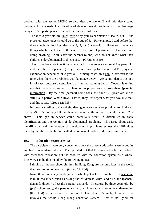problem with the use of MCHC service after the age of 2 and this also created problems for the early identification of developmental problems such as language delays. Two participants explained the issues as follows:

The 0 to 3 year-old are taken care of by you Department of Health, but … the preschool (age range) should go to the age of 6. For example, I said before that there's nobody looking after the 3, 4, or 5 year-olds. However…there are things which develop after the age of 3 but you Department of Health are not doing anything. You leave the parents (alone) who do not know what their children's developmental problems are. (Group 6: B40)

They come back for injections, come back to see us once more at  $1\frac{1}{2}$  years old, and then they disappear. (They) may not turn up for the second PE (physical examination scheduled at 2 years). In many cases, this gap in between is the time when there are problems with language delay. We cannot detect this in a lot of cases because parents feel that I am not coming back. Nobody is telling me that there is a problem. There is no proper way to give them (parents) information. By the time (parents) come back, the child is 3 years old and is still like a parrot. What? How? That is, they just repeat what you say, like that, and this is bad. (Group 12: F33)

 In short, according to the stakeholders, good services were provided to children 0 to 2 by MCHCs, but they felt that there was a gap in the service for children aged 2 or above. This gap in service could potentially result in difficulties in early identification and intervention of developmental problems. This issue about early identification and intervention of developmental problems echoes the difficulties faced by families with children with developmental problems described in chapter 3.

# **19.2 Education sector services**

 The participants were very concerned about the present education system and its emphasis on academic skills. They pointed out that this was not only the problem with preschool education, but the problem with the education system as a whole. This view can be illustrated by the following quotes:

I think that the preschool children in Hong Kong are the only kids in the world that need to do homework. (Group 11: E66)

Now, there are many kindergartens which put a lot of emphasis on academic (skills), too much, such as asking the children to write, and also, the teachers' demands directly affect the parents' demand. Therefore, by three years old, by (pre) school entry, the parents are very anxious (about) homework, demanding (the child) to participate in this and to learn that. Actually, I think …this involves the whole Hong Kong education system. This is not good for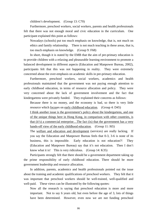children's development. (Group 13: C70)

 Furthermore, preschool workers, social workers, parents and health professionals felt that there was not enough moral and civic education in the curriculum. One participant explained this point as follows:

Nowadays (schools) put too much emphasis on knowledge, that is, not much on ethics and family relationship. There is not much teaching in these areas, that is, too much emphasis on knowledge. (Group 9: F68)

 In short, though it is stated by the EMB that the aim of pre-primary education is to provide children with a relaxing and pleasurable learning environment to promote a balanced development in different aspects (Education and Manpower Bureau, 2002), participants felt that this was not happening in reality. They were extremely concerned about the over-emphasis on academic skills in pre-primary education.

 Furthermore, preschool workers, social workers, academics and health professionals maintained that the government was not paying enough attention to early childhood education, in terms of resource allocation and policy. They were very concerned about the lack of government involvement and the fact that kindergartens were privately funded. They explained their concerns as follows:

Because there is no money, and the economy is bad, so there is very little resource which focuses on early childhood education. (Group 4: D45)

I think another issue is the government's policy about the kindergartens, and one of the unique things here in Hong Kong, in comparison with other countries, is that (it's) a commercial enterprise…The fact (is) that the government has a very hands-off view of the early childhood education. (Group 11: 165)

The welfare and education and development (services) are really lacking. If you say the Education and Manpower Bureau feels that 0-3, 3-6 is none of its business, this is impossible. Early education is not education?! They (Education and Manpower Bureau) say that it's not education. Then I don't know what it is! This is very ridiculous. (Group 14: K35)

Participants strongly felt that there should be a government department taking up the prime responsibility of early childhood education. There should be more government leadership and resource allocation.

 In addition, parents, academics and health professionals pointed out the issue about the training and academic qualifications of preschool workers. They felt that it was important that preschool workers should be well-trained, well-qualified and well-paid. These views can be illustrated by the following quotes:

Now all the research is saying that preschool education is more and more important. Not to say 6 years old, but even before the age of 3, lots of things have been determined. However, even now we are not funding preschool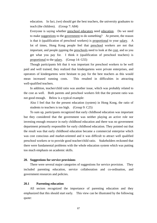education. In fact, (we) should get the best teachers, the university graduates to teach (the children). (Group 7: A84)

Everyone is saying whether preschool educators need education. Do we need to make suggestions to the government to do something? At present, the reason is that it (qualification of preschool workers) is proportional to your salary. A lot of times, Hong Kong people feel that preschool workers are not that important, and people running the preschools need to look at the cost, and so you get what you pay for. I think it (qualification of preschool teachers) is proportional to the salary. (Group 14: G55)

 Though participants felt that it was important for preschool workers to be well paid and well trained, they realized that kindergartens were private enterprises, and operators of kindergartens were hesitant to pay for the best teachers as this would mean increased running costs. This resulted in difficulties in attracting well-qualified teachers.

 In addition, teacher/child ratio was another issue, which was probably related to the cost as well. Both parents and preschool workers felt that the present ratio was not good enough. Below is a typical example:

Also I feel that for the present education (system) in Hong Kong, the ratio of students to teachers is too high. (Group 9: C25)

 To sum up, participants recognized that early childhood education was important but they considered that the government was neither playing an active role nor investing enough resource in early childhood education and there was no government department primarily responsible for early childhood education. They pointed out that the result was that early childhood education became a commercial enterprise which was cost conscious and market-oriented and it was difficult to attract well qualified preschool workers or to provide good teacher/child ratio. Stakeholders reckoned that there were fundamental problems with the whole education system which was putting too much emphasis on academic skills.

## **20. Suggestions for service provisions**

 There were several major categories of suggestions for service provision. They included parenting education, service collaboration and co-ordination, and government resources and policies.

## **20.1 Parenting education**

 All sectors recognized the importance of parenting education and they emphasized that this should start early. This view can be illustrated by the following quote: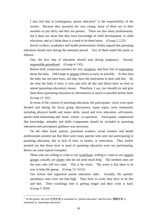I also feel that in kindergarten, parent education<sup>ii</sup> is the responsibility of the society. Because they (parents) are very young; many of them are in their twenties or just thirty and they are parents. There are also many professionals, but it does not mean that they have knowledge of child development, or child education, and so I think there is a need to let them know. (Group 2: L25)

 Social workers, academics and health professionals further argued that parenting education should start during the antenatal period. Two of them stated this point as follows:

One, the first step of education should start during pregnancy. Second, responsible parenthood. (Group 4: C43)

Before birth, (expectant parents) are very receptive, and have lots of expectation about the baby. (We) hope to prepare (them) as early as possible. At that time, the baby has not been born, and they have the motivation to deal with this. By the time the baby is born, it wets and soils all day and (they) have no time to attend (parenting education) classes. Therefore, I say, (we should) try and give them these (parenting education or information) as much as possible before birth. (Group 15: J41)

 In terms of the content of parenting education, the participants' views were quite divided and during the focus group discussions, many topics were mentioned, including physical health and motor skills, moral and civic education, self-esteem, parent-child relationship and home school co-operation. Participants emphasized that knowledge, attitudes and skills components should be included in parenting education and anticipatory guidance was necessary.

 On the other hand, parents, preschool workers, social workers and health professionals pointed out that there were many parents who were not participating in parenting education, due to lack of time, or money, or motivation. They further pointed out that those most in need of parenting education were not participating. Below are some typical examples:

Those who are willing to come to our workshops, willing to come to our support groups, actually are clients who do not need much help. The neediest ones are the ones who will not come. This is the worst. The worst is that there is no way to help this group. (Group 13: A112)

Our school had organized parent education talks. Actually, the parents' attendance rates were not that high. They have to work; they have to do this and that. Their (working) time is getting longer and their work is hard. (Group 3: B34)

 $\overline{a}$ 

 $\ddot{a}$  In the quotes, the term 家長教育 is translated as "parent education" and the term 親職教育 is translated as "parenting education".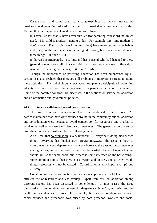On the other hand, some parent participants explained that they did not see the need to attend parenting education or they had heard that it was not that useful. Two mother participants explained their views as follows:

(I) haven't so far, that is, have never enrolled (for parenting education), not much need. My child is gradually getting older. For example, first time mothers, I don't know. Their babies are little, and (they) have never looked after babies and (they) might participate (in parenting education), but I have never attended these things. (Group 8: B43)

(I) haven't (participated). My husband has a friend who had listened to these (parenting education) talks but she said that it was not much use. She said it was no use listening (to the talk). (Group 10: A68)

 Though the importance of parenting education has been emphasized by all sectors, it is also realized that there are still problems in motivating parents to attend these activities. The stakeholders' views about low parent participation in parenting education is consistent with the survey results on parent participation in chapter 3. Some of the possible solutions are discussed in the sections on service collaboration and co-ordination and government policies.

# **20.2 Service collaboration and co-ordination**

 The issue of service collaboration has been mentioned by all sectors. All parties maintained that there were services around in the community but collaboration and co-ordination were needed to avoid competition for resources, and overlap of services as well as to ensure efficient use of resources. The general issue of service co-ordination can be illustrated by the following quote:

Also, I feel that co-ordination is very important. Everyone is doing his/her own thing. Everyone has his/her own programme.….But the issue is how to co-ordinate between departments, between bureaux, the passing on of resources among parties, and so the resources will not be wasted…I am not saying that we should all use the same book, but if there is some interface on the basic things, some common points, then there is a direction and an area, and so when we do things, resources will not be wasted. Co-ordination is very important. (Group 4: D55)

 Collaboration and co-ordination among service providers could lead to more efficient use of resources and less overlap. Apart from this, collaboration among different sectors has been discussed in some length. In most cases, the issue discussed was the collaboration between kindergartens/crèches/day nurseries and the health and social service sectors. For example, the issue of collaboration between social services and preschools was raised by both preschool workers and social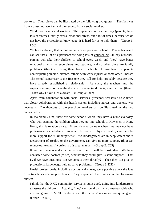workers. Their views can be illustrated by the following two quotes. The first was from a preschool worker, and the second, from a social worker:

We do not have social workers...The supervisor knows that they (parents) have lots of stresses, family stress, emotional stress, but a lot of times, because we do not have the professional knowledge, it is hard for us to help them. (Group 1: L56)

We have a dream, that is, one social worker per (pre) school. This is because I can see that a lot of supervisors are doing lots of counselling…In day nurseries, parents will take their children to school every week, and (they) have better relationship with the supervisors and teachers, and so when there are family problems, (they) will bring them back to schools. I have heard of parents contemplating suicide, divorce, fathers with work injuries or some other illnesses. The school supervisor is the first one they call for help, probably because they have already established a relationship. As such, the teachers and the supervisors may not have the skills in this area, (and this is) very hard on (them). That's why I have such a dream. (Group 4: D47)

 Apart from collaboration with social services, preschool workers also claimed that closer collaboration with the health sector, including nurses and doctors, was necessary. The thoughts of the preschool workers can be illustrated by the two quotes below:

In mainland China, there are some schools where they have a nurse everyday, who will examine the children when they go into schools …However, in Hong Kong, this is relatively rare. If you depend on us teachers, we may not have professional knowledge in this area…In terms of physical health, can there be more support for us kindergartens? We kindergartens are in deep waters and if Department of Health, or the government, can give us more support, (this) can reduce our teachers' worries in this area, maybe. (Group 2: C65)

If we can have one doctor per school, then it will be most ideal…We have contacted some doctors (to see) whether they could give us some support. That is, if we have questions, can we contact them directly? Then they can give us professional knowledge, help us solve problems. (Group 3: D52)

 Health professionals, including doctors and nurses, were positive about the idea of outreach service in preschools. They explained their views in the following quotes:

I think that the XXX community service is quite good, going into kindergartens to assess the children. Actually, (they) can round up many three-year-olds who are not going to MCH (centres), and the parents' responses are quite good. (Group 12: D72)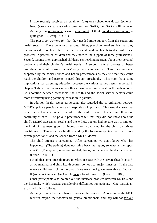I have recently received an email on (the) one school one doctor (scheme). Now (we) stick to answering questions on SARS, but SARS will be over. Actually, this programme is worth continuing…I think one doctor one school is quite good. (Group 14: G67)

 The preschool workers felt that they needed more support from the social and health sectors. There were two reasons. First, preschool workers felt that they themselves did not have the expertise in social work or health to deal with these problems in parents or children and they needed the support of these professionals. Second, parents often approached childcare centres/kindergartens about their personal problems and their children's health needs. A smooth referral process or better co-ordination would ensure parents' easy access to service. This idea was also supported by the social service and health professionals as they felt that they could reach the children and parents in need through preschools. This might have some implications for parenting education because the various survey results reported in chapter 3 show that parents most often access parenting education through schools. Collaboration between preschools, the health and the social service sectors could more effectively bring parenting education to parents.

 In addition, health sector participants also regarded the co-ordination between MCHCs, private paediatricians and hospitals as important. This would ensure that every party has a complete record of the child's health history and therefore, continuity of care. The private practitioners felt that they did not know about the child's MCHC assessment results and the MCHC doctors had no sure way to find out the kind of treatment given or investigations conducted for the child by private practitioners. This issue can be illustrated by the following quotes, the first from a private practitioner, and the second from a MCHC doctor:

The child attends a screening. After screening, we don't know what has happened. (The patient) does not bring back the report, so what is the report about? (The system) is centre oriented, that is, not patient or the doctor oriented. (Group 15: D101)

I think that sometimes there are interface (issues) with the private (health sector), as we maternal and child health centres do not treat major illnesses…In the case when a child was sick, in the past, if (we were) lucky, we were able to find out. If (we were) unlucky, (we) would miss a lot of things. (Group 16: H86)

 Other participants also pointed out the interface problem between MCHCs and the hospitals, which created considerable difficulties for patients. One participant explained this as follows:

Actually, I think there are two extremes in the service. At one end is the MCH (centre), maybe, their doctors are general practitioners, and they will not sort out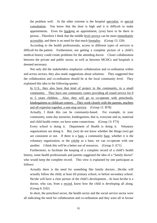the problem well. At the other extreme is the hospital specialist, or special consultation. You know that the door is high and it is difficult to make appointments. Even for booking an appointment, (you) have to be there in person…Therefore I think that the middle level service can be more immediately accessible, and there is no need for that much formality. (Group 15: J29)

 According to the health professionals, access to different types of services is difficult for the patient. Furthermore, not getting a complete picture of a child's medical history could create problems for the attending doctor. Closer collaboration between the private and public sector, as well as between MCHCs and hospitals is deemed necessary.

 Not only did the stakeholders emphasize collaboration and co-ordination within and across sectors, they also made suggestions about solutions. They suggested that the collaboration and co-ordination should be at the local community level. They explained this idea in the following quotes:

In U.S., they also have that kind of project in the community, in a small community. They have one community centre providing all round service for 0 to 5 years children. Also, they will go to co-operate with preschools, kindergartens or childcare centres. They work closely with the parents, teachers and all expertise together, a one-stop service. (Group 11: B78)

Actually, I think this can be community-based. For example, in your community, some day nurseries, kindergartens, that is, everyone and us, maternal and child health centre, we have some connections. (Group 13: F73)

Every school is doing it. Department of Health is doing it. Voluntary organizations are doing it. But, (we) do not know whether the things (we) get are consistent or not. If there is a base, a community base, whether it is the voluntary organization, or the crèche as a base, we can co-operate with one another. I think this will be a better use of resources. (Group 3: A71)

 Furthermore, to facilitate the keeping of a complete record of a child's health history, some health professionals and parents suggested the idea of a "family doctor" who would keep the complete record. This view is explained by one participant as follows:

Actually there is the need for something like family doctors…He/she will actually follow the child, at least till primary school, or before secondary school. He/she will have a clear picture of the child's development…At least he/she is a doctor, who can, from a record, know how the child is developing all along. (Group 6: E42)

 In short, the preschool sector, the health sector and the social service sector were all indicating the need for collaboration and co-ordination and they were all in favour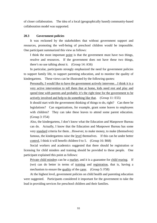of closer collaboration. The idea of a local (geographically based) community-based collaboration model was supported.

# **20.3 Government policies**

 It was reckoned by the stakeholders that without government support and resources, promoting the well-being of preschool children would be impossible. One participant summarized this view as follows:

I think the most important point is that the government must have two things, resolve and resources. If the government does not have these two things, there's no use talking about it. (Group 14: A56)

 In particular, participants strongly emphasized the need for government policies to support family life, to support parenting education, and to monitor the quality of kindergartens. These views can be illustrated by the following quotes:

Personally, I would like to have the government actively intervene…I think it is a very active intervention to tell them that at home, kids need rest and play and spend time with parents and probably it's the right time for the government to be actively involved and help to do something like that. (Group 11: E55)

It should start with the government thinking of things to do, right? Can there be legislations? Can organizations, for example, grant some leaves to employees with children? They can take these leaves to attend some parent education. (Group 3: F54)

Also, the kindergartens, I don't know what the Education and Manpower Bureau can do. Actually, I know that the Education and Manpower Bureau has some very standard criteria for them…However, to make money, to make (themselves) famous, the kindergartens raise the level themselves. If this can be under better control, I think it will benefit children 0 to 5. (Group 16: B68)

 Social workers and academics suggested that there should be registration or licensing for child minders and training should be provided to these people. One participant explained this point as follows:

Private child minders can be a market, and it is a guarantee for child rearing. If (we) can do better in terms of training and registration, that is, having a mechanism to ensure the quality of the carer. (Group 5: F58)

 At the highest level, government policies on child health and parenting education were suggested. Participants considered it important for the government to take the lead in providing services for preschool children and their families.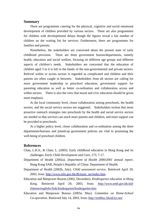# **Summary**

 There are programmes catering for the physical, cognitive and social emotional development of children provided by various sectors. There are also programmes for children with developmental delays though the figures reveal a fair number of children on the waiting list for services. Furthermore, there are programmes for families and parents.

 Nonetheless, the stakeholders are concerned about the present state of early childhood provision. There are three government bureau/departments, namely health, education and social welfare, focusing on different age groups and different aspects of children's needs. Stakeholders are concerned that the education of children aged 3 to 6 is left in the hands of the non-governmental and private sectors. Referral within or across sectors is regarded as complicated and children and their parents are often caught in between. Stakeholders from all sectors are calling for more government leadership in preschool education, government support for parenting education as well as better co-ordination and collaboration across and within sectors. There is also the view that moral and civic education should be given more emphasis.

 At the local community level, closer collaboration among preschools, the health sectors, and the social service sectors are suggested. Stakeholders reckon that more proactive outreach strategies into preschools by the health and social service sectors are needed so that services can reach more parents and children, and more support can be provided to preschools.

 At a higher policy level, closer collaboration and co-ordination among the three departments/bureaux and joined-up government policies are vital to promoting the well-being of preschool children.

# **References**

- Chan, L.K.S., & Chan, L. (2003). Early childhood education in Hong Kong and its challenges. *Early Child Development and Care, 173,* 7-17.
- Department of Health (2002a). *Department of Health 2000/2001 annual report*. Hong Kong SAR, People's Republic of China: Department of Health.
- Department of Health (2002b, July). *Child assessment service*. Retrieved April 29, 2003, from: http://www.info.gov.hk/dh/main\_ser/index.htm.
- Education and Manpower Bureau (2002, December). *Kindergarten education in Hong Kong*. Retrieved April 29, 2003, from: http://www.emb.gov.hk/aid/ chinese/englishv/link/kindergarten/kindergarten.htm
- Education and Manpower Bureau (2003a, May). *Committee on Home-School Co-operation*. Retrieved July 14, 2003, from: http://embhsc.hkedcity.net/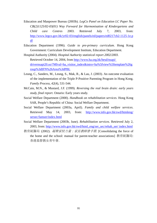- Education and Manpower Bureau (2003b). *LegCo Panel on Education LC Paper No. CB(2)1125/02-03(01) Way Forward for Harmonisation of Kindergartens and Child care Centres* 2003. Retrieved July 7, 2003, from: http://www.legco.gov.hk/yr02-03/english/panels/ed/papers/ed0217cb2-1125-1e.p df
- Education Department (1996). *Guide to pre-primary curriculum*. Hong Kong Government: Curriculum Development Institute, Education Department.
- Hospital Authority (2004). *Hospital Authority statistical report 2002/2003.* Retrieved October 14, 2004, from http://www.ha.org.hk/hesd/nsapi/ drivernsapi20.so/?MIval=ha\_visitor\_index&intro=ha%5fview%5ftemplate%26g roup%3dIFN%26Area%3dPBL
- Leung, C., Sanders, M., Leung, S., Mak, R., & Lau, J. (2003). An outcome evaluation of the implementation of the Triple P-Positive Parenting Program in Hong Kong. *Family Process, 42*(4), 531-544.
- McCain, M.N., & Mustard, J.F. (1999). *Reversing the real brain drain: early years study, final report*. Ontario: Early years study.
- Social Welfare Department (2000). *Handbook on rehabilitation services*. Hong Kong SAR, People's Republic of China: Social Welfare Department.
- Social Welfare Department (2003a, April). *Family and child welfare services*. Retrieved May 14, 2003, from: http://www.info.gov.hk/swd/htmleng/ sersec/famser/index.html
- Social Welfare Department (2003b, June). *Rehabilitation services*. Retrieved July 2, 2003, from: http://www.info.gov.hk/swd/html\_eng/ser\_sec/rehab\_ser/ index.html
- 教育統籌局 (2002). 凝聚家校力量: 家長教師會手冊. [Consolidating the force of the home and the school: manual for parent-teacher associations] 教育統籌局: 香港基督教女青年會.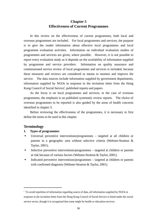# **Chapter 5 Effectiveness of Current Programmes**

 In this review on the effectiveness of current programmes, both local and overseas programmes are included. For local programmes and services, the purpose is to give the reader information about effective local programmes and local programme evaluation activities. Information on individual evaluation studies of programmes and services are given, where possible. However, it is not possible to report every evaluation study as it depends on the availability of information supplied by programme and service providers. Information on quality assurance and commissioned service review of local programmes and services is included, because these measures and reviews are considered as means to monitor and improve the service. The data sources include information supplied by government departments, information supplied by NGOs in response to the invitation letter from the Hong Kong Council of Social Service<sup>i</sup>, published reports and papers.

 As the focus is on local programmes and services, in the case of overseas programmes, the emphasis is on published systematic review reports. The choice of overseas programmes to be reported is also guided by the areas of health concerns identified in chapter 3.

 Before reviewing the effectiveness of the programmes, it is necessary to first define the terms to be used in this chapter.

# **Terminology**

 $\overline{a}$ 

#### **1. Types of programmes**

- Universal preventive interventions/programmes targeted at all children or parents in a geographic area without selective criteria (Webster-Stratton & Taylor, 2001).
- Selective preventive interventions/programmes targeted at children or parents at risk because of various factors (Webster-Stratton & Taylor, 2001).
- Indicated preventive interventions/programmes targeted at children or parents with confirmed diagnosis (Webster-Stratton & Taylor, 2001).

<sup>&</sup>lt;sup>i</sup> To avoid repetition of information regarding source of data, all information supplied by NGOs in response to the invitation letter from the Hong Kong Council of Social Service is listed under the social service sector, though it is recognized that some might be health or education services.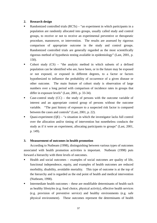# **2. Research design**

- Randomized controlled trials (RCTs) "an experiment in which participants in a population are randomly allocated into groups, usually called study and control groups, to receive or not to receive an experimental preventive or therapeutic procedure, manoeuvre, or intervention. The results are assessed by rigorous comparison of appropriate outcome in the study and control groups. Randomized controlled trials are generally regarded as the most scientifically rigorous method of hypothesis testing available in epidemiology" (Last, 2001, p. 150).
- Cohort study  $(CS)$  "the analytic method in which subsets of a defined population can be identified who are, have been, or in the future may be exposed or not exposed, or exposed in different degrees, to a factor or factors hypothesized to influence the probability of occurrence of a given disease or other outcome. The main feature of cohort study is observation of large numbers over a long period with comparison of incidence rates in groups that differ in exposure levels" (Last, 2001, p. 33-34).
- Case-control study  $(CC)$  the study of persons with the outcome variable of interest and an appropriate control group of persons without the outcome variable. "The past history of exposure to a suspected risk factor is compared between the cases and controls" (Last, 2001, p. 22).
- Quasi-experiment (QE) "a situation in which the investigator lacks full control over the allocation and/or timing of intervention but nonetheless conducts the study as if it were an experiment, allocating participants to groups" (Last, 2001, p. 149).

# **3. Measurement of outcomes in health promotion**

According to Nutbeam (1998), distinguishing between various types of outcomes associated with health promotion activities is important. Nutbeam (1998) puts forward a hierarchy with three levels of outcomes.

- Health and social outcomes examples of social outcomes are quality of life, functional independence, equity, and examples of health outcomes are reduced morbidity, disability, avoidable mortality. This type of outcome is at the top of the hierarchy and is regarded as the end point of health and medical intervention (Nutbeam, 1998).
- Intermediate health outcomes these are modifiable determinants of health such as healthy lifestyles (e.g. food choice, physical activity), effective health services (e.g. provision of preventive service) and healthy environments (e.g. safe physical environment).These outcomes represent the determinants of health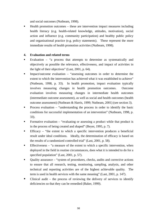and social outcomes (Nutbeam, 1998).

■ Health promotion outcomes – these are intervention impact measures including health literacy (e.g. health-related knowledge, attitudes, motivation), social action and influence (e.g. community participation) and healthy public policy and organizational practice (e.g. policy statements). These represent the more immediate results of health promotion activities (Nutbeam, 1998).

# **4. Evaluation and related terms**

- Evaluation "a process that attempts to determine as systematically and objectively as possible the relevance, effectiveness, and impact of activities in the light of their objectives" (Last, 2001, p. 64).
- Impact/outcome evaluation "assessing outcomes in order to determine the extent to which the intervention has achieved what it was established to achieve" (Nutbeam, 1998, p. 33). In health promotion, impact evaluation typically involves measuring changes in health promotion outcomes. Outcome evaluation involves measuring changes in intermediate health outcomes (intermediate outcome assessment), as well as social and health outcomes (health outcome assessment) (Nutbeam & Harris, 1999; Nutbeam, 2001) (see section 3).
- **Process evaluation "understanding the process in order to identify the basic** conditions for successful implementation of an intervention" (Nutbeam, 1998, p. 33).
- Formative evaluation "evaluating or assessing a product while that product is in the process of being created and shaped" (Beyer, 1995, p. 7).
- Efficacy "the extent to which a specific intervention produces a beneficial result under ideal conditions. Ideally, the determination of efficacy is based on the results of a randomized controlled trial" (Last, 2001, p. 58).
- Effectiveness "a measure of the extent to which a specific intervention, when deployed in the field in routine circumstances, does what it is intended to do for a specified population" (Last, 2001, p. 57).
- Quality assurance "system of procedures, checks, audits and corrective actions to ensure that all research, testing, monitoring, sampling, analysis, and other technical and reporting activities are of the highest achievable quality. The term is used in health services with the same meaning" (Last, 2001, p. 147).
- Clinical audit the process of reviewing the delivery of services to identify deficiencies so that they can be remedied (Baker, 1999).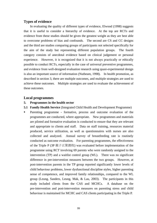# **Types of evidence**

 In evaluating the quality of different types of evidence, Elwood (1998) suggests that it is useful to consider a hierarchy of evidence. At the top are RCTs and evidence from these studies should be given the greatest weight as they are best able to overcome problems of bias and confounds. The second are CS and CC designs and the third are studies comparing groups of participants not selected specifically for the aim of the study but representing different population groups. The fourth category consists of anecdotal evidence based on clinical judgement or personal experience. However, it is recognized that it is not always practically or ethically possible to conduct RCTs, especially in the case of universal preventive programmes, and evidence from well-designed evaluation research using quasi-experimental design is also an important source of information (Nutbeam, 1998). In health promotion, as described in section 3, there are multiple outcomes, and multiple strategies are used to achieve these outcomes. Multiple strategies are used to evaluate the achievement of these outcomes.

# **Local programmes**

# **5. Programmes in the health sector**

- **5.1 Family Health Service** (Integrated Child Health and Development Programme)
- Parenting programmeformative, process and outcome evaluation of the programmes are conducted, where appropriate. New programmes and materials are piloted and formative evaluation is conducted to ensure that they are relevant and appropriate to clients and staff. Data on staff training, resources material produced, service utilization, as well as questionnaires with nurses are also collected and analyzed. Annual survey of breastfeeding rate is routinely conducted as outcome evaluation. For parenting programmes, the effectiveness of the Triple P (3P 親子正策課程) was evaluated before implementation of the programme using RCT involving 69 parents who were randomly assigned to the intervention (TP) and a waitlist control group (WL). There was no significant difference in pre-intervention measures between the two groups. However, at post-intervention parents in the TP group reported significantly lower levels of child behaviour problems, lower dysfunctional discipline styles, higher parenting sense of competence, and improved family relationships, compared to the WL group (Leung, Sanders, Leung, Mak, & Lau, 2003). The participants in this study included clients from the CAS and MCHCs. A database on the pre-intervention and post-intervention measures on parenting stress and child behaviour is maintained for MCHC and CAS clients participating in the Triple P.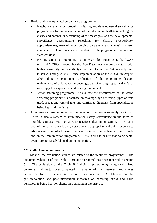- Health and developmental surveillance programme
	- Newborn examination, growth monitoring and developmental surveillance programme – formative evaluation of the information leaflets (checking for clarity and parents' understanding of the messages), and the developmental surveillance questionnaire (checking for clarity, practicability, appropriateness, ease of understanding by parents and nurses) has been conducted. There is also a documentation of the programme coverage and staff workload.
	- Hearing screening programme a one-year pilot project using the  $AOAE$ test in 4 MCHCs showed that the AOAE test was a more valid test (with higher sensitivity and specificity) than the Distraction Test formerly used (Chan & Leung, 2004). Since implementation of the AOAE in August 2003, there is continuous evaluation of the programme through maintenance of a database on coverage, age of testing, repeat and referral rate, reply from specialist, and hearing risk indicator.
	- Vision screening programme  $-$  to evaluate the effectiveness of the vision screening programme, a database on coverage, age of testing, types of tests used, repeat and referral rate, and confirmed diagnosis from specialists is being kept and monitored.
- Immunization programme the immunization coverage is routinely monitored. There is also a system of immunization safety surveillance in the form of monthly statistical return on adverse reactions after immunization. The major goal of the surveillance is early detection and appropriate and quick response to adverse events in order to lessen the negative impact on the health of individuals and on the immunization programme. This is also to ensure that coincidental events are not falsely blamed on immunization.

# **5.2 Child Assessment Service**

 Most of the evaluation studies are related to the treatment programmes. The outcome evaluation of the Triple P (group programme) has been reported in section 5.1. The evaluation of the Triple P (individual programme) using randomized controlled trial has just been completed. Evaluation of other treatment programmes is in the form of client satisfaction questionnaires. A database on the pre-intervention and post-intervention measures on parenting stress and child behaviour is being kept for clients participating in the Triple P.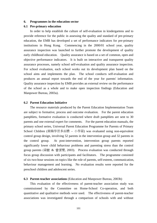#### **6. Programmes in the education sector**

### **6.1 Pre-primary education**

In order to help establish the culture of self-evaluation in kindergartens and to provide reference for the public in assessing the quality and standard of pre-primary education, the EMB has developed a set of performance indicators for pre-primary institutions in Hong Kong. Commencing in the 2000/01 school year, quality assurance inspection was launched to further promote the development of quality early childhood education. Quality assurance is based on a set of common, open and objective performance indicators. It is built on interactive and transparent quality assurance processes, namely school self-evaluation and quality assurance inspection. For school evaluation, each school works out its development plan based on the school aims and implements the plan. The school conducts self-evaluation and produces an annual report towards the end of the year for parents' information. Quality assurance inspection by EMB provides an external review on the performance of the school as a whole and to make open inspection findings (Education and Manpower Bureau, 2003a).

#### **6.2 Parent Education Initiative**

 The resource materials produced by the Parent Education Implementation Team are subject to formative, process and outcome evaluation. For the parent education pamphlets, formative evaluation is conducted where draft pamphlets are sent to 30 parents and one external expert for comments. For the parent education manuals, the primary school series, Universal Parent Education Programme for Parents of Primary School Children (親職學習多面體 – 小學篇) was evaluated using non-equivalent control group design, involving 52 parents in the intervention group and 32 parents in the control group. At post-intervention, intervention group parents reported significantly lower child behaviour problems and parenting stress than the control group parents (梁敏 & 曾潔雯, 2003). Process evaluation was conducted through focus group discussion with participants and facilitators. The programme consisted of six two-hour sessions on topics like the role of parents, self-esteem, communication, behaviour management and learning. No evaluation results were reported for the preschool children and adolescent series.

#### **6.3 Parent-teacher associations** (Education and Manpower Bureau, 2003b)

 This evaluation of the effectiveness of parent-teacher association study was commissioned by the Committee on Home-School Co-operation, and both quantitative and qualitative methods were used. The effectiveness of parent-teacher associations was investigated through a comparison of schools with and without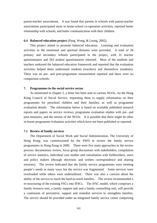parent-teacher associations. It was found that parents in schools with parent-teacher associations participated more in home-school co-operation activities, reported better relationship with schools, and better communication with their children.

### **6.4 Balanced education project** (Pang, Wong, & Leung, 2002).

This project aimed to promote balanced education. Learning and evaluation activities in the emotional and spiritual domains were provided. A total of 28 primary and secondary schools participated in the project, with 31 teacher questionnaires and 563 student questionnaires returned. Most of the students and teachers endorsed the balanced education framework and reported that the evaluation activities helped them understand students (teachers) and themselves (students). There was no pre- and post-programme measurement reported and there were no comparison schools.

### **7. Programmes in the social service sector**

 As mentioned in chapter 2, a letter has been sent to various NGOs, via the Hong Kong Council of Social Service, requesting them to supply information on their programmes for preschool children and their families, as well as programme evaluation details. The information below is based on available published research reports and papers on service reviews, programme evaluation studies with pre- and post-measures, and the returns of the NGOs. It is possible that there might be other in-house programme evaluation activities which have not been published or reported.

#### **7.1 Review of family services**

 The Department of Social Work and Social Administration, The University of Hong Kong, was commissioned by the SWD to review the family service programmes in Hong Kong in 2000. There were five main approaches in the review process: documentary review, focus group discussions with stakeholders, compilation of service statistics, individual case studies and consultation with fieldworkers, users and policy makers (through electronic and written correspondence and sharing sessions). The review indicated that the family service programmes were meeting people's needs in many ways but the service was fragmented. Some services were overloaded while others were underutilized. There was also a concern about the ability of the service to reach the hard-to-reach families. The review recommended a re-structuring of the existing FSCs into IFSCs. The IFSC model, which comprises a family resource unit, a family support unit and a family counselling unit, will provide a continuum of preventive, support and remedial services to strengthen families. The service should be provided under an integrated family service centre comprising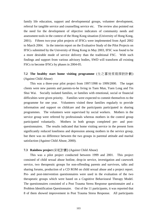family life education, support and developmental groups, volunteer development, referral for tangible service and counselling service etc. The review also pointed out the need for the development of objective indicators of community needs and assessment tools in the context of the Hong Kong situation (University of Hong Kong, 2001). Fifteen two-year pilot projects of IFSCs were implemented from April 2002 to March 2004. In the interim report on the Evaluative Study of the Pilot Projects on IFSCs submitted by the University of Hong Kong in May 2003, IFSC was found to be a more desirable mode of service delivery than the traditional FSC. With such findings and support from various advisory bodies, SWD will transform all existing FSCs to become IFSCs by phases in 2004-05.

**7.2 The healthy start home visiting programme** (生之喜悅家庭探訪計劃) (Against Child Abuse)

 This was a three-year pilot project from 1997/1998 to 1999/2000. The target clients were new parents and parents-to-be living in Tuen Mun, Yuen Long and Tin Shui Wai. Socially isolated families, or families with emotional, social or financial difficulties were given priority. Families were expected to commit themselves to the programme for one year. Volunteers visited these families regularly to provide information and support on childcare and the participants participated in sharing programmes. The volunteers were supervised by social workers. Mothers in the service group were referred by professionals whereas mothers in the control group participated voluntarily. Mothers in both groups completed pre- and postquestionnaires. The results indicated that home visiting service in the present form significantly reduced loneliness and depression among mothers in the service group, but there was no difference between the two groups in parental attitude and marital satisfaction (Against Child Abuse, 2000).

### **7.3 Rainbow project** (彩虹計劃) (Against Child Abuse)

This was a pilot project conducted between 1999 and 2001.This project consisted of child sexual abuse hotline, drop-in service, investigation and casework service, two therapeutic groups for non-offending parents and survivors, talks and sharing forums, production of a CD ROM on child sexual abuse and a project report. Pre- and post-intervention questionnaires were used in the evaluation of the two therapeutic groups which were based on a Cognitive Behavioural Therapy Model. The questionnaires consisted of a Post Trauma Stress Response questionnaire and a Problem Identification Questionnaire. Out of the 11 participants, it was reported that 8 of them showed improvement in Post Trauma Stress Response. All participants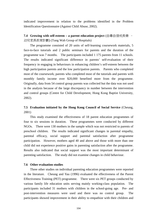indicated improvement in relation to the problems identified in the Problem Identification Questionnaire (Against Child Abuse, 2002).

**7.4 Growing with self-esteem – a parent education project** (自尊自信成長樂 – 幼兒家長教育計劃) (Tung Wah Group of Hospitals)

 The programme consisted of 20 units of self-learning coursework materials, 5 face-to-face tutorials and 2 public seminars for parents and the duration of the programme was 7 months. The participants included 1 175 parents from 11 schools. The results indicated significant difference in parents' self-evaluation of their frequency in engaging in behaviours in enhancing children's self-esteem between the high participation parents and the low participation parents. Parents who completed most of the coursework; parents who completed most of the tutorials and parents with monthly family income over \$20,000 benefited more from the programme. Originally, data from 54 control group parents was collected but the data was not used in the analysis because of the large discrepancy in number between the intervention and control groups (Centre for Child Development, Hong Kong Baptist University, 2002).

# **7.5 Evaluation initiated by the Hong Kong Council of Social Service** (Cheung, 2001)

 This study examined the effectiveness of 18 parent education programmes of four to six sessions in duration. These programmes were conducted by different NGOs. There were 130 mothers in the sample which was not restricted to parents of preschool children. The results indicated significant changes in parental empathy, parental efficacy, social support and parental satisfaction after programme participation. However, mothers aged 40 and above and those with more than one child did not experience positive gains in parenting satisfaction after the programme. Results also indicated that social support was the most important determinant of parenting satisfaction. The study did not examine changes in child behaviour.

# **7.6 Other evaluation studies**

 Three other studies on individual parenting education programmes were reported in the literature. Cheung and Yau (1996) evaluated the effectiveness of the Parent Effectiveness Training (PET) programme. There were six PET groups conducted by various family life education units serving mainly working-class population. The participants included 31 mothers with children in the school-going age. Pre- and post-intervention measures were used and there was no control group. The participants showed improvement in their ability to empathize with their children and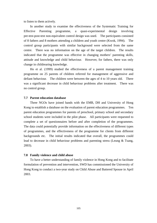to listen to them actively.

 In another study to examine the effectiveness of the Systematic Training for Effective Parenting programme, a quasi-experimental design involving pre-test-post-test non-equivalent control design was used. The participants consisted of 8 fathers and 8 mothers attending a children and youth centre (Kwok, 1994). The control group participants with similar background were selected from the same centre. There was no information on the age of the target children. The results indicated that the programme was effective in changing mothers' parenting skills, attitude and knowledge and child behaviour. However, for fathers, there was only change in childrearing knowledge.

 Ho et al. (1999) studied the effectiveness of a parent management training programme on 25 parents of children referred for management of aggressive and defiant behaviour. The children were between the ages of 4 to 10 years old. There was a significant decrease in child behaviour problems after treatment. There was no control group.

# **7.7 Parent education database**

 Three NGOs have joined hands with the EMB, DH and University of Hong Kong to establish a database on the evaluation of parent education programmes. Ten parent education programmes for parents of preschool, primary school and secondary school students were included in the pilot phase. All participants were requested to complete a set of questionnaires before and after completion of the programmes. The data could potentially provide information on the effectiveness of different types of programmes, and the effectiveness of the programme for clients from different backgrounds etc. The initial results indicated that overall, the programmes could lead to decrease in child behaviour problems and parenting stress (Leung & Tsang, 2003).

#### **7.8 Family violence and child abuse**

 To have a better understanding of family violence in Hong Kong and to facilitate formulation of prevention and intervention, SWD has commissioned the University of Hong Kong to conduct a two-year study on Child Abuse and Battered Spouse in April 2003.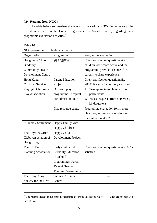# **7.9 Returns from NGOs**

 The table below summarises the returns from various NGOs, in response to the invitation letter from the Hong Kong Council of Social Service, regarding their programme evaluation activities<sup>ii</sup>.

Table 10

 $\overline{a}$ 

NGO programme evaluation activities

| Organization                | Programme                  | Programme evaluation                   |
|-----------------------------|----------------------------|----------------------------------------|
| Hong Fook Church            | 親子遊樂場                      | Client satisfaction questionnaire:     |
| Bradbury —                  |                            | children were more active and the      |
| <b>Community Health</b>     |                            | programme provided chances for         |
| <b>Development Centre</b>   |                            | parents to share experience            |
| Hong Kong                   | <b>Parent Education</b>    | Client satisfaction questionnaire:     |
| <b>Christian Service</b>    | Project                    | >80% felt satisfied or very satisfied  |
| Playright Children's        | Outreach play              | Two appreciation letters from<br>1.    |
| <b>Play Association</b>     | programme - hospital       | participants                           |
|                             | pre-admission tour         | Excess requests from nurseries /<br>2. |
|                             |                            | kindergartens                          |
|                             | Play resource centre       | Programme evaluation form: more        |
|                             |                            | play programmes on weekdays and        |
|                             |                            | for children under 2                   |
| St. James' Settlement       | Happy Family with          |                                        |
|                             | Happy Children             |                                        |
| The Boys' & Girls'          | Happy Child                |                                        |
| Clubs Association of        | Development Project        |                                        |
| Hong Kong                   |                            |                                        |
| The HK Family               | Early Childhood            | Client satisfaction questionnaire: 80% |
| <b>Planning Association</b> | <b>Sexuality Education</b> | satisfied                              |
|                             | In-School                  |                                        |
|                             | <b>Programmes: Parent</b>  |                                        |
|                             | Talks & Teacher            |                                        |
|                             | <b>Training Programmes</b> |                                        |
| The Hong Kong               | <b>Parents Resource</b>    |                                        |
| Society for the Deaf        | Centre                     |                                        |

ii The returns include some of the programmes described in sections 7.2 to 7.4. They are not repeated in Table 10.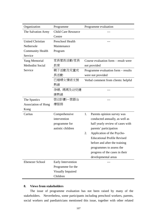| Organization               | Programme                  | Programme evaluation                 |
|----------------------------|----------------------------|--------------------------------------|
| The Salvation Army         | <b>Child Care Resource</b> |                                      |
|                            | Centre                     |                                      |
| <b>United Christian</b>    | Preschool Health           |                                      |
| Nethersole                 | Maintenance                |                                      |
| <b>Community Health</b>    | Program                    |                                      |
| Service                    |                            |                                      |
| <b>Yang Memorial</b>       | 家長管教活動/家長                  | Course evaluation form – result were |
| <b>Methodist Social</b>    | 教育                         | not provided                         |
| Service                    | 親子活動及兒童成                   | Programme evaluation form – results  |
|                            | 長活動                        | were not provided                    |
|                            | 已婚婦女情緒支援                   | Verbal comment from clients: helpful |
|                            | 熱線                         |                                      |
|                            | 孕婦,媽媽及幼兒健                  |                                      |
|                            | 康熱線                        |                                      |
| The Spastics               | 啓幼計劃—言語治                   |                                      |
| <b>Association of Hong</b> | 療服務                        |                                      |
| Kong                       |                            |                                      |
| Caritas                    | Comprehensive              | Parents opinion survey was<br>1.     |
|                            | intervention               | conducted annually, as well as       |
|                            | programme for              | half yearly review of cases with     |
|                            | autistic children          | parents' participation               |
|                            |                            | Application of the Psycho-<br>2.     |
|                            |                            | <b>Educational Profile Revised</b>   |
|                            |                            | before and after the training        |
|                            |                            | programmes to assess the             |
|                            |                            | progress of the cases in their       |
|                            |                            | developmental areas                  |
| <b>Ebenezer School</b>     | Early Intervention         |                                      |
|                            | Programme for the          |                                      |
|                            | <b>Visually Impaired</b>   |                                      |
|                            | Children                   |                                      |

# **8. Views from stakeholders**

 The issue of programme evaluation has not been raised by many of the stakeholders. Nevertheless, some participants including preschool workers, parents, social workers and paediatricians mentioned this issue, together with other related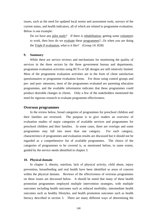issues, such as the need for updated local norms and assessment tools, surveys of the current status, and health indicators, all of which are related to programme evaluation. Below is one example:

Do we have any pilot study? If there is rehabilitation, getting some volunteers to work, then how do we evaluate these programmes?...Or when you are doing the Triple P evaluation, what is it like? (Group 14: H28)

### **9. Summary**

 While there are service reviews and mechanisms for monitoring the quality of services in the three sectors by the three government bureau and departments, programme evaluation activities using RCTs or QE designs are still relatively limited. Most of the programme evaluation activities are in the form of client satisfaction questionnaires or programme evaluation forms. For those using control groups and pre- and post- measures, most of the programmes evaluated are parenting education programmes, and the available information indicates that these programmes could produce desirable changes in clients. Only a few of the stakeholders mentioned the need for rigorous research to evaluate programme effectiveness.

### **Overseas programmes**

 In the review below, broad categories of programmes for preschool children and their families are reviewed. The purpose is to give readers an overview of evaluation studies of major categories of available services and programmes for preschool children and their families. In some cases, there are overlaps and some programmes may fall into more than one category. For each category, characteristics of programmes and evaluation results are discussed but it should not be regarded as a comprehensive list of available programmes. The choice of the categories of programmes to be covered is, as mentioned before, to some extent, guided by the service needs identified in chapter 3.

#### **10. Physical domain**

 In chapter 3, obesity, nutrition, lack of physical activity, child abuse, injury prevention, breastfeeding and oral health have been identified as areas of concern within the physical domain. Reviews of the effectiveness of overseas programmes on these issues are discussed below. It should be noted that many of these health promotion programmes employed multiple intervention strategies, with multiple outcomes including health outcomes such as reduced morbidity, intermediate health outcomes such as healthy lifestyles, and health promotion outcomes such as health literacy described in section 3. There are many different ways of determining the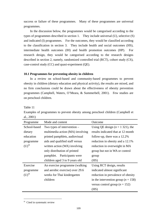success or failure of these programmes. Many of these programmes are universal programmes.

 In the discussion below, the programmes would be categorised according to the types of programmes described in section 1. They include universal (U), selective (S) and indicated (I) programmes. For the outcomes, they would be classified according to the classification in section 3. They include health and social outcomes (HS), intermediate health outcomes (IH) and health promotion outcomes (HP). For research design, they would be categorised according to the research designs described in section 2, namely, randomized controlled trial (RCT), cohort study (CS), case-control study (CC) and quasi-experiment (QE).

# **10.1 Programmes for preventing obesity in children**

 In a review on school-based and community-based programmes to prevent obesity in children (dietary education and physical activity), the results are mixed, and no firm conclusions could be drawn about the effectiveness of obesity prevention programmes (Campbell, Waters, O'Meara, & Summerbell, 2001). Few studies are on preschool children.

Table 11

Examples of programmes to prevent obesity among preschool children (Campbell et al., 2001)

| Programme            | Mode and content                 | Outcome                                 |
|----------------------|----------------------------------|-----------------------------------------|
| School-based         | Two types of intervention $-$    | Using QE design $(n = 1 321)$ , the     |
| dietary              | multimedia action (MA) involving | results indicated that at 12 month      |
| education            | printed pamphlets, audiovisual   | follow-up, there was a $12.2\%$         |
| programme            | aids and qualified staff versus  | reduction in obesity and a 12.1%        |
| $(U)$ <sup>iii</sup> | written action (WA) involving    | reduction in overweight in MA           |
|                      | only distribution of printed     | group but not in WA or control          |
|                      | pamphlet. Participants were      | group                                   |
|                      | children aged 3 to 9 years old   | (HS)                                    |
| Exercise             | An exercise programme (walking   | Using RCT design, results               |
| programme            | and aerobic exercise) over 29.6  | indicated almost significant            |
| $(U)$ <sup>iii</sup> | weeks for Thai kindergarten      | reduction in prevalence of obesity      |
|                      | children                         | in the intervention group ( $n = 158$ ) |
|                      |                                  | versus control group ( $n = 152$ )      |
|                      |                                  | (HS)                                    |

iii Cited in systematic review

 $\overline{a}$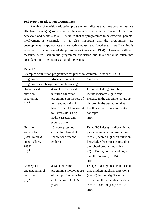#### **10.2 Nutrition education programmes**

 A review of nutrition education programmes indicates that most programmes are effective in changing knowledge but the evidence is not clear with regard to nutrition behaviour and health status. It is noted that for programmes to be effective, parental involvement is essential. It is also important that the programmes are developmentally appropriate and are activity-based and food-based. Staff training is essential for the success of the programmes (Swadener, 1994). However, different measures were used in the programme evaluation and this should be taken into consideration in the interpretation of the results.

Table 12

| Programme                                | Mode and content           | Outcome                               |
|------------------------------------------|----------------------------|---------------------------------------|
| Programmes to change nutrition knowledge |                            |                                       |
| Home-based                               | 4-week home-based          | Using RCT design $(n = 60)$ ,         |
| nutrition                                | nutrition education        | results indicated significant         |
| programme                                | programme on the role of   | increase in the experimental group    |
| $(U)$ <sup>iii</sup>                     | food and nutrition in      | children in the perception that       |
|                                          | health for children aged 4 | health and nutrition were related     |
|                                          | to 7 years old, using      | concepts                              |
|                                          | audio cassettes and        | (HP)                                  |
|                                          | picture books              |                                       |
| Nutrition                                | 10-week preschool          | Using RCT design, children in the     |
| knowledge                                | curriculum taught at       | parent augmentation programme         |
| (Essa, Read, &                           | school for preschool       | $(n = 22)$ scored higher on nutrition |
| Haney-Clark,                             | children                   | knowledge than those exposed to       |
| 1988)                                    |                            | the school programme only $(n =$      |
| $(U)$ <sup>iii</sup>                     |                            | Both groups scored higher<br>23).     |
|                                          |                            | than the control $(n = 15)$           |
|                                          |                            | (HP)                                  |
| Conceptual                               | 8-week nutrition           | Using QE design, results indicated    |
| understanding of                         | programme involving use    | that children taught at classrooms    |
| nutrition                                | of food profile cards for  | $(n = 20)$ learned significantly      |
| $(U)$ <sup>iii</sup>                     | children aged 3.5 to 5     | better than those taught at homes     |
|                                          | years                      | $(n = 20)$ (control group $n = 20$ )  |
|                                          |                            | (HP)                                  |

Examples of nutrition programmes for preschool children (Swadener, 1994)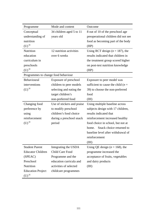| Programme                           | Mode and content           | Outcome                              |
|-------------------------------------|----------------------------|--------------------------------------|
| Conceptual                          | 34 children aged 5 to 11   | 8 out of 10 of the preschool age     |
| understanding of                    | years old                  | preoperational children did not see  |
| nutrition                           |                            | food as becoming part of the body    |
| $(U)$ <sup>iii</sup>                |                            | (HP)                                 |
| Nutrition                           | 12 nutrition activities    | Using RCT design ( $n = 187$ ), the  |
| education                           | over 6 weeks               | results indicated that children in   |
| curriculum in                       |                            | the treatment group scored higher    |
| preschools                          |                            | on post-test nutrition knowledge     |
| $(U)$ <sup>iii</sup>                |                            | (HP)                                 |
| Programmes to change food behaviour |                            |                                      |
| Behavioural                         | Exposure of preschool      | Exposure to peer model was           |
| interventions                       | children to peer models    | sufficient to cause the child $(n =$ |
| $(U)$ <sup>iii</sup>                | selecting and eating the   | 39) to choose the non-preferred      |
|                                     | target children's          | food                                 |
|                                     | non-preferred food         | (H)                                  |
| Changing food                       | Use of stickers and praise | Using multiple baseline across       |
| preference by                       | to modify preschool        | subjects design with 17 children,    |
| using                               | children's food choice     | results indicated that               |
| reinforcement                       | during a preschool snack   | reinforcement increased healthy      |
| $(U)$ <sup>iii</sup>                | period                     | food choice in school, but not at    |
|                                     |                            | Snack choice returned to<br>home.    |
|                                     |                            | baseline level after withdrawal of   |
|                                     |                            | reinforcement                        |
|                                     |                            | (HI)                                 |
| <b>Student Parent</b>               | Integrating the USDA       | Using QE design ( $n = 168$ ), the   |
| <b>Educator Children</b>            | Child Care Food            | programme increased the              |
| (SPEAC)                             | Programme and the          | acceptance of fruits, vegetables     |
| Preschool                           | education curricula and    | and dairy products                   |
| Nutrition                           | activities of selected     | (HI)                                 |
| <b>Education Project</b>            | childcare programmes       |                                      |
| $(U)$ <sup>iii</sup>                |                            |                                      |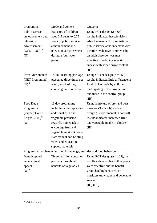| Programme                     | Mode and content                                                       | Outcome                                |
|-------------------------------|------------------------------------------------------------------------|----------------------------------------|
| Public service                | Exposure of children                                                   | Using RCT design $(n = 65)$ ,          |
| announcement and              | aged 3.5 years to 6.75                                                 | results indicated that television      |
| television                    | years to public service                                                | advertisement and pro-nutritional      |
| advertisement                 | announcement and                                                       | public service announcement with       |
| (Galst, 1980) <sup>iii</sup>  | television advertisement                                               | positive evaluative comments by        |
| (U)                           | during a four week                                                     | an adult observer was most             |
|                               | period                                                                 | effective in reducing selection of     |
|                               |                                                                        | snacks with added sugar content        |
|                               |                                                                        | (IH)                                   |
| <b>Iowa Nutriphonics</b>      | 14-unit learning package                                               | Using QE $(?)$ design $(n = 850)$ ,    |
| (NET Programme)               | presented three times per                                              | results indicated little difference in |
| $(U)$ <sup>iii</sup>          | week, emphasizing                                                      | food choice made by children           |
|                               | choosing nutritious foods                                              | participating in the programme         |
|                               |                                                                        | and those in the control group         |
|                               |                                                                        | (H)                                    |
| Food Dude                     | 16 day programme                                                       | Using a mixture of pre- and post-      |
| Programme                     | including video episodes,                                              | measure (3 schools) and QE             |
| (Tapper, Horne, &             | additional fruit and                                                   | design (1 experimental, 1 control),    |
| Fergus, $2003)$ <sup>iv</sup> | vegetable provision,                                                   | results indicated increased fruit      |
| (U)                           | rewards, homepack to                                                   | and vegetable intake in children       |
|                               | encourage fruit and                                                    | (HI)                                   |
|                               | vegetable intake at home,                                              |                                        |
|                               | staff manual and briefing                                              |                                        |
|                               | video and education                                                    |                                        |
|                               | support materials                                                      |                                        |
|                               | Programmes to change nutrition knowledge, attitudes and food behaviour |                                        |
| Benefit appeal                | Three nutrition education                                              | Using RCT design ( $n = 103$ ), the    |
| versus threat                 | presentations about                                                    | results indicated that both appeals    |
| appeal                        | benefits of vegetables                                                 | were effective but the benefit         |
| $(U)$ <sup>iii</sup>          |                                                                        | group had higher scores on             |
|                               |                                                                        | nutrition knowledge and vegetable      |
|                               |                                                                        | snacks                                 |
|                               |                                                                        | $(H)$ $(HP)$                           |
|                               |                                                                        |                                        |

<sup>&</sup>lt;sup>iv</sup> Original study

 $\overline{a}$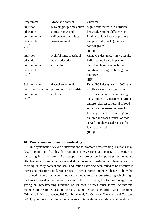| Programme            | Mode and content         | Outcome                                |
|----------------------|--------------------------|----------------------------------------|
| Nutrition            | 6-week group-time action | Significant increase in nutrition      |
| education            | stories, songs and       | knowledge but no difference in         |
| curriculum in        | self-selected activities | food behaviour between pre-test        |
| preschools           | involving food           | and post-test ( $n = 16$ ), but no     |
| $(U)$ <sup>iii</sup> |                          | control group                          |
|                      |                          | $(H)$ $(HP)$                           |
| Nutrition            | Helpful hints preschool  | Using QE design ( $n = 267$ ), results |
| education            | health education         | indicated moderate impact on           |
| curriculum in        | curriculum               | child health knowledge but no          |
| preschools           |                          | significant change in feelings and     |
| $(U)$ <sup>iii</sup> |                          | emotions                               |
|                      |                          | (HP)                                   |
| Self-contained       | 6-week experiential      | Using RCT design ( $n = 1000$ ), the   |
| nutrition education  | programme for Headstart  | results indicated no significant       |
| curriculum           | children                 | difference in nutrition knowledge      |
| $(S)$ <sup>iii</sup> |                          | and attitude. Experimental group       |
|                      |                          | children decreased refusal of food     |
|                      |                          | served and increased request for       |
|                      |                          | low-sugar snack. Control group         |
|                      |                          | children increased refusal of food     |
|                      |                          | served and decreased request for       |
|                      |                          | low-sugar snack                        |
|                      |                          | $(H)$ $(HP)$                           |

#### **10.3 Programmes to promote breastfeeding**

 In a systematic review of interventions to promote breastfeeding, Fairbank et al. (2000) point out that health promotion interventions are generally effective in increasing initiation rates. Peer support and professional support programmes are effective in increasing initiation and duration rates. Institutional changes such as rooming-in, early contact and health education have also been found to be effective in increasing initiation and duration rates. There is some limited evidence to show that mass media campaigns could improve attitudes towards breastfeeding which might lead to increased initiation and duration rates. However, the findings suggest that giving out breastfeeding literature on its own, without other formal or informal methods of health education delivery, is not effective (Curro, Lanni, Scipione, Grimaldi, & Mastroiacovo, 1997). In general, De Oliveira, Camacho, and Tedstone (2001) point out that the most effective interventions include a combination of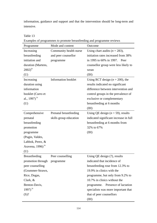information, guidance and support and that the intervention should be long-term and intensive.

Table 13

| Examples of programmes to promote breastfeeding and programme reviews |  |
|-----------------------------------------------------------------------|--|
|                                                                       |  |

| Programme                   | Mode and content       | Outcome                                |
|-----------------------------|------------------------|----------------------------------------|
| Increasing                  | Community health nurse | Using chart audits ( $n = 283$ ),      |
| breastfeeding               | and peer counsellor    | initiation rates increased from 38%    |
| initiation and              | programme              | in 1995 to 60% in 1997. Peer           |
| duration (Martens,          |                        | counsellor group were less likely to   |
| $2002)^{iv}$                |                        | wean                                   |
| (U)                         |                        | (III)                                  |
| Increasing                  | Information booklet    | Using RCT design ( $n = 200$ ), the    |
| duration using              |                        | results indicated no significant       |
| information                 |                        | difference between intervention and    |
| booklet (Curro et           |                        | control groups in the prevalence of    |
| al., 1997) <sup>iv</sup>    |                        | exclusive or complementary             |
| (U)                         |                        | breastfeeding at 6 months              |
|                             |                        | (HI)                                   |
| Comprehensive               | Prenatal breastfeeding | Using QE design ( $n = 59$ ), results  |
| prenatal                    | skills group education | indicated significant increase in full |
| breastfeeding               |                        | breastfeeding at 6 months from         |
| promotion                   |                        | 32% to 67%                             |
| programme                   |                        | (H)                                    |
| (Pugin, Valdes,             |                        |                                        |
| Labbok, Perez, &            |                        |                                        |
| Aravena, 1996) $^{\rm iv}$  |                        |                                        |
| (U)                         |                        |                                        |
| <b>Breastfeeding</b>        | Peer counselling       | Using QE design (?), results           |
| promotion through programme |                        | indicated that incidence of            |
| peer counselling            |                        | breastfeeding rose from 12.3% to       |
| (Grummer-Strawn,            |                        | 19.9% in clinics with the              |
| Rice, Dugas,                |                        | programme, but only from 9.2% to       |
| Clark, $&$                  |                        | 10.7% in clinics without the           |
| Benton-Davis,               |                        | programme. Presence of lactation       |
| 1997) $^{\rm iv}$           |                        | specialists was more important that    |
| (S)?                        |                        | that of peer counsellors               |
|                             |                        | (IH)                                   |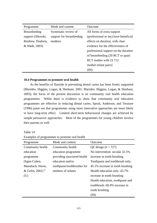| Programme            | Mode and content          | Outcome                               |
|----------------------|---------------------------|---------------------------------------|
| <b>Breastfeeding</b> | Systematic review of      | All forms of extra support            |
| support (Sikorski,   | support for breastfeeding | (professional or lay) have beneficial |
| Renfrew, Pindoria,   | mothers                   | effects on duration, with clear       |
| & Wade, 2003)        |                           | evidence for the effectiveness of     |
|                      |                           | professional support on the duration  |
|                      |                           | of breastfeeding (20 RCT or quasi     |
|                      |                           | RCT studies with 23 712               |
|                      |                           | mother-infant pairs)                  |
|                      |                           | (HH)                                  |

### **10.4 Programmes to promote oral health**

 As the benefits of fluoride in preventing dental caries has been firmly supported (Marinho, Higgins, Logan, & Sheiham, 2001; Marinho, Higgins, Logan, & Sheiham, 2003), the focus of the present discussion is on community oral health education programmes. While there is evidence to show that community oral education programmes are effective in reducing dental caries, Sprod, Anderson, and Treasure (1996) point out that programmes using more innovative approaches are more likely to have long-term effect. Limited short-term behavioural changes are achieved by simple persuasive approaches. Most of the programmes for young children involve their parents as well.

| Table |  |
|-------|--|
|-------|--|

Examples of programmes to promote oral health

| Programme                     | Mode and content            | Outcome                          |
|-------------------------------|-----------------------------|----------------------------------|
| Community health              | Community health            | QE design $(n = 727)$            |
| education                     | education programme         | No intervention: secular 32.5%   |
| programme                     | providing structured health | increase in tooth brushing       |
| (Sgan-Cohen,                  | education and/or            | Toothpaste and toothbrush only:  |
| Mansbach, Haver,              | toothpaste/toothbrushes for | 45.1% increase in tooth brushing |
| & Gofin, $2001$ <sup>iv</sup> | mothers of infants          | Health education only: 43.7%     |
| (U)                           |                             | increase in tooth brushing       |
|                               |                             | Health education, toothpaste and |
|                               |                             | toothbrush: 60.4% increase in    |
|                               |                             | tooth brushing                   |
|                               |                             | (IH)                             |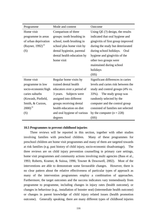| Programme                     | Mode and content            | Outcome                              |
|-------------------------------|-----------------------------|--------------------------------------|
| Home visit                    | Comparison of three         | Using $QE$ $(?)$ design, the results |
| programme in areas            | groups: tooth brushing in   | indicated that oral hygiene and      |
| of urban deprivation          | school, tooth brushing in   | gingivitis of first group improved   |
| (Rayner, 1992) $\frac{iv}{ }$ | school plus home visit by   | during the study but deteriorated    |
| (S)                           | dental hygienist, parental  | during school holidays.<br>Oral      |
|                               | dental health education by  | hygiene and gingivitis of the        |
|                               | home visit                  | other two groups were                |
|                               |                             | maintained during school             |
|                               |                             | holidays                             |
|                               |                             | (HS)                                 |
| Home visit                    | Regular home visits by      | Significant differences in caries    |
| programme in low              | trained dental health       | levels and caries risk between the   |
| socio-economic/high           | educators over a period of  | study and control groups (4% vs.     |
| caries suburbs                | Subjects were<br>3 years.   | The study group was<br>$33\%$ ).     |
| (Kowash, Pinfield,            | assigned into different     | randomly selected by the             |
| Smith, & Curzon,              | groups receiving dental     | computer and the control group       |
| $2000)^{iv}$                  | health education on diet    | consisted of families not selected   |
| (S)                           | and oral hygiene of various | by the computer $(n = 228)$          |
|                               | degrees                     | (HS)                                 |

#### **10.5 Programmes to prevent childhood injuries**

 Three reviews will be reported in this section, together with other studies involving families with preschool children. Many of these programmes for preschool children are home visit programmes and many of them are targeted towards at risk families (e.g. past history of child injury, socio-economic disadvantage). The three reviews are on child injury prevention counselling in primary care settings, home visit programmes and community actions involving multi agencies (Bass et al., 1993; Roberts, Kramer, & Suissa, 1996; Towner & Dowswell, 2002). Most of the interventions are able to demonstrate some favourable changes. However, there is no clear pattern about the relative effectiveness of particular types of approach as many of the intervention programmes employ a combination of approaches. Furthermore, the target outcomes and the success indicators vary tremendously from programme to programme, including changes in injury rates (health outcome), or changes in behaviour (e.g., installation of booster seat) (intermediate health outcome) or changes in parent knowledge of child injury related issues (health promotion outcome). Generally speaking, there are many different types of childhood injuries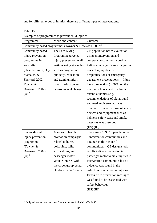and for different types of injuries, there are different types of interventions.

Table 15

|                      | Examples of programmes to prevent child injuries                     |                                     |
|----------------------|----------------------------------------------------------------------|-------------------------------------|
| Programme            | Mode and content                                                     | Outcome                             |
|                      | Community based programmes (Towner & Dowswell, $2002$ ) <sup>v</sup> |                                     |
| Community based      | The Safe Living                                                      | QE population based evaluation      |
| injury prevention    | Programme targeted                                                   | using an intervention and           |
| programme in         | injury prevention in all                                             | comparison community design         |
| Australia            | settings using strategies                                            | indicated no significant changes in |
| (Ozanne-Smith, Day,  | such as programme                                                    | rates of injury deaths,             |
| Stathakis, &         | publicity, education                                                 | hospitalizations or emergency       |
| Sherrard, 2002;      | and training, injury                                                 | department presentations.<br>Injury |
| Towner &             | hazard reduction and                                                 | hazard reduction $(> 50\%)$ on the  |
| Dowswell, 2002)      | environmental change                                                 | road, in schools, and to a limited  |
| $(U)$ <sup>iii</sup> |                                                                      | extent, at homes (e.g.              |
|                      |                                                                      | recommendations of playground       |
|                      |                                                                      | and road audit enacted) was         |
|                      |                                                                      | observed. Increased use of safety   |
|                      |                                                                      | devices and equipment such as       |
|                      |                                                                      | helmets, safety seats and smoke     |
|                      |                                                                      | detectors was observed              |
|                      |                                                                      | $(HS)$ $(HH)$                       |
| Statewide child      | A series of health                                                   | There were 139 810 people in the    |
| injury prevention    | promotion campaigns                                                  | 9 intervention communities and      |
| programme            | related to burns,                                                    | 146 866 in the 5 control            |
| (Towner $&$          | poisoning, falls,                                                    | communities. QE design study        |
| Dowswell, 2002)      | suffocations, and                                                    | results indicated reduction in      |
| $(U)$ <sup>iii</sup> | passenger motor                                                      | passenger motor vehicle injuries in |
|                      | vehicle injuries with                                                | intervention communities but no     |
|                      | the target group being                                               | evidence was found in the           |
|                      | children under 5 years                                               | reduction of other target injuries. |
|                      |                                                                      | Exposure to prevention messages     |
|                      |                                                                      | was found to be associated with     |
|                      |                                                                      | safety behaviour                    |
|                      |                                                                      | $(HS)$ $(HH)$                       |

Examples of programmes to prevent child injuries

 $\overline{a}$ 

v Only evidences rated as "good" evidences are included in Table 15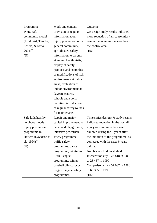| Programme                | Mode and content         | Outcome                               |
|--------------------------|--------------------------|---------------------------------------|
| WHO safe                 | Provision of regular     | QE design study results indicated     |
| community model          | information about        | more reduction of all-cause injury    |
| (Lindqvist, Timpka,      | injury prevention to the | rate in the intervention area than in |
| Schelp, & Risto,         | general community,       | the control area                      |
| $2002)^{iv}$             | age adjusted safety      | (HS)                                  |
| (U)                      | information to parents   |                                       |
|                          | at annual health visits, |                                       |
|                          | display of safety        |                                       |
|                          | products and examples    |                                       |
|                          | of modifications of risk |                                       |
|                          | environments at public   |                                       |
|                          | areas, evaluation of     |                                       |
|                          | indoor environment at    |                                       |
|                          | daycare centres,         |                                       |
|                          | schools and sports       |                                       |
|                          | facilities, introduction |                                       |
|                          | of regular safety rounds |                                       |
|                          | for maintenance          |                                       |
| Safe kids/healthy        | Repair and major         | Time series design (?) study results  |
| neighbourhoods           | capital improvement to   | indicated reduction in the overall    |
| injury prevention        | parks and playgrounds,   | injury rate among school aged         |
| programme in             | intensive pedestrian     | children during the 3 years after     |
| Harlem (Davidson et      | safety programme,        | the initiation of the programme, as   |
| al., 1994) <sup>iv</sup> | traffic safety           | compared with the rates 6 years       |
| (U)                      | programme, dance         | before.                               |
|                          | programme, art studio,   | Number of children studied:           |
|                          | Little League            | Intervention city $-26818$ in 1980    |
|                          | programme, winter        | to 28 457 in 1990                     |
|                          | baseball clinic, soccer  | Comparison city $-57637$ in 1980      |
|                          | league, bicycle safety   | to 66 305 in 1990                     |
|                          | programmes               | (HS)                                  |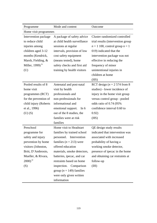| Programme             | Mode and content             | Outcome                            |
|-----------------------|------------------------------|------------------------------------|
| Home visit programmes |                              |                                    |
| Intervention package  | A package of safety advice   | Cluster randomized controlled      |
| to reduce child       | at child health surveillance | trial results (intervention group  |
| injuries among        | sessions at regular          | $n = 1$ 100, control group $n = 1$ |
| children aged 3-12    | intervals, provision of low  | 019) indicated that the            |
| months (Kendrick,     | cost safety equipment        | intervention package was not       |
| Marsh, Fielding, &    | (means tested), home         | effective in reducing the          |
| Miller, 1999) $iv$    | safety checks and first aid  | frequency of minor                 |
| (U)                   | training by health visitors  | unintentional injuries in          |
|                       |                              | children at home                   |
|                       |                              | (HS)                               |
| Pooled results of 8   | Antenatal and post-natal     | RCT design ( $n = 2574$ from 8     |
| home visit            | visit by health              | studies) - lower incidence of      |
| programmes (RCT)      | professionals and            | injury in the home visit group     |
| for the prevention of | non-professionals for        | versus control group - pooled      |
| child injury (Roberts | informational and            | odds ratio of 0.74 (95%)           |
| et al., 1996)         | emotional support. In 6      | confidence interval 0.60 to        |
| $(U)$ $(S)$           | out of the 8 studies, the    | 0.92)                              |
|                       | families were at risk        | (HS)                               |
|                       | families                     |                                    |
| Preschool             | Home visit to Headstart      | QE design study results            |
| programme for         | families by trained school   | indicated that intervention was    |
| safety and injury     | personnel. Intervention      | associated with increased          |
| prevention by home    | families ( $n = 213$ ) were  | probability of having a            |
| visitors (Johnston,   | offered education            | working smoke detector,            |
| Britt, D'Ambrosio,    | materials, smoke detectors,  | presence of ipecac in the home     |
| Mueller, & Rivara,    | batteries, ipecac, and car   | and obtaining car restraints at    |
| $2000)^{iv}$          | restraints based on home     | follow-up                          |
| (S)                   | inspection. Comparison       | (III)                              |
|                       | group ( $n = 149$ ) families |                                    |
|                       | were only given written      |                                    |
|                       | information                  |                                    |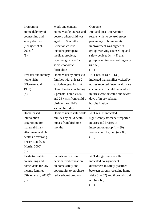| Programme                              | Mode and content           | Outcome                               |
|----------------------------------------|----------------------------|---------------------------------------|
| Home delivery of                       | Home visit by nurses and   | Pre- and post- intervention           |
| counselling and                        | doctors when child was     | results with no control group -       |
| safety devices                         | aged 6 to 9 months.        | percentage of home safety             |
| (Sznajder et al.,                      | Selection criteria         | improvement was higher in             |
| $2003)$ <sup>iv</sup>                  | included primipara,        | group receiving counselling and       |
| (S)                                    | medical problem,           | safety devices $(n = 49)$ than        |
|                                        | psychological and/or       | group receiving counselling only      |
|                                        | socio-economic             | $(n = 50)$                            |
|                                        | difficulties               | (HI)                                  |
| Prenatal and infancy                   | Home visits by nurses to   | RCT results $(n = 1 139)$             |
| home visits                            | families with at least 2   | indicated that families visited by    |
| (Kitzman et al.,                       | sociodemographic risk      | nurses reported fewer health care     |
| 1997) $^{\rm iv}$                      | characteristics, including | encounters for children in which      |
| (S)                                    | 7 prenatal home visits     | injuries were detected and fewer      |
|                                        | and 26 visits from child's | days of injury-related                |
|                                        | birth to the child's       | hospitalization                       |
|                                        | second birthday            | (HS)                                  |
| Home-based                             | Home visits to vulnerable  | <b>RCT</b> results indicated          |
| intervention                           | families by child heath    | significantly fewer self-reported     |
| programme for                          | nurses from birth to 3     | injuries and bruises in               |
| maternal-infant                        | months                     | intervention group ( $n = 80$ )       |
| attachment and child                   |                            | versus control group ( $n = 80$ )     |
| health (Armstrong,                     |                            | (HS)                                  |
| Fraser, Dadds, &                       |                            |                                       |
| Morris, $2000$ <sup>iv</sup>           |                            |                                       |
| (S)                                    |                            |                                       |
| Paediatric safety                      | Parents were given         | RCT design study results              |
| counselling and                        | personalized education     | indicated no significant              |
| home visits for low                    | on home safety and         | differences in safety practices       |
| income families                        | opportunity to purchase    | between parents receiving home        |
| (Gielen et al., $2002$ ) <sup>1V</sup> | reduced-cost products      | visits ( $n = 62$ ) and those who did |
| (S)                                    |                            | not $(n = 60)$                        |
|                                        |                            | (HI)                                  |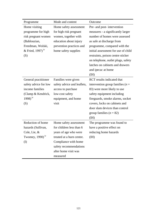| Programme                      | Mode and content            | Outcome                             |
|--------------------------------|-----------------------------|-------------------------------------|
| Home visiting                  | Home safety assessment      | Pre- and post- intervention         |
| programme for high             | for high risk pregnant      | measures - a significantly larger   |
| risk pregnant women            | women, together with        | number of homes were assessed       |
| (Bablouzian,                   | education about injury      | as safe at discharge from           |
| Freedman, Wolski,              | prevention practices and    | programme, compared with the        |
| & Fried, 1997) <sup>iv</sup>   | home safety supplies        | initial assessment for use of child |
| (S)                            |                             | restraints, poison centre sticker   |
|                                |                             | on telephone, outlet plugs, safety  |
|                                |                             | latches on cabinets and drawers     |
|                                |                             | and ipecac at home                  |
|                                |                             | (HI)                                |
| General practitioner           | Families were given         | <b>RCT</b> results indicated that   |
| safety advice for low          | safety advice and leaflets, | intervention group families ( $n =$ |
| income families                | access to purchase          | 83) were more likely to use         |
| (Clamp & Kendrick,             | low-cost safety             | safety equipment including          |
| 1998) <sup>iv</sup>            | equipment, and home         | fireguards, smoke alarms, socket    |
| (S)                            | visit                       | covers, locks on cabinets and       |
|                                |                             | door slam devices than control      |
|                                |                             | group families $(n = 82)$           |
|                                |                             | (H)                                 |
| Reduction of home              | Home safety assessment      | The programme was found to          |
| hazards (Sullivan,             | for children less than 6    | have a positive effect on           |
| Cole, Lie, &                   | years of age who were       | reducing home hazards               |
| Twomey, $1990$ ) <sup>iv</sup> | treated at a burn centre.   | (HI)                                |
| (I)                            | Compliance with home        |                                     |
|                                | safety recommendations      |                                     |
|                                | after home visit was        |                                     |
|                                | measured                    |                                     |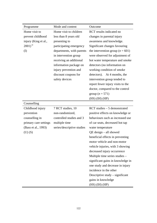| Programme             | Mode and content           | Outcome                              |
|-----------------------|----------------------------|--------------------------------------|
| Home visit to         | Home visit to children     | RCT results indicated no             |
| prevent childhood     | less than 8 years old      | changes in parental injury           |
| injury (King et al.,  | presenting to              | awareness and knowledge.             |
| $2001)^{iv}$          | participating emergency    | Significant changes favouring        |
| (I)                   | departments, with parents  | the intervention group ( $n = 601$ ) |
|                       | in intervention group      | were observed for adjustment of      |
|                       | receiving an additional    | hot water temperature and smoke      |
|                       | information package on     | detectors (no information on         |
|                       | injury prevention and      | working condition of smoke           |
|                       | discount coupons for       | detectors). At 4 months, the         |
|                       | safety devices             | intervention group tended to         |
|                       |                            | report fewer injury visits to the    |
|                       |                            | doctor, compared to the control      |
|                       |                            | group ( $n = 571$ )                  |
|                       |                            | $(HS)$ $(HH)$ $(HP)$                 |
| Counselling           |                            |                                      |
| Childhood injury      | 7 RCT studies, 10          | $RCT$ studies $-5$ demonstrated      |
| prevention            | non-randomized,            | positive effects on knowledge or     |
| counselling in        | controlled studies and 3   | behaviours such as increased use     |
| primary care settings | multiple time              | of car seats, decreased hot tap      |
| (Bass et al., 1993)   | series/descriptive studies | water temperature                    |
| $(U)$ $(S)$           |                            | $QE$ design $-$ all showed           |
|                       |                            | beneficial effects in preventing     |
|                       |                            | motor vehicle and non-motor          |
|                       |                            | vehicle injuries, with 3 showing     |
|                       |                            | decreased injury occurrence          |
|                       |                            | Multiple time series studies -       |
|                       |                            | significant gains in knowledge in    |
|                       |                            | one study and decrease in injury     |
|                       |                            | incidence in the other               |
|                       |                            | Descriptive study – significant      |
|                       |                            | gains in knowledge                   |
|                       |                            | $(HS)$ $(HH)$ $(HP)$                 |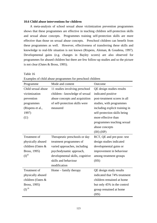### **10.6 Child abuse interventions for children**

 A meta-analysis of school sexual abuse victimization prevention programmes shows that these programmes are effective in teaching children self-protection skills and sexual abuse concepts. Programmes training self-protection skills are more effective than those on sexual abuse concepts. Preschool children can benefit from these programmes as well. However, effectiveness of transferring these skills and knowledge to real-life situation is not known (Rispens, Aleman, & Goudena, 1997). Developmental gains (e.g. changes in Bayley scores) are also observed for programmes for abused children but there are few follow-up studies and so the picture is not clear (Oates & Bross, 1995).

Table 16

|  | Examples of child abuse programmes for preschool children |
|--|-----------------------------------------------------------|
|  |                                                           |

| Programme                        | Mode and content                | Outcome                        |
|----------------------------------|---------------------------------|--------------------------------|
| Child sexual abuse               | 11 studies involving preschool  | QE design studies results      |
| victimization                    | children - knowledge of sexual  | indicated positive             |
| prevention                       | abuse concepts and acquisition  | post-treatment scores in all   |
| programmes                       | of self-protection skills were  | studies, with programmes       |
| (Rispens et al.,                 | measured                        | including explicit training in |
| 1997)                            |                                 | self-protection skills being   |
| (U)                              |                                 | more effective than            |
|                                  |                                 | programmes teaching sexual     |
|                                  |                                 | abuse concepts                 |
|                                  |                                 | $(H)$ $(HP)$                   |
| Treatment of                     | Therapeutic preschools or day   | RCT, QE and pre-post- test     |
| physically abused                | treatment programmes of         | design studies indicated       |
| children (Oates &                | varied approaches, including    | developmental gains or         |
| Bross, 1995)                     | psychodynamic approach,         | improvement in behaviour       |
| (D <sup>iii</sup> )              | developmental skills, cognitive | among treatment groups         |
|                                  | skills and behaviour            | (HS)                           |
|                                  | modification                    |                                |
| Treatment of                     | Home – family therapy           | QE design study results        |
| physically abused                |                                 | indicated that 74% treatment   |
| children (Oates &                |                                 | children remained at home      |
| Bross, 1995)                     |                                 | but only 45% in the control    |
| $\mathrm{(I)}$ $\mathrm{^{iii}}$ |                                 | group remained at home         |
|                                  |                                 | (HS)                           |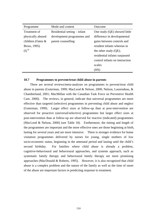| Programme                       | Mode and content             | Outcome                        |
|---------------------------------|------------------------------|--------------------------------|
| Treatment of                    | Residential setting – infant | One study (QE) showed little   |
| physically abused               | development programmes and   | difference in developmental    |
| children (Oates &               | parent counselling           | gains between controls and     |
| Bross, 1995)                    |                              | resident infants whereas in    |
| $\mathrm{(I)}^{\,\mathrm{iii}}$ |                              | the other study (QE),          |
|                                 |                              | residential infants surpassed  |
|                                 |                              | control infants on interaction |
|                                 |                              | scales                         |
|                                 |                              | (HS)                           |

# **10.7 Programmes to prevent/treat child abuse in parents**

 There are several reviews/meta-analyses on programmes to prevent/treat child abuse in parents (Guterman, 1999; MacLeod & Nelson, 2000; Nelson, Laurendeau, & Chamberland, 2001; MacMillan with the Canadian Task Force on Preventive Health Care, 2000). The reviews, in general, indicate that universal programmes are more effective than targeted (selective) programmes in preventing child abuse and neglect (Guterman, 1999). Larger effect sizes at follow-up than at post-intervention are observed for proactive (universal/selective) programmes but larger effect sizes at post-intervention than at follow-up are observed for reactive (indicated) programmes (MacLeod & Nelson, 2000) (see Table 18). Furthermore, the timing and length of the programmes are important and the more effective ones are those beginning at birth, lasting for several years and are more intensive. There is stronger evidence for home visitation programmes delivered by nurses for young, single mothers of low socio-economic status, beginning in the antenatal period and lasting until the child's second birthday. For families where child abuse is already a problem, cognitive-behavioural and behavioural approaches, and systems approach, such as systematic family therapy and behavioural family therapy are more promising approaches (MacDonald & Roberts, 1995).However, it is also recognized that child abuse is a complex problem and the nature of the family as well as the time of onset of the abuse are important factors in predicting response to treatment.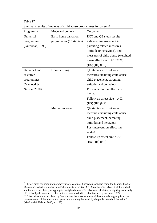| Programme        | Mode and content        | Outcome                                 |
|------------------|-------------------------|-----------------------------------------|
| Universal        | Early home visitation   | <b>RCT</b> and <b>QE</b> study results  |
| programmes       | programmes (10 studies) | indicated improvement in                |
| (Guterman, 1999) |                         | parenting related measures              |
|                  |                         | (attitude or behaviour), and            |
|                  |                         | measures of child abuse (weighted       |
|                  |                         | mean effect size <sup>vi</sup> +0.092%) |
|                  |                         | $(HS)$ $(HH)$ $(HP)$                    |
| Universal and    | Home visiting           | QE studies with outcome                 |
| selective        |                         | measures including child abuse,         |
| programmes       |                         | child placement, parenting              |
| (Macleod $&$     |                         | attitudes and behaviour                 |
| Nelson, 2000)    |                         | Post-intervention effect size           |
|                  |                         | $vii = .378$                            |
|                  |                         | Follow-up effect size $= .493$          |
|                  |                         | $(HS)$ $(HH)$ $(HP)$                    |
|                  | Multi-component         | QE studies with outcome                 |
|                  |                         | measures including child abuse,         |
|                  |                         | child placement, parenting              |
|                  |                         | attitudes and behaviour                 |
|                  |                         | Post-intervention effect size           |
|                  |                         | $=.470$                                 |
|                  |                         | Follow-up effect size $= .581$          |
|                  |                         | $(HS)$ $(HH)$ $(HP)$                    |

Table 17 Summary results of reviews of child abuse programmes for parents\*

 $\overline{a}$ 

<sup>&</sup>lt;sup>vi</sup> Effect sizes for parenting parameters were calculated based on formulae using the Pearson Product Moment Correlation  $r$  statistics, which varies from  $-1.0$  to 1.0. After the effect sizes of all individual studies were calculated, an aggregated weighted mean effect size was calculated, weighting each study effect size by the number of observations associated with each effect size (Guterman, 1999).

<sup>&</sup>lt;sup>vii</sup> Effect sizes were calculated by "subtracting the post-test mean of the comparison group from the post-test mean of the intervention group and dividing the result by the pooled standard deviation" (MacLeod & Nelson, 2000, p. 1133)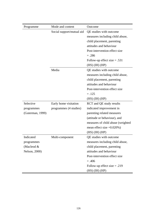| Programme        | Mode and content          | Outcome                                |
|------------------|---------------------------|----------------------------------------|
|                  | Social support/mutual aid | QE studies with outcome                |
|                  |                           | measures including child abuse,        |
|                  |                           | child placement, parenting             |
|                  |                           | attitudes and behaviour                |
|                  |                           | Post-intervention effect size          |
|                  |                           | $=.286$                                |
|                  |                           | Follow-up effect size $= .531$         |
|                  |                           | $(HS)$ $(HH)$ $(HP)$                   |
|                  | Media                     | QE studies with outcome                |
|                  |                           | measures including child abuse,        |
|                  |                           | child placement, parenting             |
|                  |                           | attitudes and behaviour                |
|                  |                           | Post-intervention effect size          |
|                  |                           | $=.125$                                |
|                  |                           | $(HS)$ $(HH)$ $(HP)$                   |
| Selective        | Early home visitation     | <b>RCT</b> and <b>QE</b> study results |
| programmes       | programmes (4 studies)    | indicated improvement in               |
| (Guterman, 1999) |                           | parenting related measures             |
|                  |                           | (attitude or behaviour), and           |
|                  |                           | measures of child abuse (weighted      |
|                  |                           | mean effect size $+0.020\%$ )          |
|                  |                           | $(HS)$ $(HH)$ $(HP)$                   |
| Indicated        | Multi-component           | QE studies with outcome                |
| programmes       |                           | measures including child abuse,        |
| (Macleod $&$     |                           | child placement, parenting             |
| Nelson, 2000)    |                           | attitudes and behaviour                |
|                  |                           | Post-intervention effect size          |
|                  |                           | $=.406$                                |
|                  |                           | Follow-up effect size $= .219$         |
|                  |                           | $(HS)$ $(HH)$ $(HP)$                   |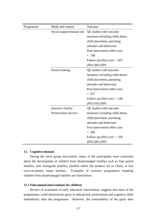| Programme | Mode and content            | Outcome                         |
|-----------|-----------------------------|---------------------------------|
|           | Social support/mutual aid   | QE studies with outcome         |
|           |                             | measures including child abuse, |
|           |                             | child placement, parenting      |
|           |                             | attitudes and behaviour         |
|           |                             | Post-intervention effect size   |
|           |                             | $=.748$                         |
|           |                             | Follow-up effect size $= .607$  |
|           |                             | $(HS)$ $(HH)$ $(HP)$            |
|           | Parent training             | QE studies with outcome         |
|           |                             | measures including child abuse, |
|           |                             | child placement, parenting      |
|           |                             | attitudes and behaviour         |
|           |                             | Post-intervention effect size   |
|           |                             | $=.357$                         |
|           |                             | Follow-up effect size $= .246$  |
|           |                             | $(HS)$ $(HH)$ $(HP)$            |
|           | <b>Intensive Family</b>     | QE studies with outcome         |
|           | <b>Preservation Service</b> | measures including child abuse, |
|           |                             | child placement, parenting      |
|           |                             | attitudes and behaviour         |
|           |                             | Post-intervention effect size   |
|           |                             | $=.500$                         |
|           |                             | Follow-up effect size $= .350$  |
|           |                             | $(HS)$ $(HH)$ $(HP)$            |

#### **11. Cognitive domain**

 During the focus group discussions, many of the participants were concerned about the development of children from disadvantaged families such as lone parent families, new immigrant families, families where the mothers are in China, or low socio-economic status families. Examples of overseas programmes targeting children from disadvantaged families are listed below.

## **11.1 Educational interventions for children**

 Review of evaluation of early education interventions suggests that most of the programmes could demonstrate gains in educational achievement and cognitive skills immediately after the programme. However, the sustainability of the gains does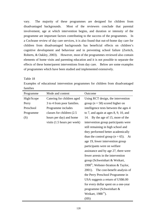vary. The majority of these programmes are designed for children from disadvantaged backgrounds. Most of the reviewers conclude that parental involvement, age at which intervention begins, and duration or intensity of the programme are important factors contributing to the success of the programmes. In a Cochrane review of day care services, it is also found that out-of-home day care for children from disadvantaged backgrounds has beneficial effects on children's cognitive development and behaviour and in preventing school failure (Zoritch, Roberts, & Oakley, 2003). However, most of the programmes reviewed also contain elements of home visits and parenting education and it is not possible to separate the effects of these home/parent interventions from day care. Below are some examples of programmes which have been studied and implemented extensively.

Table 18

Examples of educational intervention programmes for children from disadvantaged families

| Programme  | Mode and content                      | Outcome                                         |
|------------|---------------------------------------|-------------------------------------------------|
| High/Scope | Catering for children aged            | Using RCT design, the intervention              |
| Perry      | 3 to 4 from poor families.            | group ( $n = 58$ ) scored higher on             |
| Preschool  | Programme includes                    | intelligence tests between the ages 4           |
| Programme  | classes for children (2.5)            | to 7, and again at ages $8, 9, 10,$ and         |
| (S)        | hours per day) and home               | By the age of 15, more of the<br>14.            |
|            | visits $(1.5 \text{ hours per week})$ | intervention group participants were            |
|            |                                       | still remaining in high school and              |
|            |                                       | they performed better academically              |
|            |                                       | than the control group ( $n = 65$ ). At         |
|            |                                       | age 19, fewer intervention group                |
|            |                                       | participants were on welfare                    |
|            |                                       | assistance and by age 27, there were            |
|            |                                       | fewer arrests in the intervention               |
|            |                                       | group (Schweinhart & Weikart,                   |
|            |                                       | 1990 <sup>iv</sup> ; Webster-Stratton & Taylor, |
|            |                                       | The cost-benefit analysis of<br>2001).          |
|            |                                       | the Perry Preschool Programme in                |
|            |                                       | USA suggests a return of US\$6.00               |
|            |                                       | for every dollar spent on a one-year            |
|            |                                       | programme (Schweinhart &                        |
|            |                                       | Weikart, 1988 <sup>iv</sup> ).                  |
|            |                                       | (HS)                                            |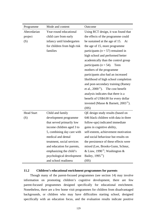| Programme         | Mode and content            | Outcome                                          |
|-------------------|-----------------------------|--------------------------------------------------|
| Abecedarian       | Year-round educational      | Using RCT design, it was found that              |
| project           | child care from early       | the effects of the programme could               |
| (S)               | infancy until kindergarten  | be sustained at the age of 15. At                |
|                   | for children from high risk | the age of 15, more programme                    |
|                   | families                    | participants ( $n = 57$ ) remained in            |
|                   |                             | high school and performed better                 |
|                   |                             | academically than the control group              |
|                   |                             | participants ( $n = 54$ ).<br>Teen               |
|                   |                             | mothers of the programme                         |
|                   |                             | participants also had an increased               |
|                   |                             | likelihood of high school completion             |
|                   |                             | and post-secondary training (Ramey               |
|                   |                             | et al., $2000^{\text{iv}}$ ). The cost benefit   |
|                   |                             | analysis indicates that there is a               |
|                   |                             | benefit of US\$4.00 for every dollar             |
|                   |                             | invested (Masse & Barnett, $2003^{\text{iv}}$ ). |
|                   |                             | (HS)                                             |
| <b>Head Start</b> | Child and family            | QE design study results (based on                |
| (S)               | development programme       | 646 black children with data in three            |
|                   | that served primarily low   | follow-ups) indicated immediate                  |
|                   | income children aged 3 to   | gains in cognitive ability,                      |
|                   | 5, combining day care with  | self-esteem, achievement motivation              |
|                   | medical and dental          | and social behaviour but results on              |
|                   | treatment, social services  | the persistence of these effects were            |
|                   | and education for parents,  | mixed (Lee, Brooks-Gunn, Schnur,                 |
|                   | emphasizing the child's     | & Liaw, 1990 <sup>iv</sup> ; Washington &        |
|                   | psychological development   | Bailey, $1995iv$ )                               |
|                   | and school readiness        | (HS)                                             |

# **11.2 Children's educational enrichment programmes for parents**

 Though many of the parent-focused programmes (see section 14) may involve information on promoting children's cognitive development, there are few parent-focused programmes designed specifically for educational enrichment. Nonetheless, there are a few home visit programmes for children from disadvantaged backgrounds, or children who may have difficulties starting school, designed specifically with an education focus, and the evaluation results indicate positive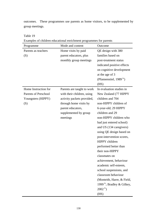outcomes. These programmes use parents as home visitors, to be supplemented by group meetings.

Table 19

| Programme                   | Mode and content           | Outcome                                |
|-----------------------------|----------------------------|----------------------------------------|
| Parents as teachers         | Home visits by paid        | QE design with 380                     |
| (S)                         | parent educators, plus     | families based on                      |
|                             | monthly group meetings     | post-treatment status                  |
|                             |                            | indicated positive effects             |
|                             |                            | on cognitive development               |
|                             |                            | at the age of 3                        |
|                             |                            | (Pfannenstiel, 1989 <sup>iv</sup> )    |
|                             |                            | (HS)                                   |
| Home Instruction for        | Parents are taught to work | In evaluation studies in               |
| <b>Parents of Preschool</b> | with their children, using | New Zealand (77 HIPPY                  |
| Youngsters (HIPPY)          | activity packets provided, | children and 704                       |
| (S)                         | through home visits by     | non-HIPPY children of                  |
|                             | parent educators,          | 6-year-old; 29 HIPPY                   |
|                             | supplemented by group      | children and 29                        |
|                             | meetings                   | non-HIPPY children who                 |
|                             |                            | had just entered school)               |
|                             |                            | and US (134 caregivers)                |
|                             |                            | using QE design based on               |
|                             |                            | post-intervention scores,              |
|                             |                            | HIPPY children                         |
|                             |                            | performed better than                  |
|                             |                            | their non-HIPPY                        |
|                             |                            | classmates on                          |
|                             |                            | achievement, behaviour                 |
|                             |                            | academic self-esteem,                  |
|                             |                            | school suspensions, and                |
|                             |                            | classroom behaviour                    |
|                             |                            | (Monteith, Harre, & Field,             |
|                             |                            | 1999 <sup>iv</sup> ; Bradley & Gilkey, |
|                             |                            | $2002^{\rm iv}$ )                      |
|                             |                            | (HS)                                   |

Examples of children educational enrichment programmes for parents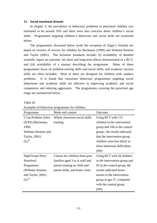#### **12. Social emotional domain**

 In chapter 3, the prevalence of behaviour problems in preschool children was estimated to be around 10% and there were also concerns about children's social skills. Programmes targeting children's behaviour and social skills are examined below.

 The programmes discussed below (with the exception of Zippy's friends) are based on reviews of service for children by Buchanan (1999) and Webster-Stratton and Taylor (2001). The inclusion standards include: (i) availability of detailed scientific report on outcome; (ii) short and long-term effects demonstrated in a RCT; and (iii) availability of a manual describing the programme. Many of these programmes focus on problem-solving skills and social skills, and academic success skills are often included. Most of them are designed for children with conduct problems. It is found that classroom behaviour programmes targeting social behaviours and academic skills are effective in improving academic and social competence and reducing aggression. The programmes covering the preschool age range are summarized below.

Table 20

| Programme            | Mode and content                | Outcome                       |
|----------------------|---------------------------------|-------------------------------|
| I Can Problem Solve  | Whole classroom social skills   | Using RCT with 113            |
| (ICPS) (Buchanan,    | training                        | children in the intervention  |
| 1999;                |                                 | group and 106 in the control  |
| Webster-Stratton and |                                 | group, the results indicated  |
| Taylor, 2001)        |                                 | that the intervention group   |
| $(U)^{iii}$          |                                 | children were less likely to  |
|                      |                                 | show behaviour difficulties   |
|                      |                                 | (HS)                          |
| High/Scope Perry     | Classes for children from poor  | Using RCT with 58 children    |
| Preschool            | families aged 3 to 4, staff and | in the intervention group and |
| Programme            | parent training on child and    | 65 in the control group, the  |
| (Webster-Stratton)   | parent skills, and home visits  | results indicated fewer       |
| and Taylor, 2001)    |                                 | arrests in the intervention   |
| $(S)$ <sup>iii</sup> |                                 | group at age 27, compared     |
|                      |                                 | with the control group        |
|                      |                                 | (HS)                          |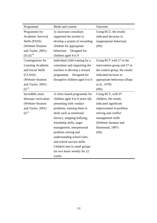| Programme                       | Mode and content                | Outcome                        |
|---------------------------------|---------------------------------|--------------------------------|
| Programme for                   | A classroom consultant          | Using RCT, the results         |
| <b>Academic Survival</b>        | supported the teacher to        | indicated decrease in          |
| Skills (PASS)                   | develop a system of rewarding   | inappropriate behaviour        |
| (Webster-Stratton               | children for appropriate        | (HS)                           |
| and Taylor, 2001)               | Designed for<br>behaviour.      |                                |
| $(S)$ (I) $\mathrm{iii}$        | children aged 4 to 9            |                                |
| Contingencies for               | Individual child training by a  | Using RCT with 27 in the       |
| Learning Academic               | consultant and supporting the   | intervention group and 27 in   |
| and Social Skills               | teachers to develop a reward    | the control group, the results |
| (CLASS)                         | Designed for<br>programme.      | indicated increase in          |
| (Webster-Stratton               | disruptive children aged 4 to 6 | appropriate behaviour (Hops    |
| and Taylor, 2001)               |                                 | et al., 1978)                  |
| $\mathrm{(I)}^{\,\mathrm{iii}}$ |                                 | (HS)                           |
| Incredible years                | A clinic-based programme for    | Using RCT, with 97             |
| dinosaur curriculum             | children aged 4 to 8 years old, | children, the results          |
| (Webster-Stratton               | presenting with conduct         | indicated significant          |
| and Taylor, 2001)               | problems, training them in      | improvement in problem         |
| $\mathrm{(I)}^{\,\mathrm{iii}}$ | skills such as emotional        | solving and conflict           |
|                                 | literacy, stopping bullying,    | management skills              |
|                                 | friendship skills, anger        | (Webster-Stratton and          |
|                                 | management, interpersonal       | Hammond, 1997)                 |
|                                 | problem solving and             | (H)                            |
|                                 | understanding school rules,     |                                |
|                                 | and school success skills.      |                                |
|                                 | Children met in small groups    |                                |
|                                 | for two hours weekly for 22     |                                |
|                                 | weeks                           |                                |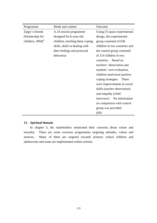| Programme                      | Mode and content               | Outcome                       |
|--------------------------------|--------------------------------|-------------------------------|
| Zippy's friends                | A 24 session programme         | Using (?) quasi-experimental  |
| (Partnership for               | designed for 6-year-old        | design, the experimental      |
| children, $2004$ <sup>iv</sup> | children, teaching them coping | group consisted of 636        |
|                                | skills, skills in dealing with | children in two countries and |
|                                | their feelings and prosocial   | the control group consisted   |
|                                | behaviour                      | of 214 children in two        |
|                                |                                | countries. Based on           |
|                                |                                | teachers' observation and     |
|                                |                                | students' own evaluation,     |
|                                |                                | children used more positive   |
|                                |                                | coping strategies.<br>There   |
|                                |                                | were improvements in social   |
|                                |                                | skills (teacher observation)  |
|                                |                                | and empathy (child            |
|                                |                                | interview). No information    |
|                                |                                | on comparison with control    |
|                                |                                | group was provided            |
|                                |                                | (IH)                          |

# **13. Spiritual domain**

 In chapter 3, the stakeholders mentioned their concerns about values and morality. There are some overseas programmes targeting attitudes, values and motives. Many of them are targeted towards primary school children and adolescents and some are implemented within schools.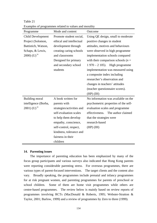| Programme               | Mode and content          | Outcome                               |
|-------------------------|---------------------------|---------------------------------------|
| Child Development       | Promote student social,   | Using QE design, small to moderate    |
| Project (Solomon,       | ethical and intellectual  | positive changes in student           |
| Battistich, Watson,     | development through       | attitudes, motives and behaviours     |
| Schaps, & Lewis,        | creating caring schools   | were observed in high programme       |
| 2000) (U) <sup>iv</sup> | and classrooms            | implementation schools compared       |
|                         | Designed for primary      | with their comparison schools ( $n =$ |
|                         | and secondary school      | $1970 - 2105$ . High programme        |
|                         | students                  | implementation was measured using     |
|                         |                           | a composite index including           |
|                         |                           | researcher's observation and          |
|                         |                           | changes in teachers' attitudes        |
|                         |                           | (teacher questionnaire scores).       |
|                         |                           | $(HP)$ $(HH)$                         |
| Building moral          | A book written for        | No information was available on the   |
| intelligence (Borba,    | parents with              | psychometric properties of the self-  |
| 2001) (U) $^{iv}$       | strategies/activities and | evaluation scales and programme       |
|                         | self-evaluation scales    | effectiveness. The author claimed     |
|                         | to help them develop      | that the strategies were              |
|                         | empathy, conscience,      | research-based                        |
|                         | self-control, respect,    | $(HP)$ $(HH)$                         |
|                         | kindness, tolerance and   |                                       |
|                         | fairness in their         |                                       |
|                         | children                  |                                       |

Table 21 Examples of programmes related to values and morality

#### **14. Parenting issues**

 The importance of parenting education has been emphasized by many of the focus group participants and various surveys also indicated that Hong Kong parents were reporting considerable parenting stress. For overseas programmes, there are various types of parent-focused interventions. The target clients and the content also vary. Broadly speaking, the programmes include prenatal and infancy programmes for at risk pregnant women, and parenting programmes for parents of preschool or school children. Some of them are home visit programmes while others are centre-based programmes. The review below is mainly based on review reports of programmes involving RCTs (MacDonald & Roberts, 1995; Webster-Stratton & Taylor, 2001; Barlow, 1999) and a review of programmes by Zero to three (1999).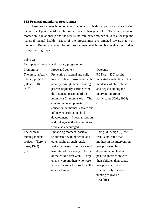#### **14.1 Prenatal and infancy programmes**

 These programmes involve nurses/trained staff visiting expectant mothers during the antenatal period until the children are one to two years old. There is a focus on mother-child relationship and the results indicate better mother-child relationship and maternal mental health. Most of the programmes are targeted towards at risk mothers. Below are examples of programmes which involve evaluation studies using control groups.

Table 22

| Programme           | Mode and content                     | Outcome                       |
|---------------------|--------------------------------------|-------------------------------|
| The prenatal/early  | Preventing maternal and child        | RCT $(n = 400)$ results       |
| infancy project     | health problems associated with      | indicated a reduction in the  |
| (Olds, 1990)        | poverty through nurses visiting      | incidence of child abuse      |
| $(S)$ <sup>iv</sup> | parents regularly starting from      | and neglect among the         |
|                     | the antenatal period until the       | intervention group            |
|                     | infant was 24 months old.<br>The     | participants (Olds, 1988)     |
|                     | content included prenatal            | (HS)                          |
|                     | education on mother's health and     |                               |
|                     | infancy education on child           |                               |
|                     | development. Informal support        |                               |
|                     | and linkages with other services     |                               |
|                     | were also encouraged                 |                               |
| The clinical        | Enhancing mothers' positive          | Using $QE$ design $(?)$ , the |
| nursing models      | relationship with her child and      | results indicated that        |
| project<br>(Zero to | other adults through regular         | mothers in the intervention   |
| three, 1999)        | visits by nurses from the second     | group showed less             |
| (S)                 | trimester of pregnancy to the end    | depression and had more       |
|                     | of the child's first year.<br>Target | positive interaction with     |
|                     | clients were mothers who were        | their children than control   |
|                     | at risk due to lack of social skills | group mothers who             |
|                     | or social support                    | received only standard        |
|                     |                                      | nursing follow-up             |
|                     |                                      | $(H)$ $(HS)$                  |

Examples of prenatal and infancy programmes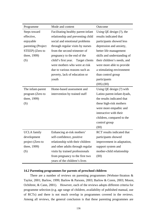| Programme          | Mode and content                   | Outcome                       |
|--------------------|------------------------------------|-------------------------------|
| Steps toward       | Facilitating healthy parent-infant | Using $QE$ design $(?)$ , the |
| effective,         | relationship and preventing child  | results indicated that        |
| enjoyable          | social and emotional problems      | participants showed less      |
| parenting (Project | through regular visits by nurses   | depression and anxiety,       |
| STEEP) (Zero to    | from the second trimester of       | better life management        |
| three, 1999)       | pregnancy to the end of the        | skills and understanding of   |
| (S)                | child's first year. Target clients | their children's needs, and   |
|                    | were mothers who were at risk      | were more able to provide     |
|                    | due to various reasons such as     | a stimulating environment     |
|                    | poverty, lack of education or      | than control group            |
|                    | youth                              | participants                  |
|                    |                                    | $(HS)$ $(HH)$                 |
| The infant-parent  | Home-based assessment and          | Using QE design (?) with      |
| program (Zero to   | intervention by trained staff      | Latino parent-infant dyads,   |
| three, 1999)       |                                    | the results indicated that    |
| (S)                |                                    | these high-risk mothers       |
|                    |                                    | were more empathic and        |
|                    |                                    | interactive with their        |
|                    |                                    | children, compared to the     |
|                    |                                    | control group                 |
|                    |                                    | (HI)                          |
| <b>UCLA</b> family | Enhancing at-risk mothers'         | RCT results indicated that    |
| development        | self-confidence, positive          | participants showed           |
| project (Zero to   | relationship with their children   | improvement in adaptation,    |
| three, 1999)       | and other adults through regular   | support system and            |
| (S)                | visits by trained professionals    | mother-child relationship     |
|                    | from pregnancy to the first two    | (IH)                          |
|                    | years of the children's lives      |                               |

## **14.2 Parenting programmes for parents of preschool children**

There are a number of reviews on parenting programmes (Webster-Stratton & Taylor, 2001; Barlow, 1999; Barlow & Parsons, 2003; Barlow & Coren, 2003; Moore, Ochiltree, & Cann, 2001). However, each of the reviews adopts different criteria for programme selection (e.g. age range of children, availability of published manual, use of RCTs) and there is not much overlap in programmes covered in the reviews. Among all reviews, the general conclusion is that these parenting programmes are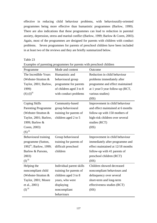effective in reducing child behaviour problems, with behaviourally-oriented programmes being more effective than humanistic programmes (Barlow, 1999). There are also indications that these programmes can lead to reduction in parental anxiety, depression, stress and marital conflict (Barlow, 1999; Barlow & Coren, 2003). Again, most of the programmes are designed for parents with children with conduct problems. Seven programmes for parents of preschool children have been included in at least two of the reviews and they are briefly summarized below.

Table 23

| Programme                          | Mode and content         | Outcome                           |
|------------------------------------|--------------------------|-----------------------------------|
| The Incredible Years               | Humanistic and           | Reduction in child behaviour      |
| (Webster-Stratton &                | behavioural group        | problems immediately after        |
| Taylor, 2001; Barlow,              | programme for parents    | programme and effect maintained   |
| 1999)                              | of children aged 3 to 8  | at 1 year/3 year follow-up (RCT,  |
| $(S)$ $(I)$ <sup>iii</sup>         | with conduct problems    | various studies)                  |
|                                    |                          | (HS)                              |
| Coping Skills                      | Community-based          | Improvement in child behaviour    |
| <b>Parenting Programme</b>         | group behavioural        | and effect maintained at 6 months |
| (Webster-Stratton &                | training for parents of  | follow-up with 150 mothers of     |
| Taylor, 2001; Barlow,              | children aged 2 to 5     | high-risk children over several   |
| 1999; Barlow &                     |                          | studies (RCT)                     |
| Coren, 2003)                       |                          | (HS)                              |
| $(S)$ <sup>iii</sup>               |                          |                                   |
| Behavioural training               | Group behavioural        | Improvement in child behaviour    |
| programme (Sutton,                 | training for parents of  | immediately after programme and   |
| 1992 <sup>iv</sup> ; Barlow, 1999; | difficult preschool      | effect maintained at 12/18 months |
| Barlow & Parsons,                  | children                 | follow-up with 41 parents of      |
| 2003)                              |                          | preschool children (RCT)          |
| $\mathrm{(I)}^{\,\mathrm{iii}}$    |                          | (HS)                              |
| Helping the                        | Individual parent skills | Children showed decreased         |
| noncompliant child                 | training for parents of  | noncompliant behaviours and       |
| (Webster-Stratton &                | children aged 3 to 8     | delinquency over several          |
| Taylor, 2001; Moore                | years, who were          | short-term and long-term          |
| et al., 2001)                      | displaying               | effectiveness studies (RCT)       |
| $(I)$ iii                          | noncompliant             | (HS)                              |
|                                    | behaviours               |                                   |

Examples of parenting programmes for parents with preschool children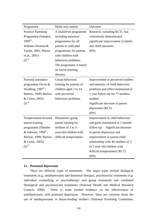| Programme                        | Mode and content        | Outcome                            |
|----------------------------------|-------------------------|------------------------------------|
| <b>Positive Parenting</b>        | A multilevel programme  | Research, including RCTs, has      |
| Programme (Sanders,              | including universal     | consistently demonstrated          |
| $1999^{iv}$ ;                    | programmes for all      | significant improvement in family  |
| Webster-Stratton &               | parents to indicated    | and child measures                 |
| Taylor, 2001; Moore              | programmes for parents  | (HS)                               |
| et al., 2001)                    | with children with      |                                    |
| $\mathrm{(I)}^{\,\mathrm{iii}}$  | behaviour problems.     |                                    |
|                                  | The programme is based  |                                    |
|                                  | on social learning      |                                    |
|                                  | theories                |                                    |
| Parental assistance              | Group behaviour         | Improvement in perceived number    |
| programme (Scott &               | training for parents of | and intensity of child behaviour   |
| Stradling, $1987iv$ ;            | children aged 2 to 14   | problems and effect maintained at  |
| Barlow, 1999; Barlow             | with perceived          | 1 year follow-up for 77 mothers    |
| & Coren, 2003)                   | behaviour problems      | studied.                           |
| $\mathrm{(I)}$ $\mathrm{^{iii}}$ |                         | Significant decrease in parent     |
|                                  |                         | depression (RCT)                   |
|                                  |                         | (HS)                               |
| Temperament-focused              | Humanistic group        | Improvement in child behaviour     |
| parent-training                  | parent training for     | and gains maintained at 2 months   |
| programme (Sheeber               | mothers of 3 to 5-      | follow-up.<br>Significant decrease |
| & Johnson, $1994iv$ ;            | year-old children with  | in parent depression and           |
| Barlow, 1999; Barlow             | difficult temperament   | improvement in parent-child        |
| & Coren, 2003)                   |                         | relationship with 40 mothers of 3  |
| $\mathrm{(I)}^{\,\mathrm{iii}}$  |                         | to 5 year-old children with        |
|                                  |                         | difficult temperament (RCT)        |
|                                  |                         | (HS)                               |

### **15. Postnatal depression**

 There are different types of treatments. The major types include biological treatments (e.g. antidepressants and hormonal therapy), psychosocial treatments (e.g. individual counselling or psychotherapy and group treatment) and combined (biological and psychosocial) treatments (National Health and Medical Research Council, 2000). There is some limited evidence on the effectiveness of antidepressants with postnatal depression. However, there are concerns about the use of antidepressants in breast-feeding mothers (National Screening Committee,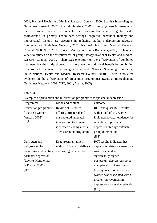2001; National Health and Medical Research Council, 2000; Scottish Intercollegiate Guidelines Network, 2002; Boath & Henshaw, 2001). For psychosocial treatments, there is some evidence to indicate that non-directive counselling by health professionals in primary health care settings, cognitive behaviour therapy and interpersonal therapy are effective in reducing mother's depression (Scottish Intercollegiate Guidelines Network, 2002; National Health and Medical Research Council, 2000; NSC, 2001; Cooper, Murray, Wilson & Romaniuk, 2003). There are very few studies on the effectiveness of group therapy (National Health and Medical Research Council, 2000). There was one study on the effectiveness of combined treatment but the study showed that there was no additional benefit by combining psychosocial treatment with biological treatment (National Screening Committee, 2001; National Health and Medical Research Council, 2000). There is no clear evidence on the effectiveness of prevention programmes (Scottish Intercollegiate Guidelines Network, 2002; NSC, 2001; Austin, 2003).

Table 24

Examples of prevention and intervention programmes for postnatal depression

| Programme                       | Mode and content            | Outcome                                 |
|---------------------------------|-----------------------------|-----------------------------------------|
| Prevention programme            | Review of 5 studies         | <b>RCT</b> and quasi <b>RCT</b> results |
| for at risk women               | offering structured and     | with a total of 512 women               |
| (Austin, 2003)                  | unstructured antenatal      | indicated no clear evidence for         |
| $(S)$ <sup>iii</sup>            | intervention to women       | reduction of postnatal                  |
|                                 | identified as being at risk | depression through antenatal            |
|                                 | after screening programme   | group intervention.                     |
|                                 |                             | (HS)                                    |
| Oestrogen and                   | Drug treatment given        | <b>RCT</b> results indicated that       |
| progestogen for                 | within 48 hours of delivery | depot norethisterone enanthate          |
| preventing and treating         | and lasting 8-12 weeks      | was associated with                     |
| postnatal depression            |                             | significantly higher                    |
| (Lawrie, Herxheimer,            |                             | postpartum depression scores            |
| & Dalton, 2000)                 |                             | than placebo. Oestrogen                 |
| $\mathrm{(I)}^{\,\mathrm{iii}}$ |                             | therapy in severely depressed           |
|                                 |                             | women was associated with a             |
|                                 |                             | greater improvement in                  |
|                                 |                             | depression scores than placebo          |
|                                 |                             | (HS)                                    |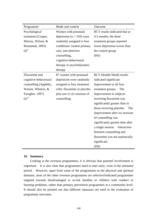| Programme                      | Mode and content              | Outcome                          |
|--------------------------------|-------------------------------|----------------------------------|
| Psychological                  | Women with postnatal          | RCT results indicated that at    |
| treatment (Cooper,             | depression ( $n = 193$ ) were | 4.5 months, the three            |
| Murray, Wilson, &              | randomly assigned to four     | treatment groups reported        |
| Romaniuk, 2003)                | conditions: routine primary   | lower depression scores than     |
| (D <sup>iv</sup> )             | care, non-directive           | the control group                |
|                                | counselling,                  | (HS)                             |
|                                | cognitive-behavioural         |                                  |
|                                | therapy or psychodynamic      |                                  |
|                                | therapy                       |                                  |
| Fluoxetine and                 | 87 women with postnatal       | RCT (double blind) results       |
| cognitive-behavioural          | depression were randomly      | indicated significant            |
| counselling (Appleby,          | assigned to four treatment    | improvement in all four          |
| Warner, Whitton, &             | cells: fluoxetine or placebo  | treatment groups.<br>The         |
| Faragher, 1997)                | plus one or six sessions of   | improvement in subjects          |
| $\left(\mathrm{I}\right)^{iv}$ | counselling.                  | receiving fluoxetine was         |
|                                |                               | significantly greater than in    |
|                                |                               | those receiving placebo. The     |
|                                |                               | improvement after six sessions   |
|                                |                               | of counselling was               |
|                                |                               | significantly greater than after |
|                                |                               | a single session. Interaction    |
|                                |                               | between counselling and          |
|                                |                               | fluoxetine was not statistically |
|                                |                               | significant                      |
|                                |                               | (HS)                             |

#### **16. Summary**

 Looking at the overseas programmes, it is obvious that parental involvement is important. It is also clear that programmes need to start early, even in the antenatal period. However, apart from some of the programmes in the physical and spiritual domains, most of the other overseas programmes are selective**/**indicated programmes targeted towards disadvantaged or at-risk families or children with conduct or learning problems, rather than primary prevention programmes at a community level. It should also be pointed out that different measures are used in the evaluation of programme outcomes.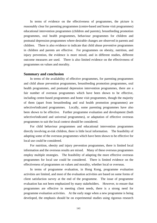In terms of evidence on the effectiveness of programmes, the picture is reasonably clear for parenting programmes (centre-based and home visit programmes) educational intervention programmes (children and parents), breastfeeding promotion programmes, oral health programmes, behaviour programmes for children and postnatal depression programmes where desirable changes are observed in parents and children. There is also evidence to indicate that child abuse preventive programmes in children and parents are effective. For programmes on obesity, nutrition, and injury prevention, the evidence is more mixed, and in different studies, different outcome measures are used. There is also limited evidence on the effectiveness of programmes on values and morality.

#### **Summary and conclusion**

 In terms of the availability of effective programmes, for parenting programmes and child abuse prevention programmes, breastfeeding promotion programmes, oral health programmes, and postnatal depression intervention programmes, there are a fair number of overseas programmes which have been shown to be effective, including centre-based programmes and home visit programmes, though the majority of them (apart from breastfeeding and oral health promotion programmes) are selective**/**indicated programmes. Locally, some parenting programmes have also been shown to be effective. Further programme evaluation and development (both selective**/**indicated and universal programmes), or adaptation of effective overseas programmes to suit the local context should be considered.

 For child behaviour programmes and educational intervention programmes directly involving at-risk children, there is little local information. The feasibility of adapting some of the overseas programmes which have been shown to be effective for local use could be considered.

 For nutrition, obesity and injury prevention programmes, there is limited local information and the overseas results are mixed. Many of these overseas programmes employ multiple strategies. The feasibility of adapting the more effective overseas programmes for local use could be considered. There is limited evidence on the effectiveness of programmes on values and morality, whether local or overseas.

 In terms of programme evaluation, in Hong Kong, programme evaluation activities are limited, and most of the evaluation activities are based on some forms of client satisfaction survey at the end of the programme. The issue of programme evaluation has not been emphasized by many stakeholders. However, to ensure that programmes are effective in meeting client needs, there is a strong need for programme evaluation activities. At the early stage when a new programme is being developed, the emphasis should be on experimental studies using rigorous research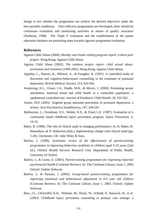design to test whether the programme can achieve the desired objectives under the best possible conditions. Once effective programmes are developed, there should be continuous evaluation and monitoring activities as means of quality assurance (Nutbeam, 1998). The Triple P evaluation and the establishment of the parent education database are promising steps towards rigorous programme evaluation.

## **References**

- Against Child Abuse (2000). *Healthy start home visiting program report: a three-year project*. Hong Kong: Against Child Abuse.
- Against Child Abuse (2002). *The rainbow project report: child sexual abuse: prevention and treatment (1999-2001)*. Hong Kong: Against Child Abuse.
- Appleby, L., Warner, R., Whitton, A., & Faragher, B. (1997). A controlled study of fluoxetine and cognitive-behavioural counselling in the treatment of postnatal depression. *British Medical Journal, 314,* 932-936.
- Armstrong, K.L., Fraser, J.A., Dadds, M.R., & Morris, J. (2000). Promoting secure attachment, maternal mood and child health in a vulnerable population: a randomized controlled trial. *Journal of Paediatric Child Health, 36,* 555-562.
- Austin, M.P. (2003). Targeted group antenatal prevention of postnatal depression: a review. *Acta Psychiatrica Scandinavica, 107,* 244-247.
- Bablouzian, L., Freedman, E.S., Wolski, K.E., & Fried, L.E. (1997). Evaluation of a community based childhood injury prevention program. *Injury Prevention, 3,* 14-16.
- Baker, R. (1999). The role of clinical audit in changing performance. In: R. Baker, H. Hearnshaw, & N. Robertson (Eds.), *Implementing change with clinical audit* (pp. 1-20). Chichester, UK: John Wiley & Sons.
- Barlow, J. (1999). *Systematic review of the effectiveness of parent-training programmes in improving behaviour problems in children aged 3-10 years* (2nd ed.). Oxford: Health Services Research Unit, Department of Public Health, University of Oxford.
- Barlow, J., & Coren, E. (2003). *Parent-training programmes for improving maternal psychosocial health* (Cochrane Review). In: The Cochrane Library, Issue 1, 2003. Oxford: Update Software.
- Barlow, J., & Parsons, J. (2003). *Group-based parent-training programmes for improving emotional and behavioural adjustment in 0-3 year old children* (Cochrane Review). In: The Cochrane Library, Issue 1, 2003. Oxford: Update Software.
- Bass, J.L., Christoffel, K.K., Widome, M., Boyle, W., Scheidt, P., Stanwick, R., et al. (1993). Childhood injury prevention counseling in primary care settings: a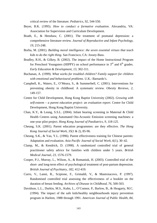critical review of the literature. *Pediatrics, 92,* 544-550.

- Beyer, B.K. (1995). *How to conduct a formative evaluation.* Alexandria, VA: Association for Supervision and Curriculum Development.
- Boath, E., & Henshaw, C. (2001). The treatment of postnatal depression: a comprehensive literature review. *Journal of Reproductive and Infant Psychology, 19,* 215-248.
- Borba, M. (2001). *Building moral intelligence: the seven essential virtues that teach kids to do the right thing*. San Francisco, CA: Jossey-Bass.
- Bradley, R.H., & Gilkey, B. (2002). The impact of the Home Instructional Program for Preschool Youngsters (HIPPY) on school performance in  $3<sup>rd</sup>$  and  $6<sup>th</sup>$  grades. *Early Education & Development, 13,* 302-311.
- Buchanan, A. (1999). *What works for troubled children? Family support for children with emotional and behavioural problems*. U.K.: Barnardo's.
- Campbell, K., Waters, E., O'Meara, S., & Summerbell, C. (2001). Interventions for preventing obesity in childhood. A systematic review. *Obesity Reviews, 2,* 149-157.
- Centre for Child Development, Hong Kong Baptist University (2002). *Growing with self-esteem – a parent education project: an evaluation report*. Centre for Child Development, Hong Kong Baptist University.
- Chan, K.Y., & Leung, S.S.L. (2004). Infant hearing screening in Maternal & Child Health Centres using Automated Oto-Acoustic Emission screening machines: a one-year pilot project. *Hong Kong Journal of Paediatrics, 9, 118-125*.
- Cheung, S.K. (2001). Parent education programmes: are they effective. *The Hong Kong Journal of Social Work, 35*(1 & 2), 85-96.
- Cheung, S.K., & Yau, Y.L. (1996). Parent effectiveness training for Chinese parents: Adaptation and evaluation. *Asia Pacific Journal of Social Work, 6*(1), 30–42.
- Clamp, M., & Kendrick, D. (1998). A randomized controlled trial of general practitioner safety advice for families with children under 5 years. *British Medical Journal, 23,* 1576-1579.
- Cooper, P.J., Murray, L., Wilson, A., & Romaniuk, H. (2003). Controlled trial of the short- and long-term effect of psychological treatment of post-partum depression. *British Journal of Psychiatry, 182,* 412-419.
- Curro, V., Lanni, R., Scipione, F., Grimaldi, V., & Mastroiacovo, P. (1997). Randomised controlled trial assessing the effectiveness of a booklet on the duration of breast feeding. *Archives of Disease in Childhood, 76,* 500-503.
- Davidson, L.L., Durkin, M.S., Kuhn, L., O'Connor, P., Barlow, B., & Heagarty, M.C. (1994). The impact of the safe kids/healthy neighbourhoods injury prevention program in Harlem, 1988 through 1991. *American Journal of Public Health, 84,*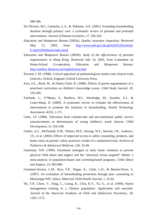580-586.

- De Oliveira, M.I., Camacho, L.A., & Tedstone, A.E. (2001). Extending breastfeeding duration through primary care: a systematic review of prenatal and postnatal interventions. *Journal of Human Lactation, 17,* 326-343.
- Education and Manpower Bureau (2003a). Quality assurance inspection. Retrieved May 12, 2003, from: http://www.emb.gov.hk/qai/QAI%20website/ E-Qai%20Website/index.html
- Education and Manpower Bureau (2003b). *Study of the effectiveness of parental organizations in Hong Kong*. Retrieved July 14, 2003, from Committee on Home-School Co-operation, Education and Manpower Bureau: http://embhsc.hkedcity.net/english/main.htm
- Elwood, J. M. (1998). *Critical appraisal of epidemiological studies and clinical trials* (2nd ed.). Oxford, England: Oxford University Press.
- Essa, E.L., Read, M., & Haney-Clark, R. (1988). Effects of parent augmentation of a preschool curriculum on children's knowledge scores. *Child Study Journal, 18,*  193-200.
- Fairbank, L., O'Meara, S., Renfrew, M.J., Woolridge, M., Sowden, A.J., & Lister-Sharp, D. (2000). A systematic review to evaluate the effectiveness of interventions to promote the initiation of breastfeeding. *Health Technology Assessment, 4*(25), 1-171.
- Galst, J.P. (1980). Television food commercials and pro-nutritional public service announcements as determinants of young children's snack choices. *Child Development, 51,* 935-938.
- Gielen, A.C., McDonald, E.M., Wilson, M.E., Hwang, W.T., Stewint, J.R., Andrews, J.S., et al. (2002). Effects of improved access to safety counseling, products, and home visits on parents' safety practices: results of a randomized trial. *Archives of Pediatrics & Adolescent Medicine, 156,* 33-40.
- Guterman, N.B. (1999). Enrolment strategies in early home visitation to prevent physical child abuse and neglect and the "universal versus targeted" debate: a meta-analysis of population-based and screening-based programs. *Child Abuse and Neglect, 23,* 863-890.
- Grummer-Strawn, L.M., Rice, S.P., Dugas, K., Clark, L.D., & Benton-Davis, S. (1997). An evaluation of breastfeeding promotion through peer counseling in Mississippi WIC clinics. *Maternal Child Health Journal, 1,* 35-42.
- Ho, T.P., Chow, V., Fung, C., Leung, K., Chiu, K.Y., Yu, G., et al. (1999). Parent management training in a Chinese population: Application and outcome. *Journal of the American Academy of Child and Adolescent Psychiatry, 28,* 1165–1172.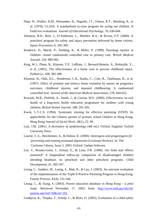- Hops, H., Walker, H.M., Hernandez, D., Nagoshi, J.T., Omura, R.T., Skindrug, K., et al. (1978). CLASS: A standardized in-class program for acting out children. II Field test evaluations. *Journal of Educational Psychology, 70,* 636-644.
- Johnston, B.D., Britt, J., D'Ambrosio, L., Mueller, B.A., & Rivara, F.P. (2000). A preschool program for safety and injury prevention delivered by home visitors. *Injury Prevention, 6,* 305-309.
- Kendrick, D., Marsh, P., Fielding, K., & Miller, P. (1999). Parenting injuries in children: cluster randomized controlled trial in primary care. *British Medical Journal, 318,* 980-983.
- King, W.J., Pham, B., Klassen, T.P., LeBlanc, J., Bernard-Bonnin, A., Robitaille, Y., et al. (2001). The effectiveness of a home visit to prevent childhood injury. *Pediatrics, 108*, 382-389.
- Kitzman, H., Olds, D.L., Henderson, C.R., Hanks, C., Cole, R., Tatelbaum, R., et al. (1997). Effect of prenatal and infancy home visitation by nurses on pregnancy outcomes, childhood injuries, and repeated childbearing. A randomized controlled trial. *Journal of the American Medical Association, 278,* 644-652.
- Kowash, M.B., Pinfield, A., Smith, J., & Curzon, M.E. (2000). Effectiveness on oral health of a long-term health education programme for mothers with young children. *British Dental Journal, 188,* 201-205.
- Kwok, L.Y.C.S. (1994). Systematic training for effective parenting (STEP): Its applicability for the Chinese parents of primary school children in Hong Kong. *Hong Kong Journal of Social Work, 28*(1), 22–30.
- Last, J.M. (2001). *A dictionary of epidemiology* (4th ed.). Oxford, England: Oxford University Press.
- Lawrie, T. A., Herxheimer, A., & Dalton, K. (2000). *Oestrogens and progestogens for preventing and treating postnatal depression* (Cochrane Review). In: The Cochrane Library, Issue 3, 2003. Oxford: Update Software.
- Lee, V., Brooks-Gunn, J., Schnur, E., & Liaw, F.R. (1990). Are head start effects sustained? A longitudinal follow-up comparison of disadvantaged children attending headstart, no preschool and other preschool programs. *Child Development, 61,* 495-507.
- Leung, C., Sanders, M., Leung, S., Mak, R., & Lau, J. (2003). An outcome evaluation of the implementation of the Triple P-Positive Parenting Program in Hong Kong. *Family Process, 42*(4), 531-544.
- Leung, C., & Tsang, S. (2003). *Parent education database in Hong Kong a pilot study*. Retrieved November 17, 2003, from: http://www.emb.gov.hk/chi/ parents.asp?sid=20&cid=102
- Lindqvist, K., Timpka, T., Schelp, L., & Risto, O. (2002). Evaluation of a child safety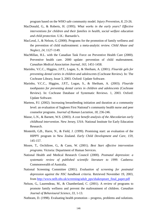program based on the WHO safe community model. *Injury Prevention, 8,* 23-26.

- MacDonald, G., & Roberts, H. (1995). *What works in the early years? Effective interventions for children and their families in health, social welfare education and child protection*. U.K.: Barnardo's.
- MacLeod, J., & Nelson, G. (2000). Programs for the promotion of family wellness and the prevention of child maltreatment: a meta-analytic review. *Child Abuse and Neglect, 24,* 1127-1149.
- MacMillan, H.L. with the Canadian Task Force on Preventive Health Care (2000). Preventive health care. 2000 update: prevention of child maltreatment. *Canadian Medical Association Journal, 163,* 1451-1458.
- Marinho, V.C.C., Higgins, J.P.T., Logan, S., & Sheiham, A. (2001). *Flouride gels for preventing dental caries in children and adolescents* (Cochrane Review). In: The Cochrane Library, Issue 3, 2003. Oxford: Update Software.
- Marinho, V.C.C., Higgins, J.P.T., Logan, S., & Sheiham, A. (2003). *Flouride toothpastes for preventing dental caries in children and adolescents* (Cochrane Review). In: Cochrane Database of Systematic Reviews. 1, 2003. Oxford: Update Software.
- Martens, P.J. (2002). Increasing breastfeeding initiation and duration at a community level: an evaluation of Sagkeen First National's community health nurse and peer counselor programs. *Journal of Human Lactation*, *18,* 236-246.
- Masse, L.N., & Barnett, W.S. (2003). *A cost benefit analysis of the Abecedarian early childhood intervention*. New Jersey, USA: National Institute for Early Education Research.
- Monteith, G.B., Harre, N., & Field, J. (1999). Promising start: an evaluation of the HIPPY program in New Zealand. *Early Child Development and Care, 159,* 145-157.
- Moore, T., Orchiltree, G., & Cann, W. (2001). *Best Start effective intervention programs*. Victoria: Department of Human Services.
- National Health and Medical Research Council (2000). *Postnatal depression: a systematic review of published scientific literature to 1999*. Canberra: Commonwealth of Australia.
- National Screening Committee (2001). *Evaluation of screening for postnatal depression against the NSC handbook criteria*. Retrieved November 19, 2003, from http://www.nelh.nhs.uk/screening/adult\_pps/shakespeare\_final\_paper.pdf
- Nelson, G., Laurendeau, M., & Chamberland, C. (2001). A review of programs to promote family wellness and prevent the maltreatment of children. *Canadian Journal of Behavioural Science, 33,* 1-13.
- Nutbeam, D. (1998). Evaluating health promotion progress, problems and solutions.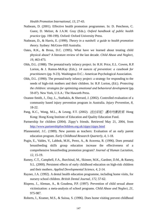*Health Promotion International, 13,* 27-43.

- Nutbeam, D. (2001). Effective health promotion programmes. In: D. Pencheon, C. Guest, D. Melzer, & J.A.M. Gray (Eds.). *Oxford handbook of public health practice* (pp. 190-199). Oxford: Oxford University Press.
- Nutbeam, D., & Harris, E. (1999). *Theory in a nutshell: a guide to health promotion theory*. Sydney: McGraw-Hill Australia.
- Oates, R.K., & Bross, D.C. (1995). What have we learned about treating child physical abuse? A literature review of the last decade. *Child Abuse and Neglect, 19,* 463-473.
- Olds, D.L. (1988). The prenatal/early infancy project. In: R.H. Price, E.L. Cowen, R.P. Lorion, & J. Ramos-McKay (Eds.). *14 ounces of prevention: a casebook for practitioners* (pp. 9-23). Washington D.C.: American Psychological Association.
- Olds, D.L. (1990). The prenatal/early infancy project: a strategy for responding to the needs of high-risk mothers and their children. In: R.P. Lorion, (Ed.). *Protecting the children: strategies for optimizing emotional and behavioral development* (pp. 59-87). New York, U.S.A.: The Haworth Press.
- Ozanne-Smith, J., Day, L., Stathakis, & Sherrard, J. (2002). Controlled evaluation of a community based injury prevention program in Australia. *Injury Prevention, 8,* 18-22.
- Pang, K.C., Wong, M.L., & Leung, F.T. (2002). 活出彩虹*:* 邁向均衡教育. Hong Kong: Hong Kong Institute of Education and Quality Education Fund.
- Partnership for children (2004). Zippy's friends. Retrieved May 21, 2004, from http://www.partnershipforchildren.org.uk/zippy/zippy.html
- Pfannenstiel, J.C. (1989). New parents as teachers: Evaluation of an early parent education program. *Early Childhood Research Quarterly, 4,* 1-18.
- Pugin, E., Valdes, V., Labbok, M.H., Perez, A., & Aravena, R. (1996). Does prenatal breastfeeding skills group education increase the effectiveness of a comprehensive breastfeeding promotion program? *Journal of Human Lactation, 12,* 15-19.
- Ramey, C.T., Campbell, F.A., Burchinal, M., Skinner, M.K., Gardner, D.M., & Ramey, S.L. (2000). Persistent effects of early childhood education on high-risk children and their mothers. *Applied Developmental Science, 4,* 2-14.
- Rayner, J.A. (1992). A dental health education programme, including home visits, for nursery school children. *British Dental Journal, 172,* 57-62.
- Rispens, J., Aleman, A., & Goudena, P.P. (1997). Prevention of child sexual abuse victimization: a meta-analysis of school programs. *Child Abuse and Neglect, 21,* 975-987.
- Roberts, I., Kramer, M.S., & Suissa, S. (1996). Does home visiting prevent childhood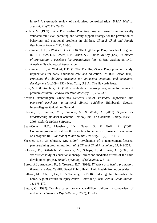injury? A systematic review of randomized controlled trials. *British Medical Journal, 312*(7022), 29-33.

- Sanders, M. (1999). Triple  $P -$  Positive Parenting Program: towards an empirically validated multilevel parenting and family support strategy for the prevention of behaviour and emotional problems in children. *Clinical Child and Family Psychology Review, 2*(2), 71-90.
- Schweinhart, L.J., & Weikart, D.B. (1988). The High/Scope Perry preschool program. In: R.H. Price, E.L. Cowen, R.P. Lorion, & J. Ramos-McKay (Eds.). *14 ounces of prevention: a casebook for practitioners* (pp. 53-65). Washington D.C.: American Psychological Association.
- Schweinhart, L.J., & Weikart, D.B. (1990). The High/Scope Perry preschool study: implications for early childhood care and education. In: R.P. Lorion (Ed.). *Protecting the children: strategies for optimizing emotional and behavioral development* (pp.109 – 132). New York, U.S.A.: The Haworth Press.
- Scott, M.J., & Stradling, S.G. (1987). Evaluation of a group programme for parents of problem children. *Behavioural Psychotherapy, 15,* 224-239.
- Scottish Intercollegiate Guidelines Network (2002). *Postnatal depression and puerperal psychosis: a national clinical guideline*. Edinburgh: Scottish Intercollegiate Guidelines Network.
- Sikorski, J., Renfrew, M.J., Pindoria, S., & Wade, A. (2003). *Support for breastfeeding mothers* (Cochrane Review). In: The Cochrane Library, Issue 3, 2003. Oxford: Update Software.
- Sgan-Cohen, H.D., Mansbach, I.K., Naver, D., & Gofin, R. (2001). Community-oriented oral health promotion for infants in Jerusalem: evaluation of a program trail. *Journal of Public Health Dentistry, 61*(2), 107-113.
- Sheeber, L.B., & Johnson, J.H. (1994). Evaluation of a temperament-focused, parent-training programme. *Journal of Clinical Child Psychology, 23,* 249-259.
- Solomon, D., Battistich, V., Watson, M., Schaps, E., & Lewis, C. (2000). A six-district study of educational change: direct and mediated effects of the child development project. *Social Psychology of Education, 4*, 3 – 51.
- Sprod, A.J., Anderson, R., & Treasure, E.T. (1996). *Effective oral health promotion: literature review*. Cardiff: Dental Public Health Unit, Health Promotion Wales.
- Sullivan, M., Cole, B., Lie, L., & Twomey, J. (1990). Reducing child hazards in the home. A joint venture in injury control. *Journal of Burn Care & Rehabilitation, 11*, 175-179.
- Sutton, C. (1992). Training parents to manage difficult children: a comparison of methods. *Behavioural Psychotherapy, 20*(2), 115-139.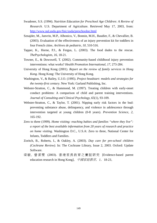- Swadener, S.S. (1994). *Nutrition Education for Preschool Age Children: A Review of Research*. U.S. Department of Agriculture. Retrieved May 17, 2003, from: http://www.nal.usda.gov/fnic/usda/preschoolne.html
- Sznajder, M., Janvrin, M.P., Albonico, V., Bonnin, M.H., Baudier, F., & Chevallier, B. (2003). Evaluation of the effectiveness of an injury prevention kit for toddlers in four French cities. *Archives de pediatrie, 10,* 510-516.
- Tapper, K., Horne, P.J., & Fergus, L. (2003). The food dudes to the rescue. *ThePsychologists, 16,* 18-21.
- Towner, E., & Dowswell, T. (2002). Community-based childhood injury prevention interventions: what works? *Health Promotion International, 17,* 273-284.
- University of Hong Kong (2001). *Report on the review of family services in Hong Kong*. Hong Kong: The University of Hong Kong.
- Washington, V., & Bailey, U.J.O. (1995). *Project headstart: models and strategies for the twenty-first century*. New York: Garland Publishing, Inc.
- Webster-Stratton, C., & Hammond, M. (1997). Treating children with early-onset conduct problems: A comparison of child and parent training interventions. *Journal of Consulting and Clinical Psychology, 65*(1), 93-109.
- Webster-Stratton, C., & Taylor, T. (2001). Nipping early risk factors in the bud: preventing substance abuse, delinquency, and violence in adolescence through intervention targeted at young children (0-8 years). *Prevention Science, 2,*  165-192.
- Zero to three (1999). *Home visiting: reaching babies and families "where they live": a report of the best available information from 20 years of research and practice on home visiting*. Washington D.C., U.S.A: Zero to three, National Center for Infants, Toddlers and Families.
- Zoritch, B., Roberts, I., & Oakley, A. (2003). *Day care for pre-school children (Cochrane Review)*. In: The Cochrane Library, Issue 2, 2003. Oxford: Update Software.
- 梁 敏 , 曾 潔 雯 (2003). 香港家長教育之實証研究 [Evidence-based parent education research in Hong Kong]。中國家庭教育,*1*,18-23。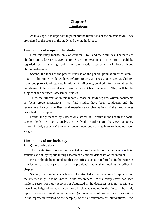# **Chapter 6 Limitations**

 At this stage, it is important to point out the limitations of the present study. They are related to the scope of the study and the methodology.

## **Limitations of scope of the study**

 First, this study focuses only on children 0 to 5 and their families. The needs of children and adolescents aged 6 to 18 are not examined. This study could be regarded as a starting point in the needs assessment of Hong Kong children/adolescents.

Second, the focus of the present study is on the general population of children 0 to 5. In this study, while we have referred to special needs groups such as children from lone parent families, new immigrant families etc, detailed information about the well-being of these special needs groups has not been included. They will be the subject of further needs assessment studies.

Third, the information in this report is based on study reports, written documents or focus group discussions. No field studies have been conducted and the researchers do not have first hand experience or observations of the programmes described in the report.

 Fourth, the present study is based on a search of literature in the health and social science fields. No policy analysis is involved. Furthermore, the views of policy makers in DH, SWD, EMB or other government departments/bureaux have not been sought.

# **Limitations of methodology**

## **1. Quantitative data**

The quantitative information collected is based mainly on routine data or official statistics and study reports through search of electronic databases or the internet.

First, it should be pointed out that the official statistics referred to in this report is a reflection of supply (what is actually provided), rather than need, as described in chapter 2.

Second, study reports which are not abstracted in the databases or uploaded on the internet might not be known to the researchers. While every effort has been made to search for study reports not abstracted in the databases, it is not possible to have knowledge of or have access to all relevant studies in the field. The study reports provide information on the extent (or prevalence) of problems (with variations in the representativeness of the sample), or the effectiveness of interventions. We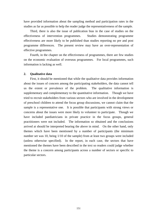have provided information about the sampling method and participation rates in the studies as far as possible to help the reader judge the representativeness of the sample.

Third, there is also the issue of publication bias in the case of studies on the effectiveness of intervention programmes. Studies demonstrating programme effectiveness are more likely to be published than studies reporting no pre and post programme differences. The present review may have an over-representation of effective programmes.

Fourth, in the chapter on the effectiveness of programmes, there are few studies on the economic evaluation of overseas programmes. For local programmes, such information is lacking as well.

## **2. Qualitative data**

 First, it should be mentioned that while the qualitative data provides information about the issues of concern among the participating stakeholders, the data cannot tell us the extent or prevalence of the problem. The qualitative information is supplementary and complementary to the quantitative information. Though we have tried to recruit stakeholders from various sectors who are involved in the development of preschool children to attend the focus group discussions, we cannot claim that the sample is a representative one. It is possible that participants with strong views or concerns about the issues were more likely to volunteer to participate. Though we have included paediatricians in private practice in the focus groups, general practitioners were not included. The information so obtained and the conclusions arrived at should be interpreted bearing the above in mind. On the other hand, only themes which have been mentioned by a number of participants (the minimum number set was 10, being 1/10 of the sample) from at least two groups were included (unless otherwise specified). In the report, in each case, the sectors that have mentioned the themes have been described in the text so readers could judge whether the theme is a concern among participants across a number of sectors or specific to particular sectors.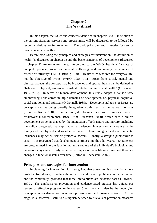# **Chapter 7 The Way Ahead**

 In this chapter, the issues and concerns identified in chapters 3 to 5, in relation to the current situation, services and programmes, will be discussed, to be followed by recommendations for future actions. The basic principles and strategies for service provision are also outlined.

 Before discussing the principles and strategies for intervention, the definition of health (as discussed in chapter 3) and the basic principles of development (discussed in chapter 1) are re-iterated here. According to the WHO, health is "a state of complete physical, social and mental well-being, and not merely the absence of disease or infirmity" (WHO, 1948, p. 100). Health is "a resource for everyday life, not the objective of living" (WHO, 1986, p.1). Apart from social, mental and physical aspects, the concept may be broadened and optimal health can be defined as "balance of physical, emotional, spiritual, intellectual and social health" (O'Donnell, 1989, p. 5). In terms of human development, this study adopts a *holistic view* emphasizing links across multiple domains of development, i.e. physical, cognitive, social emotional and spiritual (O'Donnell, 1989). Developmental tasks or issues are conceptualised as being broadly integrative, cutting across the various domains (Sroufe & Rutter, 1984). Furthermore, development is viewed from an *ecological framework* (Bronfenbrenner, 1979, 1989; Buchanan, 2000), which sees a child's development as being shaped by the interaction of both nature and nurture, including the child's biogenetic makeup, his/her experiences, interactions with others in the family and the physical and social environment. These biological and environmental influences may act as risk or protective factors. Finally, a *lifespan perspective* is used. It is recognized that development continues into the adult years. Experiences are programmed into the functioning and structure of the individual's biological and behavioural systems. Early experiences impact on later life outcomes and there are changes in functional status over time (Halfon & Hochestein, 2002).

## **Principles and strategies for intervention**

 In planning for intervention, it is recognized that *prevention* is a potentially more cost-effective strategy to reduce the impact of child health problems on the individual and the community, provided that these interventions are evidence-based (Hawkins, 1999). The emphasis on prevention and evidence-based practice has guided our review of effective programmes in chapter 5 and they will also be the underlying principles in our discussion on service provision in the following sections. At this stage, it is, however, useful to distinguish between four levels of prevention measures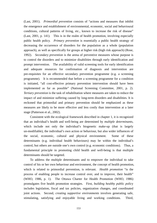(Last, 2001). *Primordial prevention* consists of "actions and measures that inhibit the emergence and establishment of environmental, economic, social and behavioural conditions, cultural patterns of living, etc., known to increase the risk of disease" (Last, 2001, p. 141). This is in the realm of health promotion, involving especially public health policy. *Primary prevention* is essentially a public health strategy of decreasing the occurrence of disorders for the population as a whole (population approach), as well as specifically for groups at higher risk (high risk approach) (Rose, 1992). *Secondary prevention* is the arena of preventive measures whose purpose is to control the disorders and to minimize disabilities through early identification and prompt intervention. The availability of valid screening tools for early identification and adequate resources for confirmation of diagnosis and intervention are pre-requisites for an effective secondary prevention programme (e.g. a screening programme). It is recommended that before a screening programme for a condition is initiated, "all cost-effective primary prevention intervention should have been implemented as far as possible" (National Screening Committee, 2001, p. 2). *Tertiary prevention* is the task of rehabilitation where measures are taken to reduce the impact of and minimize suffering caused by long-term disorders and disabilities. It is reckoned that primordial and primary prevention should be emphasized as these measures are likely to be more effective and less costly than intervention at a later stage (Patterson et al., 2002).

 Consistent with the ecological framework described in chapter 1, it is recognized that an individual's health and well-being are determined by *multiple determinants*, which include not only the individual's biogenetic make-up (that is largely un-modifiable), the individual's own action or behaviour, but also wider influences of the social, economic, cultural and physical environment. Some of these determinants (e.g. individual health behaviours) may be within the individual's control, but others are outside one's own control (e.g. economic conditions). Thus, a fundamental principle in promoting child health and well-being is that multiple determinants should be targeted.

 To address the multiple determinants and to empower the individual to take control of his or her own behaviour and environment, the concept of health promotion, which is related to primordial prevention, is relevant. *Health promotion* "is the process of enabling people to increase control over, and to improve, their health" (WHO, 1986, p. 1). The Ottawa Charter for Health Promotion (WHO, 1986) promulgates five health promotion strategies. First, *building healthy public polic*y includes legislation, fiscal and tax policies, organization changes, and coordinated joint actions. Second, *creating supportive environments* involves generating safe, stimulating, satisfying and enjoyable living and working conditions. Third,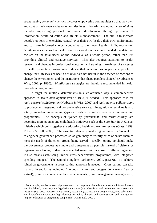*strengthening community actions* involves empowering communities so that they own and control their own endeavours and destinies. Fourth, *developing personal skills* includes supporting personal and social development through provision of information, health education and life skills enhancement. The aim is to increase people's options in exercising control over their own health, their own environment, and to make informed choices conducive to their own health. Fifth, *reorienting health services* means that health services should embrace an expanded mandate that focuses on the total needs of the individual as a whole person, rather than just providing clinical and curative services. This also requires attention to health research and changes in professional education and training. Analyses of successes in health promotion programmes indicate that interventions to persuade people to change their lifestyles or health behaviour are not useful in the absence of "actions to change the environment and the institutions that shape people's choices" (Nutbeam & Wise, 2002, p. 1880). *Multifaceted strategies* are therefore recommended in health promotion programmes<sup>i</sup>.

 To target the multiple determinants in a co-ordinated way, a comprehensive approach to health development (WHO, 1998) is needed. This approach calls for *multi-sectoral collaboration* (Nutbeam & Wise, 2002) and *multi-agency collaboration*, to produce an integrated and comprehensive service. Integration of services is also vitally important in reducing gaps or overlaps or inconsistencies in services and programmes. The concepts of "*joined up government*" and "*cross-cutting*" are becoming more popular and child health initiatives such as the Sure Start in U.K. is an initiative which pulls together the education, health and welfare sectors (Glass, 1999; Roberts & Hall, 2000). The essential idea of joined up government is "to seek to re-engineer governance processes so as genuinely to reunify or re-orientate them to meet the needs of the client groups being served. Ideally, joining up should make the governance process as simple and transparent as possible instead of citizens or organizations having to deal on connected issues with a maze of different agencies. It also means establishing unified cross-departmental programmes, with integrated spending budgets" (The United Kingdom Parliament, 2001, para 6). To achieve joined up governments, a cross-cutting approach is needed. Cross-cutting can take many different forms including "merged structures and budgets, joint teams (real or virtual), joint customer interface arrangements, joint management arrangements,

 $\overline{a}$ 

<sup>&</sup>lt;sup>i</sup> For example, in tobacco control programmes, the components include education and information (e.g. warning labels), regulatory and legislative measures (e.g. advertising and promotion bans), economic measures (e.g. price increases in cigarettes), cessations (e.g. cessations programmes), crop substitution and diversification advocacy (e.g. advocacy for policy change), and administration and management (e.g. co-ordination of programme components) (Asma et al., 2002).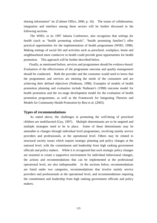sharing information" etc (Cabinet Office, 2000, p. 16). The issues of collaboration, integration and interface among these sectors will be further discussed in the following sections.

 The WHO, in its 1997 Jakarta Conference, also recognizes that *settings for health* (such as "health promoting schools", "health promoting families") offer practical opportunities for the implementation of health programmes (WHO, 1998). Making settings of social life and activities such as preschool, workplace, home and neighbourhood more conducive to health could provide great opportunities for health promotion. This approach will be further described below.

 Finally, as mentioned before, services and programmes should be *evidence-based*. *Evaluation* of the effectiveness of the programme outcome and *quality management* should be conducted. Both the provider and the consumer would need to know that the programmes and services are meeting the needs of the consumers and are achieving their defined objectives (Nutbeam, 1998). Examples of models of health promotion planning and evaluation include Nutbeam's (1998) outcome model for health promotion and the six-stage development model for the evaluation of health promotion programmes, as well as the Framework for Integrating Theories and Models for Community Health Promotion by Best et al. (2003).

## **Types of recommendations**

 As stated above, the challenges in promoting the well-being of preschool children are multifaceted (Guy, 1997). Multiple determinants are to be targeted and multiple strategies need to be in place. Some of these determinants may be amenable to changes through individual level programmes, involving mainly service providers and professionals, at the operational level. Others may be related to structural society issues which require strategic planning and policy changes at the national level, with the commitment and leadership from high ranking government officials and policy makers. While it is recognized that such strategic policy changes are essential to create a supportive environment for individual behavioural changes, the actions and recommendations that can be implemented at the professional operational level, are also indispensable. In the sections below, recommendations are listed under two categories, recommendations that involve mainly service providers and professionals at the operational level, and recommendations requiring the commitment and leadership from high ranking government officials and policy makers.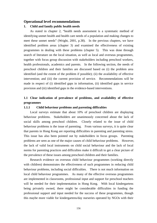## **Operational level recommendations**

### **1. Child and family public health needs**

 As stated in chapter 2, "health needs assessment is a systematic method of identifying unmet health and health care needs of a population and making changes to meet these unmet needs" (Wright, 2001, p.38). In the previous chapters, we have identified problem areas (chapter 3) and examined the effectiveness of existing programmes in dealing with these problems (chapter 5). This was done through search of literature on the local situation, as well as local and overseas programmes, together with focus group discussion with stakeholders including preschool workers, health professionals, academics and parents. In the following section, the needs of preschool children and their families are discussed based on (i) the problem area identified (and the extent of the problem if possible); (ii) the availability of effective intervention; and (iii) the current provision of service. Recommendations will be made in respect of (i) identified gaps in information, (ii) identified gaps in service provision and (iii) identified gaps in the evidence-based interventions.

# **1.1 Clear indication of prevalence of problems, and availability of effective programmes**

#### **1.1.1 Child behaviour problems and parenting difficulties**

 Local surveys estimate that about 10% of preschool children are displaying behaviour problems. Stakeholders are unanimously concerned about the lack of social skills among preschool children. Closely related to the issue of child behaviour problems is the issue of parenting. From various surveys, it is quite clear that parents in Hong Kong are reporting difficulties in parenting and parenting stress. This issue has also been pointed out by stakeholders in focus groups. Parenting problems are seen as one of the major causes of child behaviour problems. However, the lack of valid local instruments on child social behaviour and the lack of local norms for parenting practices and difficulties make it difficult to get a clear picture of the prevalence of these issues among preschool children and their families.

 Research evidence on overseas child behaviour programmes (working directly with children) demonstrates the effectiveness of such programmes in reducing child behaviour problems, including social difficulties. There is not much information on local child behaviour programmes. As many of the effective overseas programmes are implemented in classrooms, professional input and support for preschool teachers will be needed for their implementation in Hong Kong. With local kindergartens being privately owned, there might be considerable difficulties in funding the professional support and input needed for the success of these programmes, though this maybe more viable for kindergartens/day nurseries operated by NGOs with their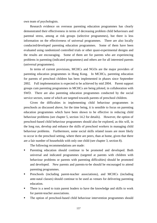own team of psychologists.

 Research evidence on overseas parenting education programmes has clearly demonstrated their effectiveness in terms of decreasing problem child behaviours and parental stress, among at risk groups (selective programmes), but there is less information on the effectiveness of universal programmes. There are also locally conducted/developed parenting education programmes. Some of them have been evaluated using randomized controlled trials or other quasi-experimental designs and the results are encouraging. Some of them are for parents who are experiencing problems in parenting (indicated programmes) and others are for all interested parents (universal programmes).

 In terms of current provisions, MCHCs and NGOs are the major providers of parenting education programmes in Hong Kong. In MCHCs, parenting education for parents of preschool children has been implemented in phases since September 2002. Full implementation is expected to be achieved by mid 2004. Parent support groups cum parenting programmes in MCHCs are being piloted, in collaboration with SWD. There are also parenting education programmes conducted by the social service sectors, some of which are targeted towards parents of preschool children.

 Given the difficulties in implementing child behaviour programmes in preschools as discussed above, for the time being, it is sensible to focus on parenting education programmes which have been shown to be effective in reducing child behaviour problems (see chapter 5, section 14.2 for details). However, the option of preschool-based child behaviour programmes should also be explored, as this will, in the long run, develop and enhance the skills of preschool workers in managing child behaviour problems. Furthermore, some social skills related issues are more likely to occur in the preschool setting, where there are peers, than at home, given that there are a fair number of households with only one child (see chapter 3, section 8).

The following recommendations are made:

- Parenting education should continue to be promoted and developed. Both universal and indicated programmes (targeted at parents with children with behaviour problems or parents with parenting difficulties) should be promoted and developed. New parents and parents-to-be should be encouraged to attend parenting programmes.
- Preschools (including parent-teacher associations), and MCHCs (including ante-natal classes) should continue to be used as venues for delivering parenting education.
- There is a need to train parent leaders to have the knowledge and skills to work for parent-teacher associations.
- The option of preschool-based child behaviour intervention programmes should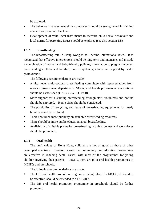be explored.

- The behaviour management skills component should be strengthened in training courses for preschool teachers.
- Development of valid local instruments to measure child social behaviour and local norms for parenting issues should be explored (see also section 1.5).

# **1.1.2 Breastfeeding**

 The breastfeeding rate in Hong Kong is still behind international rates. It is recognized that effective interventions should be long-term and intensive, and include a combination of mother and baby friendly policies; information to pregnant women, breastfeeding mothers and families**;** and competent guidance and support by health professionals.

The following recommendations are made:

- A high level multi-sectoral breastfeeding committee with representatives from relevant government departments, NGOs, and health professional associations should be established (UNICEF/WHO, 1990).
- **More support for sustaining breastfeeding through staff, volunteers and hotline** should be explored. Home visits should be considered.
- The possibility of re-cycling and lease of breastfeeding equipments for needy families could be explored.
- There should be more publicity on available breastfeeding resources.
- There should be more public education about breastfeeding.
- Availability of suitable places for breastfeeding in public venues and workplaces should be promoted.

# **1.1.3 Oral health**

 The dmft values of Hong Kong children are not as good as those of other developed countries. Research shows that community oral education programmes are effective in reducing dental caries, with most of the programmes for young children involving their parents. Locally, there are pilot oral health programmes in MCHCs and preschools.

The following recommendations are made:

- The DH oral health promotion programme being piloted in MCHC, if found to be effective, should be extended to all MCHCs.
- The DH oral health promotion programme in preschools should be further promoted.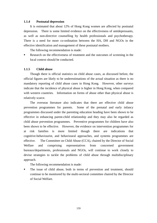### **1.1.4 Postnatal depression**

 It is estimated that about 12% of Hong Kong women are affected by postnatal depression. There is some limited evidence on the effectiveness of antidepressants, as well as non-directive counselling by health professionals and psychotherapy. There is a need for more co-ordination between the HA, DH and NGOs in the effective identification and management of these postnatal mothers.

The following recommendation is made:

Research on the effectiveness of treatment and the outcomes of screening in the local context should be conducted.

### **1.1.5 Child abuse**

 Though there is official statistics on child abuse cases, as discussed before, the official figures are likely to be underestimations of the actual situation as there is no mandatory reporting of child abuse cases in Hong Kong. However, other surveys indicate that the incidence of physical abuse is higher in Hong Kong, when compared with western countries. Information on forms of abuse other than physical abuse is relatively scarce.

 The overseas literature also indicates that there are effective child abuse prevention programmes for parents. Some of the prenatal and early infancy programmes discussed under the parenting education heading have been shown to be effective in enhancing parent-child relationship and they may also be regarded as child abuse prevention programmes. Preventive programmes for children have also been shown to be effective. However, the evidence on intervention programmes for at risk families is more limited though there are indications that cognitive-behaviourist, and behavioural approaches, and systems programmes are effective. The Committee on Child Abuse (CCA), chaired by the Director of Social Welfare and comprising representatives from concerned government bureaux/departments, professionals and NGOs, will continue to work closely to devise strategies to tackle the problems of child abuse through multidisciplinary approach.

The following recommendation is made:

The issue of child abuse, both in terms of prevention and treatment, should continue to be monitored by the multi-sectoral committee chaired by the Director of Social Welfare.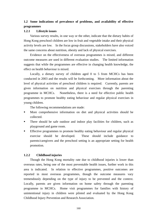# **1.2 Some indications of prevalence of problems, and availability of effective programmes**

## **1.2.1 Lifestyle issues**

 Various survey results, in one way or the other, indicate that the dietary habits of Hong Kong preschool children are low in fruit and vegetable intake and their physical activity levels are low. In the focus group discussions, stakeholders have also voiced the same concerns about nutrition, obesity and lack of physical exercises.

 Evidence on the effectiveness of overseas programmes is mixed, and different outcome measures are used in different evaluation studies. The limited information suggests that while the programmes are effective in changing health knowledge, the effect on health behaviour is mixed.

 Locally, a dietary survey of children aged 0 to 5 from MCHCs has been conducted in 2003 and the results will be forthcoming. More information about the level of physical activities of preschool children is required. Currently, parents are given information on nutrition and physical exercises through the parenting programme in MCHCs. Nonetheless, there is a need for effective public health programmes to promote healthy eating behaviour and regular physical exercises in young children.

The following recommendations are made:

- More comprehensive information on diet and physical activities should be collected.
- There should be safe outdoor and indoor play facilities for children, such as playground and game room.
- Effective programmes to promote healthy eating behaviour and regular physical exercise should be developed. These should include guidance to parents/caregivers and the preschool setting is an appropriate setting for health promotion.

# **1.2.2 Childhood injuries**

 Though the Hong Kong mortality rate due to childhood injuries is lower than overseas rates, being one of the most preventable health issues, further work in this area is indicated. In relation to effective programmes, positive outcomes are reported in most overseas programmes, though the outcome measures vary tremendously depending on the type of injury to be prevented and the context. Locally, parents are given information on home safety through the parenting programme in MCHCs. Home visit programmes for families with history of unintentional injury in children were piloted and evaluated by the Hong Kong Childhood Injury Prevention and Research Association.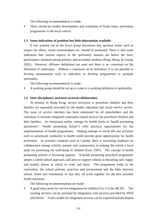The following recommendation is made:

**There should be further development and evaluation of home injury prevention** programmes in the local context.

#### **1.3 Some indications of problem but little information available**

It was pointed out in the focus group discussion that spiritual issues such as respect for others, social connectedness etc. should be promoted. There is also some indication that various aspects in the spirituality domain are below the basic performance standard among primary and secondary students (Pang, Wong, & Leung, 2002). However, different definitions are used and there is no consensus on the definition of spirituality. Without a consensus on its definition, it is not possible to develop measurement tools or indicators or develop programmes to promote spirituality.

The following recommendation is made:

A working group should be set up to come to a working definition of spirituality.

#### **1.4 Inter-disciplinary and inter-sectoral collaboration**

 At present, in Hong Kong, service provision to preschool children and their families are separately provided by the health, education and social service sectors. The issue of service interface has been mentioned by all stakeholders and the consensus is towards integrated community-based services for preschool children and their families. As mentioned earlier, settings for health (such as "health promoting preschools", "health promoting homes") offer practical opportunities for the implementation of health programmes. Making settings of social life and activities such as preschools conducive to health could provide great opportunities for health promotion. In overseas countries such as Canada, there is increasing emphasis on collaboration among schools, parents and communities in making the school a focal point for promoting the well-being of children (Guy, 1997).The concept of health promoting schools is becoming popular. A health promoting preschool programme adopts a whole school approach, and aims to support schools in becoming safe, happy and healthy places in which to work and learn. The programme looks at the curriculum, the school policies, practices and environment and the links between school, home and community so that they all work together for the best possible health outcomes.

The following recommendations are made:

 A good entry point for service integration for children 0 to 3 is the MCHC. The existing services can be enriched by integration with services provided by SWD and NGOs. A new model for integrated services can be explored and developed.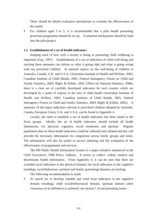There should be inbuilt evaluation mechanisms to evaluate the effectiveness of the model.

 For children aged 3 to 5, it is recommended that a pilot health promoting preschool programme should be set up. Evaluation mechanisms should be built into the pilot project.

## **1.5 Establishment of a set of health indicators**

 Keeping track of how well a society is doing in promoting child wellbeing is important (Guy, 1997). Establishment of a set of indicators of child well-being and tracking these measures can inform us what is going right and what is going wrong with our preschool children. In national reports on the well-being of children in Australia, Canada, U.K. and U.S.A. (Australian Institute of Health and Welfare, 2002; Canadian Institute of Child Health, 2001; Federal Interagency Forum on Child and Family Statistics, 2003; Rigby & Köhler, 2002; Office for National Statistics, 2000), there is a clear set of carefully developed indicators for each country which are developed by a panel of experts in the area of child health (Australian Institute of Health and Welfare, 2002; Canadian Institute of Child Health, 2001; Federal Interagency Forum on Child and Family Statistics, 2003; Rigby & Köhler, 2002). A summary of the major indicators relevant to preschool children adopted by Australia, Canada, European Union, U.K. and U.S.A. can be found in Appendix 4.

 Locally, the need to establish a set of health indicators has been raised in the focus groups. Ideally, the set of health indicators should include all health dimensions, viz. physical, cognitive, social emotional, and spiritual. Regular population data on these health indicators could be collected and collated and this will provide the necessary information for comparison across family groups and times. The information will also be useful in service planning and the evaluation of the effectiveness of programmes and services.

The DH Public Health Information System is a major initiative announced at the Chief Executive's 1998 Policy Address. It serves to collect, collate, analyse and disseminate health information. From Appendix 4, it can be seen that there are available local indicators in the physical domain, but local indicators in the cognitive (reading), social/behaviour, spiritual and family (parenting) domains are lacking.

The following recommendation is made:

 To search for or develop suitable and valid local indicators in the cognitive domain (reading), child social/behavioural domain, spiritual domain (after consensus on its definition is achieved, see section 1.3) and parenting issues.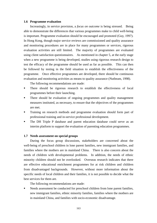### **1.6 Programme evaluation**

Increasingly, in service provision, a *focus on outcome* is being stressed.Being able to demonstrate the differences that various programmes make to child well-being is important. Programme evaluation should be encouraged and promoted (Guy, 1997). In Hong Kong, though major service reviews are commissioned and quality assurance and monitoring procedures are in place for many programmes or services, rigorous evaluation activities are still limited. The majority of programmes are evaluated using client satisfaction questionnaires. As mentioned in chapter 5, at the early stage when a new programme is being developed, studies using rigorous research design to test the efficacy of the programme should be used as far as possible. This can then be followed by testing in the field situation to establish the effectiveness of the programme. Once effective programmes are developed, there should be continuous evaluation and monitoring activities as means to quality assurance (Nutbeam, 1998).

The following recommendations are made:

- **There should be rigorous research to establish the effectiveness of local** programmes before their launching.
- There should be evaluation of ongoing programmes and quality management measures instituted, as necessary, to ensure that the objectives of the programmes are met.
- **Training on research methods and programme evaluation should form part of** professional training and in-service professional development.
- The DH Triple P database and parent education database could serve as an interim platform to support the evaluation of parenting education programmes.

### **1.7 Needs assessment on special groups**

 During the focus group discussions, stakeholders are concerned about the well-being of preschool children in lone parent families, new immigrant families, and families where the mothers are in mainland China. There is also concern about the needs of children with developmental problems. In addition, the needs of ethnic minority children should not be overlooked. Overseas research indicates that there are effective educational enrichment programmes for at risk children and children from disadvantaged backgrounds. However, without more information about the specific needs of local children and their families, it is not possible to decide what the best services for them are.

The following recommendations are made:

 Needs assessment be conducted for preschool children from lone parent families, new immigrant families, ethnic minority families, families where the mothers are in mainland China, and families with socio-economic disadvantage.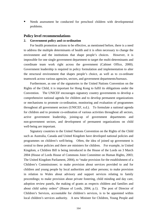Needs assessment be conducted for preschool children with developmental problems.

# **Policy level recommendations**

### **2. Government policy and co-ordination**

 For health promotion actions to be effective, as mentioned before, there is a need to address the multiple determinants of health and it is often necessary to change the environment and the institutions that shape people's choices. However, it is impossible for one single government department to target the multi-determinants and coordinate team work right across the government (Cabinet Office, 2000). Government leadership is required in policy formulation and implementation to alter the structural environment that shapes people's choice, as well as to co-ordinate teamwork across various agencies, sectors, and government departments/bureaux.

 Furthermore, as one of the signatories to the United Nations Convention on the Rights of the Child, it is important for Hong Kong to fulfil its obligations under the Convention. The UNICEF encourages signatory country governments to develop a comprehensive national agenda for children and to develop permanent organizations or mechanisms to promote co-ordination, monitoring and evaluation of programmes throughout all government sectors (UNICEF, n.d.). To formulate a national agenda for children and to promote co-ordination of various activities throughout all sectors, active government leadership, joining-up of government departments and non-government sectors, and development of permanent organizations on child well-being are important.

 Signatory countries to the United Nations Convention on the Rights of the Child such as Australia, Canada and United Kingdom have developed national policies and programmes on children's well-being. Often, the idea of joined up government is central to these policies and there are ministers for children. For example, in United Kingdom, a Children Bill is being introduced in the House of the Lords on 3 March 2004 (House of Lords House of Commons Joint Committee on Human Rights, 2003; The United Kingdom Parliament, 2004), to "make provision for the establishment of a Children's Commissioner; to make provision about services provided to and for children and young people by local authorities and other persons; to make provision in relation to Wales about advisory and support services relating to family proceedings; to make provision about private fostering, child minding and day care, adoption review panels, the making of grants as respects children and families and about child safety orders" (House of Lords, 2004, p.1). The post of Director of Children's Services, accountable for children's services, is to be appointed within local children's services authority. A new Minister for Children, Young People and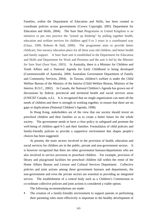Families, within the Department of Education and Skills, has been created to coordinate policies across governments (Crown Copyright, 2003; Department for Education and Skills, 2004). The Sure Start Programme in United Kingdom is an initiative to put into practice the "joined up thinking" by pulling together health, education and welfare services for children aged 0 to 3 years in a coordinated way (Glass, 1999; Roberts & Hall, 2000). The programme aims to provide better childcare, free nursery education place for all three year old children, and better health and family support. A Sure Start unit is established in the Department for Education and Skills and Department for Work and Pensions and the unit is led by the Minister for Sure Start (Sure Start, 2003). In Australia, there is a Minister for Children and Youth Affairs and a National Agenda for Early Childhood is being developed (Commonwealth of Australia, 2004; Australian Government Department of Family and Community Services, 2004). In Taiwan, children's welfare is under the Child Welfare Bureau of the Ministry of the Interior (Child Welfare Bureau, Ministry of the Interior, R.O.C., 2002). In Canada, the National Children's Agenda has grown out of discussions by federal, provincial and territorial health and social services areas (UNICEF Canada, n.d.). It is recognized that no single organization can meet all the needs of children and there is strength in working together, to ensure that there are no gaps or duplications (National Children's Agenda, 1998).

 In Hong Kong, stakeholders are of the view that our society should invest on preschool children and their families so as to create a better future for the whole society. The government needs to have a clear policy to safeguard and promote the well-being of children aged 0-5 and their families. Formulation of child policies and family-friendly policies to provide a supportive environment that shapes people's choices has been suggested.

 At present, the main sectors involved in the provision of health, education and social services for children are in the public, private and non-government sectors. It is however recognized that there are other government bureaux/departments who are also involved in service provision to preschool children. For example, provision of library and playground facilities for preschool children fall within the remit of the Home Affairs Bureau and Leisure and Cultural Services Department. Collective policies and joint actions among these government bureaux and departments, the non-government and even the private sectors are essential in providing an integrated service. The establishment of a central body such as a Children's Commission to co-ordinate collective policies and joint actions is considered a viable option.

The following recommendations are made:

 The creation of a family-friendly environment to support parents in performing their parenting roles more effectively is important to the healthy development of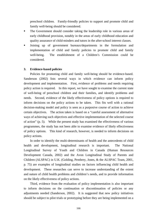preschool children. Family-friendly policies to support and promote child and family well-being should be considered.

- The Government should consider taking the leadership role in various areas of early childhood provision, notably in the areas of early childhood education and quality assurance of child-minders and tutors in the after-school interest classes.
- Joining up of government bureaux/departments in the formulation and implementation of child and family policies to promote child and family well-being. The establishment of a Children's Commission could be considered.

# **3. Evidence-based policies**

Policies for promoting child and family well-being should be evidence-based. Sanderson (2002) lists several ways in which evidence can inform policy development and implementation. First, evidence of problems and needs requiring policy action is required. In this report, we have sought to examine the current state of well-being of preschool children and their families, and identify problems and needs. Second, evidence of the likely effectiveness of policy options is required to inform decisions on the policy actions to be taken.This fits well with a rational decision-making model and policy is seen as a purposive course of action to achieve certain objectives. The action taken is based on a "careful assessment of alternative ways of achieving such objectives and effective implementation of the selected course of action" (p. 5). While the present study has examined the effectiveness of various programmes, the study has not been able to examine evidence of likely effectiveness of policy options. This kind of research, however, is needed to inform decisions on policy actions.

 In order to identify the multi-determinants of health and the antecedents of child health and development, longitudinal research is important. The National Longitudinal Survey of Youth and Children in Canada (Human Resources Development Canada, 2002) and the Avon Longitudinal Study of Parents and Children (ALSPAC) in U.K. (Golding, Pembrey, Jones, & the ALSPAC Team, 2001, p. 75) are examples of longitudinal studies on factors influencing child health and development. These researches can serve to increase understanding of the extent and nature of child health problems and children's needs, and to provide information on the likely effectiveness of policy actions.

Third, evidence from the evaluation of policy implementation is also important to inform decisions on the continuation or discontinuation of policies or any adjustments needed (Sanderson, 2002).It is suggested that new policy initiatives should be subject to pilot trials or prototyping before they are being implemented on a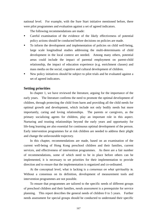national level. For example, with the Sure Start initiative mentioned before, there were pilot programmes and evaluation against a set of agreed indicators.

The following recommendations are made:

- Careful examination of the evidence of the likely effectiveness of potential policy actions should be conducted before decisions on policies are made.
- To inform the development and implementation of policies on child well-being, large scale longitudinal studies addressing the multi-determinants of child development in the local context are needed. Among many others, potential areas could include the impact of parental employment on parent-child relationship, the impact of education experience (e.g. enrichment classes) and mass media on the social, cognitive and cultural development of children.
- New policy initiatives should be subject to pilot trials and be evaluated against a set of agreed indicators.

# **Setting priorities**

 In chapter 1, we have reviewed the literature, arguing for the importance of the early years. The literature confirms the need to promote the optimal development of children, through protecting the child from harm and providing all the child needs for optimal growth and development, which include not only bodily needs but more importantly, caring and loving relationships. The parents or caregivers, as the primary socializing agents for children, play an important role in this aspect. Nurturing and trusting relationships beyond the early years and opportunity for life-long learning are also essential for continuous optimal development of the person. Early intervention programmes for at risk children are needed to address their plight and change the unfavourable trajectory.

In this chapter, recommendations are made, based on an examination of the current well-being of Hong Kong preschool children and their families, current services, and effectiveness of intervention programmes. As there are a fair number of recommendations, some of which need to be in place before others can be implemented, it is necessary to set priorities for their implementation to provide direction and to ensure that the implementation is organized and co-ordinated.

At the conceptual level, what is lacking is a *consensus on what spirituality is*. Without a consensus on its definition, development of measurement tools and intervention programmes are not possible.

To ensure that programmes are tailored to the specific needs of different groups of preschool children and their families, *needs assessment* is a prerequisite for service planning. This report describes the general needs of children 0 to 5 years. Further needs assessment for special groups should be conducted to understand their specific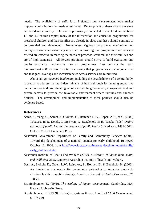needs. The availability of *valid local indicators and measurement tools* makes important contributions to needs assessment. Development of these should therefore be considered a priority. On service provision, as indicated in chapter 4 and sections 1.1 and 1.2 of this chapter, many of the intervention and education programmes for preschool children and their families are already in place and these should continue to be provided and developed. Nonetheless, rigorous *programme evaluation and quality assurance* are extremely important in ensuring that programmes and services offered are effective in meeting the needs of preschool children and their families and are of high standards. All service providers should strive to build evaluation and quality assurance mechanisms into all programmes. Last but not the least, *inter-sectoral collaboration* is vital in ensuring that programmes are comprehensive and that gaps, overlaps and inconsistencies across services are minimized.

Above all, *government leadership*, including the establishment of a central body, is crucial to address the multi-determinants of health through formulating supportive public policies and co-ordinating actions across the government, non-government and private sectors to provide the favourable environment where families and children flourish. The development and implementation of these policies should also be evidence-based.

# **References**

- Asma, S., Yang, G., Samet, J., Giovino, G., Bettcher, D.W., Lopez, A.D., et al. (2002). Tobacco. In R. Detels, J. McEwan, R. Beaglehole & H. Tanaka (Eds.) *Oxford textbook of public health: the practice of public health* (4th ed.). (p. 1481-1502). Oxford: Oxford University Press.
- Australian Government Department of Family and Community Services (2004). Toward the development of a national agenda for early childhood. Retrieved October 12, 2004, from http://www.facs.gov.au/internet /facsinternet.nsf/family/ early\_childhood.htm
- Australian Institute of Health and Welfare (2002). *Australia's children: their health and wellbeing 2002*. Canberra: Australian Institute of health and Welfare.
- Best, A., Stokols, D., Green, L.W., Leischow, S., Holmes, B., & Buchholz, K. (2003). An integrative framework for community partnering to translate theory in effective health promotion strategy. *American Journal of Health Promotion, 18,* 168-76.
- Bronfenbrenner, U. (1979). *The ecology of human development*. Cambridge, MA: Harvard University Press.
- Bronfenbrenner, U. (1989). Ecological systems theory. *Annals of Child Development, 6,* 187-249.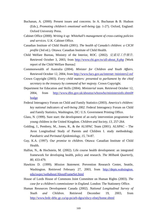- Buchanan, A. (2000). Present issues and concerns. In A. Buchanan & B. Hudson (Eds.), *Promoting children's emotional well-being* (pp. 1-27). Oxford, England: Oxford University Press.
- Cabinet Office (2000). *Writing it up: Whitehall's management of cross-cutting policies and services*. U.K. Cabinet Office.
- Canadian Institute of Child Health (2001). *The health of Canada's children: a CICH profile* (3rd ed.). Ottawa: Canadian Institute of Child Health.
- Child Welfare Bureau, Ministry of the Interior, ROC. (2002). 兒童局工作報告. Retrieved October 3, 2003, from http://www.cbi.gov.tw/all-about\_8.php [Work report of the Child Welfare Bureau]
- Commonwealth of Australia (2004). *Minister for Children and Youth Affairs*. Retrieved October 12, 2004, from http://www.facs.gov.au/internet /ministers2.nsf
- Crown Copyright (2003). *Every child matters: presented to parliament by the chief secretary to the treasury by command of her majesty*. Crown Copyright.
- Department for Education and Skills (2004). *Ministerial team*. Retrieved October 12, 2004, from http://www.dfes.gov.uk/aboutus/whoswho/ministersinfo.shtml# hodge
- Federal Interagency Forum on Child and Family Statistics (2003). *America's children: key national indicators of well-being 2002*. Federal Interagency Forum on Child and Family Statistics, Washington, DC: U.S. Government Printing Office.
- Glass, N. (1999). Sure start: the development of an early intervention programme for young children in the United Kingdom. *Children and Society, 13,* 257-264.
- Golding, J., Pembrey, M., Jones, R., & the ALSPAC Team (2001). ALSPAC The Avon Longitudinal Study of Parents and Children I. study methodology. *Paediatric and Perinatal Epidemiology, 15,* 74-87.
- Guy, K.A. (1997). *Our promise to children*. Ottawa: Canadian Institute of Child Health.
- Halfon, N., & Hochstein, M. (2002). Life course health development: an integrated framework for developing health, policy and research. *The Milbank Quarterly, 80,* 433-479.
- Hawkins D. (1999). *Mission Statement.* Prevention Research Center, Seattle, Washington. Retrieved February 27, 2003, from http://depts.wahsington. edu/swprc/webabout/AboutFrameSet.html
- House of Lords House of Commons Joint Committee on Human Rights (2003). *The case for a children's commissioner in England*. London: The Stationery Office.
- Human Resources Development Canada (2002). *National Longitudinal Survey of Youth and Children*. Retrieved December 19, 2003, from http://www.hrdc-drhc.gc.ca/sp-ps/arb-dgra/nlscy-elnej/home.shtml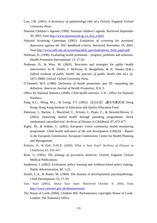- Last, J.M. (2001). *A dictionary of epidemiology* (4th ed.). Oxford, England: Oxford University Press.
- National Children's Agenda (1998). National children's agenda. Retrieved September 30, 2003, from http://www.unionsociale.gc.ca./nca\_e.html
- National Screening Committee (2001). *Evaluation of screening for postnatal depression against the NSC handbook criteria*. Retrieved November 19, 2003, from http://www.nelh.nhs.uk/screening/adult\_pps/shakespeare\_final\_paper.pdf
- Nutbeam, D. (1998). Evaluating health promotion progress, problems and solutions. *Health Promotion International, 13,* 27-43.
- Nutbeam, D., & Wise, M. (2002). Structures and strategies for public health intervention. In R. Detels, J. McEwan, R. Beaglehole, & H. Tanaka (Eds.) *Oxford textbook of public health: the practice of public health* (4th ed.). (p. 1873-1888). Oxford: Oxford University Press.
- O'Donnell, M.P. (1989). Definition of health promotion: part III: expanding the definition. *American Journal of Health Promotion, 3*(3), 5.
- Office for National Statistics (2000). *Child health statistics*. U.K.: Office for National Statistics.
- Pang, K.C., Wong, M.L., & Leung, F.T. (2002). 活出彩虹*:* 邁向均衡教育. Hong Kong: Hong Kong Institute of Education and Quality Education Fund.
- Patterson, J., Barlow, J., Mockford, C., Klimes, I., Pyper, C., & Steward-Brown, S. (2002). Improving mental health through parenting programmes: block randomized controlled trial. *Archives of Disease in Childhood, 87,* 472-477.
- Rigby, M., & Köhler, L. (2002). *European Union community health monitoring programme: Child health indicators of life and development (CHILD) – Report to the European Commission*. European Commission: Centre for Health Planning and Management.
- Roberts, H., & Hall, D.M.B. (2000). What is Sure Start? *Archives of Disease in Childhood, 82,* 435-437.
- Rose, G. (1992). *The strategy of preventive medicine*. Oxford, England: Oxford Medical Publications.
- Sanderson, I. (2002). Evaluation, policy learning and evidence-based policy making. *Public Administration, 80,* 1-22.
- Sroufe, L.A., & Rutter, M. (1984). The domain of developmental psychopathology. *Child Development, 55*, 17-29.
- Sure Start (2003). *About Sure Start*. Retrieved October 9, 2003, from http://www.surestart.gov.uk/aboutsurestart/
- The House of Lords (2004). Children Bill. Parliamentary copyrights House of Lords. London: The Stationery Office.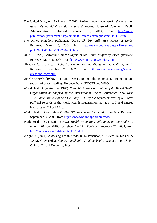- The United Kingdom Parliament (2001). *Making government work: the emerging issues. Public Administration – seventh report*. House of Commons: Public Administration. Retrieved February 13, 2004, from http://www. publications.parliament.uk/pa/cm200001/cmselect/cmpubadm/94/9403.htm
- The United Kingdom Parliament (2004). *Children Bill (HL).* House of Lords. Retrieved March 5, 2004, from http://www.publications.parliament.uk/ pa/ld200304/ldbills/035/2004035.htm
- UNICEF (n.d.) *Convention on the Rights of the Child: frequently asked questions*. Retrieved March 5, 2004, from http://www.unicef.org/crc/faq.htm
- UNICEF Canada (n.d.). *U.N. Convention on the Rights of the Child Q & A*. Retrieved December 2, 2002, from http://www.unicef.ca/eng/special/ questions\_conv.html
- UNICEF/WHO (1990). Innocenti Declaration on the protection, promotion and support of breast-feeding. Florence, Italy: UNICEF and WHO.
- World Health Organization (1948). *Preamble to the Constitution of the World Health Organization as adopted by the International Health Conference, New York, 19-22 June, 1946; signed on 22 July 1946 by the representatives of 61 States* (Official Records of the World Health Organization, no. 2, p. 100) and entered into force on 7 April 1948.
- World Health Organization (1986). *Ottawa charter for health promotion*. Retrieved September 10, 2003, from http://www.who.int/hpr/archive/docs/
- World Health Organization (1998). *Health Promotion: milestones on the road to a global alliance*. WHO fact sheet No 171. Retrieved February 27, 2003, from http://www.who.int/inf-fs/en/fact171.html
- Wright, J. (2001). Assessing health needs. In D. Pencheon, C. Guest, D. Melzer, & J.A.M. Gray (Eds.). *Oxford handbook of public health practice* (pp. 38-46). Oxford: Oxford University Press.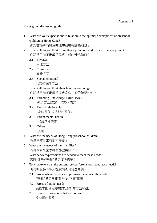Focus group discussion guide

- 1 What are your expectations in relation to the optimal development of preschool children in Hong Kong? 你對香港學前兒童的理想發展有那些期望?
- 2 How well do you think Hong Kong preschool children are doing at present? 你認為目前香港學前兒童一般的情況如何?
	- 2.1 Physical 生理方面
	- 2.2 Cognitive 智能方面
	- 2.3 Social emotional 社交和情緒方面
- 3 How well do you think their families are doing? 你認為目前香港學前兒童家庭一般的情況如何?
	- 3.1 Parenting (knowledge, skills, style) 親子方面(知識,技巧,方式)
	- 3.2 Family relationship 家庭關係(家人間的關係)
	- 3.3 Parent mental health 父母精神健康
	- 3.4 Others
		- 其他
- 4 What are the needs of Hong Kong preschool children? 香港學前兒童有那些需要?
- 5 What are the needs of their families? 香港學前兒童家庭有那些需要?
- 6 What services/provisions are needed to meet these needs? 甚麽(那些)服務能滿足這些需要?
- 7 To what extent can the current services/provisions meet these needs? 現有的服務有多大程度能滿足這些需要?
	- 7.1 Areas where the services/provisions can meet the needs 服務能滿足需要(足夠)的方面/範圍
	- 7.2 Areas of unmet needs 服務未能滿足需要(未足夠)的方面/範圍
	- 7.3 Services/provisions that are not useful 沒有用的服務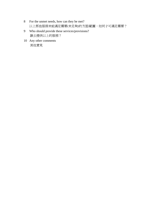- 8 For the unmet needs, how can they be met? 以上那些服務未能滿足需要(未足夠)的方面/範圍,如何才可滿足需要?
- 9 Who should provide these services/provisions? 誰去提供以上的服務?
- 10 Any other comments 其他意見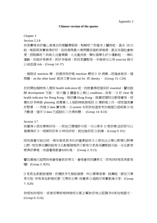Chapter 3

Section 2.3.8

我其實唔係好擔心香港幼兒嘅醫療服務,點解呢?即基本上醫院啦,甚至 MCH 啦,嘅服務其實做得好好,但我發現最大嘅問題係個教育嗰度,甚至係個社會制 度,因點解呢?我哋太注重學識,太注重成就,變咗個學生好少運動啦,一無咗 運動, 佢就好易衰老, 即好多嘅病, 即而家講緊有一半嘅病可以用 exercise 就可 以减低個 risk。(Group 14: I7)

一個就係 nutrition 喇,我提供到好嘅 nutrition 梗係少 D 病喇…咁偏食就係一個 問題, on the other hand 就係又要 look out for 即 obesity。 (Group 15: C20)

初初開始嗰時有人提到 health indicators 啦,我就覺得呢個係好 essential,譬如話 睇 development 方面, 我大膽 D 講基本上無乜 condition…係有一 D 好 clear 嘅 health indicator for Hong Kong, 唔好講 Hong Kong, 就算呢頭附近都唔覺有,咁 變咗好多時候 planning 或專業人士培訓時就做唔到 D 應對嘅工作,咁呢個其實 好緊要 。…同埋 D data 實在無一 D system 令到我知道原來你嗰個已經喺第 D 地 方數過,個仔 D data 已經話咗三次俾我聽。 (Group 14: K33)

Section 3.7

我覺得小朋友學嘢好快,…即自己環境許可呢,可以俾多 D 嘢佢學,但佢即可以 發揮得好 D,咁睇到佢有 D 咩係好呢,就加強佢呢 D 訓練。(Group 9: D1)

咁我發覺可能近呢一兩年嘅家長多咗好鍾意話將D小朋友出去學乜野學乜野學 乜野。咁如果你講到話有D比較極端嘅例子都有D家長係講緊話可能一至五都有 嘢俾佢學嘅,成個暑假都會full咗嘅。 (Group 2: E13)

譬如歳幾已經問我哋會唔會教佢英文,會唔會同佢講英文。即有D咁嘅家長都有  $\mathbb{R}$  ! (Group 3: B25)

D 家長全部都諗埋哂,佢應該多元智能發展,所以要學音樂,跳舞啦,跟住又學 英文啦,仲有其他新嘅玩意,又帶佢去學,我覺得 D 細路仔其實都幾辛苦。 (Group 7: A29)

我唔知啱唔啱,或者係學前嘅時候呢亦都去幫助佢哋去認識多D其他嘅語文。 (Group 6: G16)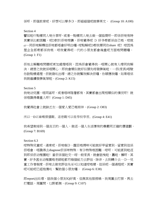係呀,即個教育呢,好想可以學多D,即細細個呢就學英文。 (Group 10: A100)

### Section 4

譬如啦吓點樣同人哋分享呀、或者…點樣同人哋去做一個協商呀…即係佢哋有時 其實係比較困難,呢D對於佢哋嚟講,佢哋覺得呢 D 好多嘢都係自己嘅,咁就 er…同佢哋解釋但佢哋都唔會好明白囉,咁點解呢D嘢我要同你share 呢! 咁因為 屋企全部嘢都係我嘅。咁我覺得呢一代的小朋友都會幾重呢方面嘅問題囉。 (Group 1: F1)

佢地去解難問題呢更加處理唔到,因為佢會覺得我一唔開心就有人嚟同我解 決,總言之我就係唔開心,即我會類似就好似頭先咁發脾氣啦,…佢(家長)唔駛 你諗點樣處理,佢就發咗出嚟,總之你就幫我解決佢囉,你順應我囉,如果唔係 我就繼續發脾氣架啦。(Group 2: K15)

### Section 5

我哋幼兒園,唔同區呀,或者唔咩階層都有,其實都會出現相類似的情況呀! 就 係唔識得尊重人呀﹗(Group 1: D45)

我覺得社會上就缺乏左一個愛人愛己嘅精神。(Group 2: O83)

所以一D正確嘅價值觀、道德觀可以從學校學習。(Group 4: E41)

我希望栽培到一個真正的一個人,做返一個人生活應有的尊嚴同正確的價值觀。 (Group 7: B169)

## Section 6.3

咁特殊兒童呢,通常呢,佢嗰D,醒目媽咪可能就好早留意到。留意到但係 佢唔會,唔識得去diagnose佢係咪特殊,有D特殊困難。咁呀,可能直到啦返 到即係佢幼稚園啦!當佢係個社交…咁一般家長,就會話曳啦、蠢啦、懶呀。其 實,好多甚至幼稚園老師啦都冇嗰個能力去評估。除非,去到轉介去一D…兒 童工作者嗰度。佢哋去做完評估先至可以知道咁嘅樣。但係呢一個過程呢,其實 呢可能呢已經拖慢咗,幫助個小朋友囉。 (Group 6: E38)

即report出咗嚟,話我個小朋友IQ好高,但無其他服務喎,我周圍去打探,再去 打電話,周圍問,乜野都無。(Group 9: C107)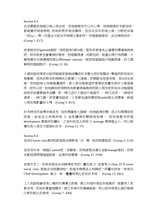Section 8.4

真係單親家庭嗰D嘅小朋友呢,佢哋做嘢係冇乜中心㗎,我哋嗰度好多都係咁。 都發覺佢哋做嘢啦..我哋教嘢佢哋係識。但係真係叫佢哋去做一D嘢呢係幾 「呢hair」唻…佢屋企可能係冇時間去管教呀!同埋嗰個愛呢,真係俾唔到佢。 (Group 1: E17)

或者就係好ignorant嗰班,咁即話有D新D嘅,落到來香港未必適應到環境嘅時侯 呢,咁佢哋更加會覺得好無奈,我唔識得湊,咁跟住呢,就會出現行為問題,大 概喺歳半至兩歳喥呢就出現temper tantrum,就因為個細路仔唔識表達,佢又理 解唔到個細路仔。(Group 12: I6)

不過我諗呢度呢可能同嗰個家庭嘅結構呢好多變化呢好有關係,舉個例即我地叫 假單親,因為佢根本即媽媽成日都要上大陸嘅,即間歇性咁落來嘅。有D係年長 嘅,即我諗喺父母嗰個溝通呀,對小朋友嘅期望呀等等呢其實係有好大嘅差異 呀。咁所以呢,我地睇到呢有時我地都覺得幾無奈呢就小朋友呢佢地年幼嗰個階 段呢佢地需要幾多流轉,即一時又返吓大陸住吓幾個月,一時又返來,一時喺阿 婆度,一時又搬。即其實我諗呢,大家都知道咁樣咁唔stable嘅生活環境,對個 小朋友嘅影響好大㗎。(Group 5: B13)

好多時係阿爸帶佢哋返來,但阿媽重喺大陸喎…我哋話俾佢聽,返去叫媽媽咁咁 咁做,爸爸返去有無將呢 D 消息講俾佢聽就唔知喎, 咁我哋最多將個 development 單張同佢講咗,之後叫佢返去將呢 D message 帶俾屋企人…所以就 變咗教小朋友方面弱咗好多。(Group 12: J7)

Section 9.4

但係D lower class果D呢直程就係無野架,你'質'餉佢就算啦咁。(Group 5: G16)

但係另外有一堆嗰D parent呢,係窮嘅,佢哋直程係連生活都manage唔到,佢根 本都唔得閒理個細路哥,由得佢咁樣樣。(Group 15: I109)

或者文字上, 佢哋係唔係真係睇得咁多呢!譬如有 D, 或者有 D clinic 好多 lower social class 嘅就真係唔識㗎啦! 有幾多媽媽返去有睇呢?即譬如我哋,咪有份 CPaP Development 嗰 D, 咪一疊疊咁飛比佢係好多㗎。 (Group 13: D41)

工人我諗唔會咁有心機同你慢慢去教嘅, 總之你唔好煩住佢就最好, 就算老人家 都係㗎,佢地好著重個關係,總之佢肯叫佢嫲嫲爺爺,即以前佢唔肯比個仔做嗰 D 嘢佢都比佢做。(Group 7: A40)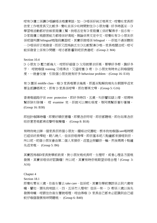咁有D傭工係講D唔鹹唔淡廣東話,加一D唔係好純正英文,咁變咗家長即 依家工作家長又比較多,變咗真係少咗時間對住D小朋友囉,好多時甚至一D 學習活動都好依頼家庭傭工幫,我唔否定有D家庭傭工係好幫得手,但亦有一 D家庭傭工語言能力都唔係好高啦,無論係英文定中文。咁變咗有D小朋友佢 係呢個所謂 bilingual嘅階段裏面呢,其實佢就唔係 bilingual,…佢袛不過係聽到 一D唔係好正嘅發音。而佢又因為缺乏左D比較緊湊D嘅…家長嘅關注呢,咁可 能係發音上係有D問題,咁亦都影響到呢佢表達呢。(Group 2: M4)

### Section 10.4

D 小朋友 D 壓力都幾大,咁即好細個 D 父母就要求好高,要學好多嘢,識好多 字, 咁就嗰個 training 又唔得法,又猛咁塞 D 嘢,D 小朋友有時未必到嗰個程 度,…就會忟憎,引致個小朋友就有好多 behaviour problem。(Group 16: E10)

有 D 園係 middle class,嗰 D 家長嘅要求幾高。即甚至點解我哋先生朝頭早返來 要全部講哂英文,即有 D 家長係咁㗎,即你要英文㗎。(Group 5: G16)

香港嘅細路仔係 over protective,即好多時四,五歲,叫佢譬如瞓上嚟,咁媽咪 幫佢除衫除褲, 咁 examine 完,佢就可以棟咗喺度,等阿媽幫佢著衫著褲。 (Group 16: B38)

即扭計嗰陣時囉,即要好順佢意囉,即要氹佢呀咁。即佢都聽嘅,即你如果氹佢 啱佢意思都肯收聲呀嗰隻囉。 (Group 8: B18)

有時我哋去睇一個家長佢將個小朋友…擺喺幼兒園啦。根本我地嗰個care嘅時間 已經係好長㗎啲,朝八晚八。但係佢唔得㗎,即佢基本呢八點鐘都來接唔到佢。 所以呢,呢個小朋友會由第二個人來接佢,返屋企照顧佢一輪,然後媽媽十點鐘 先返來嘅。 (Group 5: B6)

其實因為嗰D家長對學前教育,對小朋友嘅成長呀,生理呀,或者心理各方面嘅 發展。其實係唔係好認識囉!所以呢,其實有時佢嘅期望係唔合理!(Group 3: A16)

Chapter 4

Section 18.1

即變咗零至三歲,你衞生署去 take care。但係呢,其實你學前應該係去到六歲㗎 嘛。譬如,頭先我哋話三、四、五係冇人理㗎! 但係…有一 D 嘢係三歳以後先 發展喫嘛。咁跟住你衛生署就唔理,咁由得嗰 D 家長自己都未必認識到自己細 蚊仔嗰個發展有咩問題。 (Group 6: B40)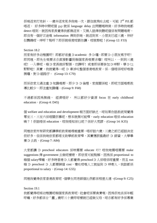佢哋返來打完針,一歲半返來見多我哋一次,跟住就飛咗去啦,可能 2nd P.E.都 唔返, 好多時中間呢個 gap 就係 language delay 出問題嘅時侯,好多時我哋都 detect 唔到,就因為家長覺得我都無返來,又無人話俾我聽呢個係有問題嘅嘢, 即沒有一個好正途嘅 information 俾到佢哋,就返到來,小朋友已經三歲,仲好 似鸚鵡咁,咩呀?點呀?即佢就喺度咁跟你講,咁就弊啦!(Group 12: F33)

### Section 18.2

而家有好多幼稚園呀! 即都好着重 D academic 多 D 囉。即要 D 小朋友寫字呀! 即同埋,即先生嘅要求市直接影響到嗰個家長嘅要求囉!咁所以,一到到三歳 呢! 一入學呢,嗰 D 家長就好緊張。功課呀! 或者即係要參加 D 咩野,學 D 乜 野野啦! 其實,我就覺得…呢 D 牽涉防整個香港嘅教育。係一個唔係咁好嘅發 展囉,對 D 細路仔。 (Group 13: C70)

而係依家太過注重 D 知識嘅嘢, 即少 D D 倫理、家庭關係啦, 即呢方面嘅嘢教 導比較少,即注重知識囉。(Group 9: F68)

不過都係因為無錢, 經濟唔好, 所以都好少資源 focus 在 early childhood education。(Group 4: D45)

個 welfare and education and development 嗰方面好缺乏,咁如果你話教統局覺得 零至三,三至六係唔關佢事呢,根本就無可能㗎,early education 唔係 education 喎?!佢話唔係 education,咁我唔知係乜呢?係好大荒謬。(Group 14: K35)

同埋依家所有研究都講學前教育越嚟越重要,唔好話六歲,三歲之前已經話決定 佢好多,但係我哋依家都唔支助學前教育㗎,其實應該搵最好 D 師資,大學畢 業 D 去教。(Group 7: A84)

大家都講 D preschool educators 係咪需要 educate 吓? 咁我哋需唔需要 make suggestions 俾 government 去做呢樣嘢,即依家可能點解,因為係 proportional to 嗰個 salary㗎嘛,好多時香港 D 人都覺得 preschool D 人係唔係咁重要,而且 run 嗰 D preschool D 人都要睇個 cost,變咗咁嘅人工就揾到 D 咩嘢人,我諗都係 proportional to salary。(Group 14: G55)

同埋我覺得依家香港教育呢,個學生同老師個比例都係相差太遠。(Group 9: C25)

Section 19.1

我都覺得呢喺幼稚園呢嗰個家長教育呢,社會呢係要負責嘅,因為佢地真係年輕 呀嘛,好多都係廿「靈」歲呀三十歲呀咁樣就已經做父母,咁亦都有好多係專業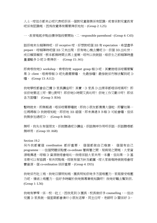人士,咁但亦都未必呢代表呢佢係一個對兒童發展係有認識,或者係對兒童教育 呢係有認識嘅,因為我覺得有需要俾佢地知。(Group 2: L25)

一,教育嘅起步點由懷孕階段要開始,二,responsible parenthood。(Group 4: C43)

話佢哋未生嗰陣時呢,好 receptive 咁,好想對呢個 BB 有 expectation,希望盡早 prepare,咁嗰陣時呢個 BB 又未出現,佢有哋心機去攪呢 D,佢個 BB 出咗世, 成日賴屎賴尿,根本都無時間去再上堂喇,咁所以我就話,喺佢生之前嗰陣時盡 量灌輸多 D 呢 D 嘢俾佢。 (Group 15: J41)

即肯嚟我哋D workshop,肯嚟我哋 support group 嗰 D 呢。其實就唔係咁需要幫 果 D client,唔肯嚟嗰 D 呢先最需要囉, 先最慘囉!最慘就係冇辦法幫到呢 D ■ ⊙ (Group 13: A112)

我哋學校都會自己攪 D 家長講座呀!其實,D 家長 D 出席率都唔係咁高呀!即 係佢哋要返工呀,要乜野呀! 即佢哋D 時間又長咗呀! 佢哋工作又艱辛呀! 即係 各方面囉﹗ (Group 3: B34)

暫時就未,即無報過,唔係咁需要囉就,即我小朋友都慢慢大個啦。即譬如第一 任媽媽嗰 D 我就唔知啦,即佢地 BB 細個,即未湊過 B B 嗰 D 可能會囉,但係 我無參加過呢D。 (Group 8: B43)

無呀,我先生有個朋友,佢就聽過呢D講座,佢話無咩作用呀佢話,佢話聽嚟都 無咩用。(Group 10: A68)

Section 19.2

另外我都覺個 coordination 都好重要, 個個都做自己嗰套, 個個有自己 programme,…但個問題係點樣 co-ordinate 署與署之間,局與局之間嘅,大家資 源嘅傳遞,咁嗰 D 資源就唔會嘥咗…我唔係話大家共用一本書,但如果一 D 基 本嘢可以有協調,有共同點嘅,咁就有個方針及範圍,咁大家做嘅時候就唔會咁 費資源,個 co-ordination 係好重要。(Group 4: D55)

我哋係冇社工嘅,我哋日頭明知嘅,園長明知佢哋多方面嘅壓力,家庭接受嘅壓 力呢、情緒上嘅壓力。但好多時礙於我哋無專業嘅知識呀!我哋好難去幫到佢。 (Group 1: L56)

我哋有夢㗎,係一校一社工,因我見到 D 園長、校長做好多 counselling,…但幼 兒園 D 家長就一個星期都會湊吓小朋友返學,同主任呀、老師呀 D 關係好 D,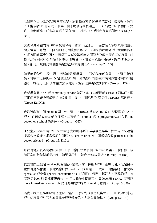以致屋企 D 家庭問題就會帶返學,我都聽過有 D 家長希望自殺、離婚呀,爸爸 有工傷或者 D 乜野病, 佢第一個求助就係學校嘅主任, 可能建立咗個關係, 變 咗一來老師或主任未必有呢方面嘅 skill,好吃力,所以我會有呢個夢。(Group 4: D47)

其實係見到國內有D嘅學校呢係每日會有一個護士, 係當佢入學校嘅時候幫小 朋友檢查下身體,…但香港呢方面真係比較少,但如果靠我哋老師,我哋可能都 冇呢方面嘅專業知識,…可唔可以喺身體健康方面俾多D嘅支援我哋幼稚園,咁 我哋幼稚園已經係叫做係困難又困難當中,咁如果話衞生署好,政府俾多D支 援,都可以減輕我哋老師喺呢方面嘅或者擔心呀。(Group 2: C65)

如果能夠做到一校一醫生嘅話就最理想囉!…即係我哋都有同一 D 醫生接觸 過,可唔可以提供一 D 資源比我哋呀! 即係我哋有問題可唔可以直接同佢哋聯 絡呀! 咁佢可以俾 D 專業知識我哋呀,幫我哋解決問題呀咁。(Group 3: D52)

我覺得有個 XXX 嘅 community service 幾好,落 D 幼稚園喥 assess D 細路仔,即 其實佢撈到好多三歲唔返 MCH 嗰「渣」, 咁同埋 D 家長個 response 都幾好。 (Group 12: D72)

我最近收到一個 email 有關一校一醫生, 但依家就 stick to 答 D 問題關於 SARS 呀, 咁但係 SARS 都會停㗎,其實值得 continue 呢 D programme…咁我諗 one doctor, one school 係幾好。(Group 14: G67)

D 兒童去 screening 喇, screening 完我哋都唔知咩事發生咩事, 拎番嚟佢又唔會 將報告拾番嚟,咁嗰個報告即點,你 centre oriented,即唔係嗰個 patient nor the doctor oriented。(Group 15: D101)

咁我哋健康院講明唔睇大病,咁有時會同私家有個 interface 喺喥,…個仔病,以 前好彩的話就揾番哂出嚟,如果唔好彩,就會 miss 咗好多。(Group 16: H86)

我諗實際上呢個 service 就係兩個極端嘅。咁一係就 MCH,佢哋可能,佢個醫生 呢係普通科醫生,佢哋唔會好好 sort out 個問題,一係第二個極端呢,醫院嘅 specialist 呀或者 special consultation,咁呢個你知個門口都好高,又難約呀…可 能淨係 book 時間都要親自去,…所以我諗中間嗰 D 中間 level 嘅 service 就可以 more immediately accessible 同埋唔需要咩咁多 formality 就得。(Group 15: J29)

其實,我又覺得可以地區性囉。譬如,你果到嗰個區域裏面,一 D 嘅幼兒中心 呀! 幼稚園呀! 即大家同我哋母嬰健康院,大家有個聯繫。 (Group 13: F73)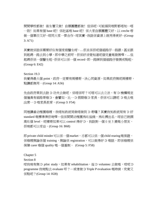間間學校都做! 衛生署又做! 自願團體都做! 但係呢,可能攞到嘅野都唔知一唔 一致! 如果有個 base 呢! 係社區嘅 base 呢! 係大家自願團體又好、以 creche 嚟 做一個單位又好、咁同大家一齊合作。咁其實,我諗係資源上就用得更好。(Group 3: A71)

其實就係話係需要好似有個家庭醫生咁。…佢真係佢呢個細路仔一路跟,甚至跟 到起碼一路去到小學,即中學之前呀。佢係好清楚知道呢個兒童嘅發展㗎。…但 起碼佢係一個醫生啦,佢係可以係一個 record,即一路睇到個細路仔發展成點啦。 (Group 6: E42)

Section 19.3

我覺得最大個 point,政府一定要有兩樣嘢,決心同資源,如果政府無呢兩樣嘢, 點講都無用。(Group 14: A56)

先由政府果到去諗 D 功夫去做呢,係唔係呀?可唔可以去立法,有 D 機構規定 個僱員有細路哥嗰 D,會譬如,比一 D 假期嗰 D 家長。佢係可以請呢 D 嘅去嘅 出席一 D 嘅家長教育。(Group 3: F54)

同埋講番幼稚園嗰喥,我唔知教統局做唔做到 D 嘢囉?其實我知教統局有 D 好 standard 嘅標準俾佢哋唻…但係間間幼稚園為咗揾錢, 為咗搏出名,咁自己就調 高咗個 level,呢樣嘢如果可以 control 得好 D,我諗對一個 0 至 5 歲嘅小朋友, 佢哋都可以受益。(Group 16: B68)

即private child minder可以係一個market, 亦都可以係一個 child rearing嘅保證, 係嗰喥無論係個 training,無論係 registration,可以做得好 D 嘅話,即係嗰喥係 保障 carer 嗰個 quality 嘅一個基制。 (Group 5: F58)

Chapter 5

Section 8

咁我哋有無 D pilot study,如果有 rehabilitation,揾 D volunteer 去做嘅,咁呢 D programme 我哋點去 evaluate 呀?…或者做 D Triple P evaluation 嘅時候,究竟又 係點呢?(Group 14: H28)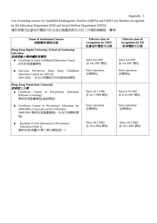Appendix 3

List of training courses for Qualified Kindergarten Teachers (QKTs) and Child Care Workers recognized by the Education Department (ED) and Social Welfare Department (SWD): 獲教育署及社會福利署認可的合格幼稚園教師及幼兒工作員訓練課程一覽表:

| <b>Name of Institution/Courses</b><br>授課學院/課程名稱                                                                                  | <b>Effective date of</b><br>recognition by SWD<br>社會福利署認可日期 | <b>Effective date of</b><br>recognition by ED<br>教育署認可日期 |  |  |
|----------------------------------------------------------------------------------------------------------------------------------|-------------------------------------------------------------|----------------------------------------------------------|--|--|
| Hong Kong Baptist University, School of Continuing<br><b>Education</b><br>香港浸會大學持續教育學院                                           |                                                             |                                                          |  |  |
| Certificate in Early Childhood Education Course<br>幼兒教育證書課程                                                                      | Since 4.6.1997<br>自 4.6.1997 開始                             | Since 4.6.1997<br>自 4.6.1997 開始                          |  |  |
| One-year Pre-service Basic Early<br>Childhood<br>Education Course for 2001-02<br>2001/2002 一年全日制職前幼兒教師培訓課程                       | Since operation<br>自開辦始                                     | Since operation<br>自開辦始                                  |  |  |
| <b>Hong Kong Polytechnic University</b><br>香港理工大學                                                                                |                                                             |                                                          |  |  |
| Certificate Course in Pre-primary<br>Education<br>(Distance Learning)<br>學前教育證書課程(遙距課程)                                          | Since 24.7.1989<br>自 24.7.1989 開始                           | Since 8.10.1997<br>自 8.10.1997 開始                        |  |  |
| Certificate Course in Pre-primary Education for<br>2000/2001 (1-year pre-service Full-time)<br>2000/2001 學前教育證書課程(一年全日制職前課<br>程) | Since operation<br>自開辦始                                     | Since operation<br>自開辦始                                  |  |  |
| Bachelor of Arts (Honours) in Pre-primary<br>Education (Note 1)<br>學前教育(榮譽)文學士學位課程(註一)                                           | Since 18.2.2002<br>自 18.2.2002 開始                           | Since 18.2.2002<br>自 18.2.2002 開始                        |  |  |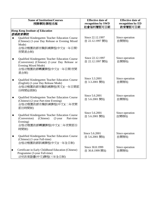| <b>Name of Institution/Courses</b><br>授課學院/課程名稱 |                                                                                                                                                            | <b>Effective date of</b><br>recognition by SWD<br>社會福利署認可日期 | <b>Effective date of</b><br>recognition by ED<br>教育署認可日期 |  |
|-------------------------------------------------|------------------------------------------------------------------------------------------------------------------------------------------------------------|-------------------------------------------------------------|----------------------------------------------------------|--|
|                                                 | <b>Hong Kong Institute of Education</b><br>香港教育學院                                                                                                          |                                                             |                                                          |  |
|                                                 | Qualified Kindergarten Teacher Education Course<br>(Chinese) (1-year Day Release or Evening Mixed<br>Mode)<br>合格幼稚園教師在職訓練課程(中文)(一年日間/<br>夜間混合制)            | Since 22.12.1997<br>自 22.12.1997 開始                         | Since operation<br>自開辦始                                  |  |
|                                                 | Qualified Kindergarten Teacher Education Course<br>(Conversion) (Chinese) (1-year Day Release or<br>Evening Mixed Mode)<br>合格幼稚園教師轉讀課程(中文)(一年日間/夜間<br>混合制) | Since 22.12.1997<br>自 22.12.1997 開始                         | Since operation<br>自開辦始                                  |  |
|                                                 | Qualified Kindergarten Teacher Education Course<br>(English) (1-year Day Release Mode)<br>合格幼稚園教師在職訓練課程(英文)(一年日間部<br>份時間給假制)                               | Since 3.3.2001<br>自 3.3.2001 開始                             | Since operation<br>自開辦始                                  |  |
|                                                 | Qualified Kindergarten Teacher Education Course<br>(Chinese) (2-year Part-time Evening)<br>合格幼稚園教師在職訓練課程(中文)(二年夜間<br>部份時間制)                                | Since 5.6.2001<br>自 5.6.2001 開始                             | Since operation<br>自開辦始                                  |  |
|                                                 | Qualified Kindergarten Teacher Education Course<br>(Chinese)<br>(Conversion)<br>$(2$ -year<br>Part-time<br>Evening)<br>合格幼稚園教師轉讀課程(中文)(二年夜間部份<br>時間制)      | Since 5.6.2001<br>自 5.6.2001 開始                             | Since operation<br>自開辦始                                  |  |
|                                                 | Qualified Kindergarten Teacher Education Course<br>(Chinese) (1-year Full-time)<br>合格幼稚園教師訓練課程(中文)(一年全日制)                                                  | Since 5.6.2001<br>自 5.6.2001 開始                             | Since operation<br>自開辦始                                  |  |
|                                                 | Certificate in Early Childhood Education (Chinese)<br>Programme (3-year Full-time)<br>幼兒教育證書(中文)課程(三年全日制)                                                  | Since 30.8.1999<br>自 30.8.1999 開始                           | Since operation<br>自開辦始                                  |  |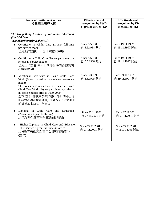| <b>Name of Institution/Courses</b><br>授課學院/課程名稱                                                                                                                                                                                                                                                                    | <b>Effective date of</b><br>recognition by SWD<br>社會福利署認可日期 | <b>Effective date of</b><br>recognition by ED<br>教育署認可日期 |  |
|--------------------------------------------------------------------------------------------------------------------------------------------------------------------------------------------------------------------------------------------------------------------------------------------------------------------|-------------------------------------------------------------|----------------------------------------------------------|--|
| The Hong Kong Institute of Vocational Education<br>(Lee Wai Lee)<br>香港專業教育學院李惠利分校<br>Certificate in Child Care (1-year full-time<br>pre-service mode)<br>幼兒工作證書(一年全日職前訓練制)                                                                                                                                         | Since 5.5.1988<br>自 5.5.1988 開始                             | Since 19.11.1997<br>自 19.11.1997 開始                      |  |
| Certificate in Child Care (2-year part-time day<br>release in-service mode)<br>幼兒工作證書(兩年日間部份時間給假調訓<br>在職訓練制)                                                                                                                                                                                                       | Since 5.5.1988<br>自 5.5.1988 開始                             | Since 19.11.1997<br>自 19.11.1997 開始                      |  |
| Vocational Certificate in Basic Child Care<br>Work (1-year part-time day release in-service<br>mode)<br>The course was named as Certificate in Basic<br>Child Care Work (1-year part-time day release<br>in-service mode) prior to 1999-2000.<br>基本幼兒工作職業技術證書(一年日間部份時<br>間給假調訓在職訓練制) 此課程於 1999/2000<br>前稱為基本幼兒工作證書 | Since 3.3.1995<br>自 3.3.1995 開始                             | Since 19.11.1997<br>自 19.11.1997 開始                      |  |
| Diploma in Child Care and Education<br>(Pre-service 2-year Full-time)<br>幼兒教育文憑(兩年全日職前訓練制)                                                                                                                                                                                                                         | Since 27.11.2001<br>自 27.11.2001 開始                         | Since 27.11.2001<br>自 27.11.2001 開始                      |  |
| Higher Diploma in Child Care and Education<br>(Pre-service 3-year Full-time) (Note 2)<br>幼兒教育高級文憑(三年全日職前訓練制)<br>(註二)                                                                                                                                                                                               | Since 27.11.2001<br>自 27.11.2001 開始                         | Since 27.11.2001<br>自 27.11.2001 開始                      |  |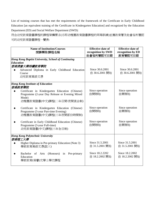List of training courses that has met the requirements of the framework of the Certificate in Early Childhood Education [an equivalent training of the Certificate in Kindergarten Education] and recognized by the Education Department (ED) and Social Welfare Department (SWD):

符合幼兒教育證書課程的課程架構要求(亦即幼稚園教育證書課程的同等訓練)並獲教育署及社會福利署認 可的幼兒教育證書課程一覽表:

| <b>Name of Institution/Courses</b><br>授課學院/課程名稱                                                                     | <b>Effective date of</b><br>recognition by SWD<br>社會福利署認可日期 | <b>Effective date of</b><br>recognition by ED<br>教育署認可日期 |  |
|---------------------------------------------------------------------------------------------------------------------|-------------------------------------------------------------|----------------------------------------------------------|--|
| Hong Kong Baptist University, School of Continuing                                                                  |                                                             |                                                          |  |
| Education                                                                                                           |                                                             |                                                          |  |
| 香港浸會大學持續教育學院                                                                                                        |                                                             |                                                          |  |
| Advanced Diploma in Early Childhood Education<br>Course                                                             | Since 30.6.2001<br>自 30.6.2001 開始                           | Since 30.6.2001<br>自 30.6.2001 開始                        |  |
| 幼兒教育高級文憑                                                                                                            |                                                             |                                                          |  |
| <b>Hong Kong Institute of Education</b>                                                                             |                                                             |                                                          |  |
| 香港教育學院                                                                                                              |                                                             |                                                          |  |
| Certificate in Kindergarten Education (Chinese)<br>Programme (2-year Day Release or Evening Mixed                   | Since operation<br>自開辦始                                     | Since operation<br>自開辦始                                  |  |
| Mode)<br>幼稚園教育證書(中文)課程(二年日間/夜間混合制)                                                                                  |                                                             |                                                          |  |
| Certificate in Kindergarten Education (Chinese)<br>Programme (3-year Part-time Evening)<br>幼稚園教育證書(中文)課程(三年夜間部份時間制) | Since operation<br>自開辦始                                     | Since operation<br>自開辦始                                  |  |
| Certificate in Early Childhood Education (Chinese)<br>Programme (3-year Full-time)<br>幼兒教育證書(中文)課程(三年全日制)           | Since operation<br>自開辦始                                     | Since operation<br>自開辦始                                  |  |
| <b>Hong Kong Polytechnic University</b>                                                                             |                                                             |                                                          |  |
| 香港理工大學                                                                                                              |                                                             |                                                          |  |
| Higher Diploma in Pre-primary Education (Note 3)<br>學前教育高級文憑(註三)                                                    | Since 31.5.2001<br>自 31.5.2001 開始                           | Since 31.5.2001<br>自 31.5.2001 開始                        |  |
| Bachelor<br>(Honours) in<br>Pre-primary<br>of<br>Arts<br>Education<br>學前教育(榮譽)文學士學位課程                               | Since 18.2.2202<br>自 18.2.2002 開始                           | Since 18.2.2002<br>自 18.2.2002 開始                        |  |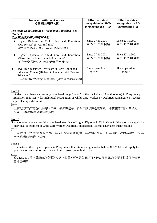| <b>Name of Institution/Courses</b><br>授課學院/課程名稱                                                                                                    | <b>Effective date of</b><br>recognition by SWD<br>社會福利署認可日期 | <b>Effective date of</b><br>recognition by ED<br>教育署認可日期 |  |
|----------------------------------------------------------------------------------------------------------------------------------------------------|-------------------------------------------------------------|----------------------------------------------------------|--|
| The Hong Kong Institute of Vocational Education (Lee<br>Wai Lee)<br>香港專業教育學院李惠利分校                                                                  |                                                             |                                                          |  |
| Higher Diploma in Child Care and Education<br>(Pre-service) (3-year full-time)<br>幼兒教育高級文憑 (三年全日職前訓練制)                                             | Since 27.11.2001<br>自 27.11.2001 開始                         | Since 27.11.2001<br>自 27.11.2001 開始                      |  |
| Higher Diploma in Child Care and Education<br>(Part-time module accumulation course)<br>幼兒教育高級文憑 (部份時間單元儲修制)                                       | Since 27.11.2001<br>自 27.11.2001 開始                         | Since 27.11.2001<br>自 27.11.2001 開始                      |  |
| Two-year In-service Certificate in Early Childhood<br>Education Course (Higher Diploma in Child Care and<br>Education)<br>二年制在職幼兒教育證書課程 (幼兒教育高級文憑) | Since operation<br>自開辦始                                     | Since operation<br>自開辦始                                  |  |

### Note 1

Students who have successfully completed Stage 1 and 2 of the Bachelor of Arts (Honours) in Pre-primary Education may apply for individual recognition of Child Care Worker or Qualified Kindergarten Teacher equivalent qualifications.

## 註一

已成功完成學前教育(榮譽)文學士學位課程第一及第二階段課程之學員,可申請獨立認可其幼兒工 作員/合格幼稚園教師等同資歷。

# Note 2

Students who have successfully completed Year One of Higher Diploma in Child Care & Education may apply for individual assessment of Child Care Worker/Qualified Kindergarten Teacher equivalent qualifications.

註二

已成功完成幼兒教育高級文憑(三年全日職前訓練制)第一年課程之學員,可申請獨立評估其幼兒工作員/ 合格幼稚園教師等同資歷。

# Note 3

Graduates of the Higher Diploma in Pre-primary Education who graduated before 31.5.2001 could apply for qualification recognition and they will be assessed on individual basis.

# 註三

於 31.5.2001 前修畢學前教育高級文憑之學員,可申請學歷認可,社會福利署/教育署將根據個別情況 審批其學歷。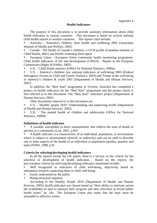#### **Health Indicators**

The purpose of this document is to provide summary information about child health indicators in various countries. This document is based on several national child health reports in western countries. The reports cited include:

Australia - Australia's children, their health and wellbeing 2002 (Australian Institute of Health and Welfare, 2002)

y Canada - The health of Canada's children: a CICH profile (Canadian Institute of Child Health, 2001) and Profile workshop final report

European Union – European Union community health monitoring programme: Child health indicators of life and development (CHILD) – Report to the European Commission (Rigby & Köhler, 2002)

U.K. - Child health statistics (Office for National Statistics, 2000a)

U.S. – America's children: key national indicators of well-being 2003 (Federal Interagency Forum on Child and Family Statistics, 2003) and Trends in the well-being of America's children & youth 2001 (Department of Health and Human Services, 2001)

 In addition, the "Best Start" programme in Victoria, Australia has completed a project on health indicators for the "Best Start" programme and the project report is also referred to in this document. The "Best Start" indicators project (Department of Human Services, 2002)

Other documents referred to in this document are:

U.S. – Healthy people 2010: Understanding and improving health (Department of Health and Human Services, 2003)

U.K. - The mental health of children and adolescents (Office for National Statistics, 2000b)

### **Definitions of health indicator**

A variable, susceptible to direct measurement, that reflects the state of health of persons in a community (Last, 2001, p.83)

A health indicator is a characteristic of an individual, population, or environment which is subject to measurement (directly or indirectly) and can be used to describe one or more aspects of the health of an individual or population (quality, quantity and time) (WHO, 1998, p.9)

### **Criteria for selecting/developing health indicators**

In all the reports except the UK report, there is a section on the criteria for the selection or development of health indicators. Based on the reports, the key/common criteria for selecting/developing indicators mentioned include:

Well recognized as indicators of child well-being, objectively based on substantial research connecting them to child well-being

- Easily understood by the public
- Being measured regularly

 According to the Healthy People 2010 (Department of Health and Human Services, 2003), health indicators are chosen based on "their ability to motivate action, the availability of data to measure their progress and their relevance as broad public health issues" (p. 24). The European Union also states that the topic must be amenable to effective action.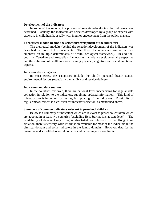### **Development of the indicators**

 In some of the reports, the process of selecting/developing the indicators was described. Usually, the indicators are selected/developed by a group of experts with expertise in child health, usually with input or endorsement from the policy makers.

### **Theoretical models behind the selection/development of the indicators**

 The theoretical model(s) behind the selection/development of the indicators was described in three of the documents. The three documents are similar in their emphasis on multiple determinants of health (ecological framework). In addition, both the Canadian and Australian frameworks include a developmental perspective and the definition of health as encompassing physical, cognitive and social emotional aspects.

#### **Indicators by categories**

 In most cases, the categories include the child's personal health status, environmental factors (especially the family), and service delivery.

### **Indicators and data sources**

 In the countries reviewed, there are national level mechanisms for regular data collection in relation to the indicators, supplying updated information. This kind of infrastructure is important for the regular updating of the indicators. Possibility of regular measurement is a criterion for indicator selection, as mentioned above.

#### **Summary of common indicators relevant to preschool children**

 Below is a summary of indicators which are relevant to preschool children which are adopted in at least two countries (excluding Best Start as it is at state level). The availability of data in Hong Kong is also listed for reference. In the Hong Kong situation, there is territory-wide information available for most of the indicators in the physical domain and some indicators in the family domain. However, data for the cognitive and social/behavioural domains and parenting are more limited.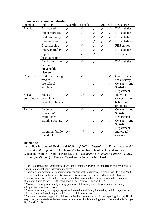### **Summary of common indicators**

| Domain                 | Indicator                                            | Australia          | Canada                   | <b>EU</b>                  | <b>UK</b>    | <b>US</b>    | HK source                                            |
|------------------------|------------------------------------------------------|--------------------|--------------------------|----------------------------|--------------|--------------|------------------------------------------------------|
| Physical               | Birth weight                                         | $\checkmark$       | ✓                        | $\checkmark$               | $\checkmark$ | $\checkmark$ | <b>DH</b> statistics                                 |
|                        | Infant mortality                                     | $\checkmark$       | ✓                        | $\checkmark$               | $\checkmark$ | $\checkmark$ | DH statistics                                        |
|                        | Child mortality                                      | $\checkmark$       |                          | $\checkmark$               | $\checkmark$ | $\checkmark$ | <b>DH</b> statistics                                 |
|                        | Immunization                                         | $\checkmark$       |                          | $\checkmark$               | $\checkmark$ | $\checkmark$ | <b>DH</b> statistics                                 |
|                        | <b>Breastfeeding</b>                                 | $\checkmark$       | ✓                        | $\checkmark$               | $\checkmark$ |              | FHS survey                                           |
|                        | Injury mortality                                     | $\checkmark$       | $\checkmark$             | $\checkmark$               | $\checkmark$ |              | <b>DH</b> statistics                                 |
|                        | Injury<br>hospitalization                            |                    | ✓                        | $\checkmark$               |              |              | <b>HA</b> statistics                                 |
|                        | Incidence<br>of<br>vaccine<br>preventable<br>disease | $\checkmark$       | $\checkmark$             | $\checkmark$               |              |              | DH statistics                                        |
| Cognitive              | being<br>Children<br>read to                         |                    | $\checkmark$             |                            |              | $\checkmark$ | One<br>small<br>scale survey                         |
|                        | Pre-school<br>enrolment                              |                    |                          |                            |              | $\checkmark$ | Census<br>and<br><b>Statistics</b><br>Department     |
| Social/<br>behavioural | Social/<br>behaviour/<br>mental problems             | $\boldsymbol{J}^1$ | $\mathcal{I}^2$          | $\mathcal{V}$ <sup>3</sup> |              |              | Individual<br>surveys<br>on<br>behaviour<br>problems |
| Family                 | Income/<br>education/<br>employment                  | $\checkmark$       | $\overline{\mathscr{I}}$ | $\checkmark$               | $\checkmark$ | $\checkmark$ | Census<br>and<br><b>Statistics</b><br>Department     |
|                        | Family structure                                     | $\checkmark$       | ✓                        | ✓                          |              | ✓            | Census<br>and<br><b>Statistics</b><br>Department     |
|                        | Parenting/family<br>functioning                      |                    | $\mathcal{I}^5$          | $\,6\,$                    |              |              | Individual<br>surveys                                |

### **References:**

Australian Institute of Health and Welfare (2002). *Australia's children: their health and wellbeing 2002*. Canberra: Australian Institute of health and Welfare. Canadian Institute of Child Health (2001). *The health of Canada's children: a CICH profile* (3rd ed.). Ottawa: Canadian Institute of Child Health.

<sup>&</sup>lt;sup>1</sup> The Child Behaviour Checklist was used in the National Survey of Mental Health and Wellbeing to

examine emotional and behavioural problems.<br><sup>2</sup> There are four measures of behaviour from the National Longitudinal Survey of Children and Youth, covering emotional problem-anxiety, hyperactivity, physical aggression and prosocial behaviour.

<sup>&</sup>lt;sup>3</sup> Annual incidence of attempted suicide, defined by impatient hospital stays with a discharge diagnosis of attempted suicide, per 100,000 population, in age-groups 10-14 and 15-17.

<sup>&</sup>lt;sup>4</sup> Measure of family cohesion by asking parents of children aged 4 to 17 years about the family's ability to get on with one another.

<sup>&</sup>lt;sup>5</sup> Measures include parenting style (positive interaction and family interaction) and time spent with children, from National Longitudinal Survey of Children and Youth.

<sup>&</sup>lt;sup>6</sup> Measure of parental support for children, defined by percentage of children reporting that they find it easy or very easy to talk with their parents when something is bothering them. Data available for ages 11, 13 and 15 only.